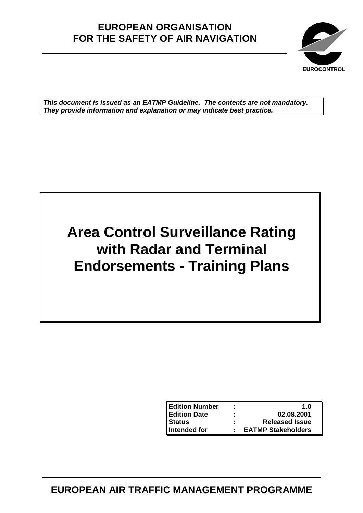# **EUROPEAN ORGANISATION FOR THE SAFETY OF AIR NAVIGATION**



*This document is issued as an EATMP Guideline. The contents are not mandatory. They provide information and explanation or may indicate best practice.*

# **Area Control Surveillance Rating with Radar and Terminal Endorsements - Training Plans**

| <b>Edition Number</b> | 1.0                       |
|-----------------------|---------------------------|
| <b>Edition Date</b>   | 02.08.2001                |
| <b>Status</b>         | <b>Released Issue</b>     |
| Intended for          | <b>EATMP Stakeholders</b> |

**EUROPEAN AIR TRAFFIC MANAGEMENT PROGRAMME**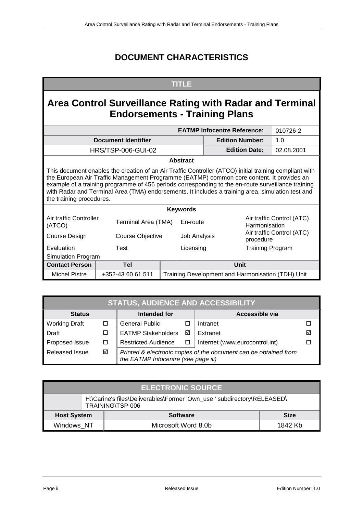# **DOCUMENT CHARACTERISTICS**

|                                                                                                  |                                                                                                                                                                                                                                                                                                                                                                                                                                            | <b>TITLE</b>                         |                                                   |                           |
|--------------------------------------------------------------------------------------------------|--------------------------------------------------------------------------------------------------------------------------------------------------------------------------------------------------------------------------------------------------------------------------------------------------------------------------------------------------------------------------------------------------------------------------------------------|--------------------------------------|---------------------------------------------------|---------------------------|
| Area Control Surveillance Rating with Radar and Terminal<br><b>Endorsements - Training Plans</b> |                                                                                                                                                                                                                                                                                                                                                                                                                                            |                                      |                                                   |                           |
|                                                                                                  |                                                                                                                                                                                                                                                                                                                                                                                                                                            |                                      | <b>EATMP Infocentre Reference:</b>                | 010726-2                  |
|                                                                                                  | <b>Document Identifier</b>                                                                                                                                                                                                                                                                                                                                                                                                                 |                                      | <b>Edition Number:</b>                            | 1.0                       |
|                                                                                                  | <b>HRS/TSP-006-GUI-02</b>                                                                                                                                                                                                                                                                                                                                                                                                                  |                                      | <b>Edition Date:</b>                              | 02.08.2001                |
|                                                                                                  |                                                                                                                                                                                                                                                                                                                                                                                                                                            | <b>Abstract</b>                      |                                                   |                           |
|                                                                                                  | This document enables the creation of an Air Traffic Controller (ATCO) initial training compliant with<br>the European Air Traffic Management Programme (EATMP) common core content. It provides an<br>example of a training programme of 456 periods corresponding to the en-route surveillance training<br>with Radar and Terminal Area (TMA) endorsements. It includes a training area, simulation test and<br>the training procedures. |                                      |                                                   |                           |
|                                                                                                  |                                                                                                                                                                                                                                                                                                                                                                                                                                            | <b>Keywords</b>                      |                                                   |                           |
| Air traffic Controller<br>(ATCO)                                                                 | Terminal Area (TMA)                                                                                                                                                                                                                                                                                                                                                                                                                        | En-route                             | Harmonisation                                     | Air traffic Control (ATC) |
| Course Design<br>Course Objective                                                                |                                                                                                                                                                                                                                                                                                                                                                                                                                            | <b>Job Analysis</b><br>procedure     |                                                   | Air traffic Control (ATC) |
| Evaluation<br>Test                                                                               |                                                                                                                                                                                                                                                                                                                                                                                                                                            | Licensing<br><b>Training Program</b> |                                                   |                           |
| <b>Simulation Program</b>                                                                        |                                                                                                                                                                                                                                                                                                                                                                                                                                            |                                      |                                                   |                           |
| <b>Contact Person</b>                                                                            | Tel                                                                                                                                                                                                                                                                                                                                                                                                                                        |                                      | <b>Unit</b>                                       |                           |
| <b>Michel Pistre</b>                                                                             | +352-43.60.61.511                                                                                                                                                                                                                                                                                                                                                                                                                          |                                      | Training Development and Harmonisation (TDH) Unit |                           |

| <b>STATUS, AUDIENCE AND ACCESSIBILITY</b> |                                |                                                                                                         |   |          |   |
|-------------------------------------------|--------------------------------|---------------------------------------------------------------------------------------------------------|---|----------|---|
| <b>Status</b>                             | Accessible via<br>Intended for |                                                                                                         |   |          |   |
| <b>Working Draft</b>                      | □                              | <b>General Public</b>                                                                                   |   | Intranet |   |
| Draft                                     | $\Box$                         | <b>EATMP Stakeholders</b>                                                                               | ☑ | Extranet | ☑ |
| Proposed Issue                            | □                              | Internet (www.eurocontrol.int)<br><b>Restricted Audience</b><br>ш                                       |   |          |   |
| <b>Released Issue</b>                     | ☑                              | Printed & electronic copies of the document can be obtained from<br>the EATMP Infocentre (see page iii) |   |          |   |

| <b>ELECTRONIC SOURCE</b> |                                                                                             |                     |             |
|--------------------------|---------------------------------------------------------------------------------------------|---------------------|-------------|
|                          | H:\Carine's files\Deliverables\Former 'Own_use ' subdirectory\RELEASED\<br>TRAINING\TSP-006 |                     |             |
| <b>Host System</b>       |                                                                                             | <b>Software</b>     | <b>Size</b> |
| Windows NT               |                                                                                             | Microsoft Word 8.0b | 1842 Kb     |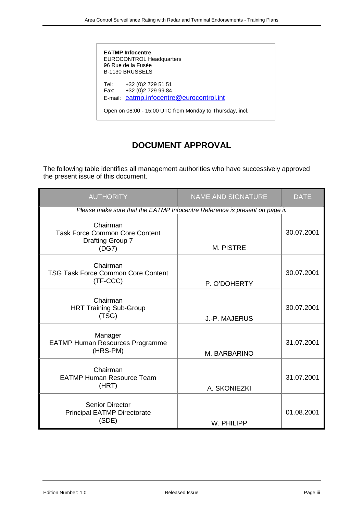|                                                          | <b>EATMP Infocentre</b><br><b>EUROCONTROL Headquarters</b><br>96 Rue de la Fusée<br><b>B-1130 BRUSSELS</b> |  |
|----------------------------------------------------------|------------------------------------------------------------------------------------------------------------|--|
| Tel:<br>Fax:                                             | +32 (0)2 729 51 51<br>+32 (0)2 729 99 84<br>E-mail: eatmp.infocentre@eurocontrol.int                       |  |
| Open on 08:00 - 15:00 UTC from Monday to Thursday, incl. |                                                                                                            |  |

# **DOCUMENT APPROVAL**

The following table identifies all management authorities who have successively approved the present issue of this document.

| <b>AUTHORITY</b>                                                               | <b>NAME AND SIGNATURE</b>                                                   | <b>DATE</b> |
|--------------------------------------------------------------------------------|-----------------------------------------------------------------------------|-------------|
|                                                                                | Please make sure that the EATMP Infocentre Reference is present on page ii. |             |
| Chairman<br><b>Task Force Common Core Content</b><br>Drafting Group 7<br>(DG7) | <b>M. PISTRE</b>                                                            | 30.07.2001  |
| Chairman<br><b>TSG Task Force Common Core Content</b><br>(TF-CCC)              | P. O'DOHERTY                                                                | 30.07.2001  |
| Chairman<br><b>HRT Training Sub-Group</b><br>(TSG)                             | J.-P. MAJERUS                                                               | 30.07.2001  |
| Manager<br><b>EATMP Human Resources Programme</b><br>(HRS-PM)                  | M. BARBARINO                                                                | 31.07.2001  |
| Chairman<br><b>EATMP Human Resource Team</b><br>(HRT)                          | A. SKONIEZKI                                                                | 31.07.2001  |
| <b>Senior Director</b><br><b>Principal EATMP Directorate</b><br>(SDE)          | W. PHILIPP                                                                  | 01.08.2001  |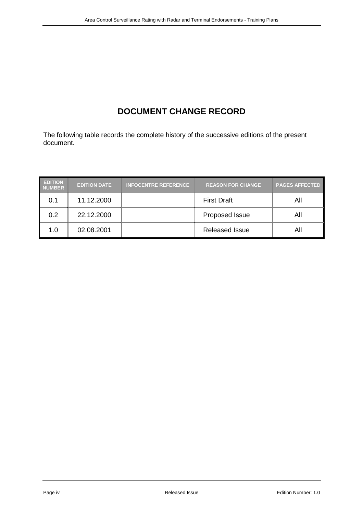# **DOCUMENT CHANGE RECORD**

The following table records the complete history of the successive editions of the present document.

| <b>EDITION</b><br><b>NUMBER</b> | <b>EDITION DATE</b> | <b>INFOCENTRE REFERENCE</b> | <b>REASON FOR CHANGE</b> | <b>PAGES AFFECTED</b> |
|---------------------------------|---------------------|-----------------------------|--------------------------|-----------------------|
| 0.1                             | 11.12.2000          |                             | <b>First Draft</b>       | All                   |
| 0.2                             | 22.12.2000          |                             | Proposed Issue           | All                   |
| 1.0                             | 02.08.2001          |                             | <b>Released Issue</b>    | All                   |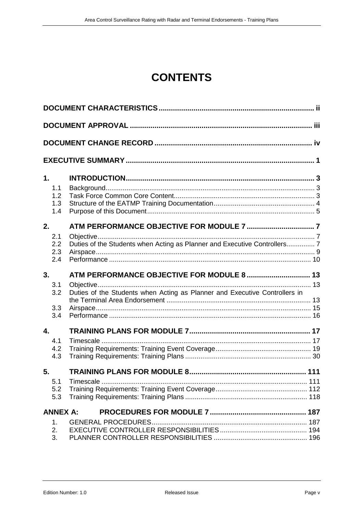# **CONTENTS**

| 1.<br>1.1<br>1.2<br>1.3<br>1.4<br>2.<br>2.1<br>Duties of the Students when Acting as Planner and Executive Controllers 7<br>2.2<br>2.3<br>2.4<br>3.<br>ATM PERFORMANCE OBJECTIVE FOR MODULE 8 13<br>3.1<br>3.2<br>Duties of the Students when Acting as Planner and Executive Controllers in<br>3.3<br>3.4<br>$\overline{\mathbf{4}}$ .<br>4.1<br>4.2<br>4.3<br>5.<br>5.1<br>5.2<br>5.3<br><b>ANNEX A:</b> |  |  |
|------------------------------------------------------------------------------------------------------------------------------------------------------------------------------------------------------------------------------------------------------------------------------------------------------------------------------------------------------------------------------------------------------------|--|--|
|                                                                                                                                                                                                                                                                                                                                                                                                            |  |  |
|                                                                                                                                                                                                                                                                                                                                                                                                            |  |  |
|                                                                                                                                                                                                                                                                                                                                                                                                            |  |  |
|                                                                                                                                                                                                                                                                                                                                                                                                            |  |  |
|                                                                                                                                                                                                                                                                                                                                                                                                            |  |  |
|                                                                                                                                                                                                                                                                                                                                                                                                            |  |  |
|                                                                                                                                                                                                                                                                                                                                                                                                            |  |  |
|                                                                                                                                                                                                                                                                                                                                                                                                            |  |  |
|                                                                                                                                                                                                                                                                                                                                                                                                            |  |  |
|                                                                                                                                                                                                                                                                                                                                                                                                            |  |  |
|                                                                                                                                                                                                                                                                                                                                                                                                            |  |  |
|                                                                                                                                                                                                                                                                                                                                                                                                            |  |  |
|                                                                                                                                                                                                                                                                                                                                                                                                            |  |  |
|                                                                                                                                                                                                                                                                                                                                                                                                            |  |  |
|                                                                                                                                                                                                                                                                                                                                                                                                            |  |  |
|                                                                                                                                                                                                                                                                                                                                                                                                            |  |  |
|                                                                                                                                                                                                                                                                                                                                                                                                            |  |  |
|                                                                                                                                                                                                                                                                                                                                                                                                            |  |  |
|                                                                                                                                                                                                                                                                                                                                                                                                            |  |  |
|                                                                                                                                                                                                                                                                                                                                                                                                            |  |  |
|                                                                                                                                                                                                                                                                                                                                                                                                            |  |  |
|                                                                                                                                                                                                                                                                                                                                                                                                            |  |  |
|                                                                                                                                                                                                                                                                                                                                                                                                            |  |  |
|                                                                                                                                                                                                                                                                                                                                                                                                            |  |  |
|                                                                                                                                                                                                                                                                                                                                                                                                            |  |  |
|                                                                                                                                                                                                                                                                                                                                                                                                            |  |  |
|                                                                                                                                                                                                                                                                                                                                                                                                            |  |  |
|                                                                                                                                                                                                                                                                                                                                                                                                            |  |  |
|                                                                                                                                                                                                                                                                                                                                                                                                            |  |  |
| 1.                                                                                                                                                                                                                                                                                                                                                                                                         |  |  |
| 2.                                                                                                                                                                                                                                                                                                                                                                                                         |  |  |
| 3.                                                                                                                                                                                                                                                                                                                                                                                                         |  |  |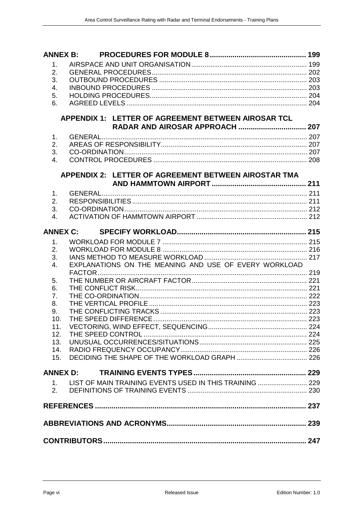|                  | <b>ANNEX B:</b> |                                                         |  |
|------------------|-----------------|---------------------------------------------------------|--|
| 1.               |                 |                                                         |  |
| 2.               |                 |                                                         |  |
| 3.               |                 |                                                         |  |
| 4.               |                 |                                                         |  |
| 5.               |                 |                                                         |  |
| 6.               |                 |                                                         |  |
|                  |                 |                                                         |  |
|                  |                 | APPENDIX 1: LETTER OF AGREEMENT BETWEEN AIROSAR TCL     |  |
|                  |                 |                                                         |  |
| 1.<br>2.         |                 |                                                         |  |
| 3.               |                 |                                                         |  |
| $\overline{4}$ . |                 |                                                         |  |
|                  |                 |                                                         |  |
|                  |                 | APPENDIX 2: LETTER OF AGREEMENT BETWEEN AIROSTAR TMA    |  |
|                  |                 |                                                         |  |
| 1.               |                 |                                                         |  |
| 2.               |                 |                                                         |  |
| 3.               |                 |                                                         |  |
| $\mathbf{4}$ .   |                 |                                                         |  |
|                  |                 |                                                         |  |
| 1.               |                 |                                                         |  |
| 2.               |                 |                                                         |  |
| 3.               |                 |                                                         |  |
| $\overline{4}$ . |                 | EXPLANATIONS ON THE MEANING AND USE OF EVERY WORKLOAD   |  |
| 5.               |                 |                                                         |  |
| 6.               |                 |                                                         |  |
| 7.               |                 |                                                         |  |
| 8.               |                 |                                                         |  |
| 9.               |                 |                                                         |  |
| 10.              |                 |                                                         |  |
| 11.              |                 |                                                         |  |
| 12.              |                 |                                                         |  |
| 13.              |                 |                                                         |  |
| 14.              |                 |                                                         |  |
| 15.              |                 |                                                         |  |
| <b>ANNEX D:</b>  |                 |                                                         |  |
| 1.               |                 | LIST OF MAIN TRAINING EVENTS USED IN THIS TRAINING  229 |  |
| 2.               |                 |                                                         |  |
|                  |                 |                                                         |  |
|                  |                 |                                                         |  |
|                  |                 |                                                         |  |
|                  |                 |                                                         |  |
|                  |                 |                                                         |  |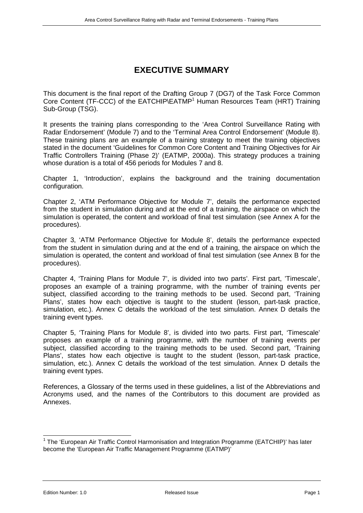# **EXECUTIVE SUMMARY**

This document is the final report of the Drafting Group 7 (DG7) of the Task Force Common Core Content (TF-CCC) of the EATCHIP\EATMP<sup>1</sup> Human Resources Team (HRT) Training Sub-Group (TSG).

It presents the training plans corresponding to the 'Area Control Surveillance Rating with Radar Endorsement' (Module 7) and to the 'Terminal Area Control Endorsement' (Module 8). These training plans are an example of a training strategy to meet the training objectives stated in the document 'Guidelines for Common Core Content and Training Objectives for Air Traffic Controllers Training (Phase 2)' (EATMP, 2000a). This strategy produces a training whose duration is a total of 456 periods for Modules 7 and 8.

Chapter 1, 'Introduction', explains the background and the training documentation configuration.

Chapter 2, 'ATM Performance Objective for Module 7', details the performance expected from the student in simulation during and at the end of a training, the airspace on which the simulation is operated, the content and workload of final test simulation (see Annex A for the procedures).

Chapter 3, 'ATM Performance Objective for Module 8', details the performance expected from the student in simulation during and at the end of a training, the airspace on which the simulation is operated, the content and workload of final test simulation (see Annex B for the procedures).

Chapter 4, 'Training Plans for Module 7', is divided into two parts'. First part, 'Timescale', proposes an example of a training programme, with the number of training events per subject, classified according to the training methods to be used. Second part, 'Training Plans', states how each objective is taught to the student (lesson, part-task practice, simulation, etc.). Annex C details the workload of the test simulation. Annex D details the training event types.

Chapter 5, 'Training Plans for Module 8', is divided into two parts. First part, 'Timescale' proposes an example of a training programme, with the number of training events per subject, classified according to the training methods to be used. Second part, 'Training Plans', states how each objective is taught to the student (lesson, part-task practice, simulation, etc.). Annex C details the workload of the test simulation. Annex D details the training event types.

References, a Glossary of the terms used in these guidelines, a list of the Abbreviations and Acronyms used, and the names of the Contributors to this document are provided as Annexes.

 $\overline{\phantom{a}}$ 

<sup>&</sup>lt;sup>1</sup> The 'European Air Traffic Control Harmonisation and Integration Programme (EATCHIP)' has later become the 'European Air Traffic Management Programme (EATMP)'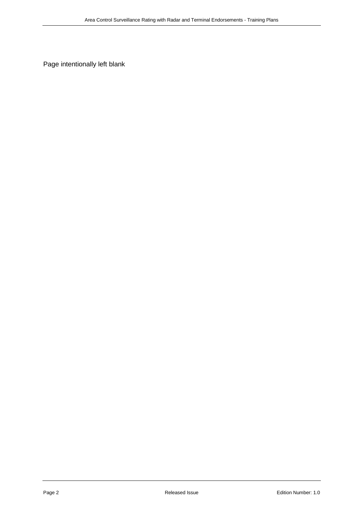Page intentionally left blank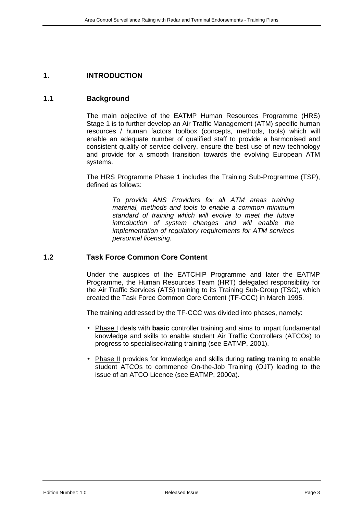# **1. INTRODUCTION**

### **1.1 Background**

The main objective of the EATMP Human Resources Programme (HRS) Stage 1 is to further develop an Air Traffic Management (ATM) specific human resources / human factors toolbox (concepts, methods, tools) which will enable an adequate number of qualified staff to provide a harmonised and consistent quality of service delivery, ensure the best use of new technology and provide for a smooth transition towards the evolving European ATM systems.

The HRS Programme Phase 1 includes the Training Sub-Programme (TSP), defined as follows:

> *To provide ANS Providers for all ATM areas training material, methods and tools to enable a common minimum standard of training which will evolve to meet the future introduction of system changes and will enable the implementation of regulatory requirements for ATM services personnel licensing.*

## **1.2 Task Force Common Core Content**

Under the auspices of the EATCHIP Programme and later the EATMP Programme, the Human Resources Team (HRT) delegated responsibility for the Air Traffic Services (ATS) training to its Training Sub-Group (TSG), which created the Task Force Common Core Content (TF-CCC) in March 1995.

The training addressed by the TF-CCC was divided into phases, namely:

- Phase I deals with **basic** controller training and aims to impart fundamental knowledge and skills to enable student Air Traffic Controllers (ATCOs) to progress to specialised/rating training (see EATMP, 2001).
- Phase II provides for knowledge and skills during **rating** training to enable student ATCOs to commence On-the-Job Training (OJT) leading to the issue of an ATCO Licence (see EATMP, 2000a).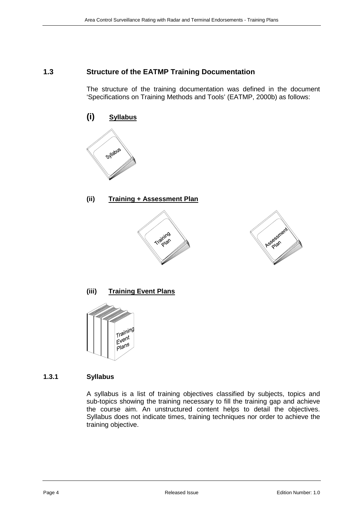# **1.3 Structure of the EATMP Training Documentation**

The structure of the training documentation was defined in the document 'Specifications on Training Methods and Tools' (EATMP, 2000b) as follows:



**(ii) Training + Assessment Plan**





## **(iii) Training Event Plans**



#### **1.3.1 Syllabus**

A syllabus is a list of training objectives classified by subjects, topics and sub-topics showing the training necessary to fill the training gap and achieve the course aim. An unstructured content helps to detail the objectives. Syllabus does not indicate times, training techniques nor order to achieve the training objective.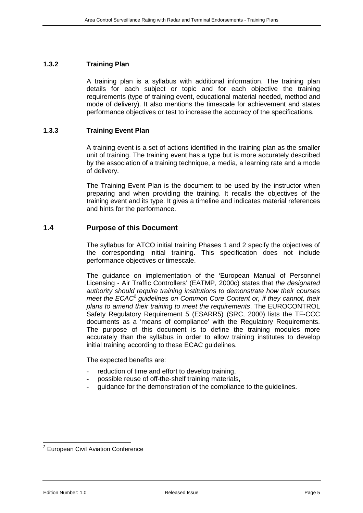#### **1.3.2 Training Plan**

A training plan is a syllabus with additional information. The training plan details for each subject or topic and for each objective the training requirements (type of training event, educational material needed, method and mode of delivery). It also mentions the timescale for achievement and states performance objectives or test to increase the accuracy of the specifications.

#### **1.3.3 Training Event Plan**

A training event is a set of actions identified in the training plan as the smaller unit of training. The training event has a type but is more accurately described by the association of a training technique, a media, a learning rate and a mode of delivery.

The Training Event Plan is the document to be used by the instructor when preparing and when providing the training. It recalls the objectives of the training event and its type. It gives a timeline and indicates material references and hints for the performance.

#### **1.4 Purpose of this Document**

The syllabus for ATCO initial training Phases 1 and 2 specify the objectives of the corresponding initial training. This specification does not include performance objectives or timescale.

The guidance on implementation of the 'European Manual of Personnel Licensing - Air Traffic Controllers' (EATMP, 2000c) states that *the designated authority should require training institutions to demonstrate how their courses* meet the ECAC<sup>2</sup> guidelines on Common Core Content or, if they cannot, their *plans to amend their training to meet the requirements*. The EUROCONTROL Safety Regulatory Requirement 5 (ESARR5) (SRC, 2000) lists the TF-CCC documents as a 'means of compliance' with the Regulatory Requirements. The purpose of this document is to define the training modules more accurately than the syllabus in order to allow training institutes to develop initial training according to these ECAC guidelines.

The expected benefits are:

- reduction of time and effort to develop training,
- possible reuse of off-the-shelf training materials,
- quidance for the demonstration of the compliance to the quidelines.

 2 European Civil Aviation Conference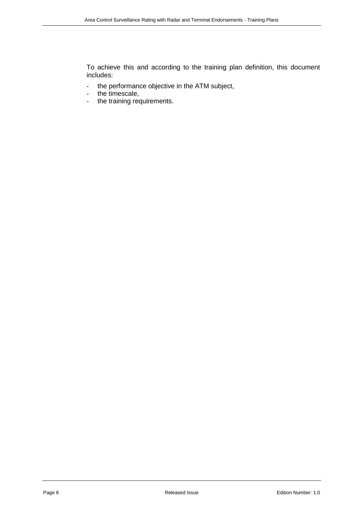To achieve this and according to the training plan definition, this document includes:

- the performance objective in the ATM subject,
- the timescale,
- the training requirements.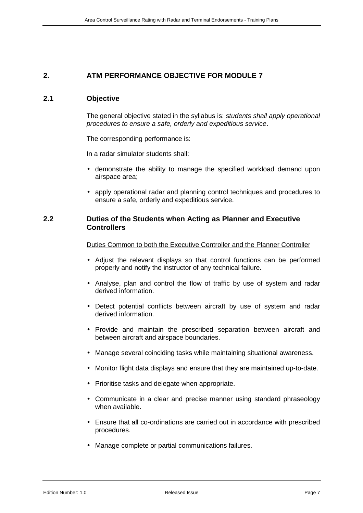# **2. ATM PERFORMANCE OBJECTIVE FOR MODULE 7**

#### **2.1 Objective**

The general objective stated in the syllabus is: *students shall apply operational procedures to ensure a safe, orderly and expeditious service*.

The corresponding performance is:

In a radar simulator students shall:

- demonstrate the ability to manage the specified workload demand upon airspace area;
- apply operational radar and planning control techniques and procedures to ensure a safe, orderly and expeditious service.

#### **2.2 Duties of the Students when Acting as Planner and Executive Controllers**

Duties Common to both the Executive Controller and the Planner Controller

- Adjust the relevant displays so that control functions can be performed properly and notify the instructor of any technical failure.
- Analyse, plan and control the flow of traffic by use of system and radar derived information.
- Detect potential conflicts between aircraft by use of system and radar derived information.
- Provide and maintain the prescribed separation between aircraft and between aircraft and airspace boundaries.
- Manage several coinciding tasks while maintaining situational awareness.
- Monitor flight data displays and ensure that they are maintained up-to-date.
- Prioritise tasks and delegate when appropriate.
- Communicate in a clear and precise manner using standard phraseology when available.
- Ensure that all co-ordinations are carried out in accordance with prescribed procedures.
- Manage complete or partial communications failures.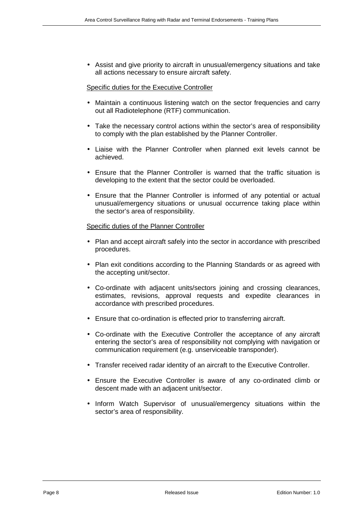• Assist and give priority to aircraft in unusual/emergency situations and take all actions necessary to ensure aircraft safety.

#### Specific duties for the Executive Controller

- Maintain a continuous listening watch on the sector frequencies and carry out all Radiotelephone (RTF) communication.
- Take the necessary control actions within the sector's area of responsibility to comply with the plan established by the Planner Controller.
- Liaise with the Planner Controller when planned exit levels cannot be achieved.
- Ensure that the Planner Controller is warned that the traffic situation is developing to the extent that the sector could be overloaded.
- Ensure that the Planner Controller is informed of any potential or actual unusual/emergency situations or unusual occurrence taking place within the sector's area of responsibility.

#### Specific duties of the Planner Controller

- Plan and accept aircraft safely into the sector in accordance with prescribed procedures.
- Plan exit conditions according to the Planning Standards or as agreed with the accepting unit/sector.
- Co-ordinate with adjacent units/sectors joining and crossing clearances, estimates, revisions, approval requests and expedite clearances in accordance with prescribed procedures.
- Ensure that co-ordination is effected prior to transferring aircraft.
- Co-ordinate with the Executive Controller the acceptance of any aircraft entering the sector's area of responsibility not complying with navigation or communication requirement (e.g. unserviceable transponder).
- Transfer received radar identity of an aircraft to the Executive Controller.
- Ensure the Executive Controller is aware of any co-ordinated climb or descent made with an adjacent unit/sector.
- Inform Watch Supervisor of unusual/emergency situations within the sector's area of responsibility.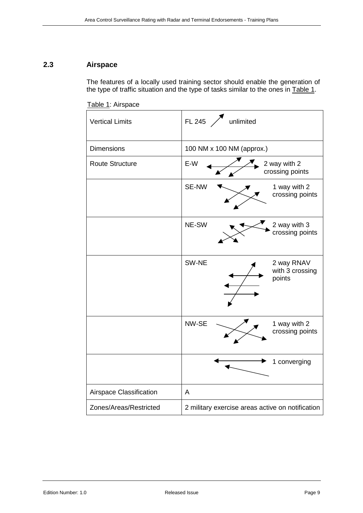# **2.3 Airspace**

The features of a locally used training sector should enable the generation of the type of traffic situation and the type of tasks similar to the ones in Table 1.

Table 1: Airspace

| <b>Vertical Limits</b>         | FL 245 $\overline{\phantom{0}}$ unlimited        |                                         |
|--------------------------------|--------------------------------------------------|-----------------------------------------|
| <b>Dimensions</b>              | 100 NM x 100 NM (approx.)                        |                                         |
| <b>Route Structure</b>         | E-W                                              | 2 way with 2<br>crossing points         |
|                                | SE-NW                                            | 1 way with 2<br>crossing points         |
|                                | NE-SW                                            | 2 way with 3<br>crossing points         |
|                                | SW-NE                                            | 2 way RNAV<br>with 3 crossing<br>points |
|                                | NW-SE                                            | 1 way with 2<br>crossing points         |
|                                |                                                  | 1 converging                            |
| <b>Airspace Classification</b> | A                                                |                                         |
| Zones/Areas/Restricted         | 2 military exercise areas active on notification |                                         |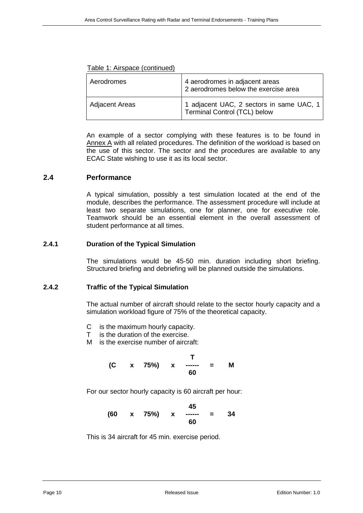| Aerodromes            | 4 aerodromes in adjacent areas<br>2 aerodromes below the exercise area          |
|-----------------------|---------------------------------------------------------------------------------|
| <b>Adjacent Areas</b> | 1 adjacent UAC, 2 sectors in same UAC, 1<br><b>Terminal Control (TCL) below</b> |

An example of a sector complying with these features is to be found in Annex A with all related procedures. The definition of the workload is based on the use of this sector. The sector and the procedures are available to any ECAC State wishing to use it as its local sector.

## **2.4 Performance**

A typical simulation, possibly a test simulation located at the end of the module, describes the performance. The assessment procedure will include at least two separate simulations, one for planner, one for executive role. Teamwork should be an essential element in the overall assessment of student performance at all times.

#### **2.4.1 Duration of the Typical Simulation**

The simulations would be 45-50 min. duration including short briefing. Structured briefing and debriefing will be planned outside the simulations.

#### **2.4.2 Traffic of the Typical Simulation**

The actual number of aircraft should relate to the sector hourly capacity and a simulation workload figure of 75% of the theoretical capacity.

- C is the maximum hourly capacity.
- T is the duration of the exercise.
- M is the exercise number of aircraft:

(C x 75%) 
$$
\begin{array}{ccc}\nT \\
x & 75\% \\
60\n\end{array}
$$
 = M

For our sector hourly capacity is 60 aircraft per hour:

$$
(60 \t x \t 75%) \t x \t 4560 = 34
$$

This is 34 aircraft for 45 min. exercise period.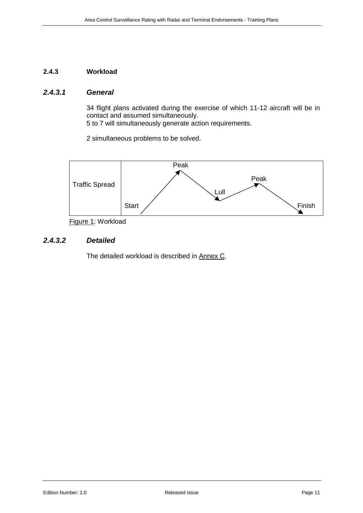# **2.4.3 Workload**

### *2.4.3.1 General*

34 flight plans activated during the exercise of which 11-12 aircraft will be in contact and assumed simultaneously.

5 to 7 will simultaneously generate action requirements.

2 simultaneous problems to be solved.



Figure 1: Workload

### *2.4.3.2 Detailed*

The detailed workload is described in Annex C.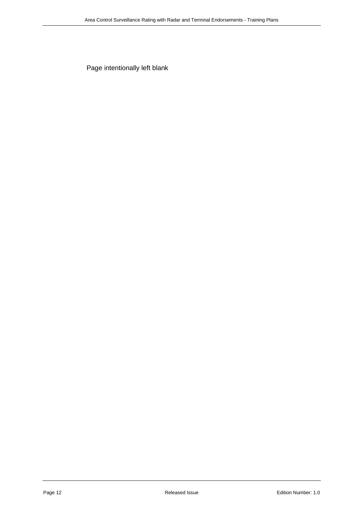Page intentionally left blank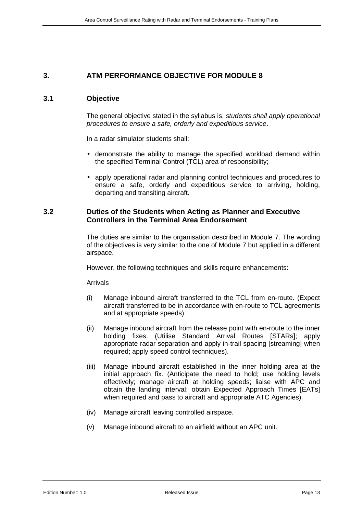# **3. ATM PERFORMANCE OBJECTIVE FOR MODULE 8**

### **3.1 Objective**

The general objective stated in the syllabus is: *students shall apply operational procedures to ensure a safe, orderly and expeditious service*.

In a radar simulator students shall:

- demonstrate the ability to manage the specified workload demand within the specified Terminal Control (TCL) area of responsibility;
- apply operational radar and planning control techniques and procedures to ensure a safe, orderly and expeditious service to arriving, holding, departing and transiting aircraft.

#### **3.2 Duties of the Students when Acting as Planner and Executive Controllers in the Terminal Area Endorsement**

The duties are similar to the organisation described in Module 7. The wording of the objectives is very similar to the one of Module 7 but applied in a different airspace.

However, the following techniques and skills require enhancements:

#### **Arrivals**

- (i) Manage inbound aircraft transferred to the TCL from en-route. (Expect aircraft transferred to be in accordance with en-route to TCL agreements and at appropriate speeds).
- (ii) Manage inbound aircraft from the release point with en-route to the inner holding fixes. (Utilise Standard Arrival Routes [STARs]; apply appropriate radar separation and apply in-trail spacing [streaming] when required; apply speed control techniques).
- (iii) Manage inbound aircraft established in the inner holding area at the initial approach fix. (Anticipate the need to hold; use holding levels effectively; manage aircraft at holding speeds; liaise with APC and obtain the landing interval; obtain Expected Approach Times [EATs] when required and pass to aircraft and appropriate ATC Agencies).
- (iv) Manage aircraft leaving controlled airspace.
- (v) Manage inbound aircraft to an airfield without an APC unit.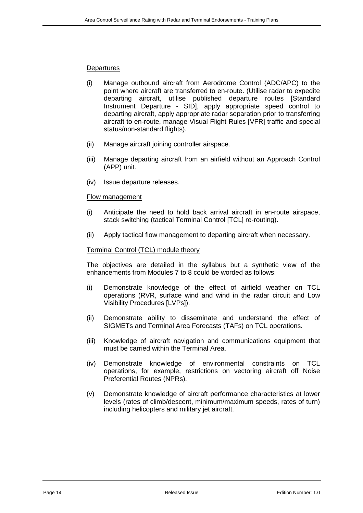#### **Departures**

- (i) Manage outbound aircraft from Aerodrome Control (ADC/APC) to the point where aircraft are transferred to en-route. (Utilise radar to expedite departing aircraft, utilise published departure routes [Standard Instrument Departure - SID], apply appropriate speed control to departing aircraft, apply appropriate radar separation prior to transferring aircraft to en-route, manage Visual Flight Rules [VFR] traffic and special status/non-standard flights).
- (ii) Manage aircraft joining controller airspace.
- (iii) Manage departing aircraft from an airfield without an Approach Control (APP) unit.
- (iv) Issue departure releases.

#### Flow management

- (i) Anticipate the need to hold back arrival aircraft in en-route airspace, stack switching (tactical Terminal Control [TCL] re-routing).
- (ii) Apply tactical flow management to departing aircraft when necessary.

#### Terminal Control (TCL) module theory

The objectives are detailed in the syllabus but a synthetic view of the enhancements from Modules 7 to 8 could be worded as follows:

- (i) Demonstrate knowledge of the effect of airfield weather on TCL operations (RVR, surface wind and wind in the radar circuit and Low Visibility Procedures [LVPs]).
- (ii) Demonstrate ability to disseminate and understand the effect of SIGMETs and Terminal Area Forecasts (TAFs) on TCL operations.
- (iii) Knowledge of aircraft navigation and communications equipment that must be carried within the Terminal Area.
- (iv) Demonstrate knowledge of environmental constraints on TCL operations, for example, restrictions on vectoring aircraft off Noise Preferential Routes (NPRs).
- (v) Demonstrate knowledge of aircraft performance characteristics at lower levels (rates of climb/descent, minimum/maximum speeds, rates of turn) including helicopters and military jet aircraft.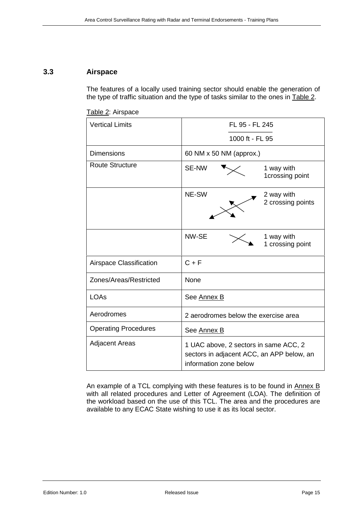### **3.3 Airspace**

Table 2: Airspace

The features of a locally used training sector should enable the generation of the type of traffic situation and the type of tasks similar to the ones in Table 2.

| FL 95 - FL 245                                                                                               |                                 |  |
|--------------------------------------------------------------------------------------------------------------|---------------------------------|--|
| 1000 ft - FL 95                                                                                              |                                 |  |
|                                                                                                              |                                 |  |
| <b>SE-NW</b>                                                                                                 | 1 way with<br>1crossing point   |  |
| NE-SW                                                                                                        | 2 way with<br>2 crossing points |  |
| <b>NW-SE</b>                                                                                                 | 1 way with<br>1 crossing point  |  |
| $C + F$                                                                                                      |                                 |  |
| None                                                                                                         |                                 |  |
| See Annex B                                                                                                  |                                 |  |
| 2 aerodromes below the exercise area                                                                         |                                 |  |
| See Annex B                                                                                                  |                                 |  |
| 1 UAC above, 2 sectors in same ACC, 2<br>sectors in adjacent ACC, an APP below, an<br>information zone below |                                 |  |
|                                                                                                              | 60 NM x 50 NM (approx.)         |  |

An example of a TCL complying with these features is to be found in Annex B with all related procedures and Letter of Agreement (LOA). The definition of the workload based on the use of this TCL. The area and the procedures are available to any ECAC State wishing to use it as its local sector.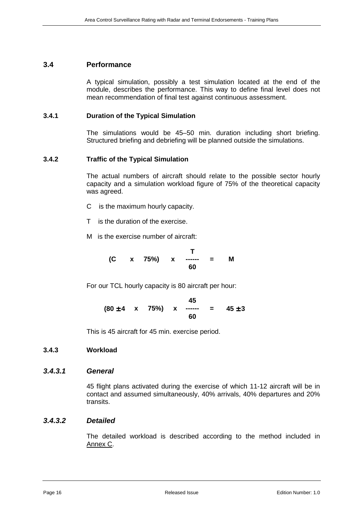## **3.4 Performance**

A typical simulation, possibly a test simulation located at the end of the module, describes the performance. This way to define final level does not mean recommendation of final test against continuous assessment.

#### **3.4.1 Duration of the Typical Simulation**

The simulations would be 45–50 min. duration including short briefing. Structured briefing and debriefing will be planned outside the simulations.

#### **3.4.2 Traffic of the Typical Simulation**

The actual numbers of aircraft should relate to the possible sector hourly capacity and a simulation workload figure of 75% of the theoretical capacity was agreed.

- C is the maximum hourly capacity.
- T is the duration of the exercise.
- M is the exercise number of aircraft:

**T (C x 75%) x ------ = M 60**

For our TCL hourly capacity is 80 aircraft per hour:

$$
(80 \pm 4 \quad x \quad 75\%) \quad x \quad \text{---} \quad = \quad 45 \pm 3
$$

This is 45 aircraft for 45 min. exercise period.

#### **3.4.3 Workload**

## *3.4.3.1 General*

45 flight plans activated during the exercise of which 11-12 aircraft will be in contact and assumed simultaneously, 40% arrivals, 40% departures and 20% transits.

#### *3.4.3.2 Detailed*

The detailed workload is described according to the method included in Annex C.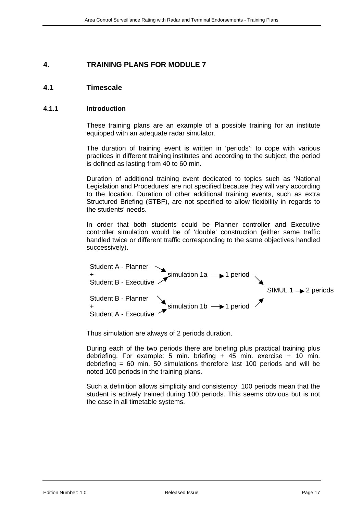# **4. TRAINING PLANS FOR MODULE 7**

#### **4.1 Timescale**

#### **4.1.1 Introduction**

These training plans are an example of a possible training for an institute equipped with an adequate radar simulator.

The duration of training event is written in 'periods': to cope with various practices in different training institutes and according to the subject, the period is defined as lasting from 40 to 60 min.

Duration of additional training event dedicated to topics such as 'National Legislation and Procedures' are not specified because they will vary according to the location. Duration of other additional training events, such as extra Structured Briefing (STBF), are not specified to allow flexibility in regards to the students' needs.

In order that both students could be Planner controller and Executive controller simulation would be of 'double' construction (either same traffic handled twice or different traffic corresponding to the same objectives handled successively).



Thus simulation are always of 2 periods duration.

During each of the two periods there are briefing plus practical training plus debriefing. For example: 5 min. briefing + 45 min. exercise + 10 min. debriefing  $= 60$  min. 50 simulations therefore last 100 periods and will be noted 100 periods in the training plans.

Such a definition allows simplicity and consistency: 100 periods mean that the student is actively trained during 100 periods. This seems obvious but is not the case in all timetable systems.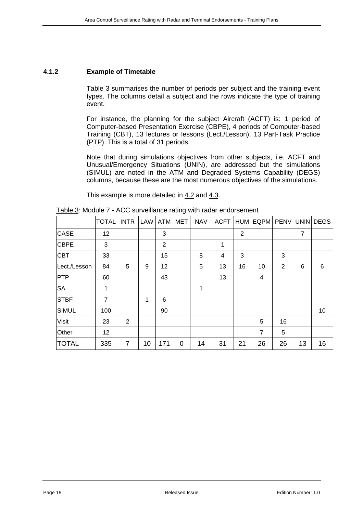#### **4.1.2 Example of Timetable**

Table 3 summarises the number of periods per subject and the training event types. The columns detail a subject and the rows indicate the type of training event.

For instance, the planning for the subject Aircraft (ACFT) is: 1 period of Computer-based Presentation Exercise (CBPE), 4 periods of Computer-based Training (CBT), 13 lectures or lessons (Lect./Lesson), 13 Part-Task Practice (PTP). This is a total of 31 periods.

Note that during simulations objectives from other subjects, i.e. ACFT and Unusual/Emergency Situations (UNIN), are addressed but the simulations (SIMUL) are noted in the ATM and Degraded Systems Capability (DEGS) columns, because these are the most numerous objectives of the simulations.

This example is more detailed in  $4.2$  and  $4.3$ .

|              | <b>TOTAL</b>   | <b>INTR</b>    | <b>LAW</b> | <b>ATM</b>     | <b>MET</b>  | <b>NAV</b> | <b>ACFT</b> |                | HUM EQPM PENY UNIN DEGS |    |                |    |
|--------------|----------------|----------------|------------|----------------|-------------|------------|-------------|----------------|-------------------------|----|----------------|----|
| <b>CASE</b>  | 12             |                |            | 3              |             |            |             | $\overline{2}$ |                         |    | $\overline{7}$ |    |
| <b>CBPE</b>  | $\mathbf{3}$   |                |            | $\overline{2}$ |             |            | 1           |                |                         |    |                |    |
| <b>CBT</b>   | 33             |                |            | 15             |             | 8          | 4           | 3              |                         | 3  |                |    |
| Lect./Lesson | 84             | 5              | 9          | 12             |             | 5          | 13          | 16             | 10                      | 2  | 6              | 6  |
| <b>PTP</b>   | 60             |                |            | 43             |             |            | 13          |                | 4                       |    |                |    |
| <b>SA</b>    | 1              |                |            |                |             | 1          |             |                |                         |    |                |    |
| <b>STBF</b>  | $\overline{7}$ |                | 1          | 6              |             |            |             |                |                         |    |                |    |
| <b>SIMUL</b> | 100            |                |            | 90             |             |            |             |                |                         |    |                | 10 |
| Visit        | 23             | $\overline{2}$ |            |                |             |            |             |                | 5                       | 16 |                |    |
| Other        | 12             |                |            |                |             |            |             |                | $\overline{7}$          | 5  |                |    |
| <b>TOTAL</b> | 335            | $\overline{7}$ | 10         | 171            | $\mathbf 0$ | 14         | 31          | 21             | 26                      | 26 | 13             | 16 |

Table 3: Module 7 - ACC surveillance rating with radar endorsement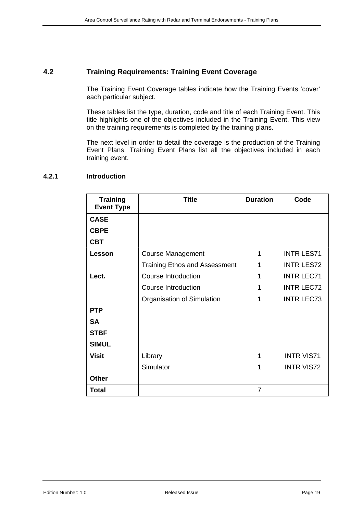# **4.2 Training Requirements: Training Event Coverage**

The Training Event Coverage tables indicate how the Training Events 'cover' each particular subject.

These tables list the type, duration, code and title of each Training Event. This title highlights one of the objectives included in the Training Event. This view on the training requirements is completed by the training plans.

The next level in order to detail the coverage is the production of the Training Event Plans. Training Event Plans list all the objectives included in each training event.

| <b>Training</b><br><b>Event Type</b> | <b>Title</b>                         | <b>Duration</b> | Code              |
|--------------------------------------|--------------------------------------|-----------------|-------------------|
| <b>CASE</b>                          |                                      |                 |                   |
| <b>CBPE</b>                          |                                      |                 |                   |
| <b>CBT</b>                           |                                      |                 |                   |
| Lesson                               | <b>Course Management</b>             | 1               | <b>INTR LES71</b> |
|                                      | <b>Training Ethos and Assessment</b> | 1               | <b>INTR LES72</b> |
| Lect.                                | <b>Course Introduction</b>           | 1               | <b>INTR LEC71</b> |
|                                      | <b>Course Introduction</b>           | 1               | <b>INTR LEC72</b> |
|                                      | Organisation of Simulation           | 1               | <b>INTR LEC73</b> |
| <b>PTP</b>                           |                                      |                 |                   |
| <b>SA</b>                            |                                      |                 |                   |
| <b>STBF</b>                          |                                      |                 |                   |
| <b>SIMUL</b>                         |                                      |                 |                   |
| <b>Visit</b>                         | Library                              | 1               | <b>INTR VIS71</b> |
|                                      | Simulator                            | 1               | <b>INTR VIS72</b> |
| <b>Other</b>                         |                                      |                 |                   |
| <b>Total</b>                         |                                      | $\overline{7}$  |                   |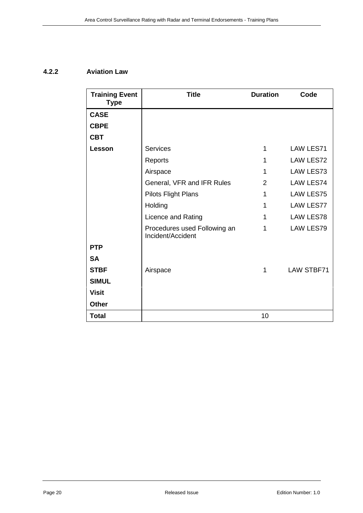# **4.2.2 Aviation Law**

| <b>Training Event</b><br><b>Type</b> | <b>Title</b>                                      | <b>Duration</b> | Code              |
|--------------------------------------|---------------------------------------------------|-----------------|-------------------|
| <b>CASE</b>                          |                                                   |                 |                   |
| <b>CBPE</b>                          |                                                   |                 |                   |
| <b>CBT</b>                           |                                                   |                 |                   |
| Lesson                               | <b>Services</b>                                   | 1               | <b>LAW LES71</b>  |
|                                      | Reports                                           | 1               | <b>LAW LES72</b>  |
|                                      | Airspace                                          | 1               | <b>LAW LES73</b>  |
|                                      | General, VFR and IFR Rules                        | 2               | <b>LAW LES74</b>  |
|                                      | Pilots Flight Plans                               | 1               | <b>LAW LES75</b>  |
|                                      | Holding                                           | 1               | <b>LAW LES77</b>  |
|                                      | Licence and Rating                                | 1               | <b>LAW LES78</b>  |
|                                      | Procedures used Following an<br>Incident/Accident | 1               | <b>LAW LES79</b>  |
| <b>PTP</b>                           |                                                   |                 |                   |
| <b>SA</b>                            |                                                   |                 |                   |
| <b>STBF</b>                          | Airspace                                          | 1               | <b>LAW STBF71</b> |
| <b>SIMUL</b>                         |                                                   |                 |                   |
| <b>Visit</b>                         |                                                   |                 |                   |
| <b>Other</b>                         |                                                   |                 |                   |
| <b>Total</b>                         |                                                   | 10              |                   |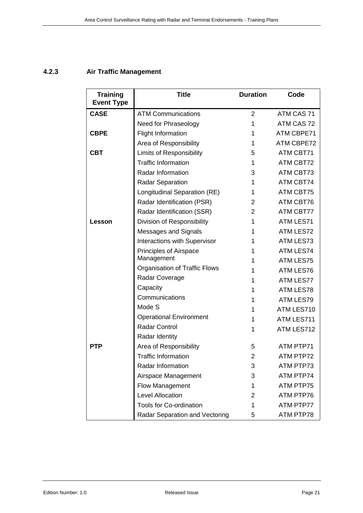# **4.2.3 Air Traffic Management**

| <b>Training</b><br><b>Event Type</b> | <b>Title</b>                    | <b>Duration</b> | Code             |
|--------------------------------------|---------------------------------|-----------------|------------------|
| <b>CASE</b>                          | <b>ATM Communications</b>       | 2               | ATM CAS 71       |
|                                      | Need for Phraseology            | 1               | ATM CAS 72       |
| <b>CBPE</b>                          | <b>Flight Information</b>       | 1               | ATM CBPE71       |
|                                      | Area of Responsibility          | 1               | ATM CBPE72       |
| <b>CBT</b>                           | <b>Limits of Responsibility</b> | 5               | ATM CBT71        |
|                                      | <b>Traffic Information</b>      | 1               | ATM CBT72        |
|                                      | Radar Information               | 3               | ATM CBT73        |
|                                      | <b>Radar Separation</b>         | 1               | ATM CBT74        |
|                                      | Longitudinal Separation (RE)    | 1               | ATM CBT75        |
|                                      | Radar Identification (PSR)      | $\overline{2}$  | ATM CBT76        |
|                                      | Radar Identification (SSR)      | $\overline{2}$  | ATM CBT77        |
| Lesson                               | Division of Responsibility      | 1               | ATM LES71        |
|                                      | Messages and Signals            | 1               | <b>ATM LES72</b> |
|                                      | Interactions with Supervisor    | 1               | <b>ATM LES73</b> |
|                                      | Principles of Airspace          | 1               | <b>ATM LES74</b> |
|                                      | Management                      | 1               | <b>ATM LES75</b> |
|                                      | Organisation of Traffic Flows   | 1               | <b>ATM LES76</b> |
|                                      | Radar Coverage                  | 1               | <b>ATM LES77</b> |
|                                      | Capacity                        | 1               | <b>ATM LES78</b> |
|                                      | Communications                  | 1               | <b>ATM LES79</b> |
|                                      | Mode S                          | 1               | ATM LES710       |
|                                      | <b>Operational Environment</b>  | 1               | ATM LES711       |
|                                      | <b>Radar Control</b>            | 1               | ATM LES712       |
|                                      | Radar Identity                  |                 |                  |
| <b>PTP</b>                           | Area of Responsibility          | 5               | ATM PTP71        |
|                                      | <b>Traffic Information</b>      | 2               | <b>ATM PTP72</b> |
|                                      | Radar Information               | 3               | ATM PTP73        |
|                                      | Airspace Management             | 3               | ATM PTP74        |
|                                      | Flow Management                 | 1               | ATM PTP75        |
|                                      | Level Allocation                | 2               | ATM PTP76        |
|                                      | <b>Tools for Co-ordination</b>  | 1               | ATM PTP77        |
|                                      | Radar Separation and Vectoring  | 5               | ATM PTP78        |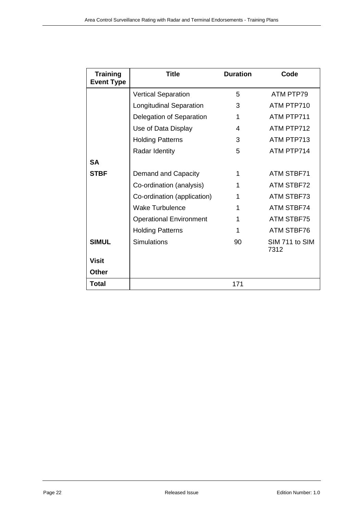| <b>Training</b><br><b>Event Type</b> | <b>Title</b>                   | <b>Duration</b> | Code                   |
|--------------------------------------|--------------------------------|-----------------|------------------------|
|                                      | <b>Vertical Separation</b>     | 5               | ATM PTP79              |
|                                      | <b>Longitudinal Separation</b> | 3               | ATM PTP710             |
|                                      | Delegation of Separation       | 1               | ATM PTP711             |
|                                      | Use of Data Display            | 4               | ATM PTP712             |
|                                      | <b>Holding Patterns</b>        | 3               | ATM PTP713             |
|                                      | Radar Identity                 | 5               | ATM PTP714             |
| <b>SA</b>                            |                                |                 |                        |
| <b>STBF</b>                          | Demand and Capacity            | 1               | <b>ATM STBF71</b>      |
|                                      | Co-ordination (analysis)       | 1               | <b>ATM STBF72</b>      |
|                                      | Co-ordination (application)    | 1               | <b>ATM STBF73</b>      |
|                                      | <b>Wake Turbulence</b>         | 1               | <b>ATM STBF74</b>      |
|                                      | <b>Operational Environment</b> | 1               | ATM STBF75             |
|                                      | <b>Holding Patterns</b>        | 1               | ATM STBF76             |
| <b>SIMUL</b>                         | <b>Simulations</b>             | 90              | SIM 711 to SIM<br>7312 |
| <b>Visit</b>                         |                                |                 |                        |
| <b>Other</b>                         |                                |                 |                        |
| <b>Total</b>                         |                                | 171             |                        |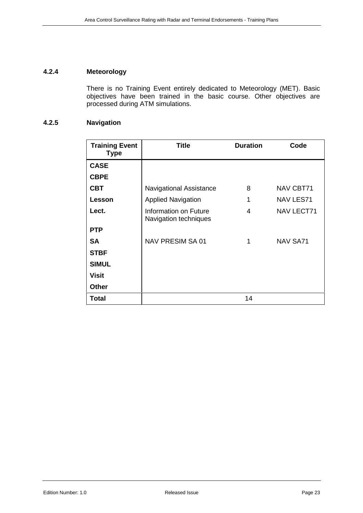# **4.2.4 Meteorology**

There is no Training Event entirely dedicated to Meteorology (MET). Basic objectives have been trained in the basic course. Other objectives are processed during ATM simulations.

#### **4.2.5 Navigation**

| <b>Training Event</b><br><b>Type</b> | <b>Title</b>                                   | <b>Duration</b> | Code              |
|--------------------------------------|------------------------------------------------|-----------------|-------------------|
| <b>CASE</b>                          |                                                |                 |                   |
| <b>CBPE</b>                          |                                                |                 |                   |
| <b>CBT</b>                           | Navigational Assistance                        | 8               | <b>NAV CBT71</b>  |
| Lesson                               | <b>Applied Navigation</b>                      | 1               | <b>NAV LES71</b>  |
| Lect.                                | Information on Future<br>Navigation techniques | 4               | <b>NAV LECT71</b> |
| <b>PTP</b>                           |                                                |                 |                   |
| SA                                   | <b>NAV PRESIM SA 01</b>                        | 1               | <b>NAV SA71</b>   |
| <b>STBF</b>                          |                                                |                 |                   |
| <b>SIMUL</b>                         |                                                |                 |                   |
| <b>Visit</b>                         |                                                |                 |                   |
| <b>Other</b>                         |                                                |                 |                   |
| <b>Total</b>                         |                                                | 14              |                   |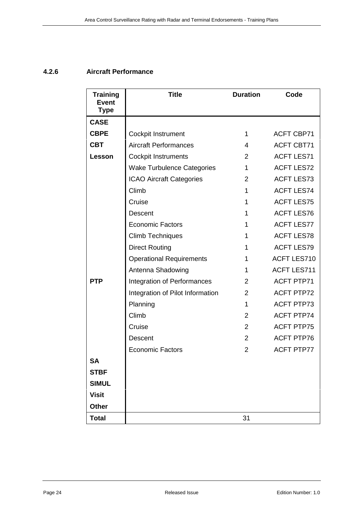# **4.2.6 Aircraft Performance**

| <b>Training</b><br><b>Event</b> | <b>Title</b>                      | <b>Duration</b> | Code               |
|---------------------------------|-----------------------------------|-----------------|--------------------|
| <b>Type</b>                     |                                   |                 |                    |
| <b>CASE</b>                     |                                   |                 |                    |
| <b>CBPE</b>                     | <b>Cockpit Instrument</b>         | 1               | <b>ACFT CBP71</b>  |
| <b>CBT</b>                      | <b>Aircraft Performances</b>      | 4               | <b>ACFT CBT71</b>  |
| Lesson                          | <b>Cockpit Instruments</b>        | 2               | <b>ACFT LES71</b>  |
|                                 | <b>Wake Turbulence Categories</b> | $\mathbf{1}$    | <b>ACFT LES72</b>  |
|                                 | <b>ICAO Aircraft Categories</b>   | $\overline{2}$  | <b>ACFT LES73</b>  |
|                                 | Climb                             | 1               | <b>ACFT LES74</b>  |
|                                 | Cruise                            | 1               | <b>ACFT LES75</b>  |
|                                 | <b>Descent</b>                    | 1               | <b>ACFT LES76</b>  |
|                                 | <b>Economic Factors</b>           | 1               | <b>ACFT LES77</b>  |
|                                 | <b>Climb Techniques</b>           | 1               | <b>ACFT LES78</b>  |
|                                 | <b>Direct Routing</b>             | 1               | <b>ACFT LES79</b>  |
|                                 | <b>Operational Requirements</b>   | 1               | <b>ACFT LES710</b> |
|                                 | Antenna Shadowing                 | 1               | <b>ACFT LES711</b> |
| <b>PTP</b>                      | Integration of Performances       | $\overline{2}$  | <b>ACFT PTP71</b>  |
|                                 | Integration of Pilot Information  | 2               | <b>ACFT PTP72</b>  |
|                                 | Planning                          | 1               | <b>ACFT PTP73</b>  |
|                                 | Climb                             | 2               | <b>ACFT PTP74</b>  |
|                                 | Cruise                            | $\overline{2}$  | <b>ACFT PTP75</b>  |
|                                 | <b>Descent</b>                    | $\overline{2}$  | <b>ACFT PTP76</b>  |
|                                 | <b>Economic Factors</b>           | $\overline{2}$  | <b>ACFT PTP77</b>  |
| SА                              |                                   |                 |                    |
| <b>STBF</b>                     |                                   |                 |                    |
| <b>SIMUL</b>                    |                                   |                 |                    |
| <b>Visit</b>                    |                                   |                 |                    |
| <b>Other</b>                    |                                   |                 |                    |
| <b>Total</b>                    |                                   | 31              |                    |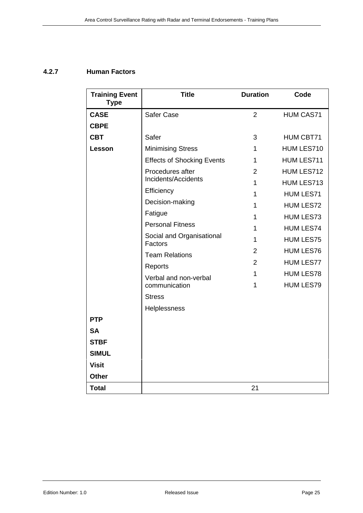# **4.2.7 Human Factors**

| <b>Training Event</b><br><b>Type</b> | <b>Title</b>                         | <b>Duration</b> | Code             |
|--------------------------------------|--------------------------------------|-----------------|------------------|
| <b>CASE</b>                          | <b>Safer Case</b>                    | $\overline{2}$  | <b>HUM CAS71</b> |
| <b>CBPE</b>                          |                                      |                 |                  |
| <b>CBT</b>                           | Safer                                | 3               | <b>HUM CBT71</b> |
| Lesson                               | <b>Minimising Stress</b>             | $\mathbf{1}$    | HUM LES710       |
|                                      | <b>Effects of Shocking Events</b>    | 1               | HUM LES711       |
|                                      | Procedures after                     | $\overline{2}$  | HUM LES712       |
|                                      | Incidents/Accidents                  | 1               | HUM LES713       |
|                                      | Efficiency                           | $\mathbf{1}$    | HUM LES71        |
|                                      | Decision-making                      | 1               | <b>HUM LES72</b> |
|                                      | Fatigue                              | 1               | <b>HUM LES73</b> |
|                                      | <b>Personal Fitness</b>              | 1               | <b>HUM LES74</b> |
|                                      | Social and Organisational<br>Factors | $\mathbf{1}$    | <b>HUM LES75</b> |
|                                      | <b>Team Relations</b>                | $\overline{2}$  | <b>HUM LES76</b> |
|                                      | Reports                              | $\overline{2}$  | <b>HUM LES77</b> |
|                                      | Verbal and non-verbal                | 1               | <b>HUM LES78</b> |
|                                      | communication                        | 1               | <b>HUM LES79</b> |
|                                      | <b>Stress</b>                        |                 |                  |
|                                      | Helplessness                         |                 |                  |
| <b>PTP</b>                           |                                      |                 |                  |
| <b>SA</b>                            |                                      |                 |                  |
| <b>STBF</b>                          |                                      |                 |                  |
| <b>SIMUL</b>                         |                                      |                 |                  |
| <b>Visit</b>                         |                                      |                 |                  |
| <b>Other</b>                         |                                      |                 |                  |
| <b>Total</b>                         |                                      | 21              |                  |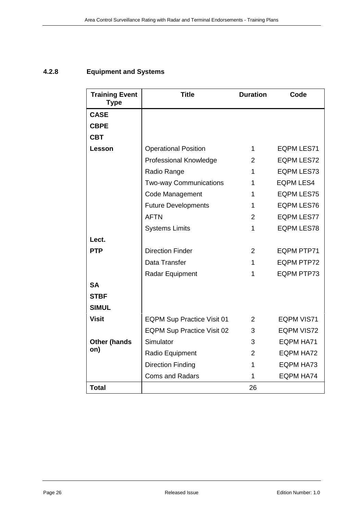# **4.2.8 Equipment and Systems**

| <b>Training Event</b><br><b>Type</b> | <b>Title</b>                      | <b>Duration</b> | Code              |
|--------------------------------------|-----------------------------------|-----------------|-------------------|
| <b>CASE</b>                          |                                   |                 |                   |
| <b>CBPE</b>                          |                                   |                 |                   |
| <b>CBT</b>                           |                                   |                 |                   |
| Lesson                               | <b>Operational Position</b>       | $\mathbf{1}$    | <b>EQPM LES71</b> |
|                                      | Professional Knowledge            | $\overline{2}$  | <b>EQPM LES72</b> |
|                                      | Radio Range                       | 1               | <b>EQPM LES73</b> |
|                                      | Two-way Communications            | 1               | <b>EQPM LES4</b>  |
|                                      | Code Management                   | 1               | <b>EQPM LES75</b> |
|                                      | <b>Future Developments</b>        | 1               | <b>EQPM LES76</b> |
|                                      | <b>AFTN</b>                       | $\overline{2}$  | <b>EQPM LES77</b> |
|                                      | <b>Systems Limits</b>             | 1               | <b>EQPM LES78</b> |
| Lect.                                |                                   |                 |                   |
| <b>PTP</b>                           | <b>Direction Finder</b>           | $\overline{2}$  | EQPM PTP71        |
|                                      | Data Transfer                     | 1               | <b>EQPM PTP72</b> |
|                                      | Radar Equipment                   | 1               | <b>EQPM PTP73</b> |
| <b>SA</b>                            |                                   |                 |                   |
| <b>STBF</b>                          |                                   |                 |                   |
| <b>SIMUL</b>                         |                                   |                 |                   |
| <b>Visit</b>                         | <b>EQPM Sup Practice Visit 01</b> | 2               | <b>EQPM VIS71</b> |
|                                      | <b>EQPM Sup Practice Visit 02</b> | 3               | EQPM VIS72        |
| <b>Other (hands</b>                  | Simulator                         | 3               | EQPM HA71         |
| on)                                  | Radio Equipment                   | $\overline{2}$  | EQPM HA72         |
|                                      | <b>Direction Finding</b>          | 1               | EQPM HA73         |
|                                      | <b>Coms and Radars</b>            | 1               | <b>EQPM HA74</b>  |
| <b>Total</b>                         |                                   | 26              |                   |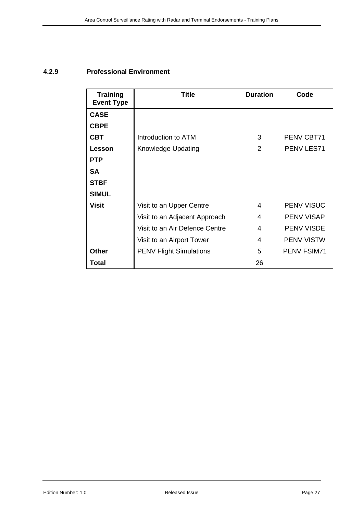# **4.2.9 Professional Environment**

| <b>Training</b><br><b>Event Type</b> | <b>Title</b>                   | <b>Duration</b> | Code              |
|--------------------------------------|--------------------------------|-----------------|-------------------|
| <b>CASE</b>                          |                                |                 |                   |
| <b>CBPE</b>                          |                                |                 |                   |
| CBT                                  | Introduction to ATM            | 3               | PENV CBT71        |
| Lesson                               | Knowledge Updating             | $\mathcal{P}$   | PENV LES71        |
| <b>PTP</b>                           |                                |                 |                   |
| <b>SA</b>                            |                                |                 |                   |
| <b>STBF</b>                          |                                |                 |                   |
| <b>SIMUL</b>                         |                                |                 |                   |
| <b>Visit</b>                         | Visit to an Upper Centre       | 4               | <b>PENV VISUC</b> |
|                                      | Visit to an Adjacent Approach  | 4               | <b>PENV VISAP</b> |
|                                      | Visit to an Air Defence Centre | 4               | <b>PENV VISDE</b> |
|                                      | Visit to an Airport Tower      | 4               | <b>PENV VISTW</b> |
| <b>Other</b>                         | <b>PENV Flight Simulations</b> | 5               | PENV FSIM71       |
| <b>Total</b>                         |                                | 26              |                   |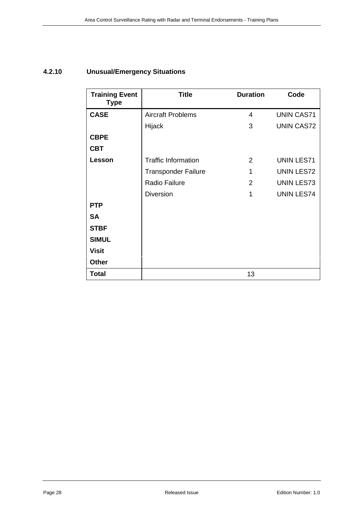# **4.2.10 Unusual/Emergency Situations**

| <b>Training Event</b><br><b>Type</b> | <b>Title</b>               | <b>Duration</b> | Code              |
|--------------------------------------|----------------------------|-----------------|-------------------|
| <b>CASE</b>                          | <b>Aircraft Problems</b>   | 4               | <b>UNIN CAS71</b> |
|                                      | Hijack                     | 3               | <b>UNIN CAS72</b> |
| <b>CBPE</b>                          |                            |                 |                   |
| <b>CBT</b>                           |                            |                 |                   |
| Lesson                               | <b>Traffic Information</b> | $\overline{2}$  | <b>UNIN LES71</b> |
|                                      | <b>Transponder Failure</b> | 1               | <b>UNIN LES72</b> |
|                                      | <b>Radio Failure</b>       | $\overline{2}$  | <b>UNIN LES73</b> |
|                                      | <b>Diversion</b>           | 1               | <b>UNIN LES74</b> |
| <b>PTP</b>                           |                            |                 |                   |
| <b>SA</b>                            |                            |                 |                   |
| <b>STBF</b>                          |                            |                 |                   |
| <b>SIMUL</b>                         |                            |                 |                   |
| <b>Visit</b>                         |                            |                 |                   |
| <b>Other</b>                         |                            |                 |                   |
| <b>Total</b>                         |                            | 13              |                   |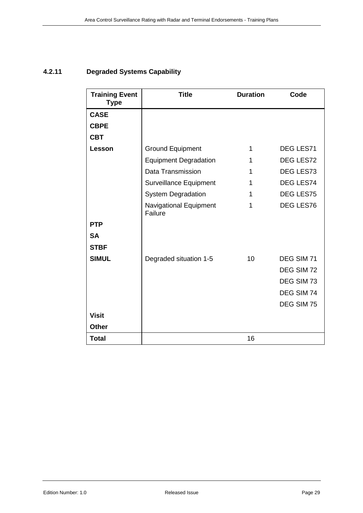# **4.2.11 Degraded Systems Capability**

| <b>Training Event</b><br><b>Type</b> | <b>Title</b>                             | <b>Duration</b> | Code             |
|--------------------------------------|------------------------------------------|-----------------|------------------|
| <b>CASE</b>                          |                                          |                 |                  |
| <b>CBPE</b>                          |                                          |                 |                  |
| <b>CBT</b>                           |                                          |                 |                  |
| Lesson                               | <b>Ground Equipment</b>                  | 1               | <b>DEG LES71</b> |
|                                      | <b>Equipment Degradation</b>             | 1               | DEG LES72        |
|                                      | Data Transmission                        | 1               | DEG LES73        |
|                                      | <b>Surveillance Equipment</b>            | 1               | DEG LES74        |
|                                      | <b>System Degradation</b>                | 1               | <b>DEG LES75</b> |
|                                      | <b>Navigational Equipment</b><br>Failure | 1               | DEG LES76        |
| <b>PTP</b>                           |                                          |                 |                  |
| <b>SA</b>                            |                                          |                 |                  |
| <b>STBF</b>                          |                                          |                 |                  |
| <b>SIMUL</b>                         | Degraded situation 1-5                   | 10              | DEG SIM 71       |
|                                      |                                          |                 | DEG SIM 72       |
|                                      |                                          |                 | DEG SIM 73       |
|                                      |                                          |                 | DEG SIM 74       |
|                                      |                                          |                 | DEG SIM 75       |
| <b>Visit</b>                         |                                          |                 |                  |
| <b>Other</b>                         |                                          |                 |                  |
| <b>Total</b>                         |                                          | 16              |                  |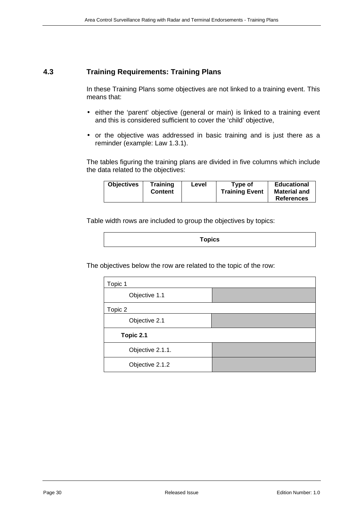## **4.3 Training Requirements: Training Plans**

In these Training Plans some objectives are not linked to a training event. This means that:

- either the 'parent' objective (general or main) is linked to a training event and this is considered sufficient to cover the 'child' objective,
- or the objective was addressed in basic training and is just there as a reminder (example: Law 1.3.1).

The tables figuring the training plans are divided in five columns which include the data related to the objectives:

| <b>Objectives</b> | Training<br><b>Content</b> | Level | Type of<br><b>Training Event</b> | <b>Educational</b><br><b>Material and</b> |
|-------------------|----------------------------|-------|----------------------------------|-------------------------------------------|
|                   |                            |       |                                  | <b>References</b>                         |

Table width rows are included to group the objectives by topics:

**Topics**

The objectives below the row are related to the topic of the row:

| Topic 1          |  |  |
|------------------|--|--|
| Objective 1.1    |  |  |
| Topic 2          |  |  |
| Objective 2.1    |  |  |
| Topic 2.1        |  |  |
| Objective 2.1.1. |  |  |
| Objective 2.1.2  |  |  |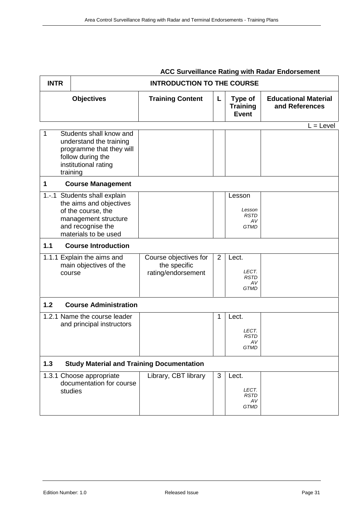| <b>INTR</b> |                                                                                                                                                    | <b>INTRODUCTION TO THE COURSE</b>                           |                |                                                      |                                               |
|-------------|----------------------------------------------------------------------------------------------------------------------------------------------------|-------------------------------------------------------------|----------------|------------------------------------------------------|-----------------------------------------------|
|             | <b>Objectives</b>                                                                                                                                  | <b>Training Content</b>                                     | L.             | <b>Type of</b><br><b>Training</b><br><b>Event</b>    | <b>Educational Material</b><br>and References |
|             |                                                                                                                                                    |                                                             |                |                                                      | L = Level                                     |
| 1           | Students shall know and<br>understand the training<br>programme that they will<br>follow during the<br>institutional rating<br>training            |                                                             |                |                                                      |                                               |
| 1           | <b>Course Management</b>                                                                                                                           |                                                             |                |                                                      |                                               |
|             | 1.-.1 Students shall explain<br>the aims and objectives<br>of the course, the<br>management structure<br>and recognise the<br>materials to be used |                                                             |                | Lesson<br>Lesson<br><b>RSTD</b><br>AV<br><b>GTMD</b> |                                               |
| 1.1         | <b>Course Introduction</b>                                                                                                                         |                                                             |                |                                                      |                                               |
|             | 1.1.1 Explain the aims and<br>main objectives of the<br>course                                                                                     | Course objectives for<br>the specific<br>rating/endorsement | $\overline{2}$ | Lect.<br>LECT.<br><b>RSTD</b><br>AV<br>GTMD          |                                               |
| 1.2         | <b>Course Administration</b>                                                                                                                       |                                                             |                |                                                      |                                               |
|             | 1.2.1 Name the course leader<br>and principal instructors                                                                                          |                                                             | 1              | Lect.<br>LECT.<br>RSTD<br>ΑV<br><b>GTMD</b>          |                                               |
| 1.3         | <b>Study Material and Training Documentation</b>                                                                                                   |                                                             |                |                                                      |                                               |
|             | 1.3.1 Choose appropriate<br>documentation for course<br>studies                                                                                    | Library, CBT library                                        | 3              | Lect.<br>LECT.<br><b>RSTD</b><br>ΑV<br>GTMD          |                                               |

## **ACC Surveillance Rating with Radar Endorsement**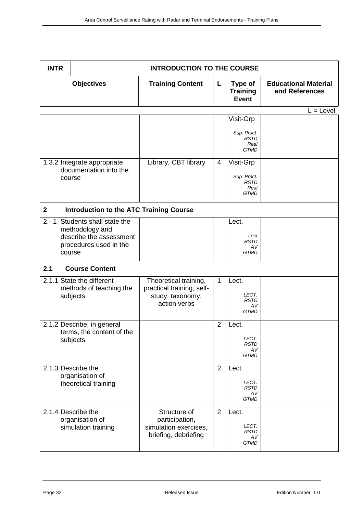| <b>INTR</b>  | <b>INTRODUCTION TO THE COURSE</b>                                                                                |                                                                                        |                |                                                    |                                               |
|--------------|------------------------------------------------------------------------------------------------------------------|----------------------------------------------------------------------------------------|----------------|----------------------------------------------------|-----------------------------------------------|
|              | <b>Objectives</b>                                                                                                | <b>Training Content</b>                                                                | L              | Type of<br><b>Training</b><br><b>Event</b>         | <b>Educational Material</b><br>and References |
|              |                                                                                                                  |                                                                                        |                |                                                    | $L = Level$                                   |
|              |                                                                                                                  |                                                                                        |                | Visit-Grp                                          |                                               |
|              |                                                                                                                  |                                                                                        |                | Sup. Pract.<br><b>RSTD</b><br>Real<br><b>GTMD</b>  |                                               |
|              | 1.3.2 Integrate appropriate                                                                                      | Library, CBT library                                                                   | 4              | Visit-Grp                                          |                                               |
|              | documentation into the<br>course                                                                                 |                                                                                        |                | Sup. Pract.<br><b>RSTD</b><br>Real<br>GTMD         |                                               |
| $\mathbf{2}$ | <b>Introduction to the ATC Training Course</b>                                                                   |                                                                                        |                |                                                    |                                               |
|              | 2.-.1 Students shall state the<br>methodology and<br>describe the assessment<br>procedures used in the<br>course |                                                                                        |                | Lect.<br>Lect<br><b>RSTD</b><br>AV<br><b>GTMD</b>  |                                               |
| 2.1          | <b>Course Content</b>                                                                                            |                                                                                        |                |                                                    |                                               |
|              | 2.1.1 State the different<br>methods of teaching the<br>subjects                                                 | Theoretical training,<br>practical training, self-<br>study, taxonomy,<br>action verbs | $\mathbf{1}$   | Lect.<br>LECT.<br><b>RSTD</b><br>AV<br><b>GTMD</b> |                                               |
|              | 2.1.2 Describe, in general                                                                                       |                                                                                        | $\overline{2}$ | Lect.                                              |                                               |
|              | terms, the content of the<br>subjects                                                                            |                                                                                        |                | LECT.<br><b>RSTD</b><br>AV<br><b>GTMD</b>          |                                               |
|              | 2.1.3 Describe the                                                                                               |                                                                                        | $\overline{2}$ | Lect.                                              |                                               |
|              | organisation of<br>theoretical training                                                                          |                                                                                        |                | LECT.<br><b>RSTD</b><br>AV<br>GTMD                 |                                               |
|              | 2.1.4 Describe the<br>organisation of<br>simulation training                                                     | Structure of<br>participation,<br>simulation exercises,<br>briefing, debriefing        | $\overline{2}$ | Lect.<br>LECT.<br><b>RSTD</b><br>AV<br>GTMD        |                                               |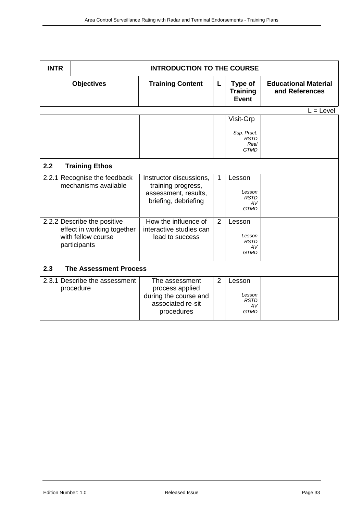| <b>INTR</b>                  |                                                                                                 | <b>INTRODUCTION TO THE COURSE</b>                                                             |             |                                                      |                                               |  |  |
|------------------------------|-------------------------------------------------------------------------------------------------|-----------------------------------------------------------------------------------------------|-------------|------------------------------------------------------|-----------------------------------------------|--|--|
|                              | <b>Objectives</b>                                                                               | <b>Training Content</b>                                                                       | L           | Type of<br><b>Training</b><br><b>Event</b>           | <b>Educational Material</b><br>and References |  |  |
|                              |                                                                                                 |                                                                                               |             |                                                      | $L = Level$                                   |  |  |
|                              |                                                                                                 |                                                                                               |             | Visit-Grp                                            |                                               |  |  |
|                              |                                                                                                 |                                                                                               |             | Sup. Pract.<br><b>RSTD</b><br>Real<br><b>GTMD</b>    |                                               |  |  |
| 2.2<br><b>Training Ethos</b> |                                                                                                 |                                                                                               |             |                                                      |                                               |  |  |
|                              | 2.2.1 Recognise the feedback<br>mechanisms available                                            | Instructor discussions,<br>training progress,<br>assessment, results,<br>briefing, debriefing | $\mathbf 1$ | Lesson<br>Lesson<br><b>RSTD</b><br>AV<br><b>GTMD</b> |                                               |  |  |
|                              | 2.2.2 Describe the positive<br>effect in working together<br>with fellow course<br>participants | How the influence of<br>interactive studies can<br>lead to success                            | 2           | Lesson<br>Lesson<br><b>RSTD</b><br>AV<br><b>GTMD</b> |                                               |  |  |
| 2.3                          | <b>The Assessment Process</b>                                                                   |                                                                                               |             |                                                      |                                               |  |  |
|                              | 2.3.1 Describe the assessment<br>procedure                                                      | The assessment<br>process applied<br>during the course and<br>associated re-sit<br>procedures | 2           | Lesson<br>Lesson<br><b>RSTD</b><br>AV<br>GTMD        |                                               |  |  |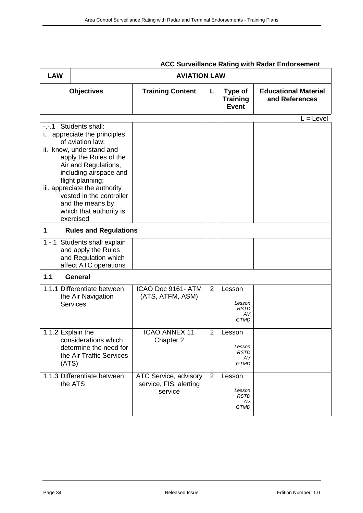|                            | <b>ACC Surveillance Rating with Radar Endorsement</b>                                                                                                                                                                                                                                                                 |                                                            |                |                                               |                                               |
|----------------------------|-----------------------------------------------------------------------------------------------------------------------------------------------------------------------------------------------------------------------------------------------------------------------------------------------------------------------|------------------------------------------------------------|----------------|-----------------------------------------------|-----------------------------------------------|
| <b>LAW</b>                 |                                                                                                                                                                                                                                                                                                                       | <b>AVIATION LAW</b>                                        |                |                                               |                                               |
|                            | <b>Objectives</b>                                                                                                                                                                                                                                                                                                     | <b>Training Content</b>                                    | L              | Type of<br><b>Training</b><br><b>Event</b>    | <b>Educational Material</b><br>and References |
|                            |                                                                                                                                                                                                                                                                                                                       |                                                            |                |                                               | $L = Level$                                   |
| $-1$<br>İ.                 | Students shall:<br>appreciate the principles<br>of aviation law;<br>ii. know, understand and<br>apply the Rules of the<br>Air and Regulations,<br>including airspace and<br>flight planning;<br>iii. appreciate the authority<br>vested in the controller<br>and the means by<br>which that authority is<br>exercised |                                                            |                |                                               |                                               |
| 1                          | <b>Rules and Regulations</b>                                                                                                                                                                                                                                                                                          |                                                            |                |                                               |                                               |
|                            | 1.-.1 Students shall explain<br>and apply the Rules<br>and Regulation which<br>affect ATC operations                                                                                                                                                                                                                  |                                                            |                |                                               |                                               |
| 1.1                        | <b>General</b>                                                                                                                                                                                                                                                                                                        |                                                            |                |                                               |                                               |
|                            | 1.1.1 Differentiate between<br>the Air Navigation<br><b>Services</b>                                                                                                                                                                                                                                                  | ICAO Doc 9161- ATM<br>(ATS, ATFM, ASM)                     | $\overline{2}$ | Lesson<br>Lesson<br><b>RSTD</b><br>AV<br>GTMD |                                               |
| 1.1.2 Explain the<br>(ATS) | considerations which<br>determine the need for<br>the Air Traffic Services                                                                                                                                                                                                                                            | <b>ICAO ANNEX 11</b><br>Chapter 2                          | $\overline{2}$ | Lesson<br>Lesson<br>RSTD<br>ΑV<br><b>GTMD</b> |                                               |
|                            | 1.1.3 Differentiate between<br>the ATS                                                                                                                                                                                                                                                                                | ATC Service, advisory<br>service, FIS, alerting<br>service | $\overline{2}$ | Lesson<br>Lesson<br>RSTD<br>AV<br>GTMD        |                                               |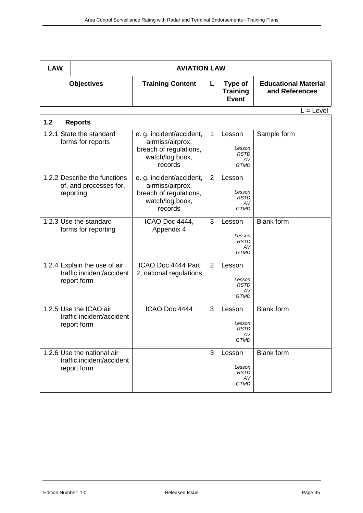| <b>LAW</b> | <b>AVIATION LAW</b> |                         |   |                                            |                                               |  |
|------------|---------------------|-------------------------|---|--------------------------------------------|-----------------------------------------------|--|
|            | <b>Objectives</b>   | <b>Training Content</b> | L | Type of<br><b>Training</b><br><b>Event</b> | <b>Educational Material</b><br>and References |  |
|            |                     |                         |   |                                            | evel                                          |  |

| 1.2<br><b>Reports</b>                                                    |                                                                                                      |                |                                                      |                   |
|--------------------------------------------------------------------------|------------------------------------------------------------------------------------------------------|----------------|------------------------------------------------------|-------------------|
| 1.2.1 State the standard<br>forms for reports                            | e. g. incident/accident,<br>airmiss/airprox,<br>breach of regulations,<br>watch/log book,<br>records | 1              | Lesson<br>Lesson<br><b>RSTD</b><br>AV<br><b>GTMD</b> | Sample form       |
| 1.2.2 Describe the functions<br>of, and processes for,<br>reporting      | e. g. incident/accident,<br>airmiss/airprox,<br>breach of regulations,<br>watch/log book,<br>records | $\overline{2}$ | Lesson<br>Lesson<br><b>RSTD</b><br>AV<br>GTMD        |                   |
| 1.2.3 Use the standard<br>forms for reporting                            | ICAO Doc 4444,<br>Appendix 4                                                                         | 3              | Lesson<br>Lesson<br><b>RSTD</b><br>AV<br><b>GTMD</b> | <b>Blank form</b> |
| 1.2.4 Explain the use of air<br>traffic incident/accident<br>report form | ICAO Doc 4444 Part<br>2, national regulations                                                        | $\overline{2}$ | Lesson<br>Lesson<br><b>RSTD</b><br>AV<br><b>GTMD</b> |                   |
| 1.2.5 Use the ICAO air<br>traffic incident/accident<br>report form       | ICAO Doc 4444                                                                                        | 3              | Lesson<br>Lesson<br><b>RSTD</b><br>AV<br><b>GTMD</b> | <b>Blank form</b> |
| 1.2.6 Use the national air<br>traffic incident/accident<br>report form   |                                                                                                      | 3              | Lesson<br>Lesson<br><b>RSTD</b><br>AV<br><b>GTMD</b> | <b>Blank form</b> |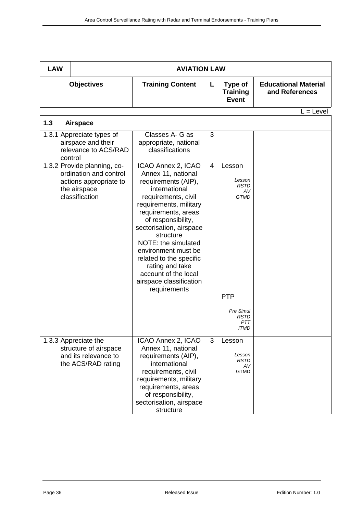| <b>LAW</b> |                                                                                                                   | <b>AVIATION LAW</b>                                                                                                                                                                                                                                                                                                                                                                   |                |                                                                                                               |                                               |  |  |
|------------|-------------------------------------------------------------------------------------------------------------------|---------------------------------------------------------------------------------------------------------------------------------------------------------------------------------------------------------------------------------------------------------------------------------------------------------------------------------------------------------------------------------------|----------------|---------------------------------------------------------------------------------------------------------------|-----------------------------------------------|--|--|
|            | <b>Objectives</b>                                                                                                 | <b>Training Content</b>                                                                                                                                                                                                                                                                                                                                                               | L              | Type of<br><b>Training</b><br><b>Event</b>                                                                    | <b>Educational Material</b><br>and References |  |  |
|            |                                                                                                                   |                                                                                                                                                                                                                                                                                                                                                                                       |                |                                                                                                               | $L = Level$                                   |  |  |
| 1.3        | <b>Airspace</b>                                                                                                   |                                                                                                                                                                                                                                                                                                                                                                                       |                |                                                                                                               |                                               |  |  |
|            | 1.3.1 Appreciate types of<br>airspace and their<br>relevance to ACS/RAD<br>control                                | Classes A- G as<br>appropriate, national<br>classifications                                                                                                                                                                                                                                                                                                                           | 3              |                                                                                                               |                                               |  |  |
|            | 1.3.2 Provide planning, co-<br>ordination and control<br>actions appropriate to<br>the airspace<br>classification | ICAO Annex 2, ICAO<br>Annex 11, national<br>requirements (AIP),<br>international<br>requirements, civil<br>requirements, military<br>requirements, areas<br>of responsibility,<br>sectorisation, airspace<br>structure<br>NOTE: the simulated<br>environment must be<br>related to the specific<br>rating and take<br>account of the local<br>airspace classification<br>requirements | $\overline{4}$ | Lesson<br>Lesson<br><b>RSTD</b><br>AV<br><b>GTMD</b><br><b>PTP</b><br>Pre Simul<br>RSTD<br>PTT<br><b>ITMD</b> |                                               |  |  |
|            | 1.3.3 Appreciate the<br>structure of airspace<br>and its relevance to<br>the ACS/RAD rating                       | ICAO Annex 2, ICAO<br>Annex 11, national<br>requirements (AIP),<br>international<br>requirements, civil<br>requirements, military<br>requirements, areas<br>of responsibility,<br>sectorisation, airspace<br>structure                                                                                                                                                                | 3              | Lesson<br>Lesson<br><b>RSTD</b><br>ΑV<br>GTMD                                                                 |                                               |  |  |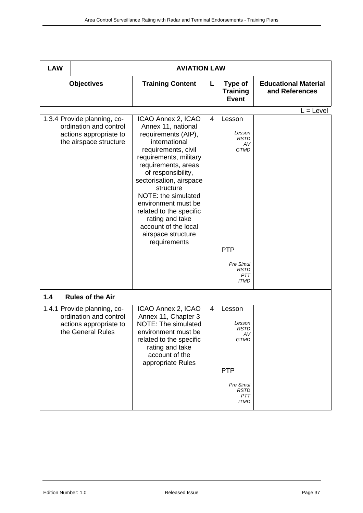| <b>Training Content</b>                                                                                                                                                                                                                                                                                                                                                          | L | <b>Type of</b><br><b>Training</b><br><b>Event</b>                                       | <b>Educational Material</b><br>and References           |
|----------------------------------------------------------------------------------------------------------------------------------------------------------------------------------------------------------------------------------------------------------------------------------------------------------------------------------------------------------------------------------|---|-----------------------------------------------------------------------------------------|---------------------------------------------------------|
|                                                                                                                                                                                                                                                                                                                                                                                  |   |                                                                                         | $L = Level$                                             |
| ICAO Annex 2, ICAO<br>Annex 11, national<br>requirements (AIP),<br>international<br>requirements, civil<br>requirements, military<br>requirements, areas<br>of responsibility,<br>sectorisation, airspace<br>structure<br>NOTE: the simulated<br>environment must be<br>related to the specific<br>rating and take<br>account of the local<br>airspace structure<br>requirements | 4 | Lesson<br>Lesson<br><b>RSTD</b><br>AV<br><b>GTMD</b><br><b>PTP</b><br>Pre Simul<br>RSTD |                                                         |
|                                                                                                                                                                                                                                                                                                                                                                                  |   | <b>ITMD</b>                                                                             |                                                         |
|                                                                                                                                                                                                                                                                                                                                                                                  |   |                                                                                         |                                                         |
| ICAO Annex 2, ICAO<br>Annex 11, Chapter 3<br><b>NOTE: The simulated</b><br>environment must be<br>related to the specific<br>rating and take<br>account of the<br>appropriate Rules                                                                                                                                                                                              | 4 | Lesson<br>Lesson<br>RSTD<br>AV<br><b>GTMD</b><br><b>PTP</b><br>Pre Simul<br><b>RSTD</b> |                                                         |
|                                                                                                                                                                                                                                                                                                                                                                                  |   |                                                                                         | <b>AVIATION LAW</b><br><b>PTT</b><br>PTT<br><b>ITMD</b> |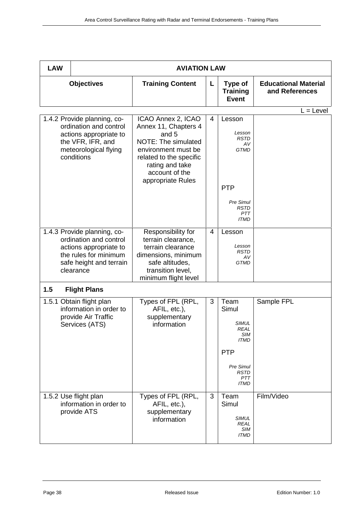| <b>LAW</b> |                                                                                                                                                  | <b>AVIATION LAW</b>                                                                                                                                                                    |                |                                                                                                      |                                               |
|------------|--------------------------------------------------------------------------------------------------------------------------------------------------|----------------------------------------------------------------------------------------------------------------------------------------------------------------------------------------|----------------|------------------------------------------------------------------------------------------------------|-----------------------------------------------|
|            | <b>Objectives</b>                                                                                                                                | <b>Training Content</b>                                                                                                                                                                | L              | <b>Type of</b><br><b>Training</b><br><b>Event</b>                                                    | <b>Educational Material</b><br>and References |
|            |                                                                                                                                                  |                                                                                                                                                                                        |                |                                                                                                      | $L = Level$                                   |
|            | 1.4.2 Provide planning, co-<br>ordination and control<br>actions appropriate to<br>the VFR, IFR, and<br>meteorological flying<br>conditions      | ICAO Annex 2, ICAO<br>Annex 11, Chapters 4<br>and 5<br>NOTE: The simulated<br>environment must be<br>related to the specific<br>rating and take<br>account of the<br>appropriate Rules | 4              | Lesson<br>Lesson<br><b>RSTD</b><br>AV<br><b>GTMD</b>                                                 |                                               |
|            |                                                                                                                                                  |                                                                                                                                                                                        |                | <b>PTP</b><br><b>Pre Simul</b><br><b>RSTD</b><br><b>PTT</b><br><b>ITMD</b>                           |                                               |
|            | 1.4.3 Provide planning, co-<br>ordination and control<br>actions appropriate to<br>the rules for minimum<br>safe height and terrain<br>clearance | Responsibility for<br>terrain clearance,<br>terrain clearance<br>dimensions, minimum<br>safe altitudes,<br>transition level,<br>minimum flight level                                   | $\overline{4}$ | Lesson<br>Lesson<br><b>RSTD</b><br>AV<br><b>GTMD</b>                                                 |                                               |
| 1.5        | <b>Flight Plans</b>                                                                                                                              |                                                                                                                                                                                        |                |                                                                                                      |                                               |
|            | 1.5.1 Obtain flight plan<br>information in order to<br>provide Air Traffic<br>Services (ATS)                                                     | Types of FPL (RPL,<br>AFIL, etc.),<br>supplementary<br>information                                                                                                                     | 3              | Team<br>Simul<br><b>SIMUL</b><br>REAL<br><b>SIM</b><br><b>ITMD</b><br><b>PTP</b><br><b>Pre Simul</b> | Sample FPL                                    |
|            |                                                                                                                                                  |                                                                                                                                                                                        |                | <b>RSTD</b><br><b>PTT</b><br><b>ITMD</b>                                                             |                                               |
|            | 1.5.2 Use flight plan<br>information in order to<br>provide ATS                                                                                  | Types of FPL (RPL,<br>AFIL, etc.),<br>supplementary<br>information                                                                                                                     | 3              | Team<br>Simul<br><b>SIMUL</b><br><b>REAL</b><br>SIM<br><b>ITMD</b>                                   | Film/Video                                    |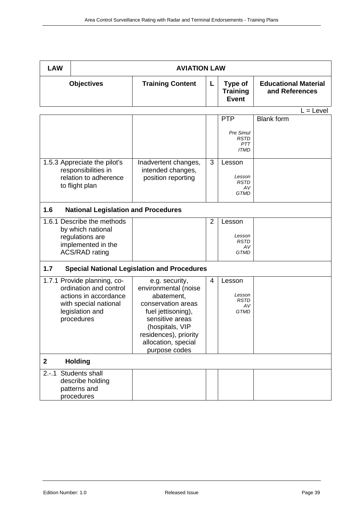| <b>LAW</b>                                        |                                                                                          | <b>AVIATION LAW</b>                                                                                                                                           |                |                                                       |                                               |  |  |
|---------------------------------------------------|------------------------------------------------------------------------------------------|---------------------------------------------------------------------------------------------------------------------------------------------------------------|----------------|-------------------------------------------------------|-----------------------------------------------|--|--|
|                                                   | <b>Objectives</b>                                                                        | <b>Training Content</b>                                                                                                                                       | L              | <b>Type of</b><br><b>Training</b><br><b>Event</b>     | <b>Educational Material</b><br>and References |  |  |
|                                                   |                                                                                          |                                                                                                                                                               |                |                                                       | $L = Level$                                   |  |  |
|                                                   |                                                                                          |                                                                                                                                                               |                | <b>PTP</b>                                            | <b>Blank form</b>                             |  |  |
|                                                   |                                                                                          |                                                                                                                                                               |                | <b>Pre Simul</b><br><b>RSTD</b><br>PTT<br><b>ITMD</b> |                                               |  |  |
|                                                   | 1.5.3 Appreciate the pilot's                                                             | Inadvertent changes,                                                                                                                                          | 3              | Lesson                                                |                                               |  |  |
|                                                   | responsibilities in<br>relation to adherence<br>to flight plan                           | intended changes,<br>position reporting                                                                                                                       |                | Lesson<br><b>RSTD</b><br>AV<br><b>GTMD</b>            |                                               |  |  |
| 1.6<br><b>National Legislation and Procedures</b> |                                                                                          |                                                                                                                                                               |                |                                                       |                                               |  |  |
|                                                   | 1.6.1 Describe the methods<br>by which national<br>regulations are<br>implemented in the |                                                                                                                                                               | $\overline{2}$ | Lesson<br>Lesson<br><b>RSTD</b><br>AV                 |                                               |  |  |
|                                                   | <b>ACS/RAD rating</b>                                                                    |                                                                                                                                                               |                | <b>GTMD</b>                                           |                                               |  |  |
| 1.7                                               |                                                                                          | <b>Special National Legislation and Procedures</b>                                                                                                            |                |                                                       |                                               |  |  |
|                                                   | 1.7.1 Provide planning, co-<br>ordination and control                                    | e.g. security,<br>environmental (noise                                                                                                                        | 4              | Lesson                                                |                                               |  |  |
|                                                   | actions in accordance<br>with special national<br>legislation and<br>procedures          | abatement,<br>conservation areas<br>fuel jettisoning),<br>sensitive areas<br>(hospitals, VIP<br>residences), priority<br>allocation, special<br>purpose codes |                | Lesson<br><b>RSTD</b><br>AV<br>GTMD                   |                                               |  |  |
| $\mathbf{2}$                                      | <b>Holding</b>                                                                           |                                                                                                                                                               |                |                                                       |                                               |  |  |
| $2 - 1$                                           | Students shall<br>describe holding<br>patterns and<br>procedures                         |                                                                                                                                                               |                |                                                       |                                               |  |  |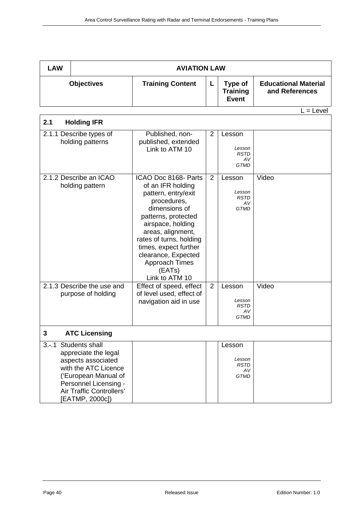| <b>LAW</b> | <b>AVIATION LAW</b> |                         |  |                                                   |                                               |  |
|------------|---------------------|-------------------------|--|---------------------------------------------------|-----------------------------------------------|--|
|            | <b>Objectives</b>   | <b>Training Content</b> |  | <b>Type of</b><br><b>Training</b><br><b>Event</b> | <b>Educational Material</b><br>and References |  |
|            |                     |                         |  |                                                   | I evel                                        |  |

| 2.1                                       | <b>Holding IFR</b>                                                                                                                                                 |                                                                                                                                                                                                                                                                                                   |                |                                                      |       |
|-------------------------------------------|--------------------------------------------------------------------------------------------------------------------------------------------------------------------|---------------------------------------------------------------------------------------------------------------------------------------------------------------------------------------------------------------------------------------------------------------------------------------------------|----------------|------------------------------------------------------|-------|
| 2.1.1 Describe types of                   | holding patterns                                                                                                                                                   | Published, non-<br>published, extended<br>Link to ATM 10                                                                                                                                                                                                                                          | $\overline{2}$ | Lesson<br>Lesson<br><b>RSTD</b><br>AV<br><b>GTMD</b> |       |
| 2.1.2 Describe an ICAO<br>holding pattern |                                                                                                                                                                    | ICAO Doc 8168- Parts<br>of an IFR holding<br>pattern, entry/exit<br>procedures,<br>dimensions of<br>patterns, protected<br>airspace, holding<br>areas, alignment,<br>rates of turns, holding<br>times, expect further<br>clearance, Expected<br><b>Approach Times</b><br>(EATs)<br>Link to ATM 10 | $\overline{2}$ | Lesson<br>Lesson<br><b>RSTD</b><br>AV<br><b>GTMD</b> | Video |
|                                           | 2.1.3 Describe the use and<br>purpose of holding                                                                                                                   | Effect of speed, effect<br>of level used, effect of<br>navigation aid in use                                                                                                                                                                                                                      | $\overline{2}$ | Lesson<br>Lesson<br><b>RSTD</b><br>AV<br><b>GTMD</b> | Video |
| 3                                         | <b>ATC Licensing</b>                                                                                                                                               |                                                                                                                                                                                                                                                                                                   |                |                                                      |       |
| 3.-.1 Students shall                      | appreciate the legal<br>aspects associated<br>with the ATC Licence<br>('European Manual of<br>Personnel Licensing -<br>Air Traffic Controllers'<br>[EATMP, 2000c]) |                                                                                                                                                                                                                                                                                                   |                | Lesson<br>Lesson<br><b>RSTD</b><br>AV<br><b>GTMD</b> |       |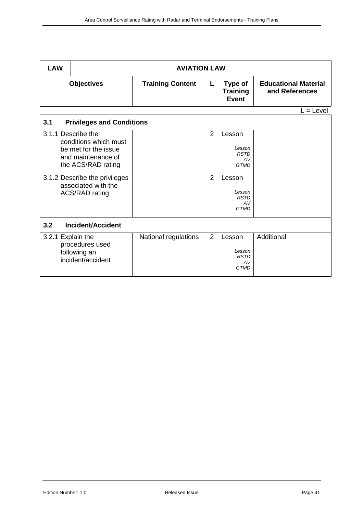| <b>LAW</b>        |                                                                                                                                                  | <b>AVIATION LAW</b>     |                                  |                                                                |                                               |
|-------------------|--------------------------------------------------------------------------------------------------------------------------------------------------|-------------------------|----------------------------------|----------------------------------------------------------------|-----------------------------------------------|
|                   | <b>Objectives</b>                                                                                                                                | <b>Training Content</b> | L                                | Type of<br><b>Training</b><br><b>Event</b>                     | <b>Educational Material</b><br>and References |
|                   |                                                                                                                                                  |                         |                                  |                                                                | $L = Level$                                   |
| 3.1               | <b>Privileges and Conditions</b>                                                                                                                 |                         |                                  |                                                                |                                               |
|                   | 3.1.1 Describe the<br>conditions which must<br>be met for the issue<br>and maintenance of<br>the ACS/RAD rating<br>3.1.2 Describe the privileges |                         | $\overline{2}$<br>$\overline{2}$ | Lesson<br>Lesson<br><b>RSTD</b><br>AV<br><b>GTMD</b><br>Lesson |                                               |
|                   | associated with the<br><b>ACS/RAD rating</b>                                                                                                     |                         |                                  | Lesson<br><b>RSTD</b><br>AV<br>GTMD                            |                                               |
| 3.2               | Incident/Accident                                                                                                                                |                         |                                  |                                                                |                                               |
| 3.2.1 Explain the | procedures used<br>following an<br>incident/accident                                                                                             | National regulations    | $\overline{2}$                   | Lesson<br>Lesson<br><b>RSTD</b><br>AV<br><b>GTMD</b>           | Additional                                    |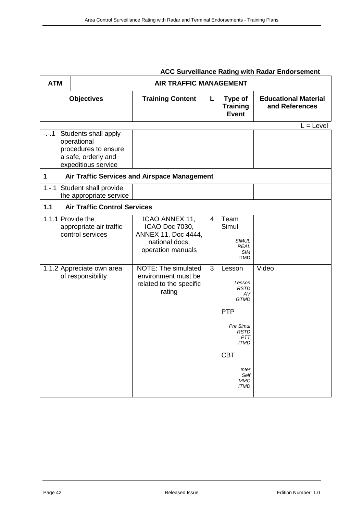| <b>ATM</b> | <b>AIR TRAFFIC MANAGEMENT</b>                                                                                   |                                                                                                |   |                                                                                                                                                                           |                                               |
|------------|-----------------------------------------------------------------------------------------------------------------|------------------------------------------------------------------------------------------------|---|---------------------------------------------------------------------------------------------------------------------------------------------------------------------------|-----------------------------------------------|
|            | <b>Objectives</b>                                                                                               | <b>Training Content</b>                                                                        | L | <b>Type of</b><br><b>Training</b><br><b>Event</b>                                                                                                                         | <b>Educational Material</b><br>and References |
|            |                                                                                                                 |                                                                                                |   |                                                                                                                                                                           | $L = Level$                                   |
|            | -.-.1 Students shall apply<br>operational<br>procedures to ensure<br>a safe, orderly and<br>expeditious service |                                                                                                |   |                                                                                                                                                                           |                                               |
| 1          |                                                                                                                 | Air Traffic Services and Airspace Management                                                   |   |                                                                                                                                                                           |                                               |
|            | 1.-.1 Student shall provide<br>the appropriate service                                                          |                                                                                                |   |                                                                                                                                                                           |                                               |
| 1.1        | <b>Air Traffic Control Services</b>                                                                             |                                                                                                |   |                                                                                                                                                                           |                                               |
|            | 1.1.1 Provide the<br>appropriate air traffic<br>control services                                                | ICAO ANNEX 11,<br>ICAO Doc 7030,<br>ANNEX 11, Doc 4444,<br>national docs,<br>operation manuals | 4 | Team<br>Simul<br><b>SIMUL</b><br><b>REAL</b><br><b>SIM</b><br><b>ITMD</b>                                                                                                 |                                               |
|            | 1.1.2 Appreciate own area<br>of responsibility                                                                  | <b>NOTE: The simulated</b><br>environment must be<br>related to the specific<br>rating         | 3 | Lesson<br>Lesson<br><b>RSTD</b><br>AV<br><b>GTMD</b><br><b>PTP</b><br>Pre Simul<br>RSTD<br>PTT<br>ITMD<br><b>CBT</b><br><b>Inter</b><br>Self<br><b>MMC</b><br><b>ITMD</b> | Video                                         |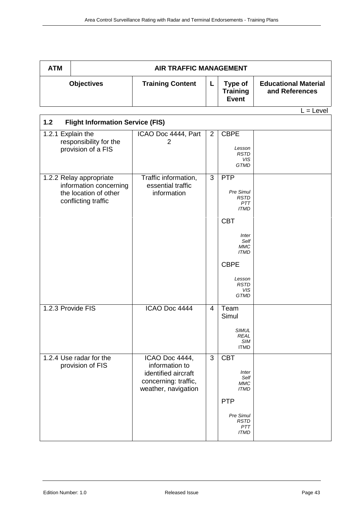| <b>ATM</b> | <b>AIR TRAFFIC MANAGEMENT</b> |                         |  |                                                   |                                               |
|------------|-------------------------------|-------------------------|--|---------------------------------------------------|-----------------------------------------------|
|            | <b>Objectives</b>             | <b>Training Content</b> |  | <b>Type of</b><br><b>Training</b><br><b>Event</b> | <b>Educational Material</b><br>and References |
|            |                               |                         |  |                                                   | l evel                                        |

| 1.2<br><b>Flight Information Service (FIS)</b>                                                    |                                                                                                        |                |                                                                                                                                                                                               |  |
|---------------------------------------------------------------------------------------------------|--------------------------------------------------------------------------------------------------------|----------------|-----------------------------------------------------------------------------------------------------------------------------------------------------------------------------------------------|--|
| 1.2.1 Explain the<br>responsibility for the<br>provision of a FIS                                 | ICAO Doc 4444, Part<br>2                                                                               | $\overline{2}$ | <b>CBPE</b><br>Lesson<br><b>RSTD</b><br>VIS<br>GTMD                                                                                                                                           |  |
| 1.2.2 Relay appropriate<br>information concerning<br>the location of other<br>conflicting traffic | Traffic information,<br>essential traffic<br>information                                               | 3              | <b>PTP</b><br>Pre Simul<br><b>RSTD</b><br><b>PTT</b><br><b>ITMD</b><br><b>CBT</b><br><i>Inter</i><br>Self<br><b>MMC</b><br><b>ITMD</b><br><b>CBPE</b><br>Lesson<br><b>RSTD</b><br>VIS<br>GTMD |  |
| 1.2.3 Provide FIS                                                                                 | ICAO Doc 4444                                                                                          | $\overline{4}$ | Team<br>Simul<br><b>SIMUL</b><br><b>REAL</b><br>SIM<br><b>ITMD</b>                                                                                                                            |  |
| 1.2.4 Use radar for the<br>provision of FIS                                                       | ICAO Doc 4444,<br>information to<br>identified aircraft<br>concerning: traffic,<br>weather, navigation | 3              | <b>CBT</b><br><i>Inter</i><br>Self<br><b>MMC</b><br><b>ITMD</b><br><b>PTP</b><br>Pre Simul<br><b>RSTD</b><br>PTT<br><b>ITMD</b>                                                               |  |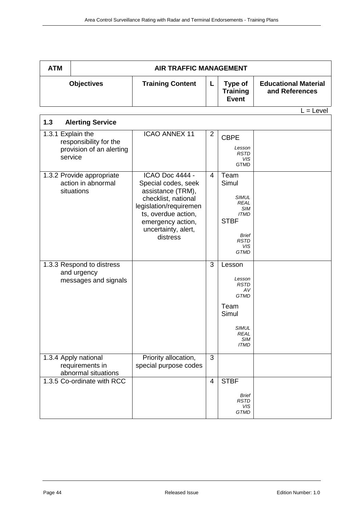| <b>ATM</b>        | <b>AIR TRAFFIC MANAGEMENT</b>                                                      |                                                                                                                      |   |                                                                   |                                               |  |
|-------------------|------------------------------------------------------------------------------------|----------------------------------------------------------------------------------------------------------------------|---|-------------------------------------------------------------------|-----------------------------------------------|--|
| <b>Objectives</b> |                                                                                    | <b>Training Content</b>                                                                                              | L | <b>Type of</b><br><b>Training</b><br><b>Event</b>                 | <b>Educational Material</b><br>and References |  |
|                   |                                                                                    |                                                                                                                      |   |                                                                   | $L = Level$                                   |  |
| 1.3               | <b>Alerting Service</b>                                                            |                                                                                                                      |   |                                                                   |                                               |  |
|                   | 1.3.1 Explain the<br>responsibility for the<br>provision of an alerting<br>service | <b>ICAO ANNEX 11</b>                                                                                                 | 2 | <b>CBPE</b><br>Lesson<br><b>RSTD</b><br><b>VIS</b><br><b>GTMD</b> |                                               |  |
|                   | 1.3.2 Provide appropriate<br>action in abnormal<br>situations                      | ICAO Doc 4444 -<br>Special codes, seek<br>assistance (TRM),<br>$\mathbf{r}$ , and the set of the set of $\mathbf{r}$ | 4 | Team<br>Simul<br>C1111                                            |                                               |  |

| 1.3.2 Provide appropriate<br>action in abnormal<br>situations    | ICAO Doc 4444 -<br>Special codes, seek<br>assistance (TRM),<br>checklist, national<br>legislation/requiremen<br>ts, overdue action,<br>emergency action,<br>uncertainty, alert,<br>distress | 4              | Team<br>Simul<br><b>SIMUL</b><br><b>REAL</b><br><b>SIM</b><br><b>ITMD</b><br><b>STBF</b><br><b>Brief</b><br><b>RSTD</b><br><b>VIS</b><br><b>GTMD</b> |  |
|------------------------------------------------------------------|---------------------------------------------------------------------------------------------------------------------------------------------------------------------------------------------|----------------|------------------------------------------------------------------------------------------------------------------------------------------------------|--|
| 1.3.3 Respond to distress<br>and urgency<br>messages and signals |                                                                                                                                                                                             | 3              | Lesson<br>Lesson<br><b>RSTD</b><br>AV<br><b>GTMD</b><br>Team<br>Simul<br><b>SIMUL</b><br><b>REAL</b><br><b>SIM</b><br><b>ITMD</b>                    |  |
| 1.3.4 Apply national<br>requirements in<br>abnormal situations   | Priority allocation,<br>special purpose codes                                                                                                                                               | 3              |                                                                                                                                                      |  |
| 1.3.5 Co-ordinate with RCC                                       |                                                                                                                                                                                             | $\overline{4}$ | <b>STBF</b><br><b>Brief</b><br><b>RSTD</b><br><b>VIS</b><br>GTMD                                                                                     |  |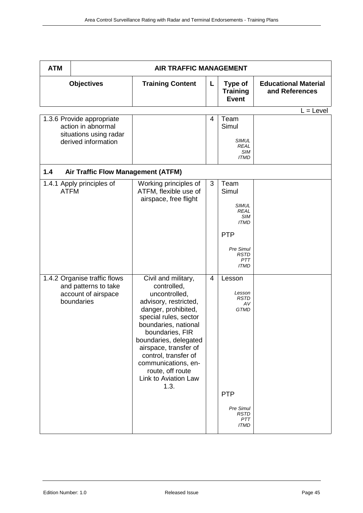| <b>ATM</b>                                                                                       |                                                                                           | <b>AIR TRAFFIC MANAGEMENT</b>                                                                                                                                                                                                                                                                                                |   |                                                              |                                               |
|--------------------------------------------------------------------------------------------------|-------------------------------------------------------------------------------------------|------------------------------------------------------------------------------------------------------------------------------------------------------------------------------------------------------------------------------------------------------------------------------------------------------------------------------|---|--------------------------------------------------------------|-----------------------------------------------|
|                                                                                                  | <b>Objectives</b>                                                                         | <b>Training Content</b>                                                                                                                                                                                                                                                                                                      | L | <b>Type of</b><br><b>Training</b><br><b>Event</b>            | <b>Educational Material</b><br>and References |
|                                                                                                  |                                                                                           |                                                                                                                                                                                                                                                                                                                              |   |                                                              | $L = Level$                                   |
| 1.3.6 Provide appropriate<br>action in abnormal<br>situations using radar<br>derived information |                                                                                           |                                                                                                                                                                                                                                                                                                                              | 4 | Team<br>Simul<br><b>SIMUL</b>                                |                                               |
|                                                                                                  |                                                                                           |                                                                                                                                                                                                                                                                                                                              |   | <b>REAL</b><br><b>SIM</b><br><b>ITMD</b>                     |                                               |
| 1.4                                                                                              | Air Traffic Flow Management (ATFM)                                                        |                                                                                                                                                                                                                                                                                                                              |   |                                                              |                                               |
|                                                                                                  | 1.4.1 Apply principles of<br><b>ATFM</b>                                                  | Working principles of<br>ATFM, flexible use of<br>airspace, free flight                                                                                                                                                                                                                                                      | 3 | Team<br>Simul                                                |                                               |
|                                                                                                  |                                                                                           |                                                                                                                                                                                                                                                                                                                              |   | <b>SIMUL</b><br><b>REAL</b><br><b>SIM</b><br><b>ITMD</b>     |                                               |
|                                                                                                  |                                                                                           |                                                                                                                                                                                                                                                                                                                              |   | <b>PTP</b>                                                   |                                               |
|                                                                                                  |                                                                                           |                                                                                                                                                                                                                                                                                                                              |   | <b>Pre Simul</b><br><b>RSTD</b><br><b>PTT</b><br><b>ITMD</b> |                                               |
|                                                                                                  | 1.4.2 Organise traffic flows<br>and patterns to take<br>account of airspace<br>boundaries | Civil and military,<br>controlled,<br>uncontrolled,<br>advisory, restricted,<br>danger, prohibited,<br>special rules, sector<br>boundaries, national<br>boundaries, FIR<br>boundaries, delegated<br>airspace, transfer of<br>control, transfer of<br>communications, en-<br>route, off route<br>Link to Aviation Law<br>1.3. | 4 | Lesson<br>Lesson<br><b>RSTD</b><br>AV<br>GTMD<br><b>PTP</b>  |                                               |
|                                                                                                  |                                                                                           |                                                                                                                                                                                                                                                                                                                              |   | Pre Simul<br><b>RSTD</b><br>PTT<br>ITMD                      |                                               |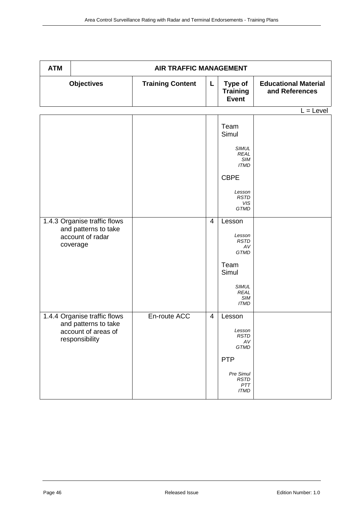| <b>ATM</b> |                                                      | <b>AIR TRAFFIC MANAGEMENT</b> |                         |                                                          |                                               |
|------------|------------------------------------------------------|-------------------------------|-------------------------|----------------------------------------------------------|-----------------------------------------------|
|            | <b>Objectives</b>                                    | <b>Training Content</b>       | L                       | Type of<br><b>Training</b><br><b>Event</b>               | <b>Educational Material</b><br>and References |
|            |                                                      |                               |                         |                                                          | $L = Level$                                   |
|            |                                                      |                               |                         | Team<br>Simul                                            |                                               |
|            |                                                      |                               |                         | <b>SIMUL</b><br><b>REAL</b><br><b>SIM</b><br><b>ITMD</b> |                                               |
|            |                                                      |                               |                         | <b>CBPE</b>                                              |                                               |
|            |                                                      |                               |                         | Lesson<br><b>RSTD</b><br><b>VIS</b><br><b>GTMD</b>       |                                               |
|            | 1.4.3 Organise traffic flows                         |                               | $\overline{\mathbf{4}}$ | Lesson                                                   |                                               |
|            | and patterns to take<br>account of radar<br>coverage |                               |                         | Lesson<br><b>RSTD</b><br>AV<br>GTMD                      |                                               |
|            |                                                      |                               |                         | Team<br>Simul                                            |                                               |
|            |                                                      |                               |                         | <b>SIMUL</b><br><b>REAL</b><br><b>SIM</b><br><b>ITMD</b> |                                               |
|            | 1.4.4 Organise traffic flows<br>and patterns to take | En-route ACC                  | $\overline{\mathbf{4}}$ | Lesson                                                   |                                               |
|            | account of areas of<br>responsibility                |                               |                         | Lesson<br><b>RSTD</b><br>$\mathsf{AV}$<br>GTMD           |                                               |
|            |                                                      |                               |                         | <b>PTP</b>                                               |                                               |
|            |                                                      |                               |                         | Pre Simul<br><b>RSTD</b><br>PTT<br><b>ITMD</b>           |                                               |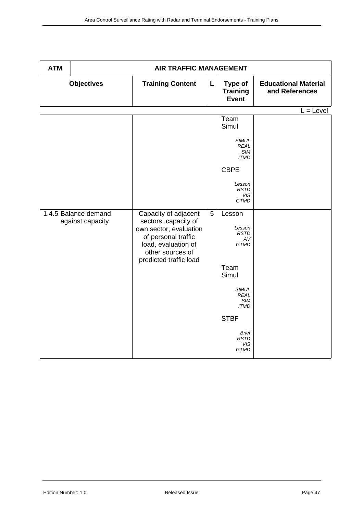| <b>ATM</b> |                                          | <b>AIR TRAFFIC MANAGEMENT</b>                                                                                                                                      |   |                                                          |                                               |
|------------|------------------------------------------|--------------------------------------------------------------------------------------------------------------------------------------------------------------------|---|----------------------------------------------------------|-----------------------------------------------|
|            | <b>Objectives</b>                        | <b>Training Content</b>                                                                                                                                            | Г | Type of<br><b>Training</b><br><b>Event</b>               | <b>Educational Material</b><br>and References |
|            |                                          |                                                                                                                                                                    |   |                                                          | $L = Level$                                   |
|            |                                          |                                                                                                                                                                    |   | Team<br>Simul                                            |                                               |
|            |                                          |                                                                                                                                                                    |   | <b>SIMUL</b><br><b>REAL</b><br><b>SIM</b><br><b>ITMD</b> |                                               |
|            |                                          |                                                                                                                                                                    |   | <b>CBPE</b>                                              |                                               |
|            |                                          |                                                                                                                                                                    |   | Lesson<br><b>RSTD</b><br><b>VIS</b><br>GTMD              |                                               |
|            | 1.4.5 Balance demand<br>against capacity | Capacity of adjacent<br>sectors, capacity of<br>own sector, evaluation<br>of personal traffic<br>load, evaluation of<br>other sources of<br>predicted traffic load | 5 | Lesson<br>Lesson<br><b>RSTD</b><br>AV<br>GTMD            |                                               |
|            |                                          |                                                                                                                                                                    |   | Team<br>Simul                                            |                                               |
|            |                                          |                                                                                                                                                                    |   | <b>SIMUL</b><br><b>REAL</b><br><b>SIM</b><br><b>ITMD</b> |                                               |
|            |                                          |                                                                                                                                                                    |   | <b>STBF</b>                                              |                                               |
|            |                                          |                                                                                                                                                                    |   | <b>Brief</b><br><b>RSTD</b><br><b>VIS</b><br>GTMD        |                                               |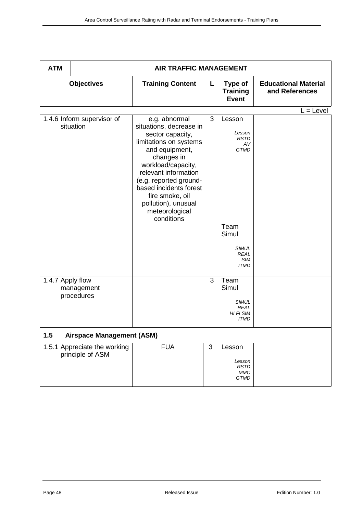| <b>ATM</b>       |                                                  | <b>AIR TRAFFIC MANAGEMENT</b>                                                                                                                                                                                                                                                                      |   |                                                          |                                               |
|------------------|--------------------------------------------------|----------------------------------------------------------------------------------------------------------------------------------------------------------------------------------------------------------------------------------------------------------------------------------------------------|---|----------------------------------------------------------|-----------------------------------------------|
|                  | <b>Objectives</b>                                | <b>Training Content</b>                                                                                                                                                                                                                                                                            | L | Type of<br><b>Training</b><br><b>Event</b>               | <b>Educational Material</b><br>and References |
|                  |                                                  |                                                                                                                                                                                                                                                                                                    |   |                                                          | $L = Level$                                   |
|                  | 1.4.6 Inform supervisor of<br>situation          | e.g. abnormal<br>situations, decrease in<br>sector capacity,<br>limitations on systems<br>and equipment,<br>changes in<br>workload/capacity,<br>relevant information<br>(e.g. reported ground-<br>based incidents forest<br>fire smoke, oil<br>pollution), unusual<br>meteorological<br>conditions | 3 | Lesson<br>Lesson<br><b>RSTD</b><br>AV<br><b>GTMD</b>     |                                               |
|                  |                                                  |                                                                                                                                                                                                                                                                                                    |   | Team<br>Simul                                            |                                               |
|                  |                                                  |                                                                                                                                                                                                                                                                                                    |   | <b>SIMUL</b><br><b>REAL</b><br><b>SIM</b><br><b>ITMD</b> |                                               |
| 1.4.7 Apply flow | management<br>procedures                         |                                                                                                                                                                                                                                                                                                    | 3 | Team<br>Simul                                            |                                               |
|                  |                                                  |                                                                                                                                                                                                                                                                                                    |   | <b>SIMUL</b><br><b>REAL</b><br>HI FI SIM<br><b>ITMD</b>  |                                               |
| 1.5              | <b>Airspace Management (ASM)</b>                 |                                                                                                                                                                                                                                                                                                    |   |                                                          |                                               |
|                  | 1.5.1 Appreciate the working<br>principle of ASM | <b>FUA</b>                                                                                                                                                                                                                                                                                         | 3 | Lesson<br>Lesson<br><b>RSTD</b><br><b>MMC</b><br>GTMD    |                                               |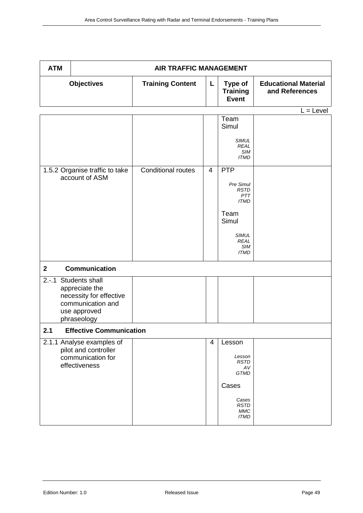| <b>ATM</b>        | <b>AIR TRAFFIC MANAGEMENT</b>                                                                                   |                           |   |                                                                                                                 |                                               |
|-------------------|-----------------------------------------------------------------------------------------------------------------|---------------------------|---|-----------------------------------------------------------------------------------------------------------------|-----------------------------------------------|
| <b>Objectives</b> |                                                                                                                 | <b>Training Content</b>   | L | <b>Type of</b><br><b>Training</b><br><b>Event</b>                                                               | <b>Educational Material</b><br>and References |
|                   |                                                                                                                 |                           |   |                                                                                                                 | $L = Level$                                   |
|                   |                                                                                                                 |                           |   | Team<br>Simul                                                                                                   |                                               |
|                   |                                                                                                                 |                           |   | <b>SIMUL</b><br><b>REAL</b><br><b>SIM</b><br><b>ITMD</b>                                                        |                                               |
|                   | 1.5.2 Organise traffic to take                                                                                  | <b>Conditional routes</b> | 4 | <b>PTP</b>                                                                                                      |                                               |
|                   | account of ASM                                                                                                  |                           |   | Pre Simul<br><b>RSTD</b><br><b>PTT</b><br><b>ITMD</b>                                                           |                                               |
|                   |                                                                                                                 |                           |   | Team<br>Simul                                                                                                   |                                               |
|                   |                                                                                                                 |                           |   | <b>SIMUL</b><br><b>REAL</b><br><b>SIM</b><br><b>ITMD</b>                                                        |                                               |
| $\mathbf{2}$      | <b>Communication</b>                                                                                            |                           |   |                                                                                                                 |                                               |
| $2.-1$            | Students shall<br>appreciate the<br>necessity for effective<br>communication and<br>use approved<br>phraseology |                           |   |                                                                                                                 |                                               |
| 2.1               | <b>Effective Communication</b>                                                                                  |                           |   |                                                                                                                 |                                               |
|                   | 2.1.1 Analyse examples of<br>pilot and controller<br>communication for<br>effectiveness                         |                           | 4 | Lesson<br>Lesson<br><b>RSTD</b><br>$\mathit{AV}$<br>GTMD<br>Cases<br>Cases<br><b>RSTD</b><br>MMC<br><b>ITMD</b> |                                               |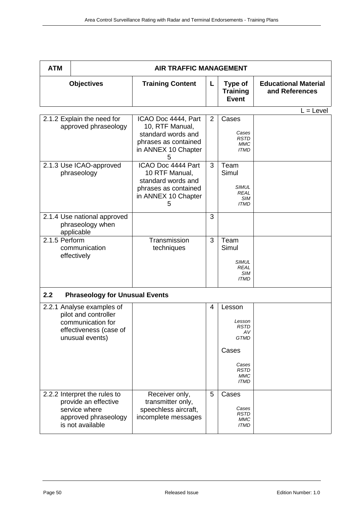| <b>ATM</b>    |                                                                                                                     | <b>AIR TRAFFIC MANAGEMENT</b>                                                                                    |                |                                                                                                      |                                               |  |
|---------------|---------------------------------------------------------------------------------------------------------------------|------------------------------------------------------------------------------------------------------------------|----------------|------------------------------------------------------------------------------------------------------|-----------------------------------------------|--|
|               | <b>Objectives</b>                                                                                                   | <b>Training Content</b>                                                                                          | L              | <b>Type of</b><br><b>Training</b><br><b>Event</b>                                                    | <b>Educational Material</b><br>and References |  |
|               |                                                                                                                     |                                                                                                                  |                |                                                                                                      | $L = Level$                                   |  |
|               | 2.1.2 Explain the need for<br>approved phraseology                                                                  | ICAO Doc 4444, Part<br>10, RTF Manual,<br>standard words and<br>phrases as contained<br>in ANNEX 10 Chapter<br>5 | $\overline{2}$ | Cases<br>Cases<br><b>RSTD</b><br><b>MMC</b><br><b>ITMD</b>                                           |                                               |  |
|               | 2.1.3 Use ICAO-approved<br>phraseology                                                                              | ICAO Doc 4444 Part<br>10 RTF Manual,<br>standard words and<br>phrases as contained<br>in ANNEX 10 Chapter<br>5   | 3              | Team<br>Simul<br><b>SIMUL</b><br><b>REAL</b><br><b>SIM</b><br><b>ITMD</b>                            |                                               |  |
|               | 2.1.4 Use national approved<br>phraseology when<br>applicable                                                       |                                                                                                                  | 3              |                                                                                                      |                                               |  |
| 2.1.5 Perform | communication<br>effectively                                                                                        | Transmission<br>techniques                                                                                       | 3              | Team<br>Simul<br><b>SIMUL</b><br><b>REAL</b><br><b>SIM</b><br><b>ITMD</b>                            |                                               |  |
| 2.2           | <b>Phraseology for Unusual Events</b>                                                                               |                                                                                                                  |                |                                                                                                      |                                               |  |
|               | 2.2.1 Analyse examples of<br>pilot and controller<br>communication for<br>effectiveness (case of<br>unusual events) |                                                                                                                  | 4              | Lesson<br>Lesson<br>RSTD<br>AV<br>GTMD<br>Cases<br>Cases<br><b>RSTD</b><br><b>MMC</b><br><b>ITMD</b> |                                               |  |
|               | 2.2.2 Interpret the rules to<br>provide an effective<br>service where<br>approved phraseology<br>is not available   | Receiver only,<br>transmitter only,<br>speechless aircraft,<br>incomplete messages                               | 5              | Cases<br>Cases<br><b>RSTD</b><br><b>MMC</b><br><b>ITMD</b>                                           |                                               |  |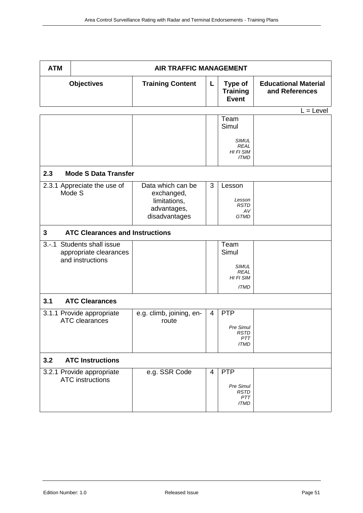| <b>ATM</b>   |                                                                          | <b>AIR TRAFFIC MANAGEMENT</b>                                                   |                |                                                              |                                               |  |  |  |  |
|--------------|--------------------------------------------------------------------------|---------------------------------------------------------------------------------|----------------|--------------------------------------------------------------|-----------------------------------------------|--|--|--|--|
|              | <b>Objectives</b>                                                        | <b>Training Content</b>                                                         | L              | <b>Type of</b><br><b>Training</b><br><b>Event</b>            | <b>Educational Material</b><br>and References |  |  |  |  |
|              | $L = Level$                                                              |                                                                                 |                |                                                              |                                               |  |  |  |  |
|              |                                                                          |                                                                                 |                | Team<br>Simul                                                |                                               |  |  |  |  |
|              |                                                                          |                                                                                 |                | <b>SIMUL</b><br><b>REAL</b><br>HI FI SIM<br><b>ITMD</b>      |                                               |  |  |  |  |
| 2.3          | <b>Mode S Data Transfer</b>                                              |                                                                                 |                |                                                              |                                               |  |  |  |  |
|              | 2.3.1 Appreciate the use of<br>Mode S                                    | Data which can be<br>exchanged,<br>limitations,<br>advantages,<br>disadvantages | 3              | Lesson<br>Lesson<br><b>RSTD</b><br>AV<br><b>GTMD</b>         |                                               |  |  |  |  |
| $\mathbf{3}$ | <b>ATC Clearances and Instructions</b>                                   |                                                                                 |                |                                                              |                                               |  |  |  |  |
|              | 3.-.1 Students shall issue<br>appropriate clearances<br>and instructions |                                                                                 |                | Team<br>Simul                                                |                                               |  |  |  |  |
|              |                                                                          |                                                                                 |                | <b>SIMUL</b><br><b>REAL</b><br>HI FI SIM                     |                                               |  |  |  |  |
|              |                                                                          |                                                                                 |                | <b>ITMD</b>                                                  |                                               |  |  |  |  |
| 3.1          | <b>ATC Clearances</b>                                                    |                                                                                 |                |                                                              |                                               |  |  |  |  |
|              | 3.1.1 Provide appropriate<br><b>ATC</b> clearances                       | e.g. climb, joining, en-<br>route                                               | 4              | <b>PTP</b><br>Pre Simul<br><b>RSTD</b><br>PTT<br><b>ITMD</b> |                                               |  |  |  |  |
| 3.2          | <b>ATC Instructions</b>                                                  |                                                                                 |                |                                                              |                                               |  |  |  |  |
|              | 3.2.1 Provide appropriate<br><b>ATC</b> instructions                     | e.g. SSR Code                                                                   | $\overline{4}$ | <b>PTP</b><br>Pre Simul<br><b>RSTD</b><br>PTT<br><b>ITMD</b> |                                               |  |  |  |  |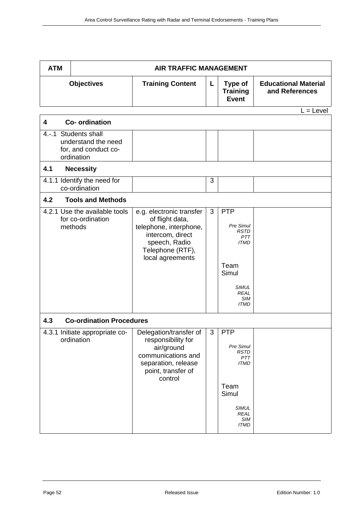| <b>ATM</b> |                                                                                   | <b>AIR TRAFFIC MANAGEMENT</b>                                                                                                                      |              |                                                                                                                                                         |                                               |
|------------|-----------------------------------------------------------------------------------|----------------------------------------------------------------------------------------------------------------------------------------------------|--------------|---------------------------------------------------------------------------------------------------------------------------------------------------------|-----------------------------------------------|
|            | <b>Objectives</b>                                                                 | <b>Training Content</b>                                                                                                                            | L            | <b>Type of</b><br><b>Training</b><br><b>Event</b>                                                                                                       | <b>Educational Material</b><br>and References |
|            |                                                                                   |                                                                                                                                                    |              |                                                                                                                                                         | $L = Level$                                   |
| 4          | Co- ordination                                                                    |                                                                                                                                                    |              |                                                                                                                                                         |                                               |
|            | 4.-.1 Students shall<br>understand the need<br>for, and conduct co-<br>ordination |                                                                                                                                                    |              |                                                                                                                                                         |                                               |
| 4.1        | <b>Necessity</b>                                                                  |                                                                                                                                                    |              |                                                                                                                                                         |                                               |
|            | 4.1.1 Identify the need for<br>co-ordination                                      |                                                                                                                                                    | 3            |                                                                                                                                                         |                                               |
| 4.2        | <b>Tools and Methods</b>                                                          |                                                                                                                                                    |              |                                                                                                                                                         |                                               |
|            | 4.2.1 Use the available tools<br>for co-ordination<br>methods                     | e.g. electronic transfer<br>of flight data,<br>telephone, interphone,<br>intercom, direct<br>speech, Radio<br>Telephone (RTF),<br>local agreements | 3            | <b>PTP</b><br><b>Pre Simul</b><br><b>RSTD</b><br><b>PTT</b><br><b>ITMD</b><br>Team<br>Simul<br><b>SIMUL</b><br><b>REAL</b><br><b>SIM</b><br><b>ITMD</b> |                                               |
| 4.3        | <b>Co-ordination Procedures</b>                                                   |                                                                                                                                                    |              |                                                                                                                                                         |                                               |
|            | 4.3.1 Initiate appropriate co-<br>ordination                                      | Delegation/transfer of<br>responsibility for<br>air/ground<br>communications and<br>separation, release<br>point, transfer of<br>control           | $\mathbf{3}$ | <b>PTP</b><br>Pre Simul<br><b>RSTD</b><br>PTT<br><b>ITMD</b>                                                                                            |                                               |
|            |                                                                                   |                                                                                                                                                    |              | Team<br>Simul                                                                                                                                           |                                               |
|            |                                                                                   |                                                                                                                                                    |              | <b>SIMUL</b><br><b>REAL</b><br><b>SIM</b><br><b>ITMD</b>                                                                                                |                                               |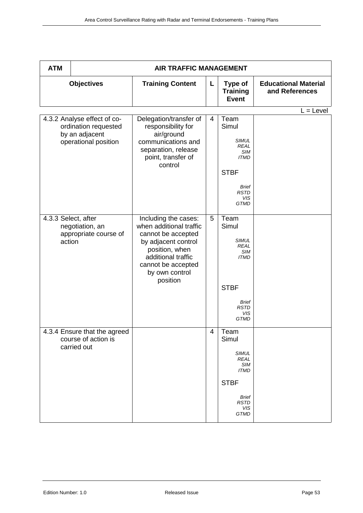| <b>ATM</b> | <b>AIR TRAFFIC MANAGEMENT</b>                                                                 |                                                                                                                                                                                          |                |                                                                                                                         |                                               |  |
|------------|-----------------------------------------------------------------------------------------------|------------------------------------------------------------------------------------------------------------------------------------------------------------------------------------------|----------------|-------------------------------------------------------------------------------------------------------------------------|-----------------------------------------------|--|
|            | <b>Objectives</b>                                                                             | <b>Training Content</b>                                                                                                                                                                  | L              | Type of<br><b>Training</b><br><b>Event</b>                                                                              | <b>Educational Material</b><br>and References |  |
|            |                                                                                               |                                                                                                                                                                                          |                |                                                                                                                         | $L = Level$                                   |  |
|            | 4.3.2 Analyse effect of co-<br>ordination requested<br>by an adjacent<br>operational position | Delegation/transfer of<br>responsibility for<br>air/ground<br>communications and<br>separation, release<br>point, transfer of<br>control                                                 | $\overline{4}$ | Team<br>Simul<br><b>SIMUL</b><br><b>REAL</b><br><b>SIM</b><br><b>ITMD</b><br><b>STBF</b><br><b>Brief</b><br><b>RSTD</b> |                                               |  |
|            |                                                                                               |                                                                                                                                                                                          |                | <b>VIS</b><br>GTMD                                                                                                      |                                               |  |
|            | 4.3.3 Select, after<br>negotiation, an<br>appropriate course of<br>action                     | Including the cases:<br>when additional traffic<br>cannot be accepted<br>by adjacent control<br>position, when<br>additional traffic<br>cannot be accepted<br>by own control<br>position | 5              | Team<br>Simul<br><b>SIMUL</b><br><b>REAL</b><br><b>SIM</b><br><b>ITMD</b>                                               |                                               |  |
|            |                                                                                               |                                                                                                                                                                                          |                | <b>STBF</b>                                                                                                             |                                               |  |
|            |                                                                                               |                                                                                                                                                                                          |                | <b>Brief</b><br><b>RSTD</b><br><b>VIS</b><br>GTMD                                                                       |                                               |  |
|            | 4.3.4 Ensure that the agreed<br>course of action is<br>carried out                            |                                                                                                                                                                                          | $\overline{4}$ | Team<br>Simul                                                                                                           |                                               |  |
|            |                                                                                               |                                                                                                                                                                                          |                | <b>SIMUL</b><br><b>REAL</b><br><b>SIM</b><br><b>ITMD</b>                                                                |                                               |  |
|            |                                                                                               |                                                                                                                                                                                          |                | <b>STBF</b>                                                                                                             |                                               |  |
|            |                                                                                               |                                                                                                                                                                                          |                | <b>Brief</b><br><b>RSTD</b><br>VIS<br>GTMD                                                                              |                                               |  |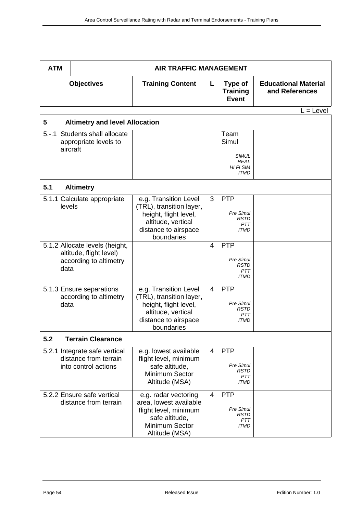| <b>ATM</b> |                                                                                             | <b>AIR TRAFFIC MANAGEMENT</b>                                                                                                          |   |                                                                          |                                               |  |  |  |  |
|------------|---------------------------------------------------------------------------------------------|----------------------------------------------------------------------------------------------------------------------------------------|---|--------------------------------------------------------------------------|-----------------------------------------------|--|--|--|--|
|            | <b>Objectives</b>                                                                           | <b>Training Content</b>                                                                                                                | L | <b>Type of</b><br><b>Training</b><br><b>Event</b>                        | <b>Educational Material</b><br>and References |  |  |  |  |
|            | $L = Level$                                                                                 |                                                                                                                                        |   |                                                                          |                                               |  |  |  |  |
| 5          | <b>Altimetry and level Allocation</b>                                                       |                                                                                                                                        |   |                                                                          |                                               |  |  |  |  |
|            | 5.-.1 Students shall allocate<br>appropriate levels to<br>aircraft                          |                                                                                                                                        |   | Team<br>Simul<br><b>SIMUL</b><br><b>REAL</b><br>HI FI SIM<br><b>ITMD</b> |                                               |  |  |  |  |
| 5.1        | <b>Altimetry</b>                                                                            |                                                                                                                                        |   |                                                                          |                                               |  |  |  |  |
|            | 5.1.1 Calculate appropriate<br>levels                                                       | e.g. Transition Level<br>(TRL), transition layer,<br>height, flight level,<br>altitude, vertical<br>distance to airspace<br>boundaries | 3 | <b>PTP</b><br>Pre Simul<br>RSTD<br>PTT<br><b>ITMD</b>                    |                                               |  |  |  |  |
|            | 5.1.2 Allocate levels (height,<br>altitude, flight level)<br>according to altimetry<br>data |                                                                                                                                        | 4 | <b>PTP</b><br>Pre Simul<br><b>RSTD</b><br><b>PTT</b><br><b>ITMD</b>      |                                               |  |  |  |  |
|            | 5.1.3 Ensure separations<br>according to altimetry<br>data                                  | e.g. Transition Level<br>(TRL), transition layer,<br>height, flight level,<br>altitude, vertical<br>distance to airspace<br>boundaries | 4 | <b>PTP</b><br>Pre Simul<br><b>RSTD</b><br><b>PTT</b><br><b>ITMD</b>      |                                               |  |  |  |  |
| 5.2        | <b>Terrain Clearance</b>                                                                    |                                                                                                                                        |   |                                                                          |                                               |  |  |  |  |
|            | 5.2.1 Integrate safe vertical<br>distance from terrain<br>into control actions              | e.g. lowest available<br>flight level, minimum<br>safe altitude,<br>Minimum Sector<br>Altitude (MSA)                                   | 4 | <b>PTP</b><br><b>Pre Simul</b><br><b>RSTD</b><br>PTT<br><b>ITMD</b>      |                                               |  |  |  |  |
|            | 5.2.2 Ensure safe vertical<br>distance from terrain                                         | e.g. radar vectoring<br>area, lowest available<br>flight level, minimum<br>safe altitude,<br>Minimum Sector<br>Altitude (MSA)          | 4 | <b>PTP</b><br><b>Pre Simul</b><br>RSTD<br>PTT<br><b>ITMD</b>             |                                               |  |  |  |  |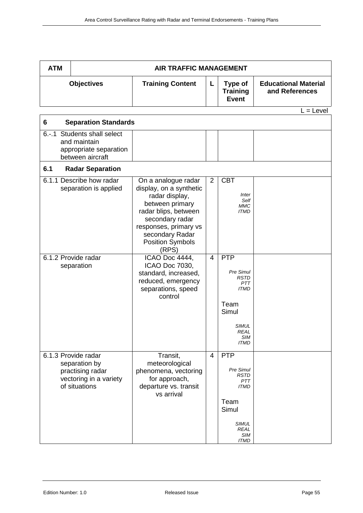| <b>ATM</b> |                                                                                                     | <b>AIR TRAFFIC MANAGEMENT</b>                                                                                                                                                                                  |                |                                                                                                                                                         |                                               |
|------------|-----------------------------------------------------------------------------------------------------|----------------------------------------------------------------------------------------------------------------------------------------------------------------------------------------------------------------|----------------|---------------------------------------------------------------------------------------------------------------------------------------------------------|-----------------------------------------------|
|            | <b>Objectives</b>                                                                                   | <b>Training Content</b>                                                                                                                                                                                        | L              | <b>Type of</b><br><b>Training</b><br><b>Event</b>                                                                                                       | <b>Educational Material</b><br>and References |
|            |                                                                                                     |                                                                                                                                                                                                                |                |                                                                                                                                                         | $L = Level$                                   |
| 6          | <b>Separation Standards</b>                                                                         |                                                                                                                                                                                                                |                |                                                                                                                                                         |                                               |
| $6 - 1$    | Students shall select<br>and maintain<br>appropriate separation<br>between aircraft                 |                                                                                                                                                                                                                |                |                                                                                                                                                         |                                               |
| 6.1        | <b>Radar Separation</b>                                                                             |                                                                                                                                                                                                                |                |                                                                                                                                                         |                                               |
|            | 6.1.1 Describe how radar<br>separation is applied                                                   | On a analogue radar<br>display, on a synthetic<br>radar display,<br>between primary<br>radar blips, between<br>secondary radar<br>responses, primary vs<br>secondary Radar<br><b>Position Symbols</b><br>(RPS) | 2              | <b>CBT</b><br><b>Inter</b><br>Self<br><b>MMC</b><br><b>ITMD</b>                                                                                         |                                               |
|            | 6.1.2 Provide radar<br>separation                                                                   | ICAO Doc 4444,<br>ICAO Doc 7030,<br>standard, increased,<br>reduced, emergency<br>separations, speed<br>control                                                                                                | $\overline{4}$ | <b>PTP</b><br><b>Pre Simul</b><br><b>RSTD</b><br><b>PTT</b><br><b>ITMD</b><br>Team<br>Simul<br><b>SIMUL</b><br><b>REAL</b><br><b>SIM</b><br><b>ITMD</b> |                                               |
|            | 6.1.3 Provide radar<br>separation by<br>practising radar<br>vectoring in a variety<br>of situations | Transit,<br>meteorological<br>phenomena, vectoring<br>for approach,<br>departure vs. transit<br>vs arrival                                                                                                     | $\overline{4}$ | <b>PTP</b><br>Pre Simul<br><b>RSTD</b><br><b>PTT</b><br><b>ITMD</b><br>Team<br>Simul<br><b>SIMUL</b><br><b>REAL</b><br><b>SIM</b><br><b>ITMD</b>        |                                               |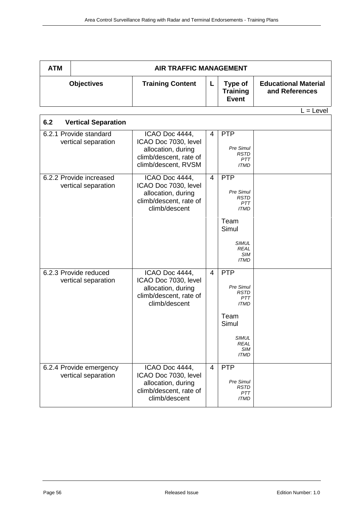| <b>ATM</b> |                                                | <b>AIR TRAFFIC MANAGEMENT</b>                                                                                 |                |                                                                                                                                                  |                                               |
|------------|------------------------------------------------|---------------------------------------------------------------------------------------------------------------|----------------|--------------------------------------------------------------------------------------------------------------------------------------------------|-----------------------------------------------|
|            | <b>Objectives</b>                              | <b>Training Content</b>                                                                                       | L.             | <b>Type of</b><br><b>Training</b><br><b>Event</b>                                                                                                | <b>Educational Material</b><br>and References |
|            |                                                |                                                                                                               |                |                                                                                                                                                  | $L = Level$                                   |
| 6.2        | <b>Vertical Separation</b>                     |                                                                                                               |                |                                                                                                                                                  |                                               |
|            | 6.2.1 Provide standard<br>vertical separation  | ICAO Doc 4444,<br>ICAO Doc 7030, level<br>allocation, during<br>climb/descent, rate of<br>climb/descent, RVSM | 4              | <b>PTP</b><br>Pre Simul<br><b>RSTD</b><br><b>PTT</b><br><b>ITMD</b>                                                                              |                                               |
|            | 6.2.2 Provide increased<br>vertical separation | ICAO Doc 4444,<br>ICAO Doc 7030, level<br>allocation, during<br>climb/descent, rate of<br>climb/descent       | $\overline{4}$ | <b>PTP</b><br>Pre Simul<br><b>RSTD</b><br><b>PTT</b><br><b>ITMD</b><br>Team<br>Simul<br><b>SIMUL</b><br><b>REAL</b><br><b>SIM</b><br><b>ITMD</b> |                                               |
|            | 6.2.3 Provide reduced<br>vertical separation   | ICAO Doc 4444,<br>ICAO Doc 7030, level<br>allocation, during<br>climb/descent, rate of<br>climb/descent       | 4              | <b>PTP</b><br>Pre Simul<br><b>RSTD</b><br><b>PTT</b><br><b>ITMD</b><br>Team<br>Simul<br><b>SIMUL</b><br><b>REAL</b><br><b>SIM</b><br><b>ITMD</b> |                                               |
|            | 6.2.4 Provide emergency<br>vertical separation | ICAO Doc 4444,<br>ICAO Doc 7030, level<br>allocation, during<br>climb/descent, rate of<br>climb/descent       | 4              | <b>PTP</b><br><b>Pre Simul</b><br><b>RSTD</b><br><b>PTT</b><br><b>ITMD</b>                                                                       |                                               |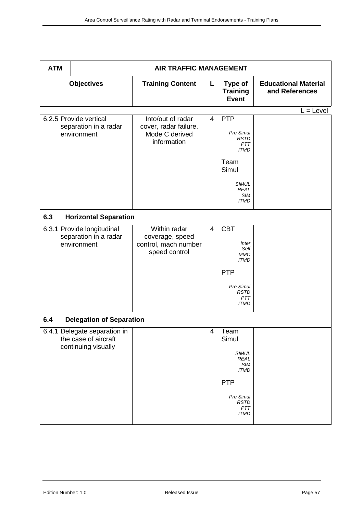| <b>ATM</b> | <b>AIR TRAFFIC MANAGEMENT</b>                                               |                                                                             |   |                                                                     |                                               |  |
|------------|-----------------------------------------------------------------------------|-----------------------------------------------------------------------------|---|---------------------------------------------------------------------|-----------------------------------------------|--|
|            | <b>Objectives</b>                                                           | <b>Training Content</b>                                                     | L | <b>Type of</b><br><b>Training</b><br><b>Event</b>                   | <b>Educational Material</b><br>and References |  |
|            |                                                                             |                                                                             |   |                                                                     | $L = Level$                                   |  |
|            | 6.2.5 Provide vertical<br>separation in a radar<br>environment              | Into/out of radar<br>cover, radar failure,<br>Mode C derived<br>information | 4 | <b>PTP</b><br>Pre Simul<br><b>RSTD</b><br><b>PTT</b><br><b>ITMD</b> |                                               |  |
|            |                                                                             |                                                                             |   | Team<br>Simul                                                       |                                               |  |
|            |                                                                             |                                                                             |   | <b>SIMUL</b><br><b>REAL</b><br><b>SIM</b><br><b>ITMD</b>            |                                               |  |
| 6.3        | <b>Horizontal Separation</b>                                                |                                                                             |   |                                                                     |                                               |  |
|            | 6.3.1 Provide longitudinal<br>separation in a radar<br>environment          | Within radar<br>coverage, speed<br>control, mach number<br>speed control    | 4 | <b>CBT</b><br><i>Inter</i><br>Self<br><b>MMC</b><br><b>ITMD</b>     |                                               |  |
|            |                                                                             |                                                                             |   | <b>PTP</b>                                                          |                                               |  |
|            |                                                                             |                                                                             |   | Pre Simul<br><b>RSTD</b><br>PTT<br><b>ITMD</b>                      |                                               |  |
| 6.4        | <b>Delegation of Separation</b>                                             |                                                                             |   |                                                                     |                                               |  |
|            | 6.4.1 Delegate separation in<br>the case of aircraft<br>continuing visually |                                                                             | 4 | Team<br>Simul                                                       |                                               |  |
|            |                                                                             |                                                                             |   | <b>SIMUL</b><br><b>REAL</b><br><b>SIM</b><br><b>ITMD</b>            |                                               |  |
|            |                                                                             |                                                                             |   | <b>PTP</b>                                                          |                                               |  |
|            |                                                                             |                                                                             |   | Pre Simul<br><b>RSTD</b><br>PTT<br><b>ITMD</b>                      |                                               |  |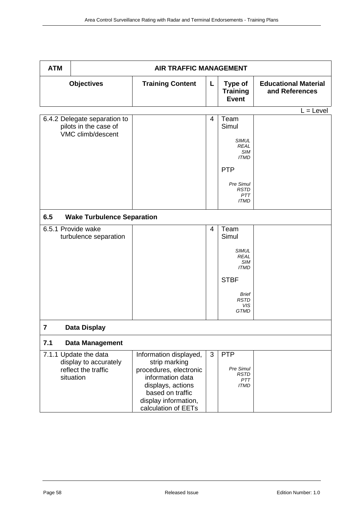| <b>ATM</b>              |                                                                                    | <b>AIR TRAFFIC MANAGEMENT</b>                                                                                                                          |   |                                                              |                                               |  |  |  |
|-------------------------|------------------------------------------------------------------------------------|--------------------------------------------------------------------------------------------------------------------------------------------------------|---|--------------------------------------------------------------|-----------------------------------------------|--|--|--|
|                         | <b>Objectives</b>                                                                  | <b>Training Content</b>                                                                                                                                | L | <b>Type of</b><br><b>Training</b><br><b>Event</b>            | <b>Educational Material</b><br>and References |  |  |  |
|                         |                                                                                    |                                                                                                                                                        |   |                                                              | $L = Level$                                   |  |  |  |
|                         | 6.4.2 Delegate separation to<br>pilots in the case of<br>VMC climb/descent         |                                                                                                                                                        | 4 | Team<br>Simul                                                |                                               |  |  |  |
|                         |                                                                                    |                                                                                                                                                        |   | <b>SIMUL</b><br><b>REAL</b><br><b>SIM</b><br><b>ITMD</b>     |                                               |  |  |  |
|                         |                                                                                    |                                                                                                                                                        |   | <b>PTP</b>                                                   |                                               |  |  |  |
|                         |                                                                                    |                                                                                                                                                        |   | Pre Simul<br><b>RSTD</b><br><b>PTT</b><br><b>ITMD</b>        |                                               |  |  |  |
| 6.5                     | <b>Wake Turbulence Separation</b>                                                  |                                                                                                                                                        |   |                                                              |                                               |  |  |  |
|                         | 6.5.1 Provide wake<br>turbulence separation                                        |                                                                                                                                                        | 4 | Team<br>Simul                                                |                                               |  |  |  |
|                         |                                                                                    |                                                                                                                                                        |   | <b>SIMUL</b><br><b>REAL</b><br><b>SIM</b><br><b>ITMD</b>     |                                               |  |  |  |
|                         |                                                                                    |                                                                                                                                                        |   | <b>STBF</b>                                                  |                                               |  |  |  |
|                         |                                                                                    |                                                                                                                                                        |   | <b>Brief</b><br><b>RSTD</b><br>VIS<br>GTMD                   |                                               |  |  |  |
| $\overline{\mathbf{7}}$ | <b>Data Display</b>                                                                |                                                                                                                                                        |   |                                                              |                                               |  |  |  |
| 7.1                     | <b>Data Management</b>                                                             |                                                                                                                                                        |   |                                                              |                                               |  |  |  |
|                         | 7.1.1 Update the data<br>display to accurately<br>reflect the traffic<br>situation | Information displayed,<br>strip marking<br>procedures, electronic<br>information data<br>displays, actions<br>based on traffic<br>display information, | 3 | <b>PTP</b><br>Pre Simul<br><b>RSTD</b><br>PTT<br><b>ITMD</b> |                                               |  |  |  |
|                         |                                                                                    | calculation of EETs                                                                                                                                    |   |                                                              |                                               |  |  |  |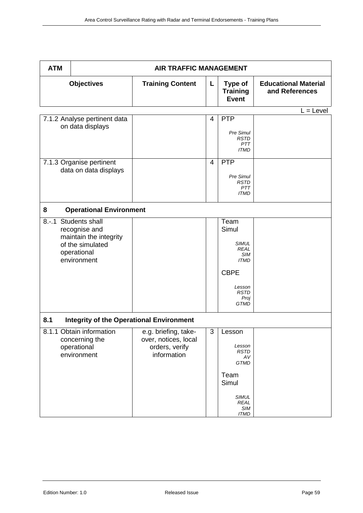| <b>ATM</b> |                                                                                                             | <b>AIR TRAFFIC MANAGEMENT</b>                                                 |                |                                                                                                                                   |                                               |
|------------|-------------------------------------------------------------------------------------------------------------|-------------------------------------------------------------------------------|----------------|-----------------------------------------------------------------------------------------------------------------------------------|-----------------------------------------------|
|            | <b>Objectives</b>                                                                                           | <b>Training Content</b>                                                       | L              | <b>Type of</b><br><b>Training</b><br><b>Event</b>                                                                                 | <b>Educational Material</b><br>and References |
|            |                                                                                                             |                                                                               |                |                                                                                                                                   | $L = Level$                                   |
|            | 7.1.2 Analyse pertinent data<br>on data displays                                                            |                                                                               | 4              | <b>PTP</b><br>Pre Simul<br><b>RSTD</b><br><b>PTT</b><br><b>ITMD</b>                                                               |                                               |
|            | 7.1.3 Organise pertinent<br>data on data displays                                                           |                                                                               | $\overline{4}$ | <b>PTP</b><br>Pre Simul<br><b>RSTD</b><br><b>PTT</b><br><b>ITMD</b>                                                               |                                               |
| 8          | <b>Operational Environment</b>                                                                              |                                                                               |                |                                                                                                                                   |                                               |
| $8.-1$     | Students shall<br>recognise and<br>maintain the integrity<br>of the simulated<br>operational<br>environment |                                                                               |                | Team<br>Simul<br><b>SIMUL</b><br><b>REAL</b><br><b>SIM</b><br><b>ITMD</b><br><b>CBPE</b><br>Lesson<br><b>RSTD</b><br>Proj<br>GTMD |                                               |
| 8.1        | <b>Integrity of the Operational Environment</b>                                                             |                                                                               |                |                                                                                                                                   |                                               |
|            | 8.1.1 Obtain information  <br>concerning the<br>operational<br>environment                                  | e.g. briefing, take-<br>over, notices, local<br>orders, verify<br>information |                | $3$   Lesson<br>Lesson<br><b>RSTD</b><br>AV<br>GTMD<br>Team<br>Simul<br><b>SIMUL</b><br><b>REAL</b><br><b>SIM</b><br><b>ITMD</b>  |                                               |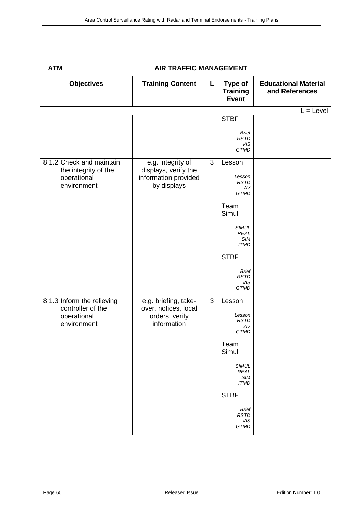| <b>ATM</b>                                         | <b>AIR TRAFFIC MANAGEMENT</b>                   |                                                             |   |                                                          |                                               |  |
|----------------------------------------------------|-------------------------------------------------|-------------------------------------------------------------|---|----------------------------------------------------------|-----------------------------------------------|--|
| <b>Objectives</b>                                  |                                                 | <b>Training Content</b>                                     | Г | <b>Type of</b><br><b>Training</b><br><b>Event</b>        | <b>Educational Material</b><br>and References |  |
|                                                    |                                                 |                                                             |   |                                                          | $L = Level$                                   |  |
|                                                    |                                                 |                                                             |   | <b>STBF</b>                                              |                                               |  |
|                                                    |                                                 |                                                             |   | <b>Brief</b><br><b>RSTD</b><br><b>VIS</b><br>GTMD        |                                               |  |
|                                                    | 8.1.2 Check and maintain                        | e.g. integrity of                                           | 3 | Lesson                                                   |                                               |  |
| the integrity of the<br>operational<br>environment |                                                 | displays, verify the<br>information provided<br>by displays |   | Lesson<br><b>RSTD</b><br>AV<br>GTMD                      |                                               |  |
|                                                    |                                                 |                                                             |   | Team<br>Simul                                            |                                               |  |
|                                                    |                                                 |                                                             |   | <b>SIMUL</b><br><b>REAL</b><br><b>SIM</b><br><b>ITMD</b> |                                               |  |
|                                                    |                                                 |                                                             |   | <b>STBF</b>                                              |                                               |  |
|                                                    |                                                 |                                                             |   | <b>Brief</b><br><b>RSTD</b><br><b>VIS</b><br>GTMD        |                                               |  |
|                                                    | 8.1.3 Inform the relieving                      | e.g. briefing, take-                                        | 3 | Lesson                                                   |                                               |  |
|                                                    | controller of the<br>operational<br>environment | over, notices, local<br>orders, verify<br>information       |   | Lesson<br><b>RSTD</b><br>AV<br>GTMD                      |                                               |  |
|                                                    |                                                 |                                                             |   | Team<br>Simul                                            |                                               |  |
|                                                    |                                                 |                                                             |   | <b>SIMUL</b><br><b>REAL</b><br><b>SIM</b><br><b>ITMD</b> |                                               |  |
|                                                    |                                                 |                                                             |   | <b>STBF</b>                                              |                                               |  |
|                                                    |                                                 |                                                             |   | <b>Brief</b><br><b>RSTD</b><br>VIS<br>GTMD               |                                               |  |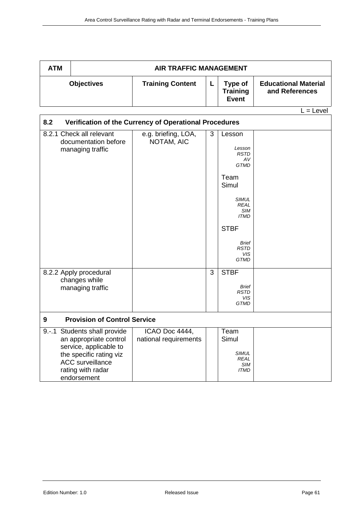| <b>ATM</b> | <b>AIR TRAFFIC MANAGEMENT</b> |                         |   |                                                   |                                               |
|------------|-------------------------------|-------------------------|---|---------------------------------------------------|-----------------------------------------------|
|            | <b>Objectives</b>             | <b>Training Content</b> | ► | <b>Type of</b><br><b>Training</b><br><b>Event</b> | <b>Educational Material</b><br>and References |
|            |                               |                         |   |                                                   | $L = Level$                                   |

| 8.2                                                                                                                                                                        | Verification of the Currency of Operational Procedures |   |                                                                                                                                                                                                       |  |  |  |  |
|----------------------------------------------------------------------------------------------------------------------------------------------------------------------------|--------------------------------------------------------|---|-------------------------------------------------------------------------------------------------------------------------------------------------------------------------------------------------------|--|--|--|--|
| 8.2.1 Check all relevant<br>documentation before<br>managing traffic                                                                                                       | e.g. briefing, LOA,<br>NOTAM, AIC                      | 3 | Lesson<br>Lesson<br><b>RSTD</b><br>AV<br><b>GTMD</b><br>Team<br>Simul<br><b>SIMUL</b><br><b>REAL</b><br><b>SIM</b><br><b>ITMD</b><br><b>STBF</b><br><b>Brief</b><br><b>RSTD</b><br><b>VIS</b><br>GTMD |  |  |  |  |
| 8.2.2 Apply procedural<br>changes while<br>managing traffic                                                                                                                |                                                        | 3 | <b>STBF</b><br><b>Brief</b><br><b>RSTD</b><br><b>VIS</b><br><b>GTMD</b>                                                                                                                               |  |  |  |  |
| <b>Provision of Control Service</b><br>9                                                                                                                                   |                                                        |   |                                                                                                                                                                                                       |  |  |  |  |
| 9.-.1 Students shall provide<br>an appropriate control<br>service, applicable to<br>the specific rating viz<br><b>ACC</b> surveillance<br>rating with radar<br>endorsement | ICAO Doc 4444,<br>national requirements                |   | Team<br>Simul<br><b>SIMUL</b><br><b>REAL</b><br><b>SIM</b><br><b>ITMD</b>                                                                                                                             |  |  |  |  |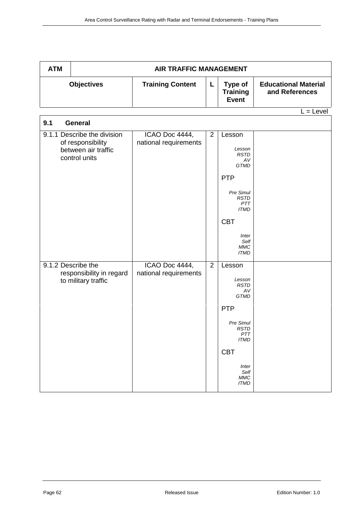| <b>ATM</b>        | <b>AIR TRAFFIC MANAGEMENT</b>                                                            |                                         |                |                                                                                                                                                                                                |                                               |
|-------------------|------------------------------------------------------------------------------------------|-----------------------------------------|----------------|------------------------------------------------------------------------------------------------------------------------------------------------------------------------------------------------|-----------------------------------------------|
| <b>Objectives</b> |                                                                                          | <b>Training Content</b>                 | L              | <b>Type of</b><br><b>Training</b><br><b>Event</b>                                                                                                                                              | <b>Educational Material</b><br>and References |
|                   |                                                                                          |                                         |                |                                                                                                                                                                                                | $L = Level$                                   |
| 9.1               | <b>General</b>                                                                           |                                         |                |                                                                                                                                                                                                |                                               |
|                   | 9.1.1 Describe the division<br>of responsibility<br>between air traffic<br>control units | ICAO Doc 4444,<br>national requirements | $\overline{2}$ | Lesson<br>Lesson<br><b>RSTD</b><br>ΑV<br><b>GTMD</b><br><b>PTP</b><br>Pre Simul<br><b>RSTD</b><br><b>PTT</b><br><b>ITMD</b><br><b>CBT</b><br><b>Inter</b><br>Self<br><b>MMC</b><br><b>ITMD</b> |                                               |
|                   | 9.1.2 Describe the<br>responsibility in regard<br>to military traffic                    | ICAO Doc 4444,<br>national requirements | $\overline{2}$ | Lesson<br>Lesson<br><b>RSTD</b><br>AV<br>GTMD<br><b>PTP</b><br>Pre Simul<br><b>RSTD</b><br>PTT<br><b>ITMD</b><br><b>CBT</b><br><b>Inter</b><br>Self<br><b>MMC</b><br><b>ITMD</b>               |                                               |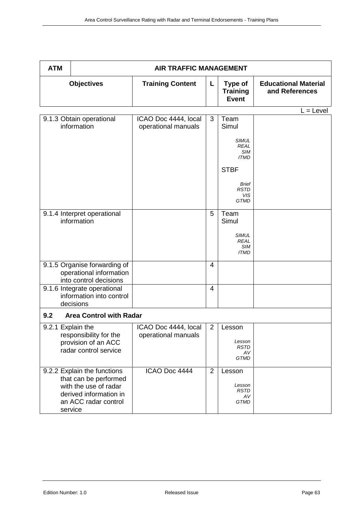| <b>ATM</b>                              | <b>AIR TRAFFIC MANAGEMENT</b>                                                                                                              |                                             |                |                                                          |                                               |  |
|-----------------------------------------|--------------------------------------------------------------------------------------------------------------------------------------------|---------------------------------------------|----------------|----------------------------------------------------------|-----------------------------------------------|--|
| <b>Objectives</b>                       |                                                                                                                                            | <b>Training Content</b>                     | L              | <b>Type of</b><br><b>Training</b><br><b>Event</b>        | <b>Educational Material</b><br>and References |  |
|                                         |                                                                                                                                            |                                             |                |                                                          | $L = Level$                                   |  |
| 9.1.3 Obtain operational<br>information |                                                                                                                                            | ICAO Doc 4444, local<br>operational manuals | 3              | Team<br>Simul                                            |                                               |  |
|                                         |                                                                                                                                            |                                             |                | <b>SIMUL</b><br><b>REAL</b><br><b>SIM</b><br><b>ITMD</b> |                                               |  |
|                                         |                                                                                                                                            |                                             |                | <b>STBF</b>                                              |                                               |  |
|                                         |                                                                                                                                            |                                             |                | Brief<br><b>RSTD</b><br>VIS<br>GTMD                      |                                               |  |
|                                         | 9.1.4 Interpret operational<br>information                                                                                                 |                                             | 5              | Team<br>Simul                                            |                                               |  |
|                                         |                                                                                                                                            |                                             |                | <b>SIMUL</b><br><b>REAL</b><br>SIM<br><b>ITMD</b>        |                                               |  |
|                                         | 9.1.5 Organise forwarding of<br>operational information<br>into control decisions                                                          |                                             | 4              |                                                          |                                               |  |
|                                         | 9.1.6 Integrate operational<br>information into control<br>decisions                                                                       |                                             | $\overline{4}$ |                                                          |                                               |  |
| 9.2<br><b>Area Control with Radar</b>   |                                                                                                                                            |                                             |                |                                                          |                                               |  |
| 9.2.1 Explain the                       | responsibility for the<br>provision of an ACC<br>radar control service                                                                     | ICAO Doc 4444, local<br>operational manuals | $\overline{2}$ | Lesson<br>Lesson<br><b>RSTD</b><br>ΑV<br>GTMD            |                                               |  |
|                                         | 9.2.2 Explain the functions<br>that can be performed<br>with the use of radar<br>derived information in<br>an ACC radar control<br>service | ICAO Doc 4444                               | $\overline{2}$ | Lesson<br>Lesson<br>RSTD<br>ΑV<br>GTMD                   |                                               |  |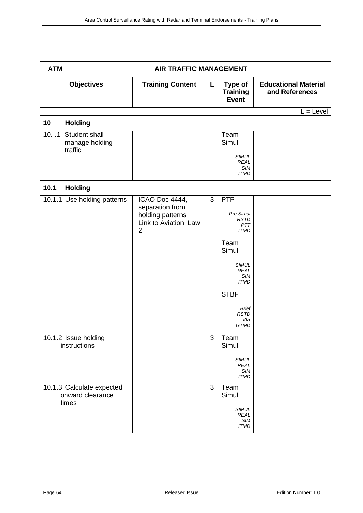| <b>ATM</b>        | <b>AIR TRAFFIC MANAGEMENT</b>                     |                                                                                                 |   |                                                              |                                               |
|-------------------|---------------------------------------------------|-------------------------------------------------------------------------------------------------|---|--------------------------------------------------------------|-----------------------------------------------|
| <b>Objectives</b> |                                                   | <b>Training Content</b>                                                                         | L | <b>Type of</b><br><b>Training</b><br><b>Event</b>            | <b>Educational Material</b><br>and References |
|                   |                                                   |                                                                                                 |   |                                                              | $L = Level$                                   |
| 10                | <b>Holding</b>                                    |                                                                                                 |   |                                                              |                                               |
|                   | 10.-.1 Student shall<br>manage holding<br>traffic |                                                                                                 |   | Team<br>Simul                                                |                                               |
|                   |                                                   |                                                                                                 |   | <b>SIMUL</b><br><b>REAL</b><br><b>SIM</b><br><b>ITMD</b>     |                                               |
| 10.1              | <b>Holding</b>                                    |                                                                                                 |   |                                                              |                                               |
|                   | 10.1.1 Use holding patterns                       | ICAO Doc 4444,<br>separation from<br>holding patterns<br>Link to Aviation Law<br>$\overline{2}$ | 3 | <b>PTP</b><br>Pre Simul<br><b>RSTD</b><br>PTT<br><b>ITMD</b> |                                               |
|                   |                                                   |                                                                                                 |   | Team<br>Simul                                                |                                               |
|                   |                                                   |                                                                                                 |   | <b>SIMUL</b><br><b>REAL</b><br><b>SIM</b><br><b>ITMD</b>     |                                               |
|                   |                                                   |                                                                                                 |   | <b>STBF</b>                                                  |                                               |
|                   |                                                   |                                                                                                 |   | Brief<br><b>RSTD</b><br>VIS<br>GTMD                          |                                               |
|                   | 10.1.2 Issue holding<br>instructions              |                                                                                                 | 3 | Team<br>Simul                                                |                                               |
|                   |                                                   |                                                                                                 |   | <b>SIMUL</b><br><b>REAL</b><br><b>SIM</b><br><b>ITMD</b>     |                                               |
| times             | 10.1.3 Calculate expected<br>onward clearance     |                                                                                                 | 3 | Team<br>Simul                                                |                                               |
|                   |                                                   |                                                                                                 |   | <b>SIMUL</b><br><b>REAL</b><br><b>SIM</b><br><b>ITMD</b>     |                                               |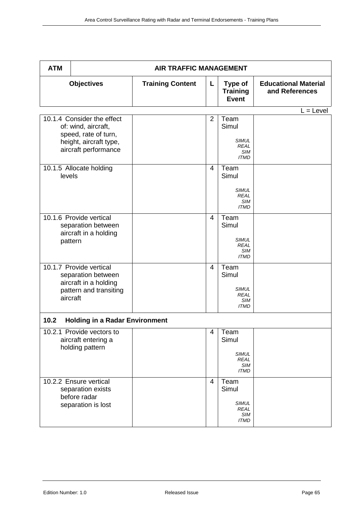| <b>ATM</b>                                                                | <b>AIR TRAFFIC MANAGEMENT</b>                                       |                         |                |                                                          |                                               |  |
|---------------------------------------------------------------------------|---------------------------------------------------------------------|-------------------------|----------------|----------------------------------------------------------|-----------------------------------------------|--|
| <b>Objectives</b>                                                         |                                                                     | <b>Training Content</b> | L              | <b>Type of</b><br><b>Training</b><br><b>Event</b>        | <b>Educational Material</b><br>and References |  |
|                                                                           |                                                                     |                         |                |                                                          | $L = Level$                                   |  |
| 10.1.4 Consider the effect<br>of: wind, aircraft,<br>speed, rate of turn, |                                                                     |                         | $\overline{2}$ | Team<br>Simul                                            |                                               |  |
| height, aircraft type,<br>aircraft performance                            |                                                                     |                         |                | <b>SIMUL</b><br><b>REAL</b><br><b>SIM</b><br><b>ITMD</b> |                                               |  |
| 10.1.5 Allocate holding<br>levels                                         |                                                                     |                         | $\overline{4}$ | Team<br>Simul                                            |                                               |  |
|                                                                           |                                                                     |                         |                | <b>SIMUL</b><br><b>REAL</b><br><b>SIM</b><br><b>ITMD</b> |                                               |  |
| 10.1.6 Provide vertical<br>separation between<br>aircraft in a holding    |                                                                     |                         | 4              | Team<br>Simul                                            |                                               |  |
|                                                                           | pattern                                                             |                         |                | <b>SIMUL</b><br><b>REAL</b><br><b>SIM</b><br><b>ITMD</b> |                                               |  |
| 10.1.7 Provide vertical<br>separation between<br>aircraft in a holding    |                                                                     |                         | $\overline{4}$ | Team<br>Simul                                            |                                               |  |
|                                                                           | pattern and transiting<br>aircraft                                  |                         |                | <b>SIMUL</b><br><b>REAL</b><br><b>SIM</b><br><b>ITMD</b> |                                               |  |
| 10.2<br><b>Holding in a Radar Environment</b>                             |                                                                     |                         |                |                                                          |                                               |  |
|                                                                           | 10.2.1 Provide vectors to<br>aircraft entering a<br>holding pattern |                         | $\overline{4}$ | Team<br>Simul                                            |                                               |  |
|                                                                           |                                                                     |                         |                | <b>SIMUL</b><br><b>REAL</b><br><b>SIM</b><br><b>ITMD</b> |                                               |  |
| 10.2.2 Ensure vertical<br>separation exists<br>before radar               |                                                                     |                         | 4              | Team<br>Simul                                            |                                               |  |
|                                                                           | separation is lost                                                  |                         |                | <b>SIMUL</b><br><b>REAL</b><br><b>SIM</b><br><b>ITMD</b> |                                               |  |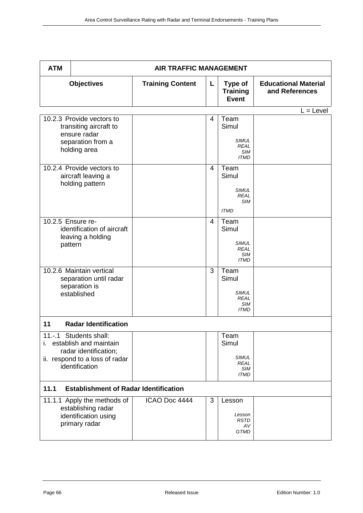| <b>ATM</b>                                                                                               | <b>AIR TRAFFIC MANAGEMENT</b>                                                                       |                         |   |                                                                           |                                               |  |
|----------------------------------------------------------------------------------------------------------|-----------------------------------------------------------------------------------------------------|-------------------------|---|---------------------------------------------------------------------------|-----------------------------------------------|--|
| <b>Objectives</b>                                                                                        |                                                                                                     | <b>Training Content</b> | L | <b>Type of</b><br><b>Training</b><br><b>Event</b>                         | <b>Educational Material</b><br>and References |  |
|                                                                                                          |                                                                                                     |                         |   |                                                                           | $L = Level$                                   |  |
| 10.2.3 Provide vectors to<br>transiting aircraft to<br>ensure radar<br>separation from a<br>holding area |                                                                                                     |                         | 4 | Team<br>Simul<br><b>SIMUL</b><br><b>RFAI</b><br><b>SIM</b><br><b>ITMD</b> |                                               |  |
|                                                                                                          | 10.2.4 Provide vectors to<br>aircraft leaving a<br>holding pattern                                  |                         | 4 | Team<br>Simul<br><b>SIMUL</b><br><b>REAL</b><br><b>SIM</b><br><b>ITMD</b> |                                               |  |
| 10.2.5 Ensure re-<br>pattern                                                                             | identification of aircraft<br>leaving a holding                                                     |                         | 4 | Team<br>Simul<br><b>SIMUL</b><br><b>REAL</b><br><b>SIM</b><br><b>ITMD</b> |                                               |  |
|                                                                                                          | 10.2.6 Maintain vertical<br>separation until radar<br>separation is<br>established                  |                         | 3 | Team<br>Simul<br><b>SIMUL</b><br><i>REAL</i><br><b>SIM</b><br><b>ITMD</b> |                                               |  |
| 11                                                                                                       | <b>Radar Identification</b>                                                                         |                         |   |                                                                           |                                               |  |
| 11.-.1 Students shall:                                                                                   | establish and maintain<br>radar identification;<br>ii. respond to a loss of radar<br>identification |                         |   | Team<br>Simul<br><b>SIMUL</b><br><b>REAL</b><br><b>SIM</b><br><b>ITMD</b> |                                               |  |
| 11.1<br><b>Establishment of Radar Identification</b>                                                     |                                                                                                     |                         |   |                                                                           |                                               |  |
|                                                                                                          | 11.1.1 Apply the methods of<br>establishing radar<br>identification using<br>primary radar          | ICAO Doc 4444           | 3 | Lesson<br>Lesson<br><b>RSTD</b><br>AV<br><b>GTMD</b>                      |                                               |  |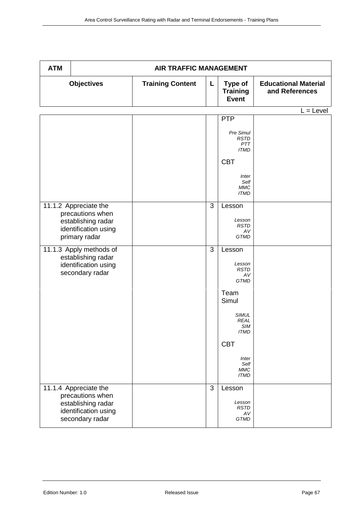| <b>ATM</b> | <b>AIR TRAFFIC MANAGEMENT</b>                                                     |                         |   |                                                          |                                               |
|------------|-----------------------------------------------------------------------------------|-------------------------|---|----------------------------------------------------------|-----------------------------------------------|
|            | <b>Objectives</b>                                                                 | <b>Training Content</b> | L | Type of<br><b>Training</b><br><b>Event</b>               | <b>Educational Material</b><br>and References |
|            |                                                                                   |                         |   |                                                          | $L = Level$                                   |
|            |                                                                                   |                         |   | <b>PTP</b>                                               |                                               |
|            |                                                                                   |                         |   | Pre Simul<br><b>RSTD</b><br>PTT<br><b>ITMD</b>           |                                               |
|            |                                                                                   |                         |   | <b>CBT</b>                                               |                                               |
|            |                                                                                   |                         |   | <b>Inter</b><br>Self<br><b>MMC</b><br><b>ITMD</b>        |                                               |
|            | 11.1.2 Appreciate the                                                             |                         | 3 | Lesson                                                   |                                               |
|            | precautions when<br>establishing radar<br>identification using<br>primary radar   |                         |   | Lesson<br><b>RSTD</b><br>AV<br>GTMD                      |                                               |
|            | 11.1.3 Apply methods of                                                           |                         | 3 | Lesson                                                   |                                               |
|            | establishing radar<br>identification using<br>secondary radar                     |                         |   | Lesson<br><b>RSTD</b><br>AV<br>GTMD                      |                                               |
|            |                                                                                   |                         |   | Team<br>Simul                                            |                                               |
|            |                                                                                   |                         |   | <b>SIMUL</b><br><b>REAL</b><br><b>SIM</b><br><b>ITMD</b> |                                               |
|            |                                                                                   |                         |   | <b>CBT</b>                                               |                                               |
|            |                                                                                   |                         |   | <b>Inter</b><br>Self<br><b>MMC</b><br><b>ITMD</b>        |                                               |
|            | 11.1.4 Appreciate the                                                             |                         | 3 | Lesson                                                   |                                               |
|            | precautions when<br>establishing radar<br>identification using<br>secondary radar |                         |   | Lesson<br><b>RSTD</b><br>AV<br>GTMD                      |                                               |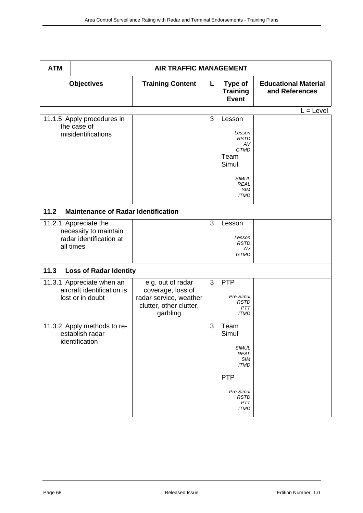| <b>ATM</b> |                                                                                        | <b>AIR TRAFFIC MANAGEMENT</b>                                                                           |   |                                                                                                                                           |                                               |  |
|------------|----------------------------------------------------------------------------------------|---------------------------------------------------------------------------------------------------------|---|-------------------------------------------------------------------------------------------------------------------------------------------|-----------------------------------------------|--|
|            | <b>Objectives</b>                                                                      | <b>Training Content</b>                                                                                 | L | Type of<br><b>Training</b><br><b>Event</b>                                                                                                | <b>Educational Material</b><br>and References |  |
|            |                                                                                        |                                                                                                         |   |                                                                                                                                           | $L = Level$                                   |  |
|            | 11.1.5 Apply procedures in<br>the case of<br>misidentifications                        |                                                                                                         | 3 | Lesson<br>Lesson<br><b>RSTD</b><br>AV<br><b>GTMD</b><br>Team<br>Simul<br><b>SIMUL</b><br><b>REAL</b><br><b>SIM</b><br><b>ITMD</b>         |                                               |  |
| 11.2       | <b>Maintenance of Radar Identification</b>                                             |                                                                                                         |   |                                                                                                                                           |                                               |  |
|            | 11.2.1 Appreciate the<br>necessity to maintain<br>radar identification at<br>all times |                                                                                                         | 3 | Lesson<br>Lesson<br>RSTD<br>AV<br>GTMD                                                                                                    |                                               |  |
| 11.3       | <b>Loss of Radar Identity</b>                                                          |                                                                                                         |   |                                                                                                                                           |                                               |  |
|            | 11.3.1 Appreciate when an<br>aircraft identification is<br>lost or in doubt            | e.g. out of radar<br>coverage, loss of<br>radar service, weather<br>clutter, other clutter,<br>garbling | 3 | <b>PTP</b><br>Pre Simul<br><b>RSTD</b><br>PTT<br>ITMD                                                                                     |                                               |  |
|            | 11.3.2 Apply methods to re-<br>establish radar<br>identification                       |                                                                                                         | 3 | Team<br>Simul<br><b>SIMUL</b><br><b>REAL</b><br><b>SIM</b><br><b>ITMD</b><br><b>PTP</b><br>Pre Simul<br><b>RSTD</b><br>PTT<br><b>ITMD</b> |                                               |  |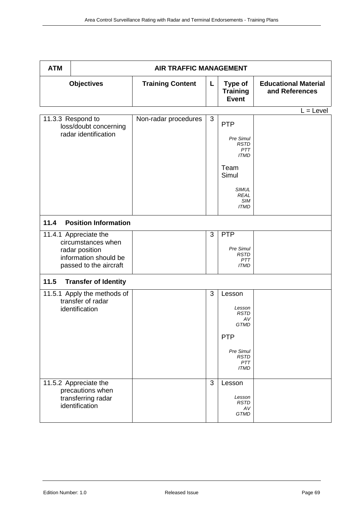| <b>ATM</b> | <b>AIR TRAFFIC MANAGEMENT</b>                                                                                    |                         |   |                                                              |                                               |  |  |
|------------|------------------------------------------------------------------------------------------------------------------|-------------------------|---|--------------------------------------------------------------|-----------------------------------------------|--|--|
|            | <b>Objectives</b>                                                                                                | <b>Training Content</b> | L | <b>Type of</b><br><b>Training</b><br><b>Event</b>            | <b>Educational Material</b><br>and References |  |  |
|            |                                                                                                                  |                         |   |                                                              | $L = Level$                                   |  |  |
|            | 11.3.3 Respond to<br>loss/doubt concerning                                                                       | Non-radar procedures    | 3 | <b>PTP</b>                                                   |                                               |  |  |
|            | radar identification                                                                                             |                         |   | Pre Simul<br><b>RSTD</b><br><b>PTT</b><br><b>ITMD</b>        |                                               |  |  |
|            |                                                                                                                  |                         |   | Team<br>Simul                                                |                                               |  |  |
|            |                                                                                                                  |                         |   | <b>SIMUL</b><br><b>REAL</b><br><b>SIM</b><br><b>ITMD</b>     |                                               |  |  |
| 11.4       | <b>Position Information</b>                                                                                      |                         |   |                                                              |                                               |  |  |
|            | 11.4.1 Appreciate the<br>circumstances when<br>radar position<br>information should be<br>passed to the aircraft |                         | 3 | <b>PTP</b><br>Pre Simul<br><b>RSTD</b><br>PTT<br><b>ITMD</b> |                                               |  |  |
| 11.5       | <b>Transfer of Identity</b>                                                                                      |                         |   |                                                              |                                               |  |  |
|            | 11.5.1 Apply the methods of<br>transfer of radar                                                                 |                         | 3 | Lesson                                                       |                                               |  |  |
|            | identification                                                                                                   |                         |   | Lesson<br><b>RSTD</b><br>AV<br>GTMD                          |                                               |  |  |
|            |                                                                                                                  |                         |   | <b>PTP</b>                                                   |                                               |  |  |
|            |                                                                                                                  |                         |   | Pre Simul<br><b>RSTD</b><br><b>PTT</b><br>ITMD               |                                               |  |  |
|            | 11.5.2 Appreciate the<br>precautions when<br>transferring radar<br>identification                                |                         | 3 | Lesson<br>Lesson<br><b>RSTD</b><br>AV<br>GTMD                |                                               |  |  |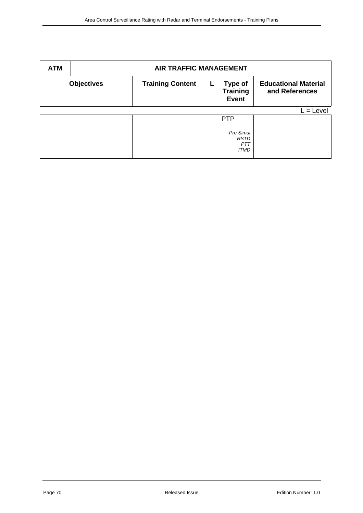| <b>ATM</b> | <b>AIR TRAFFIC MANAGEMENT</b> |                         |   |                                                       |                                               |  |
|------------|-------------------------------|-------------------------|---|-------------------------------------------------------|-----------------------------------------------|--|
|            | <b>Objectives</b>             | <b>Training Content</b> | L | <b>Type of</b><br><b>Training</b><br><b>Event</b>     | <b>Educational Material</b><br>and References |  |
|            |                               |                         |   |                                                       | $L = Level$                                   |  |
|            |                               |                         |   | <b>PTP</b>                                            |                                               |  |
|            |                               |                         |   | Pre Simul<br><b>RSTD</b><br><b>PTT</b><br><b>ITMD</b> |                                               |  |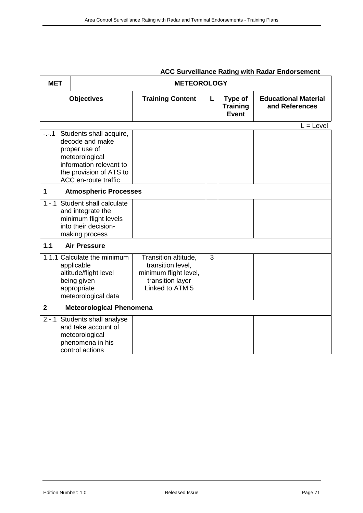| <b>MET</b>     |                                                                                                                                                             | <b>METEOROLOGY</b>                                                                                        |   |                                            |                                               |  |
|----------------|-------------------------------------------------------------------------------------------------------------------------------------------------------------|-----------------------------------------------------------------------------------------------------------|---|--------------------------------------------|-----------------------------------------------|--|
|                | <b>Objectives</b>                                                                                                                                           | <b>Training Content</b>                                                                                   | L | Type of<br><b>Training</b><br><b>Event</b> | <b>Educational Material</b><br>and References |  |
|                |                                                                                                                                                             |                                                                                                           |   |                                            | $L = Level$                                   |  |
| $-1 - 1$       | Students shall acquire,<br>decode and make<br>proper use of<br>meteorological<br>information relevant to<br>the provision of ATS to<br>ACC en-route traffic |                                                                                                           |   |                                            |                                               |  |
| 1              | <b>Atmospheric Processes</b>                                                                                                                                |                                                                                                           |   |                                            |                                               |  |
|                | 1.-.1 Student shall calculate<br>and integrate the<br>minimum flight levels<br>into their decision-<br>making process                                       |                                                                                                           |   |                                            |                                               |  |
| 1.1            | <b>Air Pressure</b>                                                                                                                                         |                                                                                                           |   |                                            |                                               |  |
|                | 1.1.1 Calculate the minimum<br>applicable<br>altitude/flight level<br>being given<br>appropriate<br>meteorological data                                     | Transition altitude,<br>transition level,<br>minimum flight level,<br>transition layer<br>Linked to ATM 5 | 3 |                                            |                                               |  |
| $\overline{2}$ | <b>Meteorological Phenomena</b>                                                                                                                             |                                                                                                           |   |                                            |                                               |  |
|                | 2.-.1 Students shall analyse<br>and take account of<br>meteorological<br>phenomena in his<br>control actions                                                |                                                                                                           |   |                                            |                                               |  |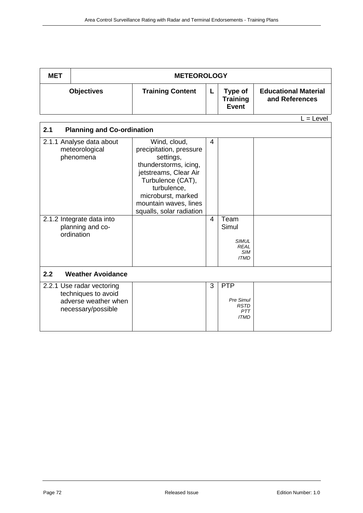| <b>MET</b> | <b>METEOROLOGY</b> |                         |   |                                            |                                               |
|------------|--------------------|-------------------------|---|--------------------------------------------|-----------------------------------------------|
|            | <b>Objectives</b>  | <b>Training Content</b> | ► | <b>Type of</b><br>Training<br><b>Event</b> | <b>Educational Material</b><br>and References |
|            |                    |                         |   |                                            |                                               |

| <b>Planning and Co-ordination</b><br>2.1                                                       |                                                                                                                                                                                                                       |   |                                                                           |  |
|------------------------------------------------------------------------------------------------|-----------------------------------------------------------------------------------------------------------------------------------------------------------------------------------------------------------------------|---|---------------------------------------------------------------------------|--|
| 2.1.1 Analyse data about<br>meteorological<br>phenomena                                        | Wind, cloud,<br>precipitation, pressure<br>settings,<br>thunderstorms, icing,<br>jetstreams, Clear Air<br>Turbulence (CAT),<br>turbulence,<br>microburst, marked<br>mountain waves, lines<br>squalls, solar radiation | 4 |                                                                           |  |
| 2.1.2 Integrate data into<br>planning and co-<br>ordination                                    |                                                                                                                                                                                                                       | 4 | Team<br>Simul<br><b>SIMUL</b><br><b>REAL</b><br><b>SIM</b><br><b>ITMD</b> |  |
| 2.2<br><b>Weather Avoidance</b>                                                                |                                                                                                                                                                                                                       |   |                                                                           |  |
| 2.2.1 Use radar vectoring<br>techniques to avoid<br>adverse weather when<br>necessary/possible |                                                                                                                                                                                                                       | 3 | <b>PTP</b><br>Pre Simul<br><b>RSTD</b><br><b>PTT</b><br><b>ITMD</b>       |  |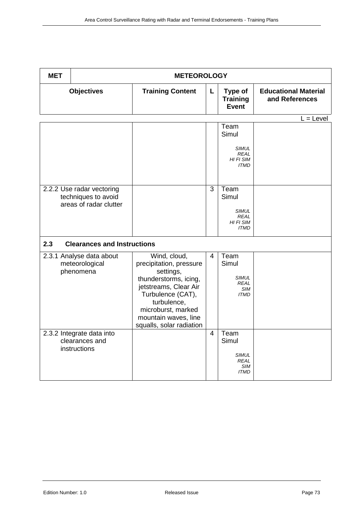| <b>MET</b> |                                                                            | <b>METEOROLOGY</b>                                                                                                                                                                                                   |                |                                                                           |                                               |
|------------|----------------------------------------------------------------------------|----------------------------------------------------------------------------------------------------------------------------------------------------------------------------------------------------------------------|----------------|---------------------------------------------------------------------------|-----------------------------------------------|
|            | <b>Objectives</b>                                                          | <b>Training Content</b>                                                                                                                                                                                              | Г              | Type of<br><b>Training</b><br><b>Event</b>                                | <b>Educational Material</b><br>and References |
|            |                                                                            |                                                                                                                                                                                                                      |                |                                                                           | $L = Level$                                   |
|            |                                                                            |                                                                                                                                                                                                                      |                | Team<br>Simul                                                             |                                               |
|            |                                                                            |                                                                                                                                                                                                                      |                | <b>SIMUL</b><br><b>REAL</b><br>HI FI SIM<br><b>ITMD</b>                   |                                               |
|            | 2.2.2 Use radar vectoring<br>techniques to avoid<br>areas of radar clutter |                                                                                                                                                                                                                      | 3              | Team<br>Simul                                                             |                                               |
|            |                                                                            |                                                                                                                                                                                                                      |                | <b>SIMUL</b><br><b>REAL</b><br>HI FI SIM<br><b>ITMD</b>                   |                                               |
| 2.3        | <b>Clearances and Instructions</b>                                         |                                                                                                                                                                                                                      |                |                                                                           |                                               |
|            | 2.3.1 Analyse data about<br>meteorological<br>phenomena                    | Wind, cloud,<br>precipitation, pressure<br>settings,<br>thunderstorms, icing,<br>jetstreams, Clear Air<br>Turbulence (CAT),<br>turbulence,<br>microburst, marked<br>mountain waves, line<br>squalls, solar radiation | 4              | Team<br>Simul<br><b>SIMUL</b><br><b>REAL</b><br><b>SIM</b><br><b>ITMD</b> |                                               |
|            | 2.3.2 Integrate data into<br>clearances and<br>instructions                |                                                                                                                                                                                                                      | $\overline{4}$ | Team<br>Simul<br><b>SIMUL</b><br><b>REAL</b><br><b>SIM</b><br><b>ITMD</b> |                                               |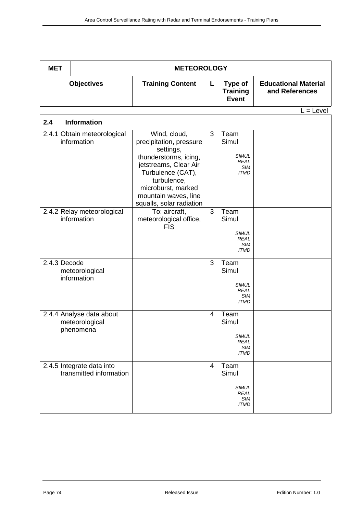| <b>MET</b> | <b>METEOROLOGY</b> |                         |  |                                     |                                               |
|------------|--------------------|-------------------------|--|-------------------------------------|-----------------------------------------------|
|            | <b>Objectives</b>  | <b>Training Content</b> |  | Type of<br>Training<br><b>Event</b> | <b>Educational Material</b><br>and References |
|            |                    |                         |  |                                     | $L = Level$                                   |

| <b>Information</b><br>2.4                               |                                                                                                                                                                                                                      |                          |                                                                           |  |
|---------------------------------------------------------|----------------------------------------------------------------------------------------------------------------------------------------------------------------------------------------------------------------------|--------------------------|---------------------------------------------------------------------------|--|
| 2.4.1 Obtain meteorological<br>information              | Wind, cloud,<br>precipitation, pressure<br>settings,<br>thunderstorms, icing,<br>jetstreams, Clear Air<br>Turbulence (CAT),<br>turbulence,<br>microburst, marked<br>mountain waves, line<br>squalls, solar radiation | 3                        | Team<br>Simul<br><b>SIMUL</b><br><b>REAL</b><br><b>SIM</b><br><b>ITMD</b> |  |
| 2.4.2 Relay meteorological<br>information               | To: aircraft,<br>meteorological office,<br><b>FIS</b>                                                                                                                                                                | 3                        | Team<br>Simul<br><b>SIMUL</b><br><b>REAL</b><br><b>SIM</b><br><b>ITMD</b> |  |
| 2.4.3 Decode<br>meteorological<br>information           |                                                                                                                                                                                                                      | 3                        | Team<br>Simul<br><b>SIMUL</b><br><b>REAL</b><br><b>SIM</b><br><b>ITMD</b> |  |
| 2.4.4 Analyse data about<br>meteorological<br>phenomena |                                                                                                                                                                                                                      | $\overline{\mathcal{L}}$ | Team<br>Simul<br><b>SIMUL</b><br><b>REAL</b><br><b>SIM</b><br><b>ITMD</b> |  |
| 2.4.5 Integrate data into<br>transmitted information    |                                                                                                                                                                                                                      | $\overline{4}$           | Team<br>Simul<br><b>SIMUL</b><br><b>REAL</b><br><b>SIM</b><br><b>ITMD</b> |  |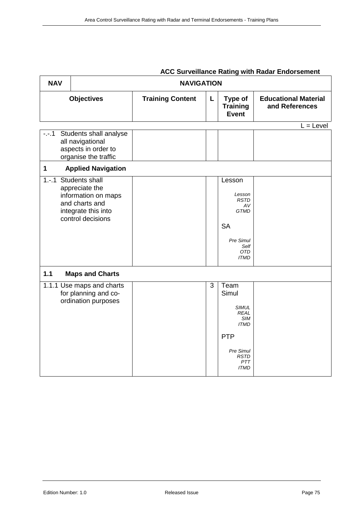| <b>NAV</b>   |                                                                                                                             | <b>NAVIGATION</b>       |   |                                                                                                                                                  |                                               |
|--------------|-----------------------------------------------------------------------------------------------------------------------------|-------------------------|---|--------------------------------------------------------------------------------------------------------------------------------------------------|-----------------------------------------------|
|              | <b>Objectives</b>                                                                                                           | <b>Training Content</b> | L | Type of<br><b>Training</b><br><b>Event</b>                                                                                                       | <b>Educational Material</b><br>and References |
|              |                                                                                                                             |                         |   |                                                                                                                                                  | $L = Level$                                   |
|              | -.-.1 Students shall analyse<br>all navigational<br>aspects in order to<br>organise the traffic                             |                         |   |                                                                                                                                                  |                                               |
| $\mathbf{1}$ | <b>Applied Navigation</b>                                                                                                   |                         |   |                                                                                                                                                  |                                               |
|              | 1.-.1 Students shall<br>appreciate the<br>information on maps<br>and charts and<br>integrate this into<br>control decisions |                         |   | Lesson<br>Lesson<br><b>RSTD</b><br>AV<br>GTMD<br><b>SA</b><br>Pre Simul<br>Self<br><b>OTD</b><br><b>ITMD</b>                                     |                                               |
| $1.1$        | <b>Maps and Charts</b>                                                                                                      |                         |   |                                                                                                                                                  |                                               |
|              | 1.1.1 Use maps and charts<br>for planning and co-<br>ordination purposes                                                    |                         | 3 | Team<br>Simul<br><b>SIMUL</b><br><b>REAL</b><br><b>SIM</b><br><b>ITMD</b><br><b>PTP</b><br>Pre Simul<br><b>RSTD</b><br><b>PTT</b><br><b>ITMD</b> |                                               |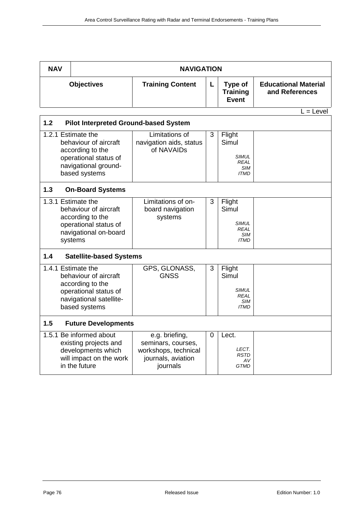| <b>NAV</b> |                                                                                                                                      | <b>NAVIGATION</b>                                                                              |   |                                                                             |                                               |  |
|------------|--------------------------------------------------------------------------------------------------------------------------------------|------------------------------------------------------------------------------------------------|---|-----------------------------------------------------------------------------|-----------------------------------------------|--|
|            | <b>Objectives</b>                                                                                                                    | <b>Training Content</b>                                                                        | Г | Type of<br><b>Training</b><br><b>Event</b>                                  | <b>Educational Material</b><br>and References |  |
|            |                                                                                                                                      |                                                                                                |   |                                                                             | $L = Level$                                   |  |
| 1.2        | <b>Pilot Interpreted Ground-based System</b>                                                                                         |                                                                                                |   |                                                                             |                                               |  |
|            | 1.2.1 Estimate the<br>behaviour of aircraft<br>according to the<br>operational status of<br>navigational ground-<br>based systems    | Limitations of<br>navigation aids, status<br>of NAVAIDs                                        | 3 | Flight<br>Simul<br><b>SIMUL</b><br><b>REAL</b><br>SIM<br><b>ITMD</b>        |                                               |  |
| 1.3        | <b>On-Board Systems</b>                                                                                                              |                                                                                                |   |                                                                             |                                               |  |
|            | 1.3.1 Estimate the<br>behaviour of aircraft<br>according to the<br>operational status of<br>navigational on-board<br>systems         | Limitations of on-<br>board navigation<br>systems                                              | 3 | Flight<br>Simul<br><b>SIMUL</b><br><b>REAL</b><br><b>SIM</b><br><b>ITMD</b> |                                               |  |
| 1.4        | <b>Satellite-based Systems</b>                                                                                                       |                                                                                                |   |                                                                             |                                               |  |
|            | 1.4.1 Estimate the<br>behaviour of aircraft<br>according to the<br>operational status of<br>navigational satellite-<br>based systems | GPS, GLONASS,<br><b>GNSS</b>                                                                   | 3 | Flight<br>Simul<br><b>SIMUL</b><br><b>REAL</b><br><b>SIM</b><br><b>ITMD</b> |                                               |  |
| 1.5        | <b>Future Developments</b>                                                                                                           |                                                                                                |   |                                                                             |                                               |  |
|            | 1.5.1 Be informed about<br>existing projects and<br>developments which<br>will impact on the work<br>in the future                   | e.g. briefing,<br>seminars, courses,<br>workshops, technical<br>journals, aviation<br>journals | 0 | Lect.<br>LECT.<br><b>RSTD</b><br>AV<br><b>GTMD</b>                          |                                               |  |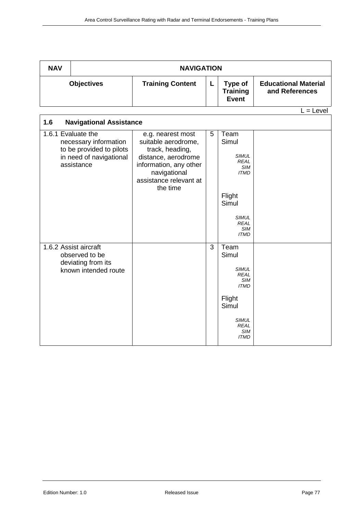| <b>NAV</b> |                                                                                                                  | <b>NAVIGATION</b>                                                                                                                                                  |    |                                                                                                                             |                                               |
|------------|------------------------------------------------------------------------------------------------------------------|--------------------------------------------------------------------------------------------------------------------------------------------------------------------|----|-----------------------------------------------------------------------------------------------------------------------------|-----------------------------------------------|
|            | <b>Objectives</b>                                                                                                | <b>Training Content</b>                                                                                                                                            | L. | Type of<br><b>Training</b><br><b>Event</b>                                                                                  | <b>Educational Material</b><br>and References |
|            |                                                                                                                  |                                                                                                                                                                    |    |                                                                                                                             | $L = Level$                                   |
| 1.6        | <b>Navigational Assistance</b>                                                                                   |                                                                                                                                                                    |    |                                                                                                                             |                                               |
|            | 1.6.1 Evaluate the<br>necessary information<br>to be provided to pilots<br>in need of navigational<br>assistance | e.g. nearest most<br>suitable aerodrome,<br>track, heading,<br>distance, aerodrome<br>information, any other<br>navigational<br>assistance relevant at<br>the time | 5  | Team<br>Simul<br><b>SIMUL</b><br><b>REAL</b><br><b>SIM</b><br><b>ITMD</b><br>Flight                                         |                                               |
|            |                                                                                                                  |                                                                                                                                                                    |    | Simul<br><b>SIMUL</b><br><b>REAL</b><br><b>SIM</b><br><b>ITMD</b>                                                           |                                               |
|            | 1.6.2 Assist aircraft<br>observed to be<br>deviating from its<br>known intended route                            |                                                                                                                                                                    | 3  | Team<br>Simul<br><b>SIMUL</b><br><b>REAL</b><br><b>SIM</b><br><b>ITMD</b><br>Flight<br>Simul<br><b>SIMUL</b><br><b>REAL</b> |                                               |

*SIM ITMD*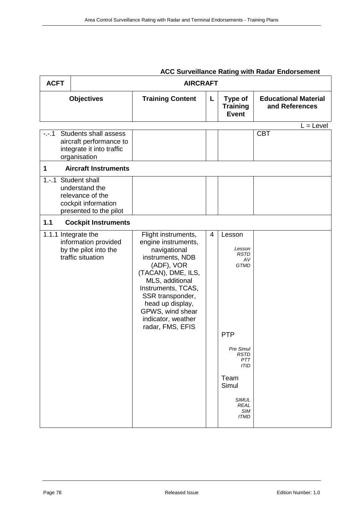| <b>ACFT</b>         | <b>AIRCRAFT</b>                                                                               |                                                                                                                                                                                                                                                                   |   |                                                                                                                                                                                            |                                               |
|---------------------|-----------------------------------------------------------------------------------------------|-------------------------------------------------------------------------------------------------------------------------------------------------------------------------------------------------------------------------------------------------------------------|---|--------------------------------------------------------------------------------------------------------------------------------------------------------------------------------------------|-----------------------------------------------|
|                     | <b>Objectives</b>                                                                             | <b>Training Content</b>                                                                                                                                                                                                                                           | L | <b>Type of</b><br><b>Training</b><br><b>Event</b>                                                                                                                                          | <b>Educational Material</b><br>and References |
|                     |                                                                                               |                                                                                                                                                                                                                                                                   |   |                                                                                                                                                                                            | $L = Level$                                   |
| $-,-.1$             | Students shall assess<br>aircraft performance to<br>integrate it into traffic<br>organisation |                                                                                                                                                                                                                                                                   |   |                                                                                                                                                                                            | <b>CBT</b>                                    |
| 1                   | <b>Aircraft Instruments</b>                                                                   |                                                                                                                                                                                                                                                                   |   |                                                                                                                                                                                            |                                               |
| 1.-.1 Student shall | understand the<br>relevance of the<br>cockpit information<br>presented to the pilot           |                                                                                                                                                                                                                                                                   |   |                                                                                                                                                                                            |                                               |
| 1.1                 | <b>Cockpit Instruments</b>                                                                    |                                                                                                                                                                                                                                                                   |   |                                                                                                                                                                                            |                                               |
| 1.1.1 Integrate the | information provided<br>by the pilot into the<br>traffic situation                            | Flight instruments,<br>engine instruments,<br>navigational<br>instruments, NDB<br>(ADF), VOR<br>(TACAN), DME, ILS,<br>MLS, additional<br>Instruments, TCAS,<br>SSR transponder,<br>head up display,<br>GPWS, wind shear<br>indicator, weather<br>radar, FMS, EFIS | 4 | Lesson<br>Lesson<br>RSTD<br>AV<br><b>GTMD</b><br><b>PTP</b><br>Pre Simul<br><b>RSTD</b><br>PTT<br><b>ITID</b><br>Team<br>Simul<br><b>SIMUL</b><br><b>REAL</b><br><b>SIM</b><br><b>ITMD</b> |                                               |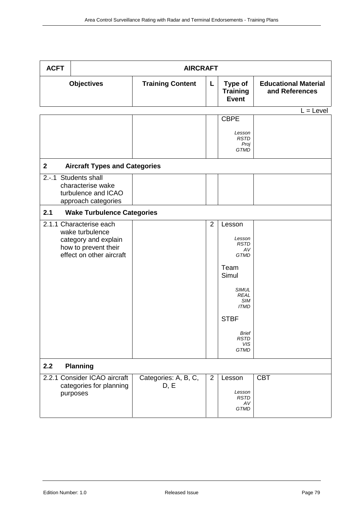| <b>ACFT</b>       |                                                                                                                        | <b>AIRCRAFT</b>              |                |                                                                                                                                                                                         |                                               |
|-------------------|------------------------------------------------------------------------------------------------------------------------|------------------------------|----------------|-----------------------------------------------------------------------------------------------------------------------------------------------------------------------------------------|-----------------------------------------------|
| <b>Objectives</b> |                                                                                                                        | <b>Training Content</b>      | L              | <b>Type of</b><br><b>Training</b><br><b>Event</b>                                                                                                                                       | <b>Educational Material</b><br>and References |
|                   |                                                                                                                        |                              |                |                                                                                                                                                                                         | $L = Level$                                   |
|                   |                                                                                                                        |                              |                | <b>CBPE</b>                                                                                                                                                                             |                                               |
|                   |                                                                                                                        |                              |                | Lesson<br><b>RSTD</b><br>Proj<br>GTMD                                                                                                                                                   |                                               |
| $\mathbf{2}$      | <b>Aircraft Types and Categories</b>                                                                                   |                              |                |                                                                                                                                                                                         |                                               |
|                   | 2.-.1 Students shall<br>characterise wake<br>turbulence and ICAO<br>approach categories                                |                              |                |                                                                                                                                                                                         |                                               |
| 2.1               | <b>Wake Turbulence Categories</b>                                                                                      |                              |                |                                                                                                                                                                                         |                                               |
|                   | 2.1.1 Characterise each<br>wake turbulence<br>category and explain<br>how to prevent their<br>effect on other aircraft |                              | $\overline{2}$ | Lesson<br>Lesson<br><b>RSTD</b><br>AV<br>GTMD<br>Team<br>Simul<br><b>SIMUL</b><br><b>REAL</b><br><b>SIM</b><br><b>ITMD</b><br><b>STBF</b><br><b>Brief</b><br><b>RSTD</b><br>VIS<br>GTMD |                                               |
| 2.2               | <b>Planning</b>                                                                                                        |                              |                |                                                                                                                                                                                         |                                               |
|                   | 2.2.1 Consider ICAO aircraft<br>categories for planning<br>purposes                                                    | Categories: A, B, C,<br>D, E | $\overline{2}$ | Lesson<br>Lesson<br><b>RSTD</b><br>AV<br>GTMD                                                                                                                                           | <b>CBT</b>                                    |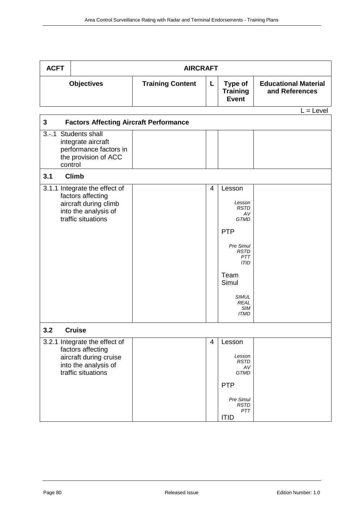| <b>ACFT</b>  |                                                                                                                            | <b>AIRCRAFT</b>         |   |                                                                                                                                                                                            |                                               |
|--------------|----------------------------------------------------------------------------------------------------------------------------|-------------------------|---|--------------------------------------------------------------------------------------------------------------------------------------------------------------------------------------------|-----------------------------------------------|
|              | <b>Objectives</b>                                                                                                          | <b>Training Content</b> | L | <b>Type of</b><br><b>Training</b><br><b>Event</b>                                                                                                                                          | <b>Educational Material</b><br>and References |
|              |                                                                                                                            |                         |   |                                                                                                                                                                                            | $L = Level$                                   |
| $\mathbf{3}$ | <b>Factors Affecting Aircraft Performance</b>                                                                              |                         |   |                                                                                                                                                                                            |                                               |
|              | 3.-.1 Students shall<br>integrate aircraft<br>performance factors in<br>the provision of ACC<br>control                    |                         |   |                                                                                                                                                                                            |                                               |
| 3.1          | <b>Climb</b>                                                                                                               |                         |   |                                                                                                                                                                                            |                                               |
|              | 3.1.1 Integrate the effect of<br>factors affecting<br>aircraft during climb<br>into the analysis of<br>traffic situations  |                         | 4 | Lesson<br>Lesson<br><b>RSTD</b><br>AV<br>GTMD<br><b>PTP</b><br>Pre Simul<br><b>RSTD</b><br><b>PTT</b><br><b>ITID</b><br>Team<br>Simul<br><b>SIMUL</b><br><b>REAL</b><br><b>SIM</b><br>ITMD |                                               |
| 3.2          | <b>Cruise</b>                                                                                                              |                         |   |                                                                                                                                                                                            |                                               |
|              | 3.2.1 Integrate the effect of<br>factors affecting<br>aircraft during cruise<br>into the analysis of<br>traffic situations |                         | 4 | Lesson<br>Lesson<br><b>RSTD</b><br>AV<br>GTMD<br><b>PTP</b><br>Pre Simul<br><b>RSTD</b><br>PTT<br><b>ITID</b>                                                                              |                                               |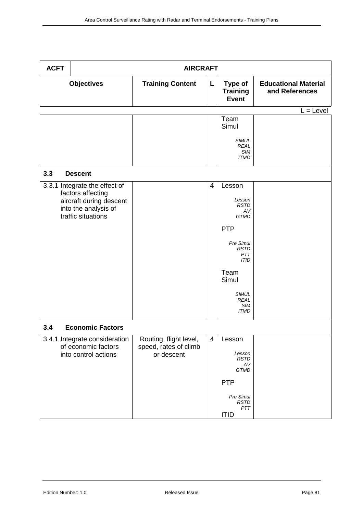| <b>ACFT</b> |                                                                                            | <b>AIRCRAFT</b>                                 |   |                                                          |                                               |
|-------------|--------------------------------------------------------------------------------------------|-------------------------------------------------|---|----------------------------------------------------------|-----------------------------------------------|
|             | <b>Objectives</b>                                                                          | <b>Training Content</b>                         | L | <b>Type of</b><br><b>Training</b><br><b>Event</b>        | <b>Educational Material</b><br>and References |
|             |                                                                                            |                                                 |   |                                                          | $L = Level$                                   |
|             |                                                                                            |                                                 |   | Team<br>Simul                                            |                                               |
|             |                                                                                            |                                                 |   | <b>SIMUL</b><br><b>REAL</b><br><b>SIM</b><br><b>ITMD</b> |                                               |
| 3.3         | <b>Descent</b>                                                                             |                                                 |   |                                                          |                                               |
|             | 3.3.1 Integrate the effect of                                                              |                                                 | 4 | Lesson                                                   |                                               |
|             | factors affecting<br>aircraft during descent<br>into the analysis of<br>traffic situations |                                                 |   | Lesson<br><b>RSTD</b><br>AV<br>GTMD                      |                                               |
|             |                                                                                            |                                                 |   | <b>PTP</b>                                               |                                               |
|             |                                                                                            |                                                 |   | Pre Simul<br><b>RSTD</b><br><b>PTT</b><br><b>ITID</b>    |                                               |
|             |                                                                                            |                                                 |   | Team<br>Simul                                            |                                               |
|             |                                                                                            |                                                 |   | <b>SIMUL</b><br><b>REAL</b><br><b>SIM</b><br><b>ITMD</b> |                                               |
| 3.4         | <b>Economic Factors</b>                                                                    |                                                 |   |                                                          |                                               |
|             | 3.4.1 Integrate consideration<br>of economic factors                                       | Routing, flight level,<br>speed, rates of climb | 4 | Lesson                                                   |                                               |
|             | into control actions                                                                       | or descent                                      |   | Lesson<br><b>RSTD</b><br>AV<br>GTMD                      |                                               |
|             |                                                                                            |                                                 |   | <b>PTP</b>                                               |                                               |
|             |                                                                                            |                                                 |   | Pre Simul<br><b>RSTD</b><br>PTT<br><b>ITID</b>           |                                               |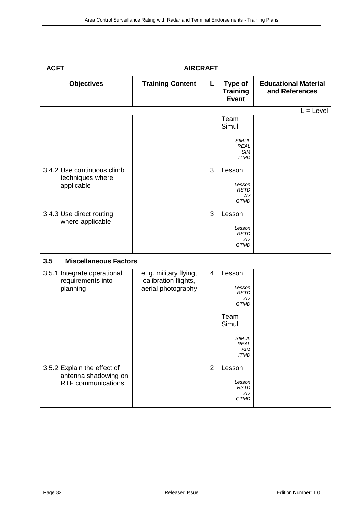| <b>ACFT</b> |                                                                           | <b>AIRCRAFT</b>                                                      |                |                                                                                                                            |                                               |
|-------------|---------------------------------------------------------------------------|----------------------------------------------------------------------|----------------|----------------------------------------------------------------------------------------------------------------------------|-----------------------------------------------|
|             | <b>Objectives</b>                                                         | <b>Training Content</b>                                              | L              | Type of<br><b>Training</b><br><b>Event</b>                                                                                 | <b>Educational Material</b><br>and References |
|             |                                                                           |                                                                      |                |                                                                                                                            | $L = Level$                                   |
|             |                                                                           |                                                                      |                | Team<br>Simul                                                                                                              |                                               |
|             |                                                                           |                                                                      |                | <b>SIMUL</b><br><b>REAL</b><br><b>SIM</b><br><b>ITMD</b>                                                                   |                                               |
|             | 3.4.2 Use continuous climb                                                |                                                                      | 3              | Lesson                                                                                                                     |                                               |
|             | techniques where<br>applicable                                            |                                                                      |                | Lesson<br><b>RSTD</b><br>AV<br><b>GTMD</b>                                                                                 |                                               |
|             | 3.4.3 Use direct routing                                                  |                                                                      | 3              | Lesson                                                                                                                     |                                               |
|             | where applicable                                                          |                                                                      |                | Lesson<br><b>RSTD</b><br>AV<br><b>GTMD</b>                                                                                 |                                               |
| 3.5         | <b>Miscellaneous Factors</b>                                              |                                                                      |                |                                                                                                                            |                                               |
|             | 3.5.1 Integrate operational<br>requirements into<br>planning              | e. g. military flying,<br>calibration flights,<br>aerial photography | 4              | Lesson<br>Lesson<br><b>RSTD</b><br>AV<br>GTMD<br>Team<br>Simul<br><b>SIMUL</b><br><b>REAL</b><br><b>SIM</b><br><b>ITMD</b> |                                               |
|             | 3.5.2 Explain the effect of<br>antenna shadowing on<br>RTF communications |                                                                      | $\overline{2}$ | Lesson<br>Lesson<br><b>RSTD</b><br>AV<br><b>GTMD</b>                                                                       |                                               |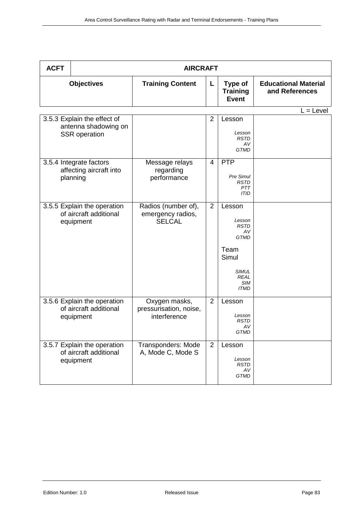| <b>ACFT</b> |                                                                             | <b>AIRCRAFT</b>                                           |                |                                                                                                                                   |                                               |
|-------------|-----------------------------------------------------------------------------|-----------------------------------------------------------|----------------|-----------------------------------------------------------------------------------------------------------------------------------|-----------------------------------------------|
|             | <b>Objectives</b>                                                           | <b>Training Content</b>                                   | L              | Type of<br><b>Training</b><br><b>Event</b>                                                                                        | <b>Educational Material</b><br>and References |
|             |                                                                             |                                                           |                |                                                                                                                                   | $L = Level$                                   |
|             | 3.5.3 Explain the effect of<br>antenna shadowing on<br><b>SSR</b> operation |                                                           | $\overline{2}$ | Lesson<br>Lesson<br><b>RSTD</b><br>AV<br><b>GTMD</b>                                                                              |                                               |
|             | 3.5.4 Integrate factors<br>affecting aircraft into<br>planning              | Message relays<br>regarding<br>performance                | 4              | <b>PTP</b><br>Pre Simul<br>RSTD<br>PTT<br><b>ITID</b>                                                                             |                                               |
|             | 3.5.5 Explain the operation<br>of aircraft additional<br>equipment          | Radios (number of),<br>emergency radios,<br><b>SELCAL</b> | $\overline{2}$ | Lesson<br>Lesson<br><b>RSTD</b><br>AV<br><b>GTMD</b><br>Team<br>Simul<br><b>SIMUL</b><br><b>REAL</b><br><b>SIM</b><br><b>ITMD</b> |                                               |
|             | 3.5.6 Explain the operation<br>of aircraft additional<br>equipment          | Oxygen masks,<br>pressurisation, noise,<br>interference   | $\overline{2}$ | Lesson<br>Lesson<br><b>RSTD</b><br>ΑV<br>GTMD                                                                                     |                                               |
|             | 3.5.7 Explain the operation<br>of aircraft additional<br>equipment          | Transponders: Mode<br>A, Mode C, Mode S                   | $\overline{2}$ | Lesson<br>Lesson<br><b>RSTD</b><br>ΑV<br>GTMD                                                                                     |                                               |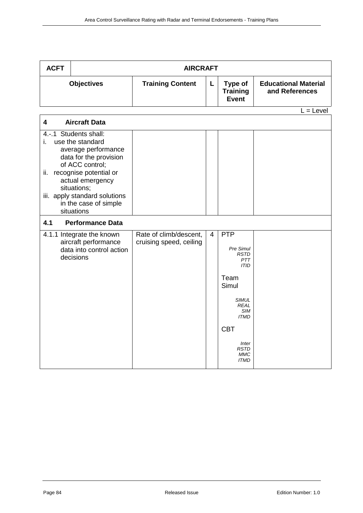| <b>ACFT</b> |                                                                                                                                                                                                                                                    | <b>AIRCRAFT</b>                                   |                |                                                                                      |                                               |
|-------------|----------------------------------------------------------------------------------------------------------------------------------------------------------------------------------------------------------------------------------------------------|---------------------------------------------------|----------------|--------------------------------------------------------------------------------------|-----------------------------------------------|
|             | <b>Objectives</b>                                                                                                                                                                                                                                  | <b>Training Content</b>                           | L              | Type of<br><b>Training</b><br><b>Event</b>                                           | <b>Educational Material</b><br>and References |
|             |                                                                                                                                                                                                                                                    |                                                   |                |                                                                                      | $L = Level$                                   |
| 4           | <b>Aircraft Data</b>                                                                                                                                                                                                                               |                                                   |                |                                                                                      |                                               |
| i.<br>ii.   | 4.-.1 Students shall:<br>use the standard<br>average performance<br>data for the provision<br>of ACC control;<br>recognise potential or<br>actual emergency<br>situations;<br>iii. apply standard solutions<br>in the case of simple<br>situations |                                                   |                |                                                                                      |                                               |
| 4.1         | <b>Performance Data</b>                                                                                                                                                                                                                            |                                                   |                |                                                                                      |                                               |
|             | 4.1.1 Integrate the known<br>aircraft performance<br>data into control action<br>decisions                                                                                                                                                         | Rate of climb/descent,<br>cruising speed, ceiling | $\overline{4}$ | <b>PTP</b><br>Pre Simul<br><b>RSTD</b><br><b>PTT</b><br><b>ITID</b><br>Team<br>Simul |                                               |
|             |                                                                                                                                                                                                                                                    |                                                   |                | <b>SIMUL</b><br><b>REAL</b><br><b>SIM</b><br><b>ITMD</b>                             |                                               |
|             |                                                                                                                                                                                                                                                    |                                                   |                | <b>CBT</b><br><b>Inter</b><br><b>RSTD</b><br><b>MMC</b><br>ITMD                      |                                               |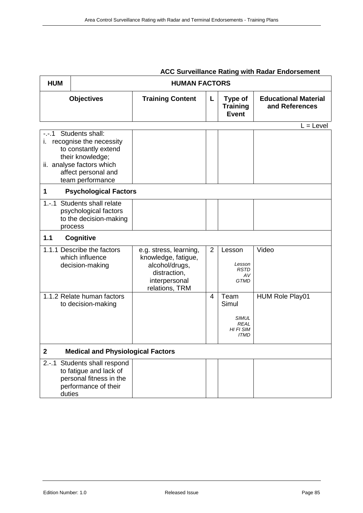| <b>HUM</b>     |                                                                                                                                                                | <b>HUMAN FACTORS</b>                                                                                               |                |                                                                          |                                               |
|----------------|----------------------------------------------------------------------------------------------------------------------------------------------------------------|--------------------------------------------------------------------------------------------------------------------|----------------|--------------------------------------------------------------------------|-----------------------------------------------|
|                | <b>Objectives</b>                                                                                                                                              | <b>Training Content</b>                                                                                            | L              | Type of<br><b>Training</b><br><b>Event</b>                               | <b>Educational Material</b><br>and References |
|                |                                                                                                                                                                |                                                                                                                    |                |                                                                          | $L = L$ evel                                  |
| $-1 - 1$<br>i. | Students shall:<br>recognise the necessity<br>to constantly extend<br>their knowledge;<br>ii. analyse factors which<br>affect personal and<br>team performance |                                                                                                                    |                |                                                                          |                                               |
| 1              | <b>Psychological Factors</b>                                                                                                                                   |                                                                                                                    |                |                                                                          |                                               |
|                | 1.-.1 Students shall relate<br>psychological factors<br>to the decision-making<br>process                                                                      |                                                                                                                    |                |                                                                          |                                               |
| 1.1            | Cognitive                                                                                                                                                      |                                                                                                                    |                |                                                                          |                                               |
|                | 1.1.1 Describe the factors<br>which influence<br>decision-making                                                                                               | e.g. stress, learning,<br>knowledge, fatigue,<br>alcohol/drugs,<br>distraction,<br>interpersonal<br>relations, TRM | $\overline{2}$ | Lesson<br>Lesson<br><b>RSTD</b><br>AV<br><b>GTMD</b>                     | Video                                         |
|                | 1.1.2 Relate human factors<br>to decision-making                                                                                                               |                                                                                                                    | 4              | Team<br>Simul<br><b>SIMUL</b><br><b>REAL</b><br>HI FI SIM<br><b>ITMD</b> | <b>HUM Role Play01</b>                        |
| $\mathbf{2}$   | <b>Medical and Physiological Factors</b>                                                                                                                       |                                                                                                                    |                |                                                                          |                                               |
|                | 2.-.1 Students shall respond<br>to fatigue and lack of<br>personal fitness in the<br>performance of their<br>duties                                            |                                                                                                                    |                |                                                                          |                                               |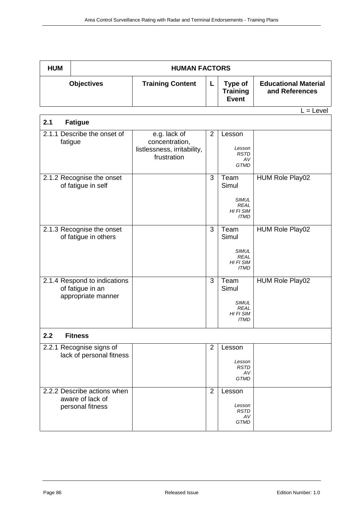| <b>HUM</b> | <b>HUMAN FACTORS</b> |                         |   |                                            |                                               |  |
|------------|----------------------|-------------------------|---|--------------------------------------------|-----------------------------------------------|--|
|            | <b>Objectives</b>    | <b>Training Content</b> | - | Type of<br><b>Training</b><br><b>Event</b> | <b>Educational Material</b><br>and References |  |
|            |                      |                         |   |                                            | evel                                          |  |

| 2.1<br><b>Fatigue</b>                                                  |                                                                              |                |                                                                          |                 |
|------------------------------------------------------------------------|------------------------------------------------------------------------------|----------------|--------------------------------------------------------------------------|-----------------|
| 2.1.1 Describe the onset of<br>fatigue                                 | e.g. lack of<br>concentration,<br>listlessness, irritability,<br>frustration | $\overline{2}$ | Lesson<br>Lesson<br>RSTD<br>AV<br><b>GTMD</b>                            |                 |
| 2.1.2 Recognise the onset<br>of fatigue in self                        |                                                                              | 3              | Team<br>Simul<br><b>SIMUL</b><br><b>REAL</b><br>HI FI SIM<br><b>ITMD</b> | HUM Role Play02 |
| 2.1.3 Recognise the onset<br>of fatigue in others                      |                                                                              | 3              | Team<br>Simul<br><b>SIMUL</b><br><b>REAL</b><br>HI FI SIM<br><b>ITMD</b> | HUM Role Play02 |
| 2.1.4 Respond to indications<br>of fatigue in an<br>appropriate manner |                                                                              | 3              | Team<br>Simul<br><b>SIMUL</b><br><b>REAL</b><br>HI FI SIM<br><b>ITMD</b> | HUM Role Play02 |
| 2.2<br><b>Fitness</b>                                                  |                                                                              |                |                                                                          |                 |
| 2.2.1 Recognise signs of<br>lack of personal fitness                   |                                                                              | $\overline{2}$ | Lesson<br>Lesson<br><b>RSTD</b><br>AV<br><b>GTMD</b>                     |                 |
| 2.2.2 Describe actions when<br>aware of lack of<br>personal fitness    |                                                                              | $\overline{2}$ | Lesson<br>Lesson<br><b>RSTD</b><br>AV<br><b>GTMD</b>                     |                 |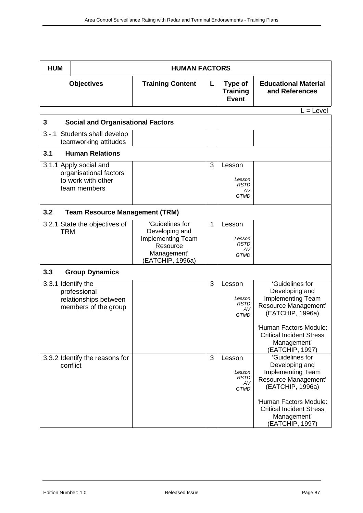| <b>HUM</b>         |                                                                                        | <b>HUMAN FACTORS</b>                                                                                  |   |                                                      |                                                                                                                                                                                                          |
|--------------------|----------------------------------------------------------------------------------------|-------------------------------------------------------------------------------------------------------|---|------------------------------------------------------|----------------------------------------------------------------------------------------------------------------------------------------------------------------------------------------------------------|
|                    | <b>Objectives</b>                                                                      | <b>Training Content</b>                                                                               | L | <b>Type of</b><br><b>Training</b><br><b>Event</b>    | <b>Educational Material</b><br>and References                                                                                                                                                            |
|                    |                                                                                        |                                                                                                       |   |                                                      | $L = Level$                                                                                                                                                                                              |
| 3                  | <b>Social and Organisational Factors</b>                                               |                                                                                                       |   |                                                      |                                                                                                                                                                                                          |
|                    | 3.-.1 Students shall develop<br>teamworking attitudes                                  |                                                                                                       |   |                                                      |                                                                                                                                                                                                          |
| 3.1                | <b>Human Relations</b>                                                                 |                                                                                                       |   |                                                      |                                                                                                                                                                                                          |
|                    | 3.1.1 Apply social and<br>organisational factors<br>to work with other<br>team members |                                                                                                       | 3 | Lesson<br>Lesson<br><b>RSTD</b><br>ΑV<br><b>GTMD</b> |                                                                                                                                                                                                          |
| 3.2                | <b>Team Resource Management (TRM)</b>                                                  |                                                                                                       |   |                                                      |                                                                                                                                                                                                          |
| <b>TRM</b>         | 3.2.1 State the objectives of                                                          | 'Guidelines for<br>Developing and<br>Implementing Team<br>Resource<br>Management'<br>(EATCHIP, 1996a) | 1 | Lesson<br>Lesson<br><b>RSTD</b><br>AV<br><b>GTMD</b> |                                                                                                                                                                                                          |
| 3.3                | <b>Group Dynamics</b>                                                                  |                                                                                                       |   |                                                      |                                                                                                                                                                                                          |
| 3.3.1 Identify the | professional<br>relationships between<br>members of the group                          |                                                                                                       | 3 | Lesson<br>Lesson<br><b>RSTD</b><br>AV<br><b>GTMD</b> | 'Guidelines for<br>Developing and<br><b>Implementing Team</b><br>Resource Management'<br>(EATCHIP, 1996a)<br>'Human Factors Module:<br><b>Critical Incident Stress</b><br>Management'<br>(EATCHIP, 1997) |
|                    | 3.3.2 Identify the reasons for<br>conflict                                             |                                                                                                       | 3 | Lesson<br>Lesson<br><b>RSTD</b><br>AV<br><b>GTMD</b> | 'Guidelines for<br>Developing and<br>Implementing Team<br>Resource Management'<br>(EATCHIP, 1996a)<br>'Human Factors Module:<br><b>Critical Incident Stress</b><br>Management'<br>(EATCHIP, 1997)        |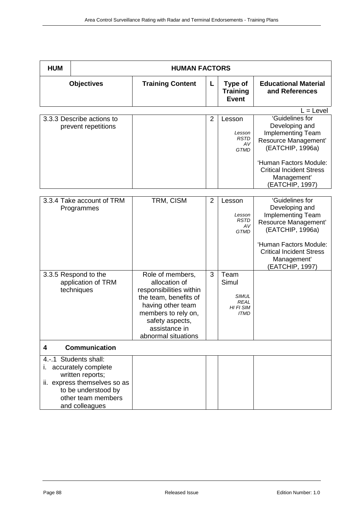| <b>HUM</b> |                                                                                                                                                                 | <b>HUMAN FACTORS</b>                                                                                                                                                                         |                |                                                                   |                                                                                                                                                                                                          |
|------------|-----------------------------------------------------------------------------------------------------------------------------------------------------------------|----------------------------------------------------------------------------------------------------------------------------------------------------------------------------------------------|----------------|-------------------------------------------------------------------|----------------------------------------------------------------------------------------------------------------------------------------------------------------------------------------------------------|
|            | <b>Objectives</b>                                                                                                                                               | <b>Training Content</b>                                                                                                                                                                      | L              | Type of<br><b>Training</b><br><b>Event</b>                        | <b>Educational Material</b><br>and References                                                                                                                                                            |
|            |                                                                                                                                                                 |                                                                                                                                                                                              |                |                                                                   | $L = Level$                                                                                                                                                                                              |
|            | 3.3.3 Describe actions to<br>prevent repetitions                                                                                                                |                                                                                                                                                                                              | 2              | Lesson<br>Lesson<br><b>RSTD</b><br>AV<br>GTMD                     | 'Guidelines for<br>Developing and<br><b>Implementing Team</b><br>Resource Management'<br>(EATCHIP, 1996a)<br>'Human Factors Module:<br><b>Critical Incident Stress</b><br>Management'<br>(EATCHIP, 1997) |
|            |                                                                                                                                                                 |                                                                                                                                                                                              |                |                                                                   |                                                                                                                                                                                                          |
|            | 3.3.4 Take account of TRM<br>Programmes                                                                                                                         | TRM, CISM                                                                                                                                                                                    | $\overline{2}$ | Lesson<br>Lesson<br><b>RSTD</b><br>AV<br><b>GTMD</b>              | 'Guidelines for<br>Developing and<br><b>Implementing Team</b><br>Resource Management'<br>(EATCHIP, 1996a)<br>'Human Factors Module:<br><b>Critical Incident Stress</b><br>Management'                    |
|            |                                                                                                                                                                 |                                                                                                                                                                                              |                |                                                                   | (EATCHIP, 1997)                                                                                                                                                                                          |
|            | 3.3.5 Respond to the<br>application of TRM<br>techniques                                                                                                        | Role of members,<br>allocation of<br>responsibilities within<br>the team, benefits of<br>having other team<br>members to rely on,<br>safety aspects,<br>assistance in<br>abnormal situations | 3              | Team<br>Simul<br>SIMUL<br><b>REAL</b><br>HI FI SIM<br><b>ITMD</b> |                                                                                                                                                                                                          |
| 4          | <b>Communication</b>                                                                                                                                            |                                                                                                                                                                                              |                |                                                                   |                                                                                                                                                                                                          |
| İ.         | 4.-.1 Students shall:<br>accurately complete<br>written reports;<br>ii. express themselves so as<br>to be understood by<br>other team members<br>and colleagues |                                                                                                                                                                                              |                |                                                                   |                                                                                                                                                                                                          |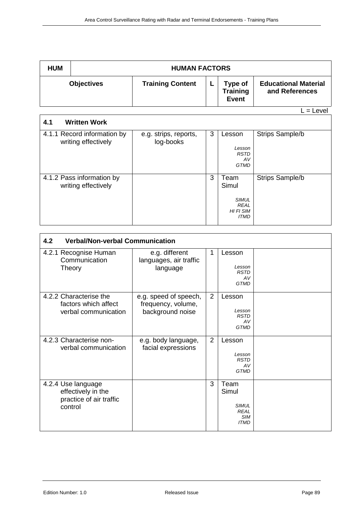| <b>HUM</b> | <b>HUMAN FACTORS</b> |                         |   |                                            |                                               |  |
|------------|----------------------|-------------------------|---|--------------------------------------------|-----------------------------------------------|--|
|            | <b>Objectives</b>    | <b>Training Content</b> | L | Type of<br><b>Training</b><br><b>Event</b> | <b>Educational Material</b><br>and References |  |

 $L =$  Level

| <b>Written Work</b><br>4.1                         |                                    |   |                                                                          |                 |
|----------------------------------------------------|------------------------------------|---|--------------------------------------------------------------------------|-----------------|
| 4.1.1 Record information by<br>writing effectively | e.g. strips, reports,<br>log-books | 3 | Lesson<br>Lesson<br><b>RSTD</b><br>AV<br><b>GTMD</b>                     | Strips Sample/b |
| 4.1.2 Pass information by<br>writing effectively   |                                    | 3 | Team<br>Simul<br><b>SIMUL</b><br><b>REAL</b><br>HI FI SIM<br><b>ITMD</b> | Strips Sample/b |

| 4.2<br><b>Verbal/Non-verbal Communication</b>                                  |                                                                 |   |                                                                           |  |
|--------------------------------------------------------------------------------|-----------------------------------------------------------------|---|---------------------------------------------------------------------------|--|
| 4.2.1 Recognise Human<br>Communication<br>Theory                               | e.g. different<br>languages, air traffic<br>language            | 1 | Lesson<br>Lesson<br><b>RSTD</b><br>AV<br><b>GTMD</b>                      |  |
| 4.2.2 Characterise the<br>factors which affect<br>verbal communication         | e.g. speed of speech,<br>frequency, volume,<br>background noise | 2 | Lesson<br>Lesson<br><b>RSTD</b><br>AV<br><b>GTMD</b>                      |  |
| 4.2.3 Characterise non-<br>verbal communication                                | e.g. body language,<br>facial expressions                       | 2 | Lesson<br>Lesson<br><b>RSTD</b><br>AV<br><b>GTMD</b>                      |  |
| 4.2.4 Use language<br>effectively in the<br>practice of air traffic<br>control |                                                                 | 3 | Team<br>Simul<br><b>SIMUL</b><br><b>REAL</b><br><b>SIM</b><br><b>ITMD</b> |  |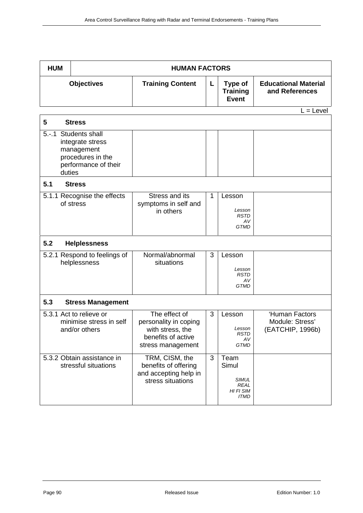| <b>HUM</b> |                                                                                                     | <b>HUMAN FACTORS</b>                                                                                  |   |                                                                          |                                                       |
|------------|-----------------------------------------------------------------------------------------------------|-------------------------------------------------------------------------------------------------------|---|--------------------------------------------------------------------------|-------------------------------------------------------|
|            | <b>Objectives</b>                                                                                   | <b>Training Content</b>                                                                               | L | Type of<br><b>Training</b><br><b>Event</b>                               | <b>Educational Material</b><br>and References         |
|            |                                                                                                     |                                                                                                       |   |                                                                          | $L = Level$                                           |
| 5          | <b>Stress</b>                                                                                       |                                                                                                       |   |                                                                          |                                                       |
| duties     | 5.-.1 Students shall<br>integrate stress<br>management<br>procedures in the<br>performance of their |                                                                                                       |   |                                                                          |                                                       |
| 5.1        | <b>Stress</b>                                                                                       |                                                                                                       |   |                                                                          |                                                       |
|            | 5.1.1 Recognise the effects<br>of stress                                                            | Stress and its<br>symptoms in self and<br>in others                                                   | 1 | Lesson<br>Lesson<br><b>RSTD</b><br>ΑV<br><b>GTMD</b>                     |                                                       |
| 5.2        | <b>Helplessness</b>                                                                                 |                                                                                                       |   |                                                                          |                                                       |
|            | 5.2.1 Respond to feelings of<br>helplessness                                                        | Normal/abnormal<br>situations                                                                         | 3 | Lesson<br>Lesson<br><b>RSTD</b><br>AV<br>GTMD                            |                                                       |
| 5.3        | <b>Stress Management</b>                                                                            |                                                                                                       |   |                                                                          |                                                       |
|            | 5.3.1 Act to relieve or<br>minimise stress in self<br>and/or others                                 | The effect of<br>personality in coping<br>with stress, the<br>benefits of active<br>stress management | 3 | Lesson<br>Lesson<br>RSTD<br>AV<br><b>GTMD</b>                            | 'Human Factors<br>Module: Stress'<br>(EATCHIP, 1996b) |
|            | 5.3.2 Obtain assistance in<br>stressful situations                                                  | TRM, CISM, the<br>benefits of offering<br>and accepting help in<br>stress situations                  | 3 | Team<br>Simul<br><b>SIMUL</b><br><b>REAL</b><br>HI FI SIM<br><b>ITMD</b> |                                                       |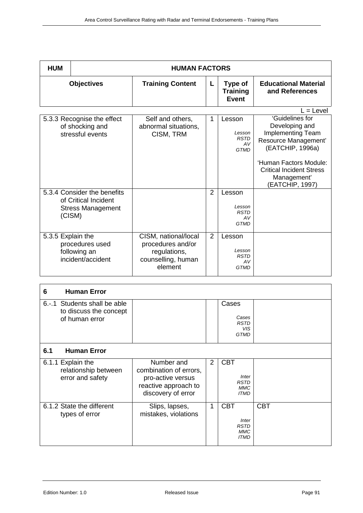| <b>HUM</b>        | <b>HUMAN FACTORS</b>                                                                      |                                                                                            |                |                                                      |                                                                                                                                                                                |
|-------------------|-------------------------------------------------------------------------------------------|--------------------------------------------------------------------------------------------|----------------|------------------------------------------------------|--------------------------------------------------------------------------------------------------------------------------------------------------------------------------------|
| <b>Objectives</b> |                                                                                           | <b>Training Content</b>                                                                    | L              | Type of<br><b>Training</b><br><b>Event</b>           | <b>Educational Material</b><br>and References                                                                                                                                  |
|                   |                                                                                           |                                                                                            |                |                                                      | $L = Level$                                                                                                                                                                    |
|                   | 5.3.3 Recognise the effect<br>of shocking and<br>stressful events                         | Self and others,<br>abnormal situations,<br>CISM, TRM                                      | 1              | Lesson<br>Lesson<br><b>RSTD</b><br>AV<br><b>GTMD</b> | 'Guidelines for<br>Developing and<br>Implementing Team<br>Resource Management'<br>(EATCHIP, 1996a)<br>'Human Factors Module:<br><b>Critical Incident Stress</b><br>Management' |
|                   | 5.3.4 Consider the benefits<br>of Critical Incident<br><b>Stress Management</b><br>(CISM) |                                                                                            | $\overline{2}$ | Lesson<br>Lesson<br><b>RSTD</b><br>AV<br>GTMD        | (EATCHIP, 1997)                                                                                                                                                                |
| 5.3.5 Explain the | procedures used<br>following an<br>incident/accident                                      | CISM, national/local<br>procedures and/or<br>regulations,<br>counselling, human<br>element | $\overline{2}$ | Lesson<br>Lesson<br><b>RSTD</b><br>AV<br>GTMD        |                                                                                                                                                                                |

| 6                 | <b>Human Error</b>                                                       |                                                                                                         |   |                                                                 |            |
|-------------------|--------------------------------------------------------------------------|---------------------------------------------------------------------------------------------------------|---|-----------------------------------------------------------------|------------|
|                   | 6.-.1 Students shall be able<br>to discuss the concept<br>of human error |                                                                                                         |   | Cases<br>Cases<br><b>RSTD</b><br>VIS<br><b>GTMD</b>             |            |
| 6.1               | <b>Human Error</b>                                                       |                                                                                                         |   |                                                                 |            |
| 6.1.1 Explain the | relationship between<br>error and safety                                 | Number and<br>combination of errors,<br>pro-active versus<br>reactive approach to<br>discovery of error | 2 | <b>CBT</b><br>Inter<br><b>RSTD</b><br><b>MMC</b><br><b>ITMD</b> |            |
|                   | 6.1.2 State the different<br>types of error                              | Slips, lapses,<br>mistakes, violations                                                                  | 1 | <b>CBT</b><br>Inter<br><b>RSTD</b><br><b>MMC</b><br><b>ITMD</b> | <b>CBT</b> |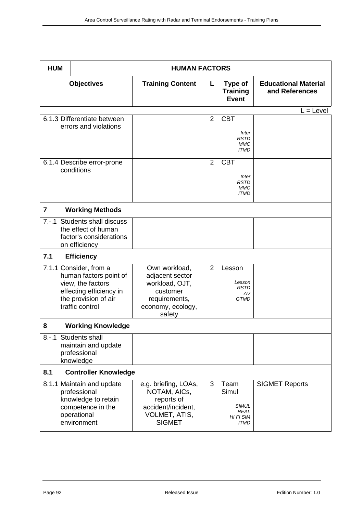| <b>HUM</b> |                                                                                                                                             | <b>HUMAN FACTORS</b>                                                                                           |                |                                                                          |                                               |
|------------|---------------------------------------------------------------------------------------------------------------------------------------------|----------------------------------------------------------------------------------------------------------------|----------------|--------------------------------------------------------------------------|-----------------------------------------------|
|            | <b>Objectives</b>                                                                                                                           | <b>Training Content</b>                                                                                        | L              | <b>Type of</b><br><b>Training</b><br><b>Event</b>                        | <b>Educational Material</b><br>and References |
|            |                                                                                                                                             |                                                                                                                |                |                                                                          | $L = Level$                                   |
|            | 6.1.3 Differentiate between<br>errors and violations                                                                                        |                                                                                                                | $\overline{2}$ | <b>CBT</b><br><b>Inter</b><br><b>RSTD</b><br><b>MMC</b><br><b>ITMD</b>   |                                               |
|            | 6.1.4 Describe error-prone<br>conditions                                                                                                    |                                                                                                                | 2              | <b>CBT</b><br><i>Inter</i><br><b>RSTD</b><br><b>MMC</b><br><b>ITMD</b>   |                                               |
| 7          | <b>Working Methods</b>                                                                                                                      |                                                                                                                |                |                                                                          |                                               |
|            | 7.-.1 Students shall discuss<br>the effect of human<br>factor's considerations<br>on efficiency                                             |                                                                                                                |                |                                                                          |                                               |
| 7.1        | <b>Efficiency</b>                                                                                                                           |                                                                                                                |                |                                                                          |                                               |
|            | 7.1.1 Consider, from a<br>human factors point of<br>view, the factors<br>effecting efficiency in<br>the provision of air<br>traffic control | Own workload,<br>adjacent sector<br>workload, OJT,<br>customer<br>requirements,<br>economy, ecology,<br>safety | 2              | Lesson<br>Lesson<br><b>RSTD</b><br>ΑV<br><b>GTMD</b>                     |                                               |
| 8          | <b>Working Knowledge</b>                                                                                                                    |                                                                                                                |                |                                                                          |                                               |
|            | 8.-.1 Students shall<br>maintain and update<br>professional<br>knowledge                                                                    |                                                                                                                |                |                                                                          |                                               |
| 8.1        | <b>Controller Knowledge</b>                                                                                                                 |                                                                                                                |                |                                                                          |                                               |
|            | 8.1.1 Maintain and update<br>professional<br>knowledge to retain<br>competence in the<br>operational<br>environment                         | e.g. briefing, LOAs,<br>NOTAM, AICs,<br>reports of<br>accident/incident,<br>VOLMET, ATIS,<br><b>SIGMET</b>     | 3              | Team<br>Simul<br><b>SIMUL</b><br><b>REAL</b><br>HI FI SIM<br><b>ITMD</b> | <b>SIGMET Reports</b>                         |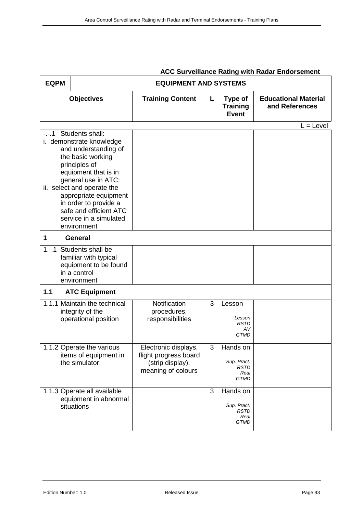| <b>EQPM</b> |                                                                                                                                                                                                                                                                                                                   | <b>EQUIPMENT AND SYSTEMS</b>                                                            |   |                                                 | ACC Surveniance Rating With Raudi Endorsement |
|-------------|-------------------------------------------------------------------------------------------------------------------------------------------------------------------------------------------------------------------------------------------------------------------------------------------------------------------|-----------------------------------------------------------------------------------------|---|-------------------------------------------------|-----------------------------------------------|
|             | <b>Objectives</b>                                                                                                                                                                                                                                                                                                 | <b>Training Content</b>                                                                 | L | Type of<br><b>Training</b><br><b>Event</b>      | <b>Educational Material</b><br>and References |
|             |                                                                                                                                                                                                                                                                                                                   |                                                                                         |   |                                                 | $L = Level$                                   |
|             | -.-.1 Students shall:<br>i. demonstrate knowledge<br>and understanding of<br>the basic working<br>principles of<br>equipment that is in<br>general use in ATC;<br>ii. select and operate the<br>appropriate equipment<br>in order to provide a<br>safe and efficient ATC<br>service in a simulated<br>environment |                                                                                         |   |                                                 |                                               |
| 1           | <b>General</b>                                                                                                                                                                                                                                                                                                    |                                                                                         |   |                                                 |                                               |
|             | 1.-.1 Students shall be<br>familiar with typical<br>equipment to be found<br>in a control<br>environment                                                                                                                                                                                                          |                                                                                         |   |                                                 |                                               |
| 1.1         | <b>ATC Equipment</b>                                                                                                                                                                                                                                                                                              |                                                                                         |   |                                                 |                                               |
|             | 1.1.1 Maintain the technical<br>integrity of the<br>operational position                                                                                                                                                                                                                                          | Notification<br>procedures,<br>responsibilities                                         | 3 | Lesson<br>Lesson<br>RSTD<br>ΑV<br><b>GTMD</b>   |                                               |
|             | 1.1.2 Operate the various<br>items of equipment in<br>the simulator                                                                                                                                                                                                                                               | Electronic displays,<br>flight progress board<br>(strip display),<br>meaning of colours | 3 | Hands on<br>Sup. Pract.<br>RSTD<br>Real<br>GTMD |                                               |
|             | 1.1.3 Operate all available<br>equipment in abnormal<br>situations                                                                                                                                                                                                                                                |                                                                                         | 3 | Hands on<br>Sup. Pract.<br>RSTD<br>Real<br>GTMD |                                               |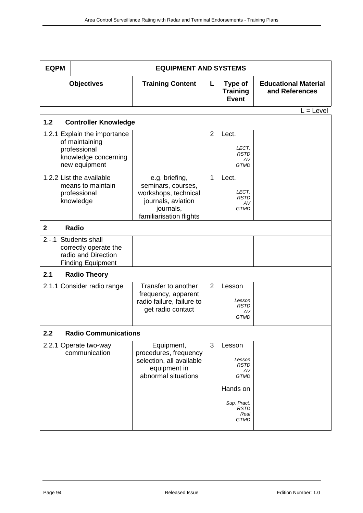| <b>EQPM</b>  |                                        | <b>EQUIPMENT AND SYSTEMS</b>                   |                |                                            |                                               |  |
|--------------|----------------------------------------|------------------------------------------------|----------------|--------------------------------------------|-----------------------------------------------|--|
|              | <b>Objectives</b>                      | <b>Training Content</b>                        | L              | Type of<br><b>Training</b><br><b>Event</b> | <b>Educational Material</b><br>and References |  |
|              |                                        |                                                |                |                                            | $L = Level$                                   |  |
| 1.2          | <b>Controller Knowledge</b>            |                                                |                |                                            |                                               |  |
|              | 1.2.1 Explain the importance           |                                                | $\overline{2}$ | Lect.                                      |                                               |  |
|              | of maintaining                         |                                                |                | LECT.                                      |                                               |  |
|              | professional<br>knowledge concerning   |                                                |                | <b>RSTD</b>                                |                                               |  |
|              | new equipment                          |                                                |                | AV<br>GTMD                                 |                                               |  |
|              | 1.2.2 List the available               | e.g. briefing,                                 | 1              | Lect.                                      |                                               |  |
|              | means to maintain                      | seminars, courses,                             |                |                                            |                                               |  |
|              | professional                           | workshops, technical                           |                | LECT.<br><b>RSTD</b>                       |                                               |  |
|              | knowledge                              | journals, aviation                             |                | AV                                         |                                               |  |
|              |                                        | journals,<br>familiarisation flights           |                | <b>GTMD</b>                                |                                               |  |
| $\mathbf{2}$ | Radio                                  |                                                |                |                                            |                                               |  |
|              | 2.-.1 Students shall                   |                                                |                |                                            |                                               |  |
|              | correctly operate the                  |                                                |                |                                            |                                               |  |
|              | radio and Direction                    |                                                |                |                                            |                                               |  |
|              | <b>Finding Equipment</b>               |                                                |                |                                            |                                               |  |
| 2.1          | <b>Radio Theory</b>                    |                                                |                |                                            |                                               |  |
|              | 2.1.1 Consider radio range             | Transfer to another                            | $\overline{2}$ | Lesson                                     |                                               |  |
|              |                                        | frequency, apparent                            |                | Lesson                                     |                                               |  |
|              |                                        | radio failure, failure to<br>get radio contact |                | <b>RSTD</b>                                |                                               |  |
|              |                                        |                                                |                | AV<br>GTMD                                 |                                               |  |
| 2.2          | <b>Radio Communications</b>            |                                                |                |                                            |                                               |  |
|              |                                        |                                                | 3              |                                            |                                               |  |
|              | 2.2.1 Operate two-way<br>communication | Equipment,<br>procedures, frequency            |                | Lesson                                     |                                               |  |
|              |                                        | selection, all available                       |                | Lesson                                     |                                               |  |
|              |                                        | equipment in                                   |                | <b>RSTD</b><br>AV                          |                                               |  |
|              |                                        | abnormal situations                            |                | GTMD                                       |                                               |  |
|              |                                        |                                                |                | Hands on                                   |                                               |  |
|              |                                        |                                                |                | Sup. Pract.                                |                                               |  |
|              |                                        |                                                |                | RSTD<br>Real                               |                                               |  |
|              |                                        |                                                |                | GTMD                                       |                                               |  |
|              |                                        |                                                |                |                                            |                                               |  |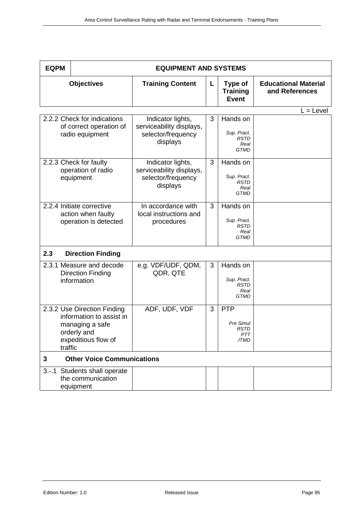| <b>EQPM</b> |                                                                                                                             | <b>EQUIPMENT AND SYSTEMS</b>                                                    |   |                                                               |                                               |  |
|-------------|-----------------------------------------------------------------------------------------------------------------------------|---------------------------------------------------------------------------------|---|---------------------------------------------------------------|-----------------------------------------------|--|
|             | <b>Objectives</b>                                                                                                           | <b>Training Content</b>                                                         | L | <b>Type of</b><br><b>Training</b><br><b>Event</b>             | <b>Educational Material</b><br>and References |  |
|             |                                                                                                                             |                                                                                 |   |                                                               | $L = Level$                                   |  |
|             | 2.2.2 Check for indications<br>of correct operation of<br>radio equipment                                                   | Indicator lights,<br>serviceability displays,<br>selector/frequency<br>displays | 3 | Hands on<br>Sup. Pract.<br><b>RSTD</b><br>Real<br><b>GTMD</b> |                                               |  |
|             | 2.2.3 Check for faulty<br>operation of radio<br>equipment                                                                   | Indicator lights,<br>serviceability displays,<br>selector/frequency<br>displays | 3 | Hands on<br>Sup. Pract.<br><b>RSTD</b><br>Real<br>GTMD        |                                               |  |
|             | 2.2.4 Initiate corrective<br>action when faulty<br>operation is detected                                                    | In accordance with<br>local instructions and<br>procedures                      | 3 | Hands on<br>Sup. Pract.<br><b>RSTD</b><br>Real<br>GTMD        |                                               |  |
| 2.3         | <b>Direction Finding</b>                                                                                                    |                                                                                 |   |                                                               |                                               |  |
|             | 2.3.1 Measure and decode<br><b>Direction Finding</b><br>information                                                         | e.g. VDF/UDF, QDM,<br>QDR, QTE                                                  | 3 | Hands on<br>Sup. Pract.<br><b>RSTD</b><br>Real<br>GTMD        |                                               |  |
|             | 2.3.2 Use Direction Finding<br>information to assist in<br>managing a safe<br>orderly and<br>expeditious flow of<br>traffic | ADF, UDF, VDF                                                                   | 3 | <b>PTP</b><br><b>Pre Simul</b><br>RSTD<br>PTT<br><b>ITMD</b>  |                                               |  |
| 3           | <b>Other Voice Communications</b>                                                                                           |                                                                                 |   |                                                               |                                               |  |
|             | 3.-.1 Students shall operate<br>the communication<br>equipment                                                              |                                                                                 |   |                                                               |                                               |  |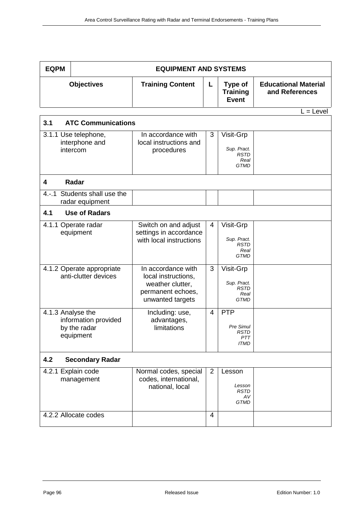| <b>EQPM</b> |                                                                        | <b>EQUIPMENT AND SYSTEMS</b>                                                                           |                |                                                                |                                               |
|-------------|------------------------------------------------------------------------|--------------------------------------------------------------------------------------------------------|----------------|----------------------------------------------------------------|-----------------------------------------------|
|             | <b>Objectives</b>                                                      | <b>Training Content</b>                                                                                | L              | Type of<br><b>Training</b><br><b>Event</b>                     | <b>Educational Material</b><br>and References |
|             |                                                                        |                                                                                                        |                |                                                                | $L = Level$                                   |
| 3.1         | <b>ATC Communications</b>                                              |                                                                                                        |                |                                                                |                                               |
|             | 3.1.1 Use telephone,<br>interphone and<br>intercom                     | In accordance with<br>local instructions and<br>procedures                                             | 3              | Visit-Grp<br>Sup. Pract.<br><b>RSTD</b><br>Real<br><b>GTMD</b> |                                               |
| 4           | Radar                                                                  |                                                                                                        |                |                                                                |                                               |
| $4 - 1$     | Students shall use the<br>radar equipment                              |                                                                                                        |                |                                                                |                                               |
| 4.1         | <b>Use of Radars</b>                                                   |                                                                                                        |                |                                                                |                                               |
|             | 4.1.1 Operate radar<br>equipment                                       | Switch on and adjust<br>settings in accordance<br>with local instructions                              | 4              | Visit-Grp<br>Sup. Pract.<br>RSTD<br>Real<br><b>GTMD</b>        |                                               |
|             | 4.1.2 Operate appropriate<br>anti-clutter devices                      | In accordance with<br>local instructions,<br>weather clutter,<br>permanent echoes,<br>unwanted targets | 3              | Visit-Grp<br>Sup. Pract.<br><b>RSTD</b><br>Real<br>GTMD        |                                               |
|             | 4.1.3 Analyse the<br>information provided<br>by the radar<br>equipment | Including: use,<br>advantages,<br>limitations                                                          | 4              | <b>PTP</b><br><b>Pre Simul</b><br><b>RSTD</b><br>PTT<br>ITMD   |                                               |
| 4.2         | <b>Secondary Radar</b>                                                 |                                                                                                        |                |                                                                |                                               |
|             | 4.2.1 Explain code<br>management                                       | Normal codes, special<br>codes, international,<br>national, local                                      | $\overline{2}$ | Lesson<br>Lesson<br><b>RSTD</b><br>ΑV<br>GTMD                  |                                               |
|             | 4.2.2 Allocate codes                                                   |                                                                                                        | 4              |                                                                |                                               |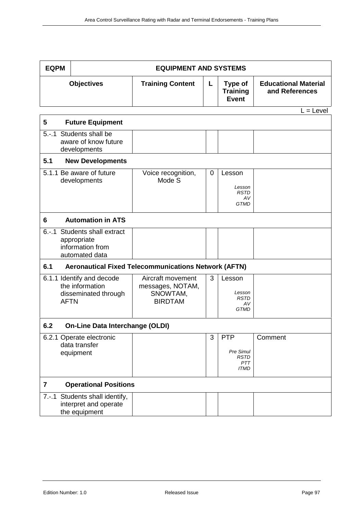| <b>EQPM</b>                                   | <b>EQUIPMENT AND SYSTEMS</b>                                                      |                                                                     |             |                                                              |                                               |  |
|-----------------------------------------------|-----------------------------------------------------------------------------------|---------------------------------------------------------------------|-------------|--------------------------------------------------------------|-----------------------------------------------|--|
| <b>Objectives</b>                             |                                                                                   | <b>Training Content</b>                                             | Г           | <b>Type of</b><br><b>Training</b><br><b>Event</b>            | <b>Educational Material</b><br>and References |  |
|                                               |                                                                                   |                                                                     |             |                                                              | $L = L$ evel                                  |  |
| 5                                             | <b>Future Equipment</b>                                                           |                                                                     |             |                                                              |                                               |  |
|                                               | 5.-.1 Students shall be<br>aware of know future<br>developments                   |                                                                     |             |                                                              |                                               |  |
| 5.1                                           | <b>New Developments</b>                                                           |                                                                     |             |                                                              |                                               |  |
|                                               | 5.1.1 Be aware of future<br>developments                                          | Voice recognition,<br>Mode S                                        | $\mathbf 0$ | Lesson<br>Lesson<br>RSTD<br>ΑV<br>GTMD                       |                                               |  |
|                                               |                                                                                   |                                                                     |             |                                                              |                                               |  |
| 6                                             | <b>Automation in ATS</b>                                                          |                                                                     |             |                                                              |                                               |  |
|                                               | 6.-.1 Students shall extract<br>appropriate<br>information from<br>automated data |                                                                     |             |                                                              |                                               |  |
| 6.1                                           |                                                                                   | <b>Aeronautical Fixed Telecommunications Network (AFTN)</b>         |             |                                                              |                                               |  |
| <b>AFTN</b>                                   | 6.1.1 Identify and decode<br>the information<br>disseminated through              | Aircraft movement<br>messages, NOTAM,<br>SNOWTAM,<br><b>BIRDTAM</b> | 3           | Lesson<br>Lesson<br><b>RSTD</b><br>ΑV<br>GTMD                |                                               |  |
| 6.2<br><b>On-Line Data Interchange (OLDI)</b> |                                                                                   |                                                                     |             |                                                              |                                               |  |
|                                               | 6.2.1 Operate electronic<br>data transfer<br>equipment                            |                                                                     | 3           | <b>PTP</b><br><b>Pre Simul</b><br><b>RSTD</b><br>PTT<br>ITMD | Comment                                       |  |
| $\overline{\mathbf{7}}$                       | <b>Operational Positions</b>                                                      |                                                                     |             |                                                              |                                               |  |
|                                               | 7.-.1 Students shall identify,<br>interpret and operate<br>the equipment          |                                                                     |             |                                                              |                                               |  |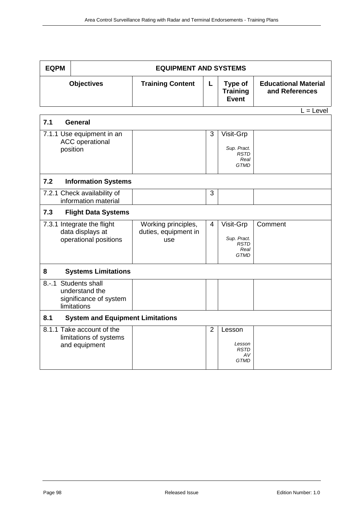| <b>EQPM</b>                                    | <b>EQUIPMENT AND SYSTEMS</b>                                                    |                                                    |                |                                                         |                                               |  |  |
|------------------------------------------------|---------------------------------------------------------------------------------|----------------------------------------------------|----------------|---------------------------------------------------------|-----------------------------------------------|--|--|
| <b>Objectives</b>                              |                                                                                 | <b>Training Content</b>                            | L              | Type of<br><b>Training</b><br><b>Event</b>              | <b>Educational Material</b><br>and References |  |  |
|                                                |                                                                                 |                                                    |                |                                                         | $L = Level$                                   |  |  |
| 7.1                                            | <b>General</b>                                                                  |                                                    |                |                                                         |                                               |  |  |
|                                                | 7.1.1 Use equipment in an<br><b>ACC</b> operational<br>position                 |                                                    | 3              | Visit-Grp<br>Sup. Pract.<br>RSTD<br>Real<br>GTMD        |                                               |  |  |
| 7.2                                            | <b>Information Systems</b>                                                      |                                                    |                |                                                         |                                               |  |  |
|                                                | 7.2.1 Check availability of<br>information material                             |                                                    | 3              |                                                         |                                               |  |  |
| 7.3                                            | <b>Flight Data Systems</b>                                                      |                                                    |                |                                                         |                                               |  |  |
|                                                | 7.3.1 Integrate the flight<br>data displays at<br>operational positions         | Working principles,<br>duties, equipment in<br>use | $\overline{4}$ | Visit-Grp<br>Sup. Pract.<br>RSTD<br>Real<br><b>GTMD</b> | Comment                                       |  |  |
| <b>Systems Limitations</b><br>8                |                                                                                 |                                                    |                |                                                         |                                               |  |  |
|                                                | 8.-.1 Students shall<br>understand the<br>significance of system<br>limitations |                                                    |                |                                                         |                                               |  |  |
| <b>System and Equipment Limitations</b><br>8.1 |                                                                                 |                                                    |                |                                                         |                                               |  |  |
|                                                | 8.1.1 Take account of the<br>limitations of systems<br>and equipment            |                                                    | $\overline{2}$ | Lesson<br>Lesson<br><b>RSTD</b><br>ΑV<br>GTMD           |                                               |  |  |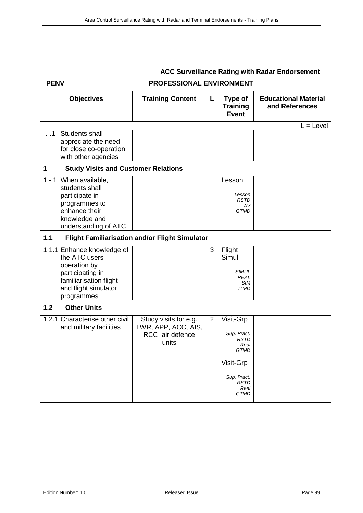| <b>PENV</b>               | ACC Surveniance Rating with Radar Endorsement<br>PROFESSIONAL ENVIRONMENT                                                                       |                                                                           |   |                                                                                                                           |                                               |  |
|---------------------------|-------------------------------------------------------------------------------------------------------------------------------------------------|---------------------------------------------------------------------------|---|---------------------------------------------------------------------------------------------------------------------------|-----------------------------------------------|--|
|                           | <b>Objectives</b>                                                                                                                               | <b>Training Content</b>                                                   | L | Type of<br><b>Training</b><br><b>Event</b>                                                                                | <b>Educational Material</b><br>and References |  |
|                           |                                                                                                                                                 |                                                                           |   |                                                                                                                           | $L = Level$                                   |  |
| $-,-.1$                   | Students shall<br>appreciate the need<br>for close co-operation<br>with other agencies                                                          |                                                                           |   |                                                                                                                           |                                               |  |
| 1                         | <b>Study Visits and Customer Relations</b>                                                                                                      |                                                                           |   |                                                                                                                           |                                               |  |
|                           | 1.-.1 When available,<br>students shall<br>participate in<br>programmes to<br>enhance their<br>knowledge and<br>understanding of ATC            |                                                                           |   | Lesson<br>Lesson<br><b>RSTD</b><br>AV<br><b>GTMD</b>                                                                      |                                               |  |
| 1.1                       |                                                                                                                                                 | <b>Flight Familiarisation and/or Flight Simulator</b>                     |   |                                                                                                                           |                                               |  |
|                           | 1.1.1 Enhance knowledge of<br>the ATC users<br>operation by<br>participating in<br>familiarisation flight<br>and flight simulator<br>programmes |                                                                           | 3 | Flight<br>Simul<br><b>SIMUL</b><br><b>REAL</b><br>SIM<br><b>ITMD</b>                                                      |                                               |  |
| 1.2<br><b>Other Units</b> |                                                                                                                                                 |                                                                           |   |                                                                                                                           |                                               |  |
|                           | 1.2.1 Characterise other civil<br>and military facilities                                                                                       | Study visits to: e.g.<br>TWR, APP, ACC, AIS,<br>RCC, air defence<br>units | 2 | Visit-Grp<br>Sup. Pract.<br><b>RSTD</b><br>Real<br>GTMD<br>Visit-Grp<br>Sup. Pract.<br><b>RSTD</b><br>Real<br><b>GTMD</b> |                                               |  |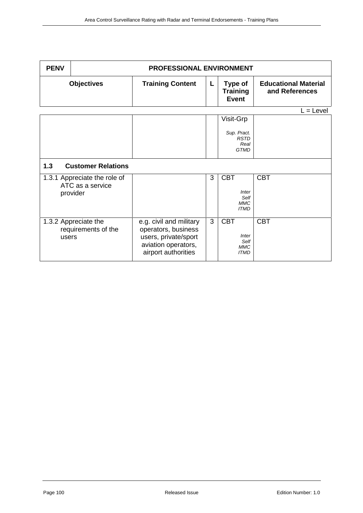| <b>PENV</b>       | <b>PROFESSIONAL ENVIRONMENT</b>                              |                                                                                                                      |   |                                                                 |                                               |  |
|-------------------|--------------------------------------------------------------|----------------------------------------------------------------------------------------------------------------------|---|-----------------------------------------------------------------|-----------------------------------------------|--|
| <b>Objectives</b> |                                                              | <b>Training Content</b>                                                                                              | L | Type of<br><b>Training</b><br><b>Event</b>                      | <b>Educational Material</b><br>and References |  |
|                   |                                                              |                                                                                                                      |   |                                                                 | $L = Level$                                   |  |
|                   |                                                              |                                                                                                                      |   | Visit-Grp                                                       |                                               |  |
|                   |                                                              |                                                                                                                      |   | Sup. Pract.<br><b>RSTD</b><br>Real<br><b>GTMD</b>               |                                               |  |
| 1.3               | <b>Customer Relations</b>                                    |                                                                                                                      |   |                                                                 |                                               |  |
|                   | 1.3.1 Appreciate the role of<br>ATC as a service<br>provider |                                                                                                                      | 3 | <b>CBT</b><br><b>Inter</b><br>Self<br><b>MMC</b><br><b>ITMD</b> | <b>CBT</b>                                    |  |
|                   | 1.3.2 Appreciate the<br>requirements of the<br>users         | e.g. civil and military<br>operators, business<br>users, private/sport<br>aviation operators,<br>airport authorities | 3 | <b>CBT</b><br><b>Inter</b><br>Self<br><b>MMC</b><br><b>ITMD</b> | <b>CBT</b>                                    |  |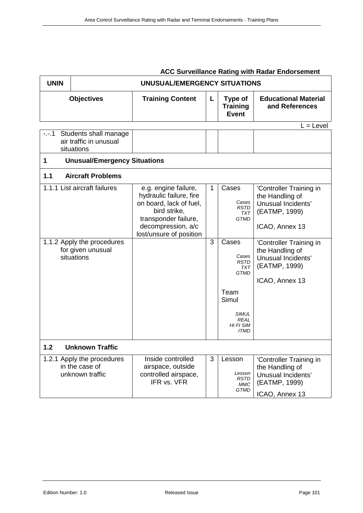| <b>UNIN</b> | 00 Odi veniance Rating with Radar Endorsement<br>UNUSUAL/EMERGENCY SITUATIONS                 |                                                                                                                                                                     |        |                                                                                                                                                                                 |                                                                                                                                                                                                            |
|-------------|-----------------------------------------------------------------------------------------------|---------------------------------------------------------------------------------------------------------------------------------------------------------------------|--------|---------------------------------------------------------------------------------------------------------------------------------------------------------------------------------|------------------------------------------------------------------------------------------------------------------------------------------------------------------------------------------------------------|
|             | <b>Objectives</b>                                                                             | <b>Training Content</b>                                                                                                                                             | L      | <b>Type of</b><br><b>Training</b><br><b>Event</b>                                                                                                                               | <b>Educational Material</b><br>and References                                                                                                                                                              |
|             |                                                                                               |                                                                                                                                                                     |        |                                                                                                                                                                                 | $L = Level$                                                                                                                                                                                                |
| -.-.1       | Students shall manage<br>air traffic in unusual<br>situations                                 |                                                                                                                                                                     |        |                                                                                                                                                                                 |                                                                                                                                                                                                            |
| 1           | <b>Unusual/Emergency Situations</b>                                                           |                                                                                                                                                                     |        |                                                                                                                                                                                 |                                                                                                                                                                                                            |
| 1.1         | <b>Aircraft Problems</b>                                                                      |                                                                                                                                                                     |        |                                                                                                                                                                                 |                                                                                                                                                                                                            |
|             | 1.1.1 List aircraft failures<br>1.1.2 Apply the procedures<br>for given unusual<br>situations | e.g. engine failure,<br>hydraulic failure, fire<br>on board, lack of fuel,<br>bird strike,<br>transponder failure,<br>decompression, a/c<br>lost/unsure of position | 1<br>3 | Cases<br>Cases<br><b>RSTD</b><br><b>TXT</b><br>GTMD<br>Cases<br>Cases<br>RSTD<br>TXT<br><b>GTMD</b><br>Team<br>Simul<br><b>SIMUL</b><br><b>REAL</b><br>HI FI SIM<br><b>ITMD</b> | 'Controller Training in<br>the Handling of<br>Unusual Incidents'<br>(EATMP, 1999)<br>ICAO, Annex 13<br>'Controller Training in<br>the Handling of<br>Unusual Incidents'<br>(EATMP, 1999)<br>ICAO, Annex 13 |
| 1.2         | <b>Unknown Traffic</b>                                                                        |                                                                                                                                                                     |        |                                                                                                                                                                                 |                                                                                                                                                                                                            |
|             | 1.2.1 Apply the procedures<br>in the case of<br>unknown traffic                               | Inside controlled<br>airspace, outside<br>controlled airspace,<br>IFR vs. VFR                                                                                       | 3      | Lesson<br>Lesson<br><b>RSTD</b><br><b>MMC</b><br>GTMD                                                                                                                           | 'Controller Training in<br>the Handling of<br>Unusual Incidents'<br>(EATMP, 1999)<br>ICAO, Annex 13                                                                                                        |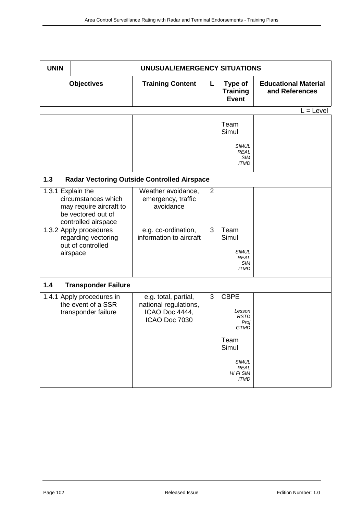| <b>UNIN</b>                                               | UNUSUAL/EMERGENCY SITUATIONS                                                                |                                                                                  |                |                                                                           |                                               |  |
|-----------------------------------------------------------|---------------------------------------------------------------------------------------------|----------------------------------------------------------------------------------|----------------|---------------------------------------------------------------------------|-----------------------------------------------|--|
| <b>Objectives</b>                                         |                                                                                             | <b>Training Content</b>                                                          | L              | Type of<br><b>Training</b><br><b>Event</b>                                | <b>Educational Material</b><br>and References |  |
|                                                           |                                                                                             |                                                                                  |                |                                                                           | $L = Level$                                   |  |
|                                                           |                                                                                             |                                                                                  |                | Team<br>Simul                                                             |                                               |  |
|                                                           |                                                                                             |                                                                                  |                | <b>SIMUL</b><br><b>REAL</b><br><b>SIM</b><br><b>ITMD</b>                  |                                               |  |
| 1.3<br><b>Radar Vectoring Outside Controlled Airspace</b> |                                                                                             |                                                                                  |                |                                                                           |                                               |  |
| 1.3.1 Explain the                                         | circumstances which<br>may require aircraft to<br>be vectored out of<br>controlled airspace | Weather avoidance,<br>emergency, traffic<br>avoidance                            | $\overline{2}$ |                                                                           |                                               |  |
|                                                           | 1.3.2 Apply procedures<br>regarding vectoring<br>out of controlled<br>airspace              | e.g. co-ordination,<br>information to aircraft                                   | 3              | Team<br>Simul<br><b>SIMUL</b><br><b>REAL</b><br><b>SIM</b><br><b>ITMD</b> |                                               |  |
| 1.4<br><b>Transponder Failure</b>                         |                                                                                             |                                                                                  |                |                                                                           |                                               |  |
|                                                           | 1.4.1 Apply procedures in<br>the event of a SSR<br>transponder failure                      | e.g. total, partial,<br>national regulations,<br>ICAO Doc 4444,<br>ICAO Doc 7030 | 3              | <b>CBPE</b><br>Lesson<br>RSTD<br>Proj<br><b>GTMD</b><br>Team<br>Simul     |                                               |  |
|                                                           |                                                                                             |                                                                                  |                | <b>SIMUL</b><br><b>REAL</b><br>HI FI SIM<br><b>ITMD</b>                   |                                               |  |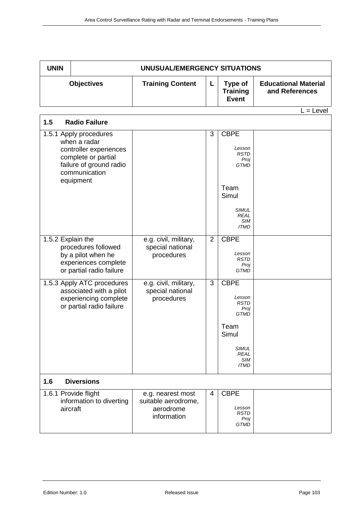| <b>UNIN</b>       | UNUSUAL/EMERGENCY SITUATIONS                                                                                       |                                                                      |                |                                                                              |                                               |  |  |  |  |  |  |  |
|-------------------|--------------------------------------------------------------------------------------------------------------------|----------------------------------------------------------------------|----------------|------------------------------------------------------------------------------|-----------------------------------------------|--|--|--|--|--|--|--|
|                   | <b>Objectives</b>                                                                                                  | <b>Training Content</b>                                              | L              | Type of<br><b>Training</b><br><b>Event</b>                                   | <b>Educational Material</b><br>and References |  |  |  |  |  |  |  |
|                   | $L = Level$                                                                                                        |                                                                      |                |                                                                              |                                               |  |  |  |  |  |  |  |
| 1.5               | <b>Radio Failure</b>                                                                                               |                                                                      |                |                                                                              |                                               |  |  |  |  |  |  |  |
|                   | 1.5.1 Apply procedures<br>when a radar<br>controller experiences<br>complete or partial<br>failure of ground radio |                                                                      | 3              | <b>CBPE</b><br>Lesson<br><b>RSTD</b><br>Proj<br>GTMD                         |                                               |  |  |  |  |  |  |  |
|                   | communication<br>equipment                                                                                         |                                                                      |                | Team<br>Simul<br><b>SIMUL</b>                                                |                                               |  |  |  |  |  |  |  |
|                   |                                                                                                                    |                                                                      |                | <b>REAL</b><br><b>SIM</b><br><b>ITMD</b>                                     |                                               |  |  |  |  |  |  |  |
| 1.5.2 Explain the | procedures followed<br>by a pilot when he<br>experiences complete<br>or partial radio failure                      | e.g. civil, military,<br>special national<br>procedures              | $\overline{2}$ | <b>CBPE</b><br>Lesson<br><b>RSTD</b><br>Proi<br><b>GTMD</b>                  |                                               |  |  |  |  |  |  |  |
|                   | 1.5.3 Apply ATC procedures<br>associated with a pilot<br>experiencing complete<br>or partial radio failure         | e.g. civil, military,<br>special national<br>procedures              | 3              | <b>CBPE</b><br>Lesson<br><b>RSTD</b><br>Proj<br><b>GTMD</b><br>Team<br>Simul |                                               |  |  |  |  |  |  |  |
|                   |                                                                                                                    |                                                                      |                | <b>SIMUL</b><br><b>REAL</b><br><b>SIM</b><br><b>ITMD</b>                     |                                               |  |  |  |  |  |  |  |
| 1.6               | <b>Diversions</b>                                                                                                  |                                                                      |                |                                                                              |                                               |  |  |  |  |  |  |  |
|                   | 1.6.1 Provide flight<br>information to diverting<br>aircraft                                                       | e.g. nearest most<br>suitable aerodrome,<br>aerodrome<br>information | 4              | <b>CBPE</b><br>Lesson<br><b>RSTD</b><br>Proj<br>GTMD                         |                                               |  |  |  |  |  |  |  |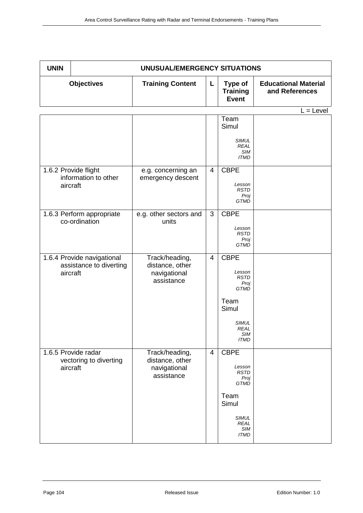| <b>UNIN</b> |                                                       | UNUSUAL/EMERGENCY SITUATIONS            |   |                                                          |                                               |  |  |  |  |  |  |
|-------------|-------------------------------------------------------|-----------------------------------------|---|----------------------------------------------------------|-----------------------------------------------|--|--|--|--|--|--|
|             | <b>Objectives</b>                                     | <b>Training Content</b>                 | L | Type of<br><b>Training</b><br><b>Event</b>               | <b>Educational Material</b><br>and References |  |  |  |  |  |  |
|             |                                                       |                                         |   |                                                          | $L = Level$                                   |  |  |  |  |  |  |
|             |                                                       |                                         |   | Team<br>Simul                                            |                                               |  |  |  |  |  |  |
|             |                                                       |                                         |   | <b>SIMUL</b><br><b>REAL</b><br><b>SIM</b><br><b>ITMD</b> |                                               |  |  |  |  |  |  |
|             | 1.6.2 Provide flight<br>information to other          | e.g. concerning an<br>emergency descent | 4 | <b>CBPE</b>                                              |                                               |  |  |  |  |  |  |
|             | aircraft                                              |                                         |   | Lesson<br><b>RSTD</b><br>Proj<br>GTMD                    |                                               |  |  |  |  |  |  |
|             | 1.6.3 Perform appropriate<br>co-ordination            | e.g. other sectors and<br>units         | 3 | <b>CBPE</b>                                              |                                               |  |  |  |  |  |  |
|             |                                                       |                                         |   | Lesson<br><b>RSTD</b><br>Proj<br>GTMD                    |                                               |  |  |  |  |  |  |
|             | 1.6.4 Provide navigational<br>assistance to diverting | Track/heading,<br>distance, other       | 4 | <b>CBPE</b>                                              |                                               |  |  |  |  |  |  |
|             | aircraft                                              | navigational<br>assistance              |   | Lesson<br><b>RSTD</b><br>Proj<br>GTMD                    |                                               |  |  |  |  |  |  |
|             |                                                       |                                         |   | Team<br>Simul                                            |                                               |  |  |  |  |  |  |
|             |                                                       |                                         |   | <b>SIMUL</b><br><b>REAL</b><br><b>SIM</b><br><b>ITMD</b> |                                               |  |  |  |  |  |  |
|             | 1.6.5 Provide radar<br>vectoring to diverting         | Track/heading,<br>distance, other       | 4 | <b>CBPE</b>                                              |                                               |  |  |  |  |  |  |
|             | aircraft                                              | navigational<br>assistance              |   | Lesson<br><b>RSTD</b><br>Proj<br>GTMD                    |                                               |  |  |  |  |  |  |
|             |                                                       |                                         |   | Team<br>Simul                                            |                                               |  |  |  |  |  |  |
|             |                                                       |                                         |   | <b>SIMUL</b><br><b>REAL</b><br><b>SIM</b><br><b>ITMD</b> |                                               |  |  |  |  |  |  |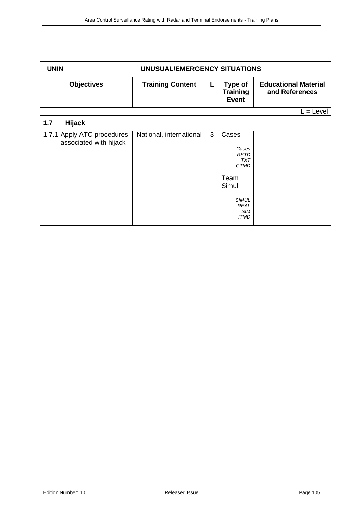| UNIN              | UNUSUAL/EMERGENCY SITUATIONS |                         |   |                                            |                                               |  |  |  |  |
|-------------------|------------------------------|-------------------------|---|--------------------------------------------|-----------------------------------------------|--|--|--|--|
| <b>Objectives</b> |                              | <b>Training Content</b> | ┕ | Type of<br><b>Training</b><br><b>Event</b> | <b>Educational Material</b><br>and References |  |  |  |  |
|                   |                              |                         |   |                                            | _ = Level                                     |  |  |  |  |

| <b>Hijack</b><br>1.7                                 |                         |   |                                                          |  |
|------------------------------------------------------|-------------------------|---|----------------------------------------------------------|--|
| 1.7.1 Apply ATC procedures<br>associated with hijack | National, international | 3 | Cases<br>Cases<br><b>RSTD</b><br><b>TXT</b><br>GTMD      |  |
|                                                      |                         |   | Team<br>Simul                                            |  |
|                                                      |                         |   | <b>SIMUL</b><br><b>REAL</b><br><b>SIM</b><br><b>ITMD</b> |  |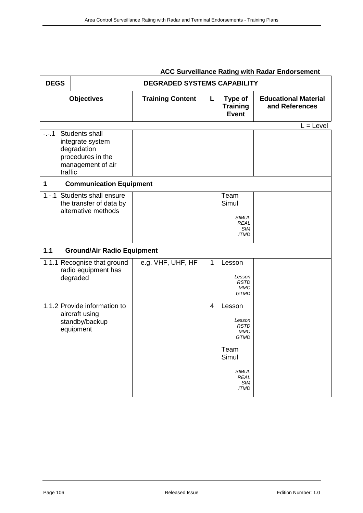| <b>DEGS</b>     |                                                                                             | <b>DEGRADED SYSTEMS CAPABILITY</b> |   |                                                          |                                               |  |  |  |  |  |
|-----------------|---------------------------------------------------------------------------------------------|------------------------------------|---|----------------------------------------------------------|-----------------------------------------------|--|--|--|--|--|
|                 | <b>Objectives</b>                                                                           | <b>Training Content</b>            | L | <b>Type of</b><br><b>Training</b><br><b>Event</b>        | <b>Educational Material</b><br>and References |  |  |  |  |  |
|                 |                                                                                             |                                    |   |                                                          | $L = Level$                                   |  |  |  |  |  |
| $-1$<br>traffic | Students shall<br>integrate system<br>degradation<br>procedures in the<br>management of air |                                    |   |                                                          |                                               |  |  |  |  |  |
| 1               | <b>Communication Equipment</b>                                                              |                                    |   |                                                          |                                               |  |  |  |  |  |
|                 | 1.-.1 Students shall ensure<br>the transfer of data by<br>alternative methods               |                                    |   | Team<br>Simul                                            |                                               |  |  |  |  |  |
|                 |                                                                                             |                                    |   | <b>SIMUL</b><br><b>REAL</b><br><b>SIM</b><br><b>ITMD</b> |                                               |  |  |  |  |  |
| 1.1             | <b>Ground/Air Radio Equipment</b>                                                           |                                    |   |                                                          |                                               |  |  |  |  |  |
|                 | 1.1.1 Recognise that ground<br>radio equipment has                                          | e.g. VHF, UHF, HF                  | 1 | Lesson                                                   |                                               |  |  |  |  |  |
|                 | degraded                                                                                    |                                    |   | Lesson<br><b>RSTD</b><br><b>MMC</b><br><b>GTMD</b>       |                                               |  |  |  |  |  |
|                 | 1.1.2 Provide information to<br>aircraft using                                              |                                    | 4 | Lesson                                                   |                                               |  |  |  |  |  |
|                 | standby/backup<br>equipment                                                                 |                                    |   | Lesson<br><b>RSTD</b><br><b>MMC</b><br>GTMD              |                                               |  |  |  |  |  |
|                 |                                                                                             |                                    |   | Team<br>Simul                                            |                                               |  |  |  |  |  |
|                 |                                                                                             |                                    |   | <b>SIMUL</b><br><b>REAL</b><br><b>SIM</b><br><b>ITMD</b> |                                               |  |  |  |  |  |

## **ACC Surveillance Rating with Radar Endorsement**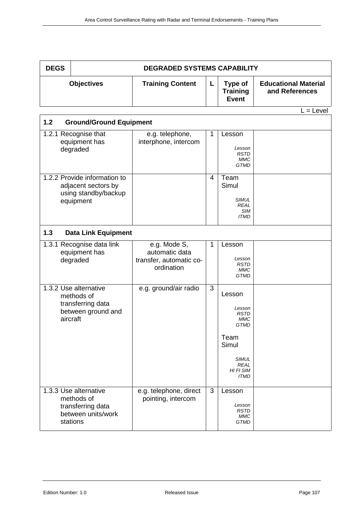| <b>DEGS</b>                                                                              | <b>DEGRADED SYSTEMS CAPABILITY</b>                                                         |                                                                                       |    |                                                                                                       |                                               |  |  |  |  |  |  |
|------------------------------------------------------------------------------------------|--------------------------------------------------------------------------------------------|---------------------------------------------------------------------------------------|----|-------------------------------------------------------------------------------------------------------|-----------------------------------------------|--|--|--|--|--|--|
| <b>Objectives</b>                                                                        |                                                                                            | <b>Training Content</b>                                                               | L. | Type of<br><b>Training</b><br><b>Event</b>                                                            | <b>Educational Material</b><br>and References |  |  |  |  |  |  |
|                                                                                          |                                                                                            |                                                                                       |    |                                                                                                       |                                               |  |  |  |  |  |  |
| 1.2                                                                                      | <b>Ground/Ground Equipment</b>                                                             |                                                                                       |    |                                                                                                       |                                               |  |  |  |  |  |  |
|                                                                                          | 1.2.1 Recognise that<br>equipment has<br>degraded                                          | e.g. telephone,<br>interphone, intercom                                               | 1  | Lesson<br>Lesson<br><b>RSTD</b><br><b>MMC</b><br><b>GTMD</b>                                          |                                               |  |  |  |  |  |  |
| 1.2.2 Provide information to<br>adjacent sectors by<br>using standby/backup<br>equipment |                                                                                            |                                                                                       | 4  | Team<br>Simul<br><b>SIMUL</b><br><b>REAL</b><br><b>SIM</b><br><b>ITMD</b>                             |                                               |  |  |  |  |  |  |
| 1.3                                                                                      | <b>Data Link Equipment</b>                                                                 |                                                                                       |    |                                                                                                       |                                               |  |  |  |  |  |  |
|                                                                                          | 1.3.1 Recognise data link<br>equipment has<br>degraded                                     | e.g. Mode $\overline{S}$ ,<br>automatic data<br>transfer, automatic co-<br>ordination | 1  | Lesson<br>Lesson<br><b>RSTD</b><br><b>MMC</b><br><b>GTMD</b>                                          |                                               |  |  |  |  |  |  |
|                                                                                          | 1.3.2 Use alternative<br>methods of<br>transferring data<br>between ground and<br>aircraft | e.g. ground/air radio                                                                 | 3  | Lesson<br>Lesson<br><b>RSTD</b><br><b>MMC</b><br><b>GTMD</b><br>Team<br>Simul<br><b>SIMUL</b><br>DTAI |                                               |  |  |  |  |  |  |

|                                                                                            |                                              |   | <b>SIMUL</b><br><b>REAL</b><br>HI FI SIM<br>ITMD      |  |
|--------------------------------------------------------------------------------------------|----------------------------------------------|---|-------------------------------------------------------|--|
| 1.3.3 Use alternative<br>methods of<br>transferring data<br>between units/work<br>stations | e.g. telephone, direct<br>pointing, intercom | 3 | Lesson<br>Lesson<br><b>RSTD</b><br><b>MMC</b><br>GTMD |  |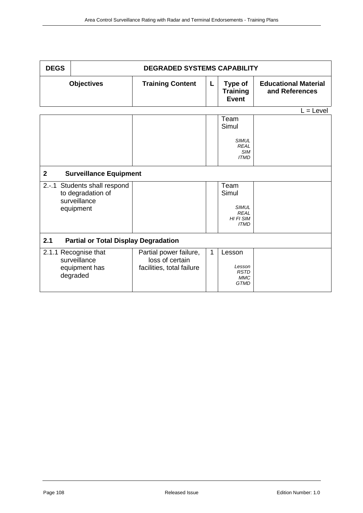| <b>DEGS</b>    |                                                                   | <b>DEGRADED SYSTEMS CAPABILITY</b>                                     |              |                                                          |                                               |  |  |  |  |  |  |
|----------------|-------------------------------------------------------------------|------------------------------------------------------------------------|--------------|----------------------------------------------------------|-----------------------------------------------|--|--|--|--|--|--|
|                | <b>Objectives</b>                                                 | <b>Training Content</b>                                                |              | Type of<br><b>Training</b><br><b>Event</b>               | <b>Educational Material</b><br>and References |  |  |  |  |  |  |
| $L = Level$    |                                                                   |                                                                        |              |                                                          |                                               |  |  |  |  |  |  |
|                |                                                                   |                                                                        |              | Team<br>Simul                                            |                                               |  |  |  |  |  |  |
|                |                                                                   |                                                                        |              | <b>SIMUL</b><br><b>REAL</b><br><b>SIM</b><br><b>ITMD</b> |                                               |  |  |  |  |  |  |
| $\overline{2}$ | <b>Surveillance Equipment</b>                                     |                                                                        |              |                                                          |                                               |  |  |  |  |  |  |
|                | 2.-.1 Students shall respond<br>to degradation of<br>surveillance |                                                                        |              | Team<br>Simul                                            |                                               |  |  |  |  |  |  |
|                | equipment                                                         |                                                                        |              | <b>SIMUL</b><br><b>REAL</b><br>HI FI SIM<br><b>ITMD</b>  |                                               |  |  |  |  |  |  |
| 2.1            | <b>Partial or Total Display Degradation</b>                       |                                                                        |              |                                                          |                                               |  |  |  |  |  |  |
|                | 2.1.1 Recognise that<br>surveillance<br>equipment has<br>degraded | Partial power failure,<br>loss of certain<br>facilities, total failure | $\mathbf{1}$ | Lesson<br>Lesson<br><b>RSTD</b><br><b>MMC</b><br>GTMD    |                                               |  |  |  |  |  |  |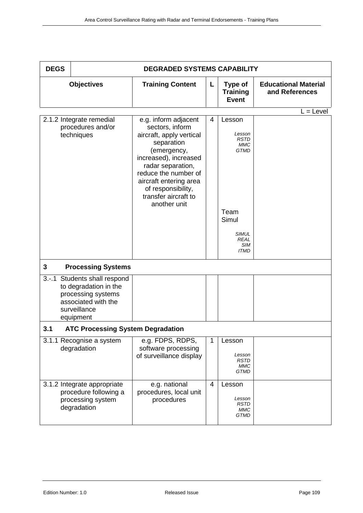| <b>DEGS</b>                                                 |                                                                                                                                 | <b>DEGRADED SYSTEMS CAPABILITY</b>                                                                                                                                                                                                                             |                                                 |                                                              |             |  |  |  |  |  |  |  |
|-------------------------------------------------------------|---------------------------------------------------------------------------------------------------------------------------------|----------------------------------------------------------------------------------------------------------------------------------------------------------------------------------------------------------------------------------------------------------------|-------------------------------------------------|--------------------------------------------------------------|-------------|--|--|--|--|--|--|--|
|                                                             | <b>Objectives</b>                                                                                                               | <b>Training Content</b>                                                                                                                                                                                                                                        | Type of<br>L<br><b>Training</b><br><b>Event</b> |                                                              |             |  |  |  |  |  |  |  |
|                                                             |                                                                                                                                 |                                                                                                                                                                                                                                                                |                                                 |                                                              | $L = Level$ |  |  |  |  |  |  |  |
| 2.1.2 Integrate remedial<br>procedures and/or<br>techniques |                                                                                                                                 | e.g. inform adjacent<br>sectors, inform<br>aircraft, apply vertical<br>separation<br>(emergency,<br>increased), increased<br>radar separation,<br>reduce the number of<br>aircraft entering area<br>of responsibility,<br>transfer aircraft to<br>another unit | 4                                               | Lesson<br>Lesson<br><b>RSTD</b><br><b>MMC</b><br><b>GTMD</b> |             |  |  |  |  |  |  |  |
|                                                             |                                                                                                                                 |                                                                                                                                                                                                                                                                |                                                 | Team<br>Simul                                                |             |  |  |  |  |  |  |  |
|                                                             |                                                                                                                                 |                                                                                                                                                                                                                                                                |                                                 | <b>SIMUL</b><br>REAL<br><b>SIM</b><br><b>ITMD</b>            |             |  |  |  |  |  |  |  |
| 3                                                           | <b>Processing Systems</b>                                                                                                       |                                                                                                                                                                                                                                                                |                                                 |                                                              |             |  |  |  |  |  |  |  |
|                                                             | 3.-.1 Students shall respond<br>to degradation in the<br>processing systems<br>associated with the<br>surveillance<br>equipment |                                                                                                                                                                                                                                                                |                                                 |                                                              |             |  |  |  |  |  |  |  |
| 3.1                                                         | <b>ATC Processing System Degradation</b>                                                                                        |                                                                                                                                                                                                                                                                |                                                 |                                                              |             |  |  |  |  |  |  |  |
|                                                             | 3.1.1 Recognise a system<br>degradation                                                                                         | e.g. FDPS, RDPS,<br>software processing<br>of surveillance display                                                                                                                                                                                             | 1                                               | Lesson<br>Lesson<br><b>RSTD</b><br><b>MMC</b><br>GTMD        |             |  |  |  |  |  |  |  |
|                                                             | 3.1.2 Integrate appropriate<br>procedure following a<br>processing system<br>degradation                                        | e.g. national<br>procedures, local unit<br>procedures                                                                                                                                                                                                          | 4                                               | Lesson<br>Lesson<br>RSTD<br><b>MMC</b><br>GTMD               |             |  |  |  |  |  |  |  |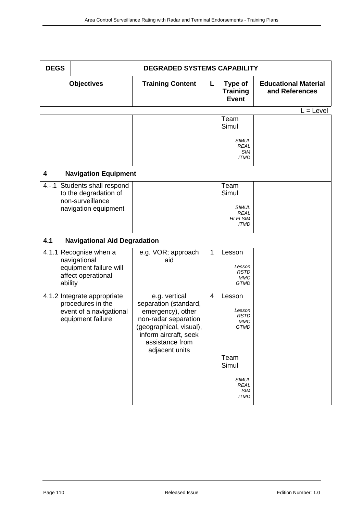| <b>DEGS</b>             | <b>DEGRADED SYSTEMS CAPABILITY</b>                                                                |                                                                                                                                                                              |                |                                                                                                                                    |                                               |  |  |  |  |  |  |
|-------------------------|---------------------------------------------------------------------------------------------------|------------------------------------------------------------------------------------------------------------------------------------------------------------------------------|----------------|------------------------------------------------------------------------------------------------------------------------------------|-----------------------------------------------|--|--|--|--|--|--|
|                         | <b>Objectives</b>                                                                                 | <b>Training Content</b>                                                                                                                                                      | L              | Type of<br><b>Training</b><br><b>Event</b>                                                                                         | <b>Educational Material</b><br>and References |  |  |  |  |  |  |
|                         |                                                                                                   |                                                                                                                                                                              |                |                                                                                                                                    | $L = Level$                                   |  |  |  |  |  |  |
|                         |                                                                                                   |                                                                                                                                                                              |                | Team<br>Simul                                                                                                                      |                                               |  |  |  |  |  |  |
|                         |                                                                                                   |                                                                                                                                                                              |                | <b>SIMUL</b><br><b>REAL</b><br>SIM<br><b>ITMD</b>                                                                                  |                                               |  |  |  |  |  |  |
| $\overline{\mathbf{4}}$ | <b>Navigation Equipment</b>                                                                       |                                                                                                                                                                              |                |                                                                                                                                    |                                               |  |  |  |  |  |  |
|                         | 4.-.1 Students shall respond<br>to the degradation of<br>non-surveillance                         |                                                                                                                                                                              |                | Team<br>Simul                                                                                                                      |                                               |  |  |  |  |  |  |
|                         | navigation equipment                                                                              |                                                                                                                                                                              |                | <b>SIMUL</b><br><b>REAL</b><br>HI FI SIM<br><b>ITMD</b>                                                                            |                                               |  |  |  |  |  |  |
| 4.1                     | <b>Navigational Aid Degradation</b>                                                               |                                                                                                                                                                              |                |                                                                                                                                    |                                               |  |  |  |  |  |  |
|                         | 4.1.1 Recognise when a<br>navigational<br>equipment failure will<br>affect operational<br>ability | e.g. VOR; approach<br>aid                                                                                                                                                    | 1              | Lesson<br>Lesson<br><b>RSTD</b><br><b>MMC</b><br><b>GTMD</b>                                                                       |                                               |  |  |  |  |  |  |
|                         | 4.1.2 Integrate appropriate<br>procedures in the<br>event of a navigational<br>equipment failure  | e.g. vertical<br>separation (standard,<br>emergency), other<br>non-radar separation<br>(geographical, visual),<br>inform aircraft, seek<br>assistance from<br>adjacent units | $\overline{4}$ | Lesson<br>Lesson<br><b>RSTD</b><br><b>MMC</b><br>GTMD<br>Team<br>Simul<br><b>SIMUL</b><br><b>REAL</b><br><b>SIM</b><br><b>ITMD</b> |                                               |  |  |  |  |  |  |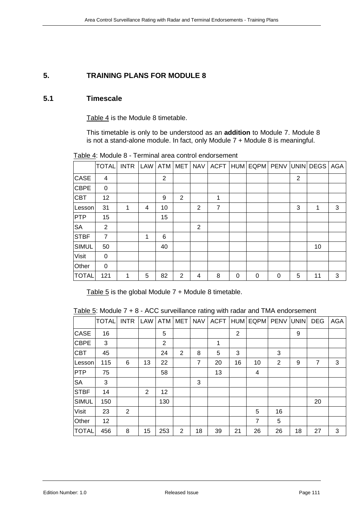## **5. TRAINING PLANS FOR MODULE 8**

## **5.1 Timescale**

Table 4 is the Module 8 timetable.

This timetable is only to be understood as an **addition** to Module 7. Module 8 is not a stand-alone module. In fact, only Module 7 + Module 8 is meaningful.

|              | <b>TOTAL</b>   | <b>INTR</b> | LAW |    | ATM   MET      | <b>NAV</b>     | <b>ACFT</b>    |   | HUM EQPM PENV UNIN DEGS AGA |             |   |    |   |
|--------------|----------------|-------------|-----|----|----------------|----------------|----------------|---|-----------------------------|-------------|---|----|---|
| <b>CASE</b>  | 4              |             |     | 2  |                |                |                |   |                             |             | 2 |    |   |
| <b>CBPE</b>  | 0              |             |     |    |                |                |                |   |                             |             |   |    |   |
| <b>CBT</b>   | 12             |             |     | 9  | $\overline{2}$ |                | 1              |   |                             |             |   |    |   |
| Lesson       | 31             | 1           | 4   | 10 |                | $\overline{2}$ | $\overline{7}$ |   |                             |             | 3 | 1  | 3 |
| PTP          | 15             |             |     | 15 |                |                |                |   |                             |             |   |    |   |
| <b>SA</b>    | 2              |             |     |    |                | $\overline{2}$ |                |   |                             |             |   |    |   |
| <b>STBF</b>  | $\overline{7}$ |             | 1   | 6  |                |                |                |   |                             |             |   |    |   |
| <b>SIMUL</b> | 50             |             |     | 40 |                |                |                |   |                             |             |   | 10 |   |
| Visit        | $\Omega$       |             |     |    |                |                |                |   |                             |             |   |    |   |
| Other        | $\Omega$       |             |     |    |                |                |                |   |                             |             |   |    |   |
| <b>TOTAL</b> | 121            | $\mathbf 1$ | 5   | 82 | 2              | 4              | 8              | 0 | 0                           | $\mathbf 0$ | 5 | 11 | 3 |

Table 4: Module 8 - Terminal area control endorsement

Table 5 is the global Module 7 + Module 8 timetable.

|              | <b>TOTAL</b> | <b>INTR</b> |    | LAW   ATM   MET |   | <b>NAV</b> | <b>ACFT</b> |                | HUM EQPM PENY UNIN |                |    | <b>DEG</b> | AGA |
|--------------|--------------|-------------|----|-----------------|---|------------|-------------|----------------|--------------------|----------------|----|------------|-----|
| <b>CASE</b>  | 16           |             |    | 5               |   |            |             | $\overline{2}$ |                    |                | 9  |            |     |
| <b>CBPE</b>  | 3            |             |    | 2               |   |            | 1           |                |                    |                |    |            |     |
| <b>CBT</b>   | 45           |             |    | 24              | 2 | 8          | 5           | 3              |                    | 3              |    |            |     |
| Lesson       | 115          | 6           | 13 | 22              |   | 7          | 20          | 16             | 10                 | $\overline{2}$ | 9  | 7          | 3   |
| <b>PTP</b>   | 75           |             |    | 58              |   |            | 13          |                | 4                  |                |    |            |     |
| <b>SA</b>    | 3            |             |    |                 |   | 3          |             |                |                    |                |    |            |     |
| <b>STBF</b>  | 14           |             | 2  | 12              |   |            |             |                |                    |                |    |            |     |
| <b>SIMUL</b> | 150          |             |    | 130             |   |            |             |                |                    |                |    | 20         |     |
| <b>Visit</b> | 23           | 2           |    |                 |   |            |             |                | 5                  | 16             |    |            |     |
| Other        | 12           |             |    |                 |   |            |             |                | 7                  | 5              |    |            |     |
| <b>TOTAL</b> | 456          | 8           | 15 | 253             | 2 | 18         | 39          | 21             | 26                 | 26             | 18 | 27         | 3   |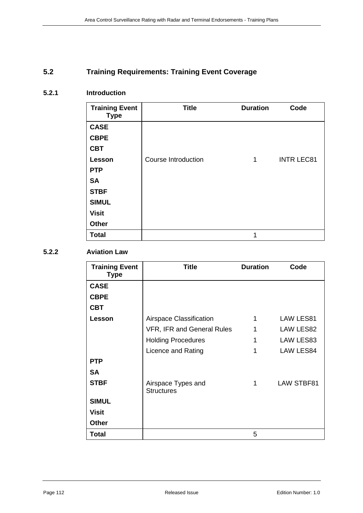# **5.2 Training Requirements: Training Event Coverage**

## **5.2.1 Introduction**

| <b>Training Event</b><br><b>Type</b> | <b>Title</b>               | <b>Duration</b> | Code              |
|--------------------------------------|----------------------------|-----------------|-------------------|
| <b>CASE</b>                          |                            |                 |                   |
| <b>CBPE</b>                          |                            |                 |                   |
| <b>CBT</b>                           |                            |                 |                   |
| Lesson                               | <b>Course Introduction</b> | 1               | <b>INTR LEC81</b> |
| <b>PTP</b>                           |                            |                 |                   |
| <b>SA</b>                            |                            |                 |                   |
| <b>STBF</b>                          |                            |                 |                   |
| <b>SIMUL</b>                         |                            |                 |                   |
| <b>Visit</b>                         |                            |                 |                   |
| Other                                |                            |                 |                   |
| <b>Total</b>                         |                            | 1               |                   |

# **5.2.2 Aviation Law**

| <b>Training Event</b><br><b>Type</b> | <b>Title</b>                            | <b>Duration</b> | Code              |
|--------------------------------------|-----------------------------------------|-----------------|-------------------|
| <b>CASE</b>                          |                                         |                 |                   |
| <b>CBPE</b>                          |                                         |                 |                   |
| <b>CBT</b>                           |                                         |                 |                   |
| Lesson                               | Airspace Classification                 | 1               | <b>LAW LES81</b>  |
|                                      | <b>VFR, IFR and General Rules</b>       | 1               | LAW LES82         |
|                                      | <b>Holding Procedures</b>               | 1               | LAW LES83         |
|                                      | Licence and Rating                      | 1               | <b>LAW LES84</b>  |
| <b>PTP</b>                           |                                         |                 |                   |
| <b>SA</b>                            |                                         |                 |                   |
| <b>STBF</b>                          | Airspace Types and<br><b>Structures</b> | 1               | <b>LAW STBF81</b> |
| <b>SIMUL</b>                         |                                         |                 |                   |
| <b>Visit</b>                         |                                         |                 |                   |
| <b>Other</b>                         |                                         |                 |                   |
| <b>Total</b>                         |                                         | 5               |                   |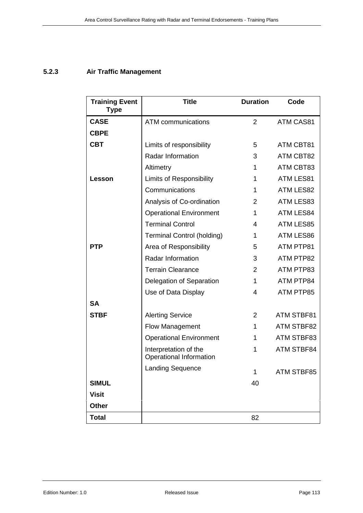# **5.2.3 Air Traffic Management**

| <b>Training Event</b><br><b>Type</b> | <b>Title</b>                                     | <b>Duration</b> | Code              |
|--------------------------------------|--------------------------------------------------|-----------------|-------------------|
| <b>CASE</b>                          | <b>ATM</b> communications                        | 2               | <b>ATM CAS81</b>  |
| <b>CBPE</b>                          |                                                  |                 |                   |
| <b>CBT</b>                           | Limits of responsibility                         | 5               | ATM CBT81         |
|                                      | Radar Information                                | 3               | <b>ATM CBT82</b>  |
|                                      | Altimetry                                        | 1               | ATM CBT83         |
| Lesson                               | <b>Limits of Responsibility</b>                  | 1               | <b>ATM LES81</b>  |
|                                      | Communications                                   | 1               | <b>ATM LES82</b>  |
|                                      | Analysis of Co-ordination                        | 2               | <b>ATM LES83</b>  |
|                                      | <b>Operational Environment</b>                   | 1               | <b>ATM LES84</b>  |
|                                      | <b>Terminal Control</b>                          | 4               | <b>ATM LES85</b>  |
|                                      | <b>Terminal Control (holding)</b>                | 1               | <b>ATM LES86</b>  |
| <b>PTP</b>                           | Area of Responsibility                           | 5               | <b>ATM PTP81</b>  |
|                                      | Radar Information                                | 3               | <b>ATM PTP82</b>  |
|                                      | <b>Terrain Clearance</b>                         | $\overline{2}$  | ATM PTP83         |
|                                      | Delegation of Separation                         | 1               | <b>ATM PTP84</b>  |
|                                      | Use of Data Display                              | 4               | <b>ATM PTP85</b>  |
| <b>SA</b>                            |                                                  |                 |                   |
| <b>STBF</b>                          | <b>Alerting Service</b>                          | $\overline{2}$  | <b>ATM STBF81</b> |
|                                      | <b>Flow Management</b>                           | 1               | <b>ATM STBF82</b> |
|                                      | <b>Operational Environment</b>                   | 1               | ATM STBF83        |
|                                      | Interpretation of the<br>Operational Information | 1               | <b>ATM STBF84</b> |
|                                      | <b>Landing Sequence</b>                          | 1               | ATM STBF85        |
| <b>SIMUL</b>                         |                                                  | 40              |                   |
| <b>Visit</b>                         |                                                  |                 |                   |
| <b>Other</b>                         |                                                  |                 |                   |
| <b>Total</b>                         |                                                  | 82              |                   |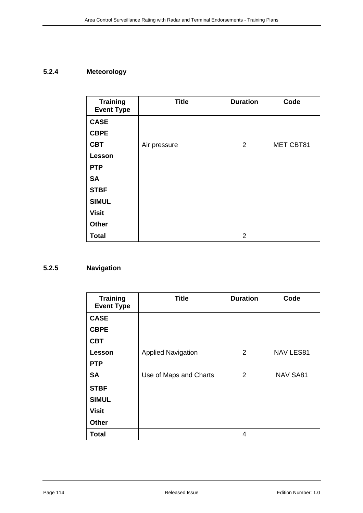# **5.2.4 Meteorology**

| <b>Training</b><br><b>Event Type</b> | <b>Title</b> | <b>Duration</b> | Code      |
|--------------------------------------|--------------|-----------------|-----------|
| <b>CASE</b>                          |              |                 |           |
| <b>CBPE</b>                          |              |                 |           |
| <b>CBT</b>                           | Air pressure | $\overline{2}$  | MET CBT81 |
| Lesson                               |              |                 |           |
| <b>PTP</b>                           |              |                 |           |
| <b>SA</b>                            |              |                 |           |
| <b>STBF</b>                          |              |                 |           |
| <b>SIMUL</b>                         |              |                 |           |
| <b>Visit</b>                         |              |                 |           |
| Other                                |              |                 |           |
| <b>Total</b>                         |              | $\overline{2}$  |           |

# **5.2.5 Navigation**

| <b>Training</b><br><b>Event Type</b> | <b>Title</b>              | <b>Duration</b> | Code             |
|--------------------------------------|---------------------------|-----------------|------------------|
| <b>CASE</b>                          |                           |                 |                  |
| <b>CBPE</b>                          |                           |                 |                  |
| <b>CBT</b>                           |                           |                 |                  |
| Lesson                               | <b>Applied Navigation</b> | $\overline{2}$  | <b>NAV LES81</b> |
| <b>PTP</b>                           |                           |                 |                  |
| <b>SA</b>                            | Use of Maps and Charts    | 2               | <b>NAV SA81</b>  |
| <b>STBF</b>                          |                           |                 |                  |
| <b>SIMUL</b>                         |                           |                 |                  |
| <b>Visit</b>                         |                           |                 |                  |
| <b>Other</b>                         |                           |                 |                  |
| <b>Total</b>                         |                           | 4               |                  |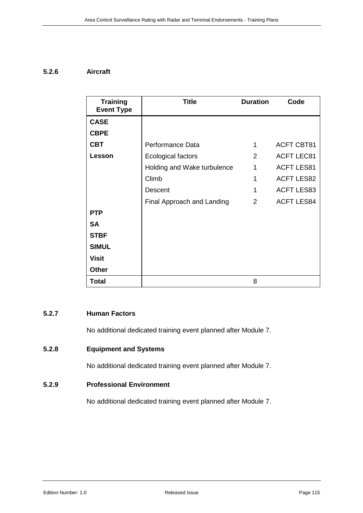## **5.2.6 Aircraft**

| <b>Training</b><br><b>Event Type</b> | <b>Title</b>                | <b>Duration</b> | Code              |
|--------------------------------------|-----------------------------|-----------------|-------------------|
| <b>CASE</b>                          |                             |                 |                   |
| <b>CBPE</b>                          |                             |                 |                   |
| <b>CBT</b>                           | Performance Data            | 1               | <b>ACFT CBT81</b> |
| Lesson                               | Ecological factors          | $\overline{2}$  | <b>ACFT LEC81</b> |
|                                      | Holding and Wake turbulence | 1               | <b>ACFT LES81</b> |
|                                      | Climb                       | 1               | <b>ACFT LES82</b> |
|                                      | Descent                     | 1               | <b>ACFT LES83</b> |
|                                      | Final Approach and Landing  | $\overline{2}$  | <b>ACFT LES84</b> |
| <b>PTP</b>                           |                             |                 |                   |
| <b>SA</b>                            |                             |                 |                   |
| <b>STBF</b>                          |                             |                 |                   |
| <b>SIMUL</b>                         |                             |                 |                   |
| <b>Visit</b>                         |                             |                 |                   |
| Other                                |                             |                 |                   |
| <b>Total</b>                         |                             | 8               |                   |

## **5.2.7 Human Factors**

No additional dedicated training event planned after Module 7.

## **5.2.8 Equipment and Systems**

No additional dedicated training event planned after Module 7.

### **5.2.9 Professional Environment**

No additional dedicated training event planned after Module 7.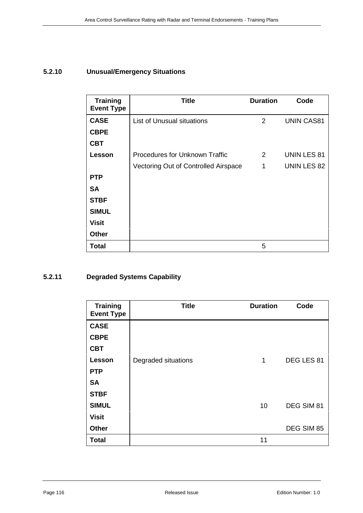# **5.2.10 Unusual/Emergency Situations**

| <b>Training</b><br><b>Event Type</b> | <b>Title</b>                          | <b>Duration</b> | Code               |
|--------------------------------------|---------------------------------------|-----------------|--------------------|
| <b>CASE</b>                          | List of Unusual situations            | 2               | <b>UNIN CAS81</b>  |
| <b>CBPE</b>                          |                                       |                 |                    |
| <b>CBT</b>                           |                                       |                 |                    |
| Lesson                               | <b>Procedures for Unknown Traffic</b> | 2               | <b>UNIN LES 81</b> |
|                                      | Vectoring Out of Controlled Airspace  | 1               | UNIN LES 82        |
| <b>PTP</b>                           |                                       |                 |                    |
| <b>SA</b>                            |                                       |                 |                    |
| <b>STBF</b>                          |                                       |                 |                    |
| <b>SIMUL</b>                         |                                       |                 |                    |
| <b>Visit</b>                         |                                       |                 |                    |
| <b>Other</b>                         |                                       |                 |                    |
| Total                                |                                       | 5               |                    |

## **5.2.11 Degraded Systems Capability**

| <b>Training</b><br><b>Event Type</b> | <b>Title</b>        | <b>Duration</b> | Code       |
|--------------------------------------|---------------------|-----------------|------------|
| <b>CASE</b>                          |                     |                 |            |
| <b>CBPE</b>                          |                     |                 |            |
| <b>CBT</b>                           |                     |                 |            |
| Lesson                               | Degraded situations | $\mathbf{1}$    | DEG LES 81 |
| <b>PTP</b>                           |                     |                 |            |
| <b>SA</b>                            |                     |                 |            |
| <b>STBF</b>                          |                     |                 |            |
| <b>SIMUL</b>                         |                     | 10              | DEG SIM 81 |
| <b>Visit</b>                         |                     |                 |            |
| Other                                |                     |                 | DEG SIM 85 |
| <b>Total</b>                         |                     | 11              |            |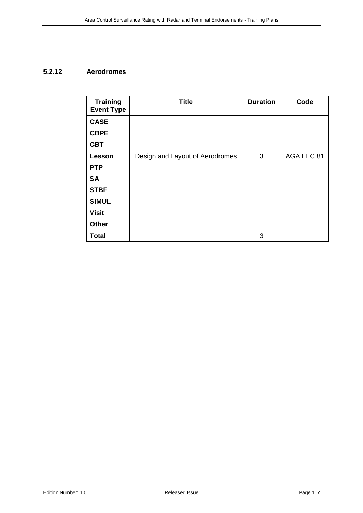## **5.2.12 Aerodromes**

| <b>Training</b><br><b>Event Type</b> | <b>Title</b>                    | <b>Duration</b> | Code       |
|--------------------------------------|---------------------------------|-----------------|------------|
| <b>CASE</b>                          |                                 |                 |            |
| <b>CBPE</b>                          |                                 |                 |            |
| <b>CBT</b>                           |                                 |                 |            |
| Lesson                               | Design and Layout of Aerodromes | 3               | AGA LEC 81 |
| <b>PTP</b>                           |                                 |                 |            |
| <b>SA</b>                            |                                 |                 |            |
| <b>STBF</b>                          |                                 |                 |            |
| <b>SIMUL</b>                         |                                 |                 |            |
| <b>Visit</b>                         |                                 |                 |            |
| <b>Other</b>                         |                                 |                 |            |
| <b>Total</b>                         |                                 | 3               |            |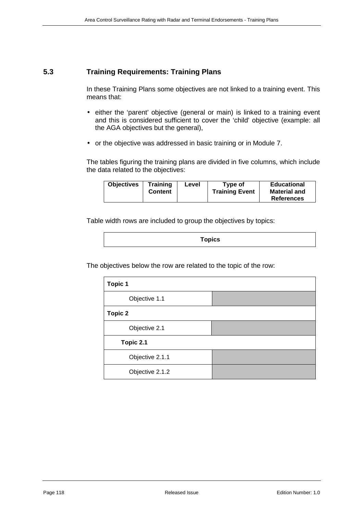## **5.3 Training Requirements: Training Plans**

In these Training Plans some objectives are not linked to a training event. This means that:

- either the 'parent' objective (general or main) is linked to a training event and this is considered sufficient to cover the 'child' objective (example: all the AGA objectives but the general),
- or the objective was addressed in basic training or in Module 7.

The tables figuring the training plans are divided in five columns, which include the data related to the objectives:

| <b>Objectives</b> | <b>Training</b><br><b>Content</b> | Level | Type of<br><b>Training Event</b> | <b>Educational</b><br><b>Material and</b> |
|-------------------|-----------------------------------|-------|----------------------------------|-------------------------------------------|
|                   |                                   |       |                                  | <b>References</b>                         |

Table width rows are included to group the objectives by topics:

| <b>Topics</b> |
|---------------|
|---------------|

The objectives below the row are related to the topic of the row:

| <b>Topic 1</b>  |  |
|-----------------|--|
| Objective 1.1   |  |
| <b>Topic 2</b>  |  |
| Objective 2.1   |  |
| Topic 2.1       |  |
| Objective 2.1.1 |  |
| Objective 2.1.2 |  |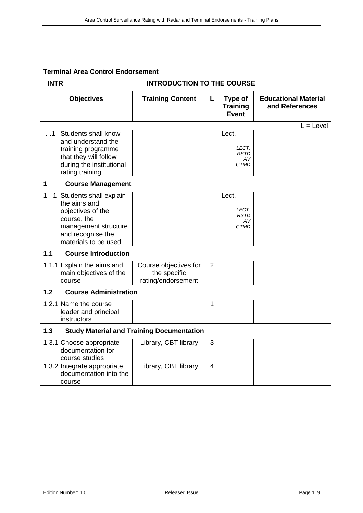|  | <b>Terminal Area Control Endorsement</b> |
|--|------------------------------------------|
|--|------------------------------------------|

| <b>INTR</b> | <b>INTRODUCTION TO THE COURSE</b>                                                                                                                     |                                                             |                |                                                    |                                               |  |
|-------------|-------------------------------------------------------------------------------------------------------------------------------------------------------|-------------------------------------------------------------|----------------|----------------------------------------------------|-----------------------------------------------|--|
|             | <b>Objectives</b>                                                                                                                                     | <b>Training Content</b>                                     | L              | Type of<br><b>Training</b><br><b>Event</b>         | <b>Educational Material</b><br>and References |  |
|             |                                                                                                                                                       |                                                             |                |                                                    | $L = Level$                                   |  |
| $- - 1$     | Students shall know<br>and understand the<br>training programme<br>that they will follow<br>during the institutional<br>rating training               |                                                             |                | Lect.<br>LECT.<br><b>RSTD</b><br>ΑV<br><b>GTMD</b> |                                               |  |
| $\mathbf 1$ | <b>Course Management</b>                                                                                                                              |                                                             |                |                                                    |                                               |  |
|             | 1.-.1 Students shall explain<br>the aims and<br>objectives of the<br>course, the<br>management structure<br>and recognise the<br>materials to be used |                                                             |                | Lect.<br>LECT.<br><b>RSTD</b><br>AV<br><b>GTMD</b> |                                               |  |
| 1.1         | <b>Course Introduction</b>                                                                                                                            |                                                             |                |                                                    |                                               |  |
|             | 1.1.1 Explain the aims and<br>main objectives of the<br>course                                                                                        | Course objectives for<br>the specific<br>rating/endorsement | $\overline{2}$ |                                                    |                                               |  |
| 1.2         | <b>Course Administration</b>                                                                                                                          |                                                             |                |                                                    |                                               |  |
|             | 1.2.1 Name the course<br>leader and principal<br>instructors                                                                                          |                                                             | 1              |                                                    |                                               |  |
| 1.3         | <b>Study Material and Training Documentation</b>                                                                                                      |                                                             |                |                                                    |                                               |  |
|             | 1.3.1 Choose appropriate<br>documentation for<br>course studies                                                                                       | Library, CBT library                                        | 3              |                                                    |                                               |  |
|             | 1.3.2 Integrate appropriate<br>documentation into the<br>course                                                                                       | Library, CBT library                                        | 4              |                                                    |                                               |  |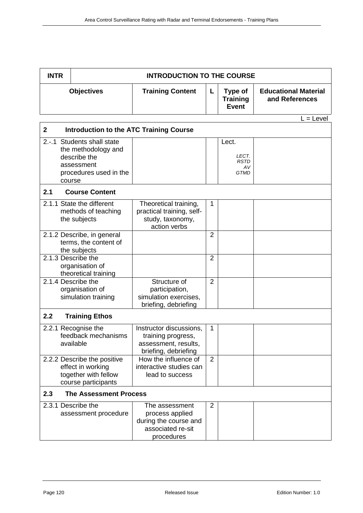| <b>INTR</b>  |                                                | <b>INTRODUCTION TO THE COURSE</b>            |                |                                                   |                                               |  |
|--------------|------------------------------------------------|----------------------------------------------|----------------|---------------------------------------------------|-----------------------------------------------|--|
|              | <b>Objectives</b>                              | <b>Training Content</b>                      | L              | <b>Type of</b><br><b>Training</b><br><b>Event</b> | <b>Educational Material</b><br>and References |  |
|              |                                                |                                              |                |                                                   | $L = Level$                                   |  |
| $\mathbf{2}$ | <b>Introduction to the ATC Training Course</b> |                                              |                |                                                   |                                               |  |
|              | 2.-.1 Students shall state                     |                                              |                | Lect.                                             |                                               |  |
|              | the methodology and<br>describe the            |                                              |                | LECT.                                             |                                               |  |
|              | assessment                                     |                                              |                | <b>RSTD</b><br>AV                                 |                                               |  |
|              | procedures used in the                         |                                              |                | <b>GTMD</b>                                       |                                               |  |
|              | course                                         |                                              |                |                                                   |                                               |  |
| 2.1          | <b>Course Content</b>                          |                                              |                |                                                   |                                               |  |
|              | 2.1.1 State the different                      | Theoretical training,                        | $\mathbf{1}$   |                                                   |                                               |  |
|              | methods of teaching                            | practical training, self-                    |                |                                                   |                                               |  |
|              | the subjects                                   | study, taxonomy,<br>action verbs             |                |                                                   |                                               |  |
|              | 2.1.2 Describe, in general                     |                                              | $\overline{2}$ |                                                   |                                               |  |
|              | terms, the content of                          |                                              |                |                                                   |                                               |  |
|              | the subjects<br>2.1.3 Describe the             |                                              | $\overline{2}$ |                                                   |                                               |  |
|              | organisation of                                |                                              |                |                                                   |                                               |  |
|              | theoretical training                           |                                              |                |                                                   |                                               |  |
|              | 2.1.4 Describe the                             | Structure of                                 | $\overline{2}$ |                                                   |                                               |  |
|              | organisation of<br>simulation training         | participation,<br>simulation exercises,      |                |                                                   |                                               |  |
|              |                                                | briefing, debriefing                         |                |                                                   |                                               |  |
| 2.2          | <b>Training Ethos</b>                          |                                              |                |                                                   |                                               |  |
|              | 2.2.1 Recognise the                            | Instructor discussions,                      | 1              |                                                   |                                               |  |
|              | feedback mechanisms<br>available               | training progress,                           |                |                                                   |                                               |  |
|              |                                                | assessment, results,<br>briefing, debriefing |                |                                                   |                                               |  |
|              | 2.2.2 Describe the positive                    | How the influence of                         | $\overline{2}$ |                                                   |                                               |  |
|              | effect in working                              | interactive studies can                      |                |                                                   |                                               |  |
|              | together with fellow<br>course participants    | lead to success                              |                |                                                   |                                               |  |
| 2.3          | <b>The Assessment Process</b>                  |                                              |                |                                                   |                                               |  |
|              | 2.3.1 Describe the                             | The assessment                               | $\overline{2}$ |                                                   |                                               |  |
|              | assessment procedure                           | process applied                              |                |                                                   |                                               |  |
|              |                                                | during the course and                        |                |                                                   |                                               |  |
|              |                                                | associated re-sit<br>procedures              |                |                                                   |                                               |  |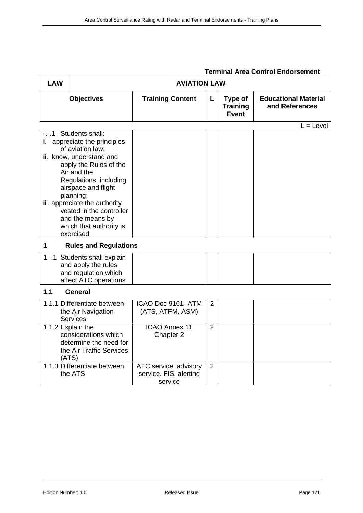| <b>LAW</b>                 |                                                                                                                                                                                                                                                                                                                                       | <b>AVIATION LAW</b>                                        |                |                                            | Terminal Area Control Engolsement             |
|----------------------------|---------------------------------------------------------------------------------------------------------------------------------------------------------------------------------------------------------------------------------------------------------------------------------------------------------------------------------------|------------------------------------------------------------|----------------|--------------------------------------------|-----------------------------------------------|
|                            |                                                                                                                                                                                                                                                                                                                                       |                                                            |                |                                            |                                               |
|                            | <b>Objectives</b>                                                                                                                                                                                                                                                                                                                     | <b>Training Content</b>                                    | L              | Type of<br><b>Training</b><br><b>Event</b> | <b>Educational Material</b><br>and References |
|                            |                                                                                                                                                                                                                                                                                                                                       |                                                            |                |                                            | $L = Level$                                   |
|                            | -.-.1 Students shall:<br>i. appreciate the principles<br>of aviation law;<br>ii. know, understand and<br>apply the Rules of the<br>Air and the<br>Regulations, including<br>airspace and flight<br>planning;<br>iii. appreciate the authority<br>vested in the controller<br>and the means by<br>which that authority is<br>exercised |                                                            |                |                                            |                                               |
| 1                          | <b>Rules and Regulations</b>                                                                                                                                                                                                                                                                                                          |                                                            |                |                                            |                                               |
|                            | 1.-.1 Students shall explain<br>and apply the rules<br>and regulation which<br>affect ATC operations                                                                                                                                                                                                                                  |                                                            |                |                                            |                                               |
| 1.1                        | <b>General</b>                                                                                                                                                                                                                                                                                                                        |                                                            |                |                                            |                                               |
|                            | 1.1.1 Differentiate between<br>the Air Navigation<br><b>Services</b>                                                                                                                                                                                                                                                                  | ICAO Doc 9161- ATM<br>(ATS, ATFM, ASM)                     | $\overline{2}$ |                                            |                                               |
| 1.1.2 Explain the<br>(ATS) | considerations which<br>determine the need for<br>the Air Traffic Services                                                                                                                                                                                                                                                            | <b>ICAO Annex 11</b><br>Chapter 2                          | $\overline{2}$ |                                            |                                               |
|                            | 1.1.3 Differentiate between<br>the ATS                                                                                                                                                                                                                                                                                                | ATC service, advisory<br>service, FIS, alerting<br>service | $\overline{2}$ |                                            |                                               |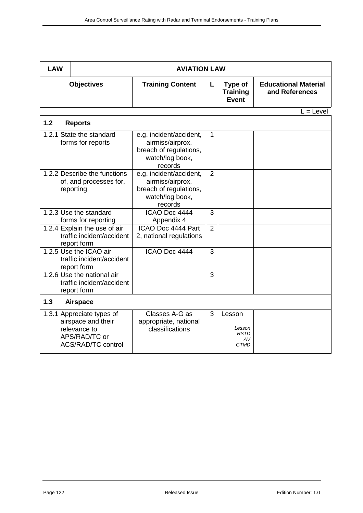| <b>LAW</b> | <b>AVIATION LAW</b> |                         |  |                                     |                                               |
|------------|---------------------|-------------------------|--|-------------------------------------|-----------------------------------------------|
|            | <b>Objectives</b>   | <b>Training Content</b> |  | Type of<br>Training<br><b>Event</b> | <b>Educational Material</b><br>and References |
| evel       |                     |                         |  |                                     |                                               |

| 1.2<br><b>Reports</b>                                                                                         |                                                                                                     |                |                                               |  |
|---------------------------------------------------------------------------------------------------------------|-----------------------------------------------------------------------------------------------------|----------------|-----------------------------------------------|--|
| 1.2.1 State the standard<br>forms for reports                                                                 | e.g. incident/accident,<br>airmiss/airprox,<br>breach of regulations,<br>watch/log book,<br>records | 1              |                                               |  |
| 1.2.2 Describe the functions<br>of, and processes for,<br>reporting                                           | e.g. incident/accident,<br>airmiss/airprox,<br>breach of regulations,<br>watch/log book,<br>records | $\overline{2}$ |                                               |  |
| 1.2.3 Use the standard<br>forms for reporting                                                                 | ICAO Doc 4444<br>Appendix 4                                                                         | 3              |                                               |  |
| 1.2.4 Explain the use of air<br>traffic incident/accident<br>report form                                      | ICAO Doc 4444 Part<br>2, national regulations                                                       | $\overline{2}$ |                                               |  |
| 1.2.5 Use the ICAO air<br>traffic incident/accident<br>report form                                            | ICAO Doc 4444                                                                                       | 3              |                                               |  |
| 1.2.6 Use the national air<br>traffic incident/accident<br>report form                                        |                                                                                                     | 3              |                                               |  |
| 1.3<br><b>Airspace</b>                                                                                        |                                                                                                     |                |                                               |  |
| 1.3.1 Appreciate types of<br>airspace and their<br>relevance to<br>APS/RAD/TC or<br><b>ACS/RAD/TC control</b> | Classes A-G as<br>appropriate, national<br>classifications                                          | 3              | Lesson<br>Lesson<br><b>RSTD</b><br>AV<br>GTMD |  |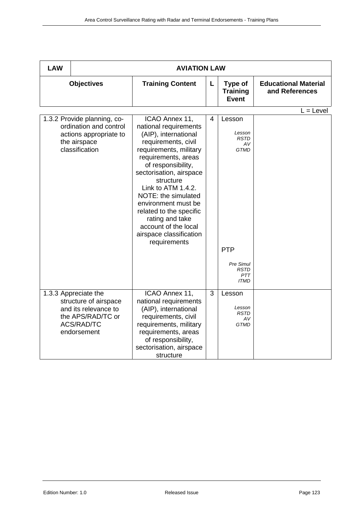| <b>LAW</b> | <b>AVIATION LAW</b>                                                                                                            |                                                                                                                                                                                                                                                                                                                                                                                            |                |                                                                                                                             |                                               |
|------------|--------------------------------------------------------------------------------------------------------------------------------|--------------------------------------------------------------------------------------------------------------------------------------------------------------------------------------------------------------------------------------------------------------------------------------------------------------------------------------------------------------------------------------------|----------------|-----------------------------------------------------------------------------------------------------------------------------|-----------------------------------------------|
|            | <b>Objectives</b>                                                                                                              | <b>Training Content</b>                                                                                                                                                                                                                                                                                                                                                                    | L              | Type of<br><b>Training</b><br><b>Event</b>                                                                                  | <b>Educational Material</b><br>and References |
|            |                                                                                                                                |                                                                                                                                                                                                                                                                                                                                                                                            |                |                                                                                                                             | $L = Level$                                   |
|            | 1.3.2 Provide planning, co-<br>ordination and control<br>actions appropriate to<br>the airspace<br>classification              | ICAO Annex 11,<br>national requirements<br>(AIP), international<br>requirements, civil<br>requirements, military<br>requirements, areas<br>of responsibility,<br>sectorisation, airspace<br>structure<br>Link to ATM 1.4.2.<br>NOTE: the simulated<br>environment must be<br>related to the specific<br>rating and take<br>account of the local<br>airspace classification<br>requirements | $\overline{4}$ | Lesson<br>Lesson<br><b>RSTD</b><br>AV<br><b>GTMD</b><br><b>PTP</b><br>Pre Simul<br><b>RSTD</b><br><b>PTT</b><br><b>ITMD</b> |                                               |
|            | 1.3.3 Appreciate the<br>structure of airspace<br>and its relevance to<br>the APS/RAD/TC or<br><b>ACS/RAD/TC</b><br>endorsement | ICAO Annex 11,<br>national requirements<br>(AIP), international<br>requirements, civil<br>requirements, military<br>requirements, areas<br>of responsibility,<br>sectorisation, airspace<br>structure                                                                                                                                                                                      | 3              | Lesson<br>Lesson<br><b>RSTD</b><br>AV<br><b>GTMD</b>                                                                        |                                               |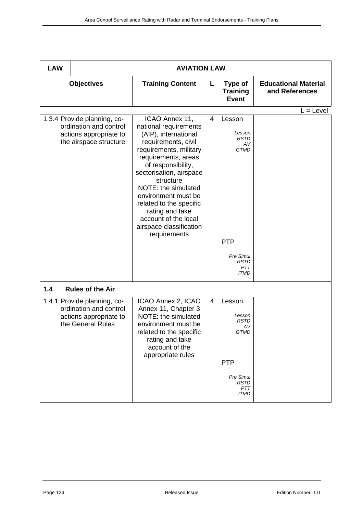| <b>LAW</b> |                                                                                                           | <b>AVIATION LAW</b>                                                                                                                                                                                                                                                                                                                                                  |                |                                                                                 |                                               |
|------------|-----------------------------------------------------------------------------------------------------------|----------------------------------------------------------------------------------------------------------------------------------------------------------------------------------------------------------------------------------------------------------------------------------------------------------------------------------------------------------------------|----------------|---------------------------------------------------------------------------------|-----------------------------------------------|
|            | <b>Objectives</b>                                                                                         | <b>Training Content</b>                                                                                                                                                                                                                                                                                                                                              | L              | <b>Type of</b><br><b>Training</b><br><b>Event</b>                               | <b>Educational Material</b><br>and References |
|            |                                                                                                           |                                                                                                                                                                                                                                                                                                                                                                      |                |                                                                                 | $L = Level$                                   |
|            | 1.3.4 Provide planning, co-<br>ordination and control<br>actions appropriate to<br>the airspace structure | ICAO Annex 11,<br>national requirements<br>(AIP), international<br>requirements, civil<br>requirements, military<br>requirements, areas<br>of responsibility,<br>sectorisation, airspace<br>structure<br>NOTE: the simulated<br>environment must be<br>related to the specific<br>rating and take<br>account of the local<br>airspace classification<br>requirements | 4              | Lesson<br>Lesson<br><b>RSTD</b><br>AV<br><b>GTMD</b><br><b>PTP</b><br>Pre Simul |                                               |
|            |                                                                                                           |                                                                                                                                                                                                                                                                                                                                                                      |                | <b>RSTD</b><br><b>PTT</b><br><b>ITMD</b>                                        |                                               |
| 1.4        | <b>Rules of the Air</b>                                                                                   |                                                                                                                                                                                                                                                                                                                                                                      |                |                                                                                 |                                               |
|            | 1.4.1 Provide planning, co-<br>ordination and control<br>actions appropriate to<br>the General Rules      | ICAO Annex 2, ICAO<br>Annex 11, Chapter 3<br>NOTE: the simulated<br>environment must be<br>related to the specific<br>rating and take<br>account of the<br>appropriate rules                                                                                                                                                                                         | $\overline{4}$ | Lesson<br>Lesson<br><b>RSTD</b><br>ΑV<br>GTMD<br><b>PTP</b><br>Pre Simul        |                                               |
|            |                                                                                                           |                                                                                                                                                                                                                                                                                                                                                                      |                | <b>RSTD</b><br>PTT<br><b>ITMD</b>                                               |                                               |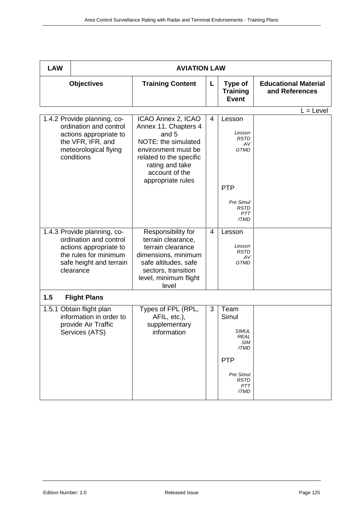| <b>LAW</b> |                                                                                                                                                  | <b>AVIATION LAW</b>                                                                                                                                                                    |   |                                                                                                                                           |                                               |  |
|------------|--------------------------------------------------------------------------------------------------------------------------------------------------|----------------------------------------------------------------------------------------------------------------------------------------------------------------------------------------|---|-------------------------------------------------------------------------------------------------------------------------------------------|-----------------------------------------------|--|
|            | <b>Objectives</b>                                                                                                                                | <b>Training Content</b>                                                                                                                                                                | L | Type of<br><b>Training</b><br><b>Event</b>                                                                                                | <b>Educational Material</b><br>and References |  |
|            |                                                                                                                                                  |                                                                                                                                                                                        |   |                                                                                                                                           | $L = Level$                                   |  |
|            | 1.4.2 Provide planning, co-<br>ordination and control<br>actions appropriate to<br>the VFR, IFR, and<br>meteorological flying<br>conditions      | ICAO Annex 2, ICAO<br>Annex 11. Chapters 4<br>and 5<br>NOTE: the simulated<br>environment must be<br>related to the specific<br>rating and take<br>account of the<br>appropriate rules | 4 | Lesson<br>Lesson<br><b>RSTD</b><br>AV<br>GTMD                                                                                             |                                               |  |
|            |                                                                                                                                                  |                                                                                                                                                                                        |   | <b>PTP</b>                                                                                                                                |                                               |  |
|            |                                                                                                                                                  |                                                                                                                                                                                        |   | <b>Pre Simul</b><br>RSTD<br><b>PTT</b><br><b>ITMD</b>                                                                                     |                                               |  |
|            | 1.4.3 Provide planning, co-<br>ordination and control<br>actions appropriate to<br>the rules for minimum<br>safe height and terrain<br>clearance | Responsibility for<br>terrain clearance,<br>terrain clearance<br>dimensions, minimum<br>safe altitudes, safe<br>sectors, transition<br>level, minimum flight<br>level                  | 4 | Lesson<br>Lesson<br>RSTD<br>AV<br>GTMD                                                                                                    |                                               |  |
| 1.5        | <b>Flight Plans</b>                                                                                                                              |                                                                                                                                                                                        |   |                                                                                                                                           |                                               |  |
|            | 1.5.1 Obtain flight plan<br>information in order to<br>provide Air Traffic<br>Services (ATS)                                                     | Types of FPL (RPL,<br>AFIL, etc.),<br>supplementary<br>information                                                                                                                     | 3 | Team<br>Simul<br><b>SIMUL</b><br><b>REAL</b><br><b>SIM</b><br><b>ITMD</b><br><b>PTP</b><br>Pre Simul<br><b>RSTD</b><br>PTT<br><b>ITMD</b> |                                               |  |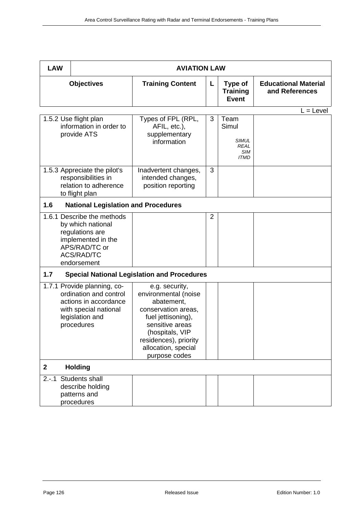| <b>LAW</b>   |                                                                                                                                               | <b>AVIATION LAW</b>                                                                                                                                                                                      |                |                                                                    |                                               |  |
|--------------|-----------------------------------------------------------------------------------------------------------------------------------------------|----------------------------------------------------------------------------------------------------------------------------------------------------------------------------------------------------------|----------------|--------------------------------------------------------------------|-----------------------------------------------|--|
|              | <b>Objectives</b>                                                                                                                             | <b>Training Content</b>                                                                                                                                                                                  | L              | Type of<br><b>Training</b><br><b>Event</b>                         | <b>Educational Material</b><br>and References |  |
|              |                                                                                                                                               |                                                                                                                                                                                                          |                |                                                                    | $L = Level$                                   |  |
|              | 1.5.2 Use flight plan<br>information in order to<br>provide ATS                                                                               | Types of FPL (RPL,<br>AFIL, etc.),<br>supplementary<br>information                                                                                                                                       | 3              | Team<br>Simul<br><b>SIMUL</b><br><i>REAL</i><br>SIM<br><b>ITMD</b> |                                               |  |
|              | 1.5.3 Appreciate the pilot's<br>responsibilities in<br>relation to adherence<br>to flight plan                                                | Inadvertent changes,<br>intended changes,<br>position reporting                                                                                                                                          | 3              |                                                                    |                                               |  |
| 1.6          | <b>National Legislation and Procedures</b>                                                                                                    |                                                                                                                                                                                                          |                |                                                                    |                                               |  |
|              | 1.6.1 Describe the methods<br>by which national<br>regulations are<br>implemented in the<br>APS/RAD/TC or<br><b>ACS/RAD/TC</b><br>endorsement |                                                                                                                                                                                                          | $\overline{2}$ |                                                                    |                                               |  |
| 1.7          |                                                                                                                                               | <b>Special National Legislation and Procedures</b>                                                                                                                                                       |                |                                                                    |                                               |  |
|              | 1.7.1 Provide planning, co-<br>ordination and control<br>actions in accordance<br>with special national<br>legislation and<br>procedures      | e.g. security,<br>environmental (noise<br>abatement,<br>conservation areas,<br>fuel jettisoning),<br>sensitive areas<br>(hospitals, VIP<br>residences), priority<br>allocation, special<br>purpose codes |                |                                                                    |                                               |  |
| $\mathbf{2}$ | <b>Holding</b>                                                                                                                                |                                                                                                                                                                                                          |                |                                                                    |                                               |  |
|              | 2.-.1 Students shall<br>describe holding<br>patterns and<br>procedures                                                                        |                                                                                                                                                                                                          |                |                                                                    |                                               |  |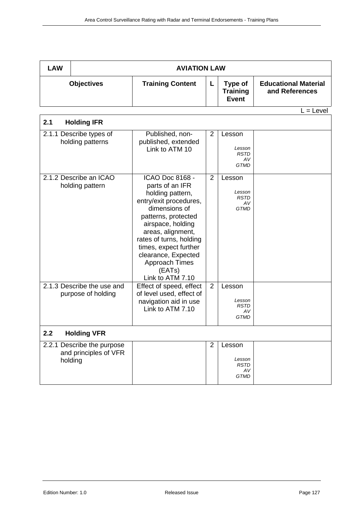| <b>LAW</b> | <b>AVIATION LAW</b> |                         |  |                                                   |                                               |
|------------|---------------------|-------------------------|--|---------------------------------------------------|-----------------------------------------------|
|            | <b>Objectives</b>   | <b>Training Content</b> |  | <b>Type of</b><br><b>Training</b><br><b>Event</b> | <b>Educational Material</b><br>and References |

| 2.1<br><b>Holding IFR</b>                                      |                                                                                                                                                                                                                                                                                               |                |                                                      |  |
|----------------------------------------------------------------|-----------------------------------------------------------------------------------------------------------------------------------------------------------------------------------------------------------------------------------------------------------------------------------------------|----------------|------------------------------------------------------|--|
| 2.1.1 Describe types of<br>holding patterns                    | Published, non-<br>published, extended<br>Link to ATM 10                                                                                                                                                                                                                                      | $\overline{2}$ | Lesson<br>Lesson<br><b>RSTD</b><br>AV<br><b>GTMD</b> |  |
| 2.1.2 Describe an ICAO<br>holding pattern                      | ICAO Doc 8168 -<br>parts of an IFR<br>holding pattern,<br>entry/exit procedures,<br>dimensions of<br>patterns, protected<br>airspace, holding<br>areas, alignment,<br>rates of turns, holding<br>times, expect further<br>clearance, Expected<br>Approach Times<br>(EATs)<br>Link to ATM 7.10 | $\overline{2}$ | Lesson<br>Lesson<br><b>RSTD</b><br>AV<br><b>GTMD</b> |  |
| 2.1.3 Describe the use and<br>purpose of holding               | Effect of speed, effect<br>of level used, effect of<br>navigation aid in use<br>Link to ATM 7.10                                                                                                                                                                                              | $\overline{2}$ | Lesson<br>Lesson<br><b>RSTD</b><br>AV<br><b>GTMD</b> |  |
| 2.2<br><b>Holding VFR</b>                                      |                                                                                                                                                                                                                                                                                               |                |                                                      |  |
| 2.2.1 Describe the purpose<br>and principles of VFR<br>holding |                                                                                                                                                                                                                                                                                               | $\overline{2}$ | Lesson<br>Lesson<br><b>RSTD</b><br>AV<br><b>GTMD</b> |  |

 $L =$  Level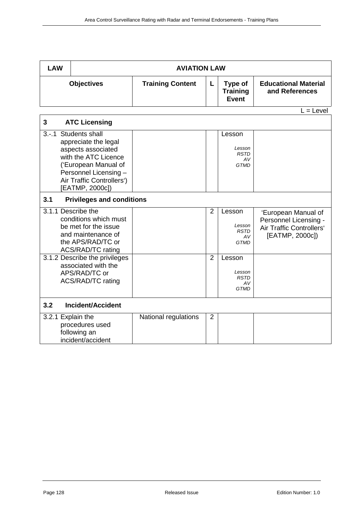| <b>LAW</b>        |                                                                                                                                                                                             | <b>AVIATION LAW</b>     |                |                                                      |                                                                                             |
|-------------------|---------------------------------------------------------------------------------------------------------------------------------------------------------------------------------------------|-------------------------|----------------|------------------------------------------------------|---------------------------------------------------------------------------------------------|
|                   | <b>Objectives</b>                                                                                                                                                                           | <b>Training Content</b> | L              | <b>Type of</b><br><b>Training</b><br><b>Event</b>    | <b>Educational Material</b><br>and References                                               |
|                   |                                                                                                                                                                                             |                         |                |                                                      | $L = Level$                                                                                 |
| 3                 | <b>ATC Licensing</b>                                                                                                                                                                        |                         |                |                                                      |                                                                                             |
|                   | 3.-.1 Students shall<br>appreciate the legal<br>aspects associated<br>with the ATC Licence<br>('European Manual of<br>Personnel Licensing -<br>Air Traffic Controllers')<br>[EATMP, 2000c]) |                         |                | Lesson<br>Lesson<br><b>RSTD</b><br>AV<br><b>GTMD</b> |                                                                                             |
| 3.1               | <b>Privileges and conditions</b>                                                                                                                                                            |                         |                |                                                      |                                                                                             |
|                   | 3.1.1 Describe the<br>conditions which must<br>be met for the issue<br>and maintenance of<br>the APS/RAD/TC or<br><b>ACS/RAD/TC rating</b>                                                  |                         | $\overline{2}$ | Lesson<br>Lesson<br><b>RSTD</b><br>AV<br><b>GTMD</b> | 'European Manual of<br>Personnel Licensing -<br>Air Traffic Controllers'<br>[EATMP, 2000c]) |
|                   | 3.1.2 Describe the privileges<br>associated with the<br>APS/RAD/TC or<br><b>ACS/RAD/TC rating</b>                                                                                           |                         | $\overline{2}$ | Lesson<br>Lesson<br><b>RSTD</b><br>AV<br><b>GTMD</b> |                                                                                             |
| 3.2               | Incident/Accident                                                                                                                                                                           |                         |                |                                                      |                                                                                             |
| 3.2.1 Explain the | procedures used<br>following an<br>incident/accident                                                                                                                                        | National regulations    | $\overline{2}$ |                                                      |                                                                                             |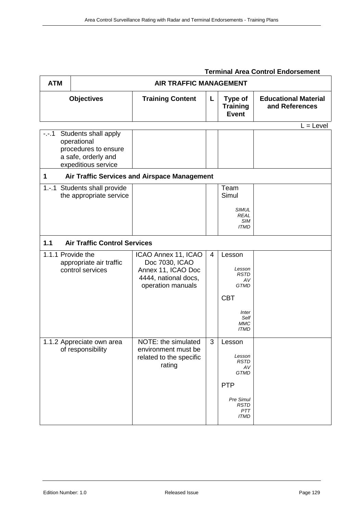|                   | <b>Terminal Area Control Endorsement</b>                                                                  |                                                                                                          |                |                                                                                                               |                                               |  |
|-------------------|-----------------------------------------------------------------------------------------------------------|----------------------------------------------------------------------------------------------------------|----------------|---------------------------------------------------------------------------------------------------------------|-----------------------------------------------|--|
| <b>ATM</b>        |                                                                                                           | <b>AIR TRAFFIC MANAGEMENT</b>                                                                            |                |                                                                                                               |                                               |  |
|                   | <b>Objectives</b>                                                                                         | <b>Training Content</b>                                                                                  | L              | <b>Type of</b><br><b>Training</b><br><b>Event</b>                                                             | <b>Educational Material</b><br>and References |  |
|                   |                                                                                                           |                                                                                                          |                |                                                                                                               | $L = Level$                                   |  |
| $- - 1$           | Students shall apply<br>operational<br>procedures to ensure<br>a safe, orderly and<br>expeditious service |                                                                                                          |                |                                                                                                               |                                               |  |
| 1                 |                                                                                                           | Air Traffic Services and Airspace Management                                                             |                |                                                                                                               |                                               |  |
|                   | 1.-.1 Students shall provide<br>the appropriate service                                                   |                                                                                                          |                | Team<br>Simul                                                                                                 |                                               |  |
|                   |                                                                                                           |                                                                                                          |                | <b>SIMUL</b><br><b>REAL</b><br><b>SIM</b><br><b>ITMD</b>                                                      |                                               |  |
| 1.1               | <b>Air Traffic Control Services</b>                                                                       |                                                                                                          |                |                                                                                                               |                                               |  |
| 1.1.1 Provide the | appropriate air traffic<br>control services                                                               | ICAO Annex 11, ICAO<br>Doc 7030, ICAO<br>Annex 11, ICAO Doc<br>4444, national docs,<br>operation manuals | $\overline{4}$ | Lesson<br>Lesson<br><b>RSTD</b><br>AV<br><b>GTMD</b><br><b>CBT</b>                                            |                                               |  |
|                   |                                                                                                           |                                                                                                          |                | <b>Inter</b><br>Self<br><b>MMC</b><br><b>ITMD</b>                                                             |                                               |  |
|                   | 1.1.2 Appreciate own area<br>of responsibility                                                            | NOTE: the simulated<br>environment must be<br>related to the specific<br>rating                          | 3              | Lesson<br>Lesson<br><b>RSTD</b><br>AV<br>GTMD<br><b>PTP</b><br>Pre Simul<br><b>RSTD</b><br>PTT<br><b>ITMD</b> |                                               |  |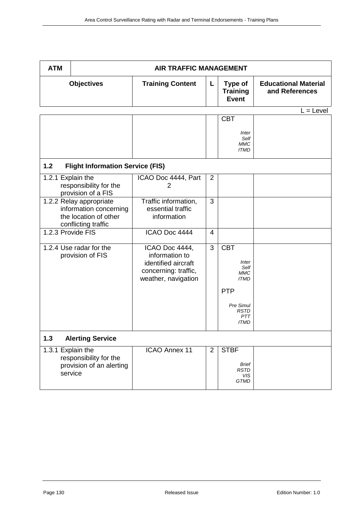| <b>ATM</b>        |                                                                                                   | <b>AIR TRAFFIC MANAGEMENT</b>                                                                          |                |                                                                 |                                               |
|-------------------|---------------------------------------------------------------------------------------------------|--------------------------------------------------------------------------------------------------------|----------------|-----------------------------------------------------------------|-----------------------------------------------|
|                   | <b>Objectives</b>                                                                                 | <b>Training Content</b>                                                                                | L              | Type of<br><b>Training</b><br><b>Event</b>                      | <b>Educational Material</b><br>and References |
|                   |                                                                                                   |                                                                                                        |                |                                                                 | $L = Level$                                   |
|                   |                                                                                                   |                                                                                                        |                | <b>CBT</b>                                                      |                                               |
|                   |                                                                                                   |                                                                                                        |                | <b>Inter</b><br>Self<br><b>MMC</b><br><b>ITMD</b>               |                                               |
| 1.2               | <b>Flight Information Service (FIS)</b>                                                           |                                                                                                        |                |                                                                 |                                               |
| 1.2.1 Explain the | responsibility for the<br>provision of a FIS                                                      | ICAO Doc 4444, Part<br>2                                                                               | $\overline{2}$ |                                                                 |                                               |
|                   | 1.2.2 Relay appropriate<br>information concerning<br>the location of other<br>conflicting traffic | Traffic information,<br>essential traffic<br>information                                               | 3              |                                                                 |                                               |
|                   | 1.2.3 Provide FIS                                                                                 | ICAO Doc 4444                                                                                          | $\overline{4}$ |                                                                 |                                               |
|                   | 1.2.4 Use radar for the<br>provision of FIS                                                       | ICAO Doc 4444,<br>information to<br>identified aircraft<br>concerning: traffic,<br>weather, navigation | 3              | <b>CBT</b><br><b>Inter</b><br>Self<br><b>MMC</b><br><b>ITMD</b> |                                               |
|                   |                                                                                                   |                                                                                                        |                | <b>PTP</b>                                                      |                                               |
|                   |                                                                                                   |                                                                                                        |                | Pre Simul<br><b>RSTD</b><br>PTT<br>ITMD                         |                                               |
| $1.3$             | <b>Alerting Service</b>                                                                           |                                                                                                        |                |                                                                 |                                               |
| 1.3.1 Explain the | responsibility for the<br>provision of an alerting<br>service                                     | ICAO Annex 11                                                                                          | $\overline{2}$ | <b>STBF</b><br>Brief<br><b>RSTD</b><br><b>VIS</b><br>GTMD       |                                               |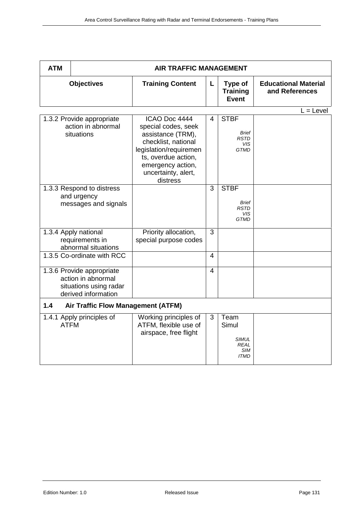| <b>ATM</b>  | <b>AIR TRAFFIC MANAGEMENT</b>                                                                    |                                                                                                                                                                                           |                |                                                                         |                                               |  |
|-------------|--------------------------------------------------------------------------------------------------|-------------------------------------------------------------------------------------------------------------------------------------------------------------------------------------------|----------------|-------------------------------------------------------------------------|-----------------------------------------------|--|
|             | <b>Objectives</b>                                                                                | <b>Training Content</b>                                                                                                                                                                   | L              | Type of<br><b>Training</b><br><b>Event</b>                              | <b>Educational Material</b><br>and References |  |
|             |                                                                                                  |                                                                                                                                                                                           |                |                                                                         | $L = Level$                                   |  |
|             | 1.3.2 Provide appropriate<br>action in abnormal<br>situations                                    | ICAO Doc 4444<br>special codes, seek<br>assistance (TRM),<br>checklist, national<br>legislation/requiremen<br>ts, overdue action,<br>emergency action,<br>uncertainty, alert,<br>distress | 4              | <b>STBF</b><br><b>Brief</b><br><b>RSTD</b><br><b>VIS</b><br>GTMD        |                                               |  |
|             | 1.3.3 Respond to distress<br>and urgency<br>messages and signals                                 |                                                                                                                                                                                           | 3              | <b>STBF</b><br><b>Brief</b><br><b>RSTD</b><br><b>VIS</b><br><b>GTMD</b> |                                               |  |
|             | 1.3.4 Apply national<br>requirements in<br>abnormal situations                                   | Priority allocation,<br>special purpose codes                                                                                                                                             | 3              |                                                                         |                                               |  |
|             | 1.3.5 Co-ordinate with RCC                                                                       |                                                                                                                                                                                           | $\overline{4}$ |                                                                         |                                               |  |
|             | 1.3.6 Provide appropriate<br>action in abnormal<br>situations using radar<br>derived information |                                                                                                                                                                                           | 4              |                                                                         |                                               |  |
| 1.4         | Air Traffic Flow Management (ATFM)                                                               |                                                                                                                                                                                           |                |                                                                         |                                               |  |
| <b>ATFM</b> | 1.4.1 Apply principles of                                                                        | Working principles of<br>ATFM, flexible use of<br>airspace, free flight                                                                                                                   | 3              | Team<br>Simul<br><b>SIMUL</b><br><b>REAL</b><br>SIM<br><b>ITMD</b>      |                                               |  |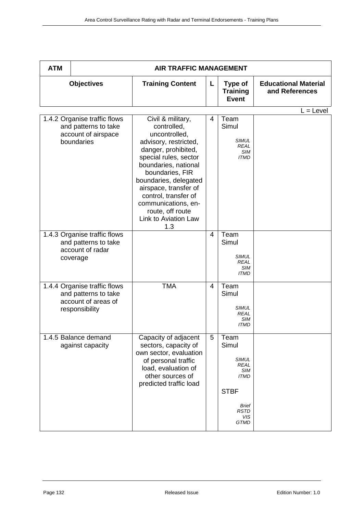| <b>ATM</b> | <b>AIR TRAFFIC MANAGEMENT</b>                                                                 |                                                                                                                                                                                                                                                                                                                           |   |                                                                                                                                 |                                               |  |
|------------|-----------------------------------------------------------------------------------------------|---------------------------------------------------------------------------------------------------------------------------------------------------------------------------------------------------------------------------------------------------------------------------------------------------------------------------|---|---------------------------------------------------------------------------------------------------------------------------------|-----------------------------------------------|--|
|            | <b>Objectives</b>                                                                             | <b>Training Content</b>                                                                                                                                                                                                                                                                                                   | L | Type of<br><b>Training</b><br><b>Event</b>                                                                                      | <b>Educational Material</b><br>and References |  |
|            |                                                                                               |                                                                                                                                                                                                                                                                                                                           |   |                                                                                                                                 | $L = Level$                                   |  |
|            | 1.4.2 Organise traffic flows<br>and patterns to take<br>account of airspace<br>boundaries     | Civil & military,<br>controlled,<br>uncontrolled,<br>advisory, restricted,<br>danger, prohibited,<br>special rules, sector<br>boundaries, national<br>boundaries, FIR<br>boundaries, delegated<br>airspace, transfer of<br>control, transfer of<br>communications, en-<br>route, off route<br>Link to Aviation Law<br>1.3 | 4 | Team<br>Simul<br><b>SIMUL</b><br><b>REAL</b><br><b>SIM</b><br><b>ITMD</b>                                                       |                                               |  |
|            | 1.4.3 Organise traffic flows<br>and patterns to take<br>account of radar<br>coverage          |                                                                                                                                                                                                                                                                                                                           | 4 | Team<br>Simul<br><b>SIMUL</b><br><b>REAL</b><br>SIM<br><b>ITMD</b>                                                              |                                               |  |
|            | 1.4.4 Organise traffic flows<br>and patterns to take<br>account of areas of<br>responsibility | <b>TMA</b>                                                                                                                                                                                                                                                                                                                | 4 | Team<br>Simul<br><b>SIMUL</b><br><b>REAL</b><br><b>SIM</b><br><b>ITMD</b>                                                       |                                               |  |
|            | 1.4.5 Balance demand<br>against capacity                                                      | Capacity of adjacent<br>sectors, capacity of<br>own sector, evaluation<br>of personal traffic<br>load, evaluation of<br>other sources of<br>predicted traffic load                                                                                                                                                        | 5 | Team<br>Simul<br><b>SIMUL</b><br><b>REAL</b><br><b>SIM</b><br><b>ITMD</b><br><b>STBF</b><br>Brief<br><b>RSTD</b><br>VIS<br>GTMD |                                               |  |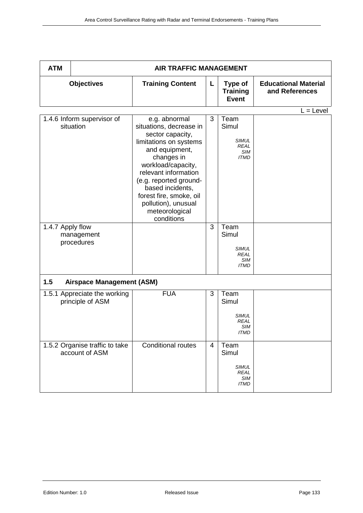| <b>ATM</b>       |                                                  | <b>AIR TRAFFIC MANAGEMENT</b>                                                                                                                                                                                                                                                          |   |                                                                           |                                               |
|------------------|--------------------------------------------------|----------------------------------------------------------------------------------------------------------------------------------------------------------------------------------------------------------------------------------------------------------------------------------------|---|---------------------------------------------------------------------------|-----------------------------------------------|
|                  | <b>Objectives</b>                                | <b>Training Content</b>                                                                                                                                                                                                                                                                | L | Type of<br><b>Training</b><br><b>Event</b>                                | <b>Educational Material</b><br>and References |
|                  |                                                  |                                                                                                                                                                                                                                                                                        |   |                                                                           | $L = Level$                                   |
|                  | 1.4.6 Inform supervisor of<br>situation          | e.g. abnormal<br>situations, decrease in<br>sector capacity,<br>limitations on systems<br>and equipment,<br>changes in<br>workload/capacity,<br>relevant information<br>(e.g. reported ground-<br>based incidents,<br>forest fire, smoke, oil<br>pollution), unusual<br>meteorological | 3 | Team<br>Simul<br><b>SIMUL</b><br><b>REAL</b><br><b>SIM</b><br><b>ITMD</b> |                                               |
|                  |                                                  | conditions                                                                                                                                                                                                                                                                             |   |                                                                           |                                               |
| 1.4.7 Apply flow | management<br>procedures                         |                                                                                                                                                                                                                                                                                        | 3 | Team<br>Simul<br><b>SIMUL</b><br><b>REAL</b><br><b>SIM</b><br><b>ITMD</b> |                                               |
| 1.5              | <b>Airspace Management (ASM)</b>                 |                                                                                                                                                                                                                                                                                        |   |                                                                           |                                               |
|                  | 1.5.1 Appreciate the working<br>principle of ASM | <b>FUA</b>                                                                                                                                                                                                                                                                             | 3 | Team<br>Simul<br><b>SIMUL</b><br>REAL<br><b>SIM</b><br><b>ITMD</b>        |                                               |
|                  | 1.5.2 Organise traffic to take<br>account of ASM | <b>Conditional routes</b>                                                                                                                                                                                                                                                              | 4 | Team<br>Simul<br><b>SIMUL</b><br><b>REAL</b><br><b>SIM</b><br><b>ITMD</b> |                                               |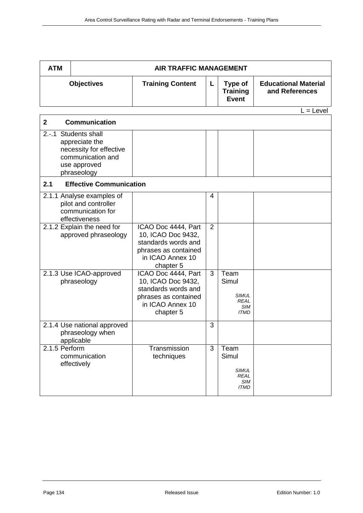| <b>ATM</b>    |                                                                                                                       | <b>AIR TRAFFIC MANAGEMENT</b>                                                                                             |    |                                                                    |                                               |
|---------------|-----------------------------------------------------------------------------------------------------------------------|---------------------------------------------------------------------------------------------------------------------------|----|--------------------------------------------------------------------|-----------------------------------------------|
|               | <b>Objectives</b>                                                                                                     | <b>Training Content</b>                                                                                                   | L. | <b>Type of</b><br><b>Training</b><br><b>Event</b>                  | <b>Educational Material</b><br>and References |
|               |                                                                                                                       |                                                                                                                           |    |                                                                    | $L = Level$                                   |
| $\mathbf{2}$  | <b>Communication</b>                                                                                                  |                                                                                                                           |    |                                                                    |                                               |
|               | 2.-.1 Students shall<br>appreciate the<br>necessity for effective<br>communication and<br>use approved<br>phraseology |                                                                                                                           |    |                                                                    |                                               |
| 2.1           | <b>Effective Communication</b>                                                                                        |                                                                                                                           |    |                                                                    |                                               |
|               | 2.1.1 Analyse examples of<br>pilot and controller<br>communication for<br>effectiveness                               |                                                                                                                           | 4  |                                                                    |                                               |
|               | 2.1.2 Explain the need for<br>approved phraseology                                                                    | ICAO Doc 4444, Part<br>10, ICAO Doc 9432,<br>standards words and<br>phrases as contained<br>in ICAO Annex 10<br>chapter 5 | 2  |                                                                    |                                               |
|               | 2.1.3 Use ICAO-approved<br>phraseology                                                                                | ICAO Doc 4444, Part<br>10, ICAO Doc 9432,<br>standards words and<br>phrases as contained<br>in ICAO Annex 10<br>chapter 5 | 3  | Team<br>Simul<br><b>SIMUL</b><br><i>REAL</i><br>SIM<br><b>ITMD</b> |                                               |
|               | 2.1.4 Use national approved<br>phraseology when<br>applicable                                                         |                                                                                                                           | 3  |                                                                    |                                               |
| 2.1.5 Perform | communication<br>effectively                                                                                          | Transmission<br>techniques                                                                                                | 3  | Team<br>Simul<br><b>SIMUL</b><br><b>REAL</b><br>SIM<br>ITMD        |                                               |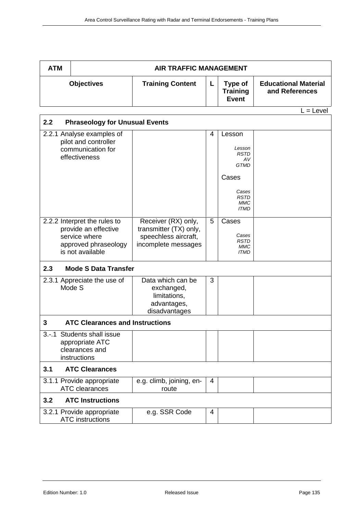| <b>ATM</b> |                                                                                                                   | <b>AIR TRAFFIC MANAGEMENT</b>                                                                |   |                                                            |                                               |
|------------|-------------------------------------------------------------------------------------------------------------------|----------------------------------------------------------------------------------------------|---|------------------------------------------------------------|-----------------------------------------------|
|            | <b>Objectives</b>                                                                                                 | <b>Training Content</b>                                                                      | L | <b>Type of</b><br><b>Training</b><br><b>Event</b>          | <b>Educational Material</b><br>and References |
|            |                                                                                                                   |                                                                                              |   |                                                            | $L = Level$                                   |
| 2.2        | <b>Phraseology for Unusual Events</b>                                                                             |                                                                                              |   |                                                            |                                               |
|            | 2.2.1 Analyse examples of<br>pilot and controller<br>communication for<br>effectiveness                           |                                                                                              | 4 | Lesson<br>Lesson<br><b>RSTD</b><br>ΑV<br><b>GTMD</b>       |                                               |
|            |                                                                                                                   |                                                                                              |   | Cases                                                      |                                               |
|            |                                                                                                                   |                                                                                              |   | Cases<br><b>RSTD</b><br><b>MMC</b><br><b>ITMD</b>          |                                               |
|            | 2.2.2 Interpret the rules to<br>provide an effective<br>service where<br>approved phraseology<br>is not available | Receiver (RX) only,<br>transmitter (TX) only,<br>speechless aircraft,<br>incomplete messages | 5 | Cases<br>Cases<br><b>RSTD</b><br><b>MMC</b><br><b>ITMD</b> |                                               |
| 2.3        | <b>Mode S Data Transfer</b>                                                                                       |                                                                                              |   |                                                            |                                               |
|            | 2.3.1 Appreciate the use of<br>Mode S                                                                             | Data which can be<br>exchanged,<br>limitations,<br>advantages,<br>disadvantages              | 3 |                                                            |                                               |
| 3          | <b>ATC Clearances and Instructions</b>                                                                            |                                                                                              |   |                                                            |                                               |
|            | 3.-.1 Students shall issue<br>appropriate ATC<br>clearances and<br>instructions                                   |                                                                                              |   |                                                            |                                               |
| 3.1        | <b>ATC Clearances</b>                                                                                             |                                                                                              |   |                                                            |                                               |
|            | 3.1.1 Provide appropriate<br><b>ATC</b> clearances                                                                | e.g. climb, joining, en-<br>route                                                            | 4 |                                                            |                                               |
| 3.2        | <b>ATC Instructions</b>                                                                                           |                                                                                              |   |                                                            |                                               |
|            | 3.2.1 Provide appropriate<br><b>ATC</b> instructions                                                              | e.g. SSR Code                                                                                | 4 |                                                            |                                               |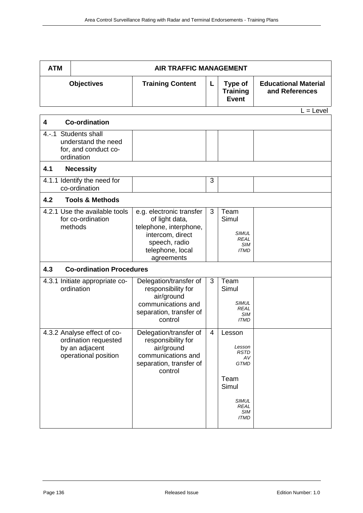| <b>ATM</b> |                                                                                               | <b>AIR TRAFFIC MANAGEMENT</b>                                                                                                               |                |                                                                                                                     |                                               |
|------------|-----------------------------------------------------------------------------------------------|---------------------------------------------------------------------------------------------------------------------------------------------|----------------|---------------------------------------------------------------------------------------------------------------------|-----------------------------------------------|
|            | <b>Objectives</b>                                                                             | <b>Training Content</b>                                                                                                                     | L              | <b>Type of</b><br><b>Training</b><br><b>Event</b>                                                                   | <b>Educational Material</b><br>and References |
|            |                                                                                               |                                                                                                                                             |                |                                                                                                                     | $L = L$ evel                                  |
| 4          | <b>Co-ordination</b>                                                                          |                                                                                                                                             |                |                                                                                                                     |                                               |
|            | 4.-.1 Students shall<br>understand the need<br>for, and conduct co-<br>ordination             |                                                                                                                                             |                |                                                                                                                     |                                               |
| 4.1        | <b>Necessity</b>                                                                              |                                                                                                                                             |                |                                                                                                                     |                                               |
|            | 4.1.1 Identify the need for<br>co-ordination                                                  |                                                                                                                                             | 3              |                                                                                                                     |                                               |
| 4.2        | <b>Tools &amp; Methods</b>                                                                    |                                                                                                                                             |                |                                                                                                                     |                                               |
|            | 4.2.1 Use the available tools<br>for co-ordination<br>methods                                 | e.g. electronic transfer<br>of light data,<br>telephone, interphone,<br>intercom, direct<br>speech, radio<br>telephone, local<br>agreements | 3              | Team<br>Simul<br><b>SIMUL</b><br><b>REAL</b><br><b>SIM</b><br><b>ITMD</b>                                           |                                               |
| 4.3        | <b>Co-ordination Procedures</b>                                                               |                                                                                                                                             |                |                                                                                                                     |                                               |
|            | 4.3.1 Initiate appropriate co-<br>ordination                                                  | Delegation/transfer of<br>responsibility for<br>air/ground<br>communications and<br>separation, transfer of<br>control                      | 3              | Team<br>Simul<br><b>SIMUL</b><br><b>REAL</b><br><b>SIM</b><br><b>ITMD</b>                                           |                                               |
|            | 4.3.2 Analyse effect of co-<br>ordination requested<br>by an adjacent<br>operational position | Delegation/transfer of<br>responsibility for<br>air/ground<br>communications and<br>separation, transfer of<br>control                      | $\overline{4}$ | Lesson<br>Lesson<br><b>RSTD</b><br>AV<br>GTMD<br>Team<br>Simul<br><b>SIMUL</b><br><b>REAL</b><br>SIM<br><b>ITMD</b> |                                               |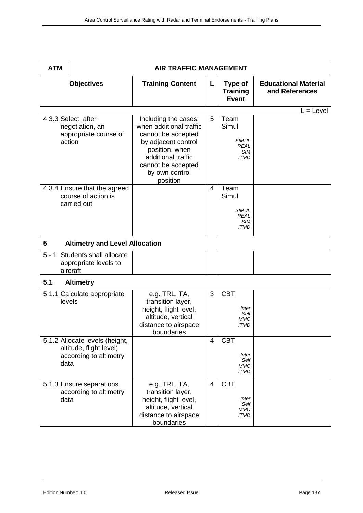| <b>ATM</b> |                                                                                     | <b>AIR TRAFFIC MANAGEMENT</b>                                                                                                                                                            |                |                                                                    |                                               |  |  |  |
|------------|-------------------------------------------------------------------------------------|------------------------------------------------------------------------------------------------------------------------------------------------------------------------------------------|----------------|--------------------------------------------------------------------|-----------------------------------------------|--|--|--|
|            | <b>Objectives</b>                                                                   | <b>Training Content</b>                                                                                                                                                                  | L              | <b>Type of</b><br><b>Training</b><br><b>Event</b>                  | <b>Educational Material</b><br>and References |  |  |  |
|            |                                                                                     |                                                                                                                                                                                          |                |                                                                    | $L = Level$                                   |  |  |  |
|            | 4.3.3 Select, after<br>negotiation, an<br>appropriate course of<br>action           | Including the cases:<br>when additional traffic<br>cannot be accepted<br>by adjacent control<br>position, when<br>additional traffic<br>cannot be accepted<br>by own control<br>position | 5              | Team<br>Simul<br><b>SIMUL</b><br>REAL<br><b>SIM</b><br><b>ITMD</b> |                                               |  |  |  |
|            | 4.3.4 Ensure that the agreed<br>course of action is                                 |                                                                                                                                                                                          | $\overline{4}$ | Team<br>Simul                                                      |                                               |  |  |  |
|            | carried out                                                                         |                                                                                                                                                                                          |                | <b>SIMUL</b><br><b>REAL</b><br><b>SIM</b><br><b>ITMD</b>           |                                               |  |  |  |
| 5          | <b>Altimetry and Level Allocation</b>                                               |                                                                                                                                                                                          |                |                                                                    |                                               |  |  |  |
|            | 5.-.1 Students shall allocate<br>appropriate levels to<br>aircraft                  |                                                                                                                                                                                          |                |                                                                    |                                               |  |  |  |
| 5.1        | <b>Altimetry</b>                                                                    |                                                                                                                                                                                          |                |                                                                    |                                               |  |  |  |
|            | 5.1.1 Calculate appropriate<br>levels                                               | e.g. TRL, TA,<br>transition layer,<br>height, flight level,<br>altitude, vertical<br>distance to airspace<br>boundaries                                                                  | 3              | <b>CBT</b><br><b>Inter</b><br>Self<br>MMC<br>ITMD                  |                                               |  |  |  |
| data       | 5.1.2 Allocate levels (height,<br>altitude, flight level)<br>according to altimetry |                                                                                                                                                                                          | 4              | <b>CBT</b><br><i>Inter</i><br>Self<br>MMC<br><b>ITMD</b>           |                                               |  |  |  |
| data       | 5.1.3 Ensure separations<br>according to altimetry                                  | e.g. TRL, TA,<br>transition layer,<br>height, flight level,<br>altitude, vertical<br>distance to airspace<br>boundaries                                                                  | 4              | <b>CBT</b><br><i>Inter</i><br>Self<br>MMC<br>ITMD                  |                                               |  |  |  |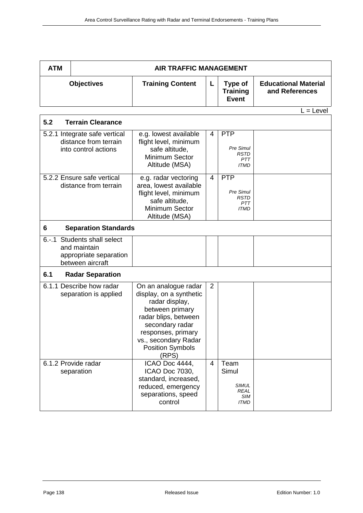| <b>ATM</b> |                                                                                            | <b>AIR TRAFFIC MANAGEMENT</b>                                                                                                                                                                                     |                |                                                                     |                                               |
|------------|--------------------------------------------------------------------------------------------|-------------------------------------------------------------------------------------------------------------------------------------------------------------------------------------------------------------------|----------------|---------------------------------------------------------------------|-----------------------------------------------|
|            | <b>Objectives</b>                                                                          | <b>Training Content</b>                                                                                                                                                                                           | L              | <b>Type of</b><br><b>Training</b><br><b>Event</b>                   | <b>Educational Material</b><br>and References |
|            |                                                                                            |                                                                                                                                                                                                                   |                |                                                                     | $L = Level$                                   |
| 5.2        | <b>Terrain Clearance</b>                                                                   |                                                                                                                                                                                                                   |                |                                                                     |                                               |
|            | 5.2.1 Integrate safe vertical<br>distance from terrain<br>into control actions             | e.g. lowest available<br>flight level, minimum<br>safe altitude,<br>Minimum Sector<br>Altitude (MSA)                                                                                                              | 4              | <b>PTP</b><br>Pre Simul<br><b>RSTD</b><br><b>PTT</b><br><b>ITMD</b> |                                               |
|            | 5.2.2 Ensure safe vertical<br>distance from terrain                                        | e.g. radar vectoring<br>area, lowest available<br>flight level, minimum<br>safe altitude,<br>Minimum Sector<br>Altitude (MSA)                                                                                     | $\overline{4}$ | <b>PTP</b><br>Pre Simul<br><b>RSTD</b><br><b>PTT</b><br><b>ITMD</b> |                                               |
| 6          | <b>Separation Standards</b>                                                                |                                                                                                                                                                                                                   |                |                                                                     |                                               |
| $6.-1$     | <b>Students shall select</b><br>and maintain<br>appropriate separation<br>between aircraft |                                                                                                                                                                                                                   |                |                                                                     |                                               |
| 6.1        | <b>Radar Separation</b>                                                                    |                                                                                                                                                                                                                   |                |                                                                     |                                               |
|            | 6.1.1 Describe how radar<br>separation is applied                                          | On an analogue radar<br>display, on a synthetic<br>radar display,<br>between primary<br>radar blips, between<br>secondary radar<br>responses, primary<br>vs., secondary Radar<br><b>Position Symbols</b><br>(RPS) | 2              |                                                                     |                                               |
|            | 6.1.2 Provide radar<br>separation                                                          | ICAO Doc 4444,<br>ICAO Doc 7030,<br>standard, increased,<br>reduced, emergency<br>separations, speed<br>control                                                                                                   | 4              | Team<br>Simul<br><b>SIMUL</b><br>REAL<br>SIM<br><b>ITMD</b>         |                                               |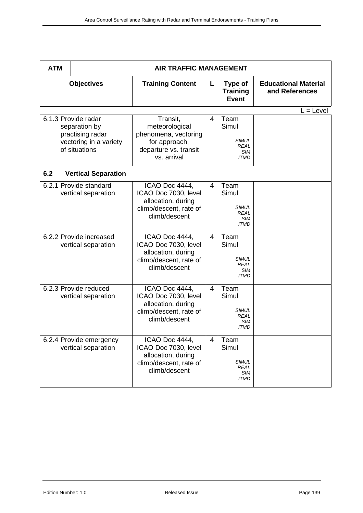| <b>ATM</b> |                                                                                                     | <b>AIR TRAFFIC MANAGEMENT</b>                                                                               |                |                                                                           |                                               |  |  |
|------------|-----------------------------------------------------------------------------------------------------|-------------------------------------------------------------------------------------------------------------|----------------|---------------------------------------------------------------------------|-----------------------------------------------|--|--|
|            | <b>Objectives</b>                                                                                   | <b>Training Content</b>                                                                                     | L              | <b>Type of</b><br><b>Training</b><br><b>Event</b>                         | <b>Educational Material</b><br>and References |  |  |
|            |                                                                                                     |                                                                                                             |                |                                                                           | $L = Level$                                   |  |  |
|            | 6.1.3 Provide radar<br>separation by<br>practising radar<br>vectoring in a variety<br>of situations | Transit,<br>meteorological<br>phenomena, vectoring<br>for approach,<br>departure vs. transit<br>vs. arrival | 4              | Team<br>Simul<br><b>SIMUL</b><br><b>REAL</b><br><b>SIM</b><br><b>ITMD</b> |                                               |  |  |
| 6.2        | <b>Vertical Separation</b>                                                                          |                                                                                                             |                |                                                                           |                                               |  |  |
|            | 6.2.1 Provide standard<br>vertical separation                                                       | ICAO Doc 4444,<br>ICAO Doc 7030, level<br>allocation, during<br>climb/descent, rate of<br>climb/descent     | 4              | Team<br>Simul<br><b>SIMUL</b><br><b>REAL</b><br><b>SIM</b><br><b>ITMD</b> |                                               |  |  |
|            | 6.2.2 Provide increased<br>vertical separation                                                      | ICAO Doc 4444,<br>ICAO Doc 7030, level<br>allocation, during<br>climb/descent, rate of<br>climb/descent     | $\overline{4}$ | Team<br>Simul<br><b>SIMUL</b><br><b>REAL</b><br><b>SIM</b><br><b>ITMD</b> |                                               |  |  |
|            | 6.2.3 Provide reduced<br>vertical separation                                                        | ICAO Doc 4444,<br>ICAO Doc 7030, level<br>allocation, during<br>climb/descent, rate of<br>climb/descent     | $\overline{4}$ | Team<br>Simul<br><b>SIMUL</b><br><b>REAL</b><br><b>SIM</b><br><b>ITMD</b> |                                               |  |  |
|            | 6.2.4 Provide emergency<br>vertical separation                                                      | ICAO Doc 4444,<br>ICAO Doc 7030, level<br>allocation, during<br>climb/descent, rate of<br>climb/descent     | 4              | Team<br>Simul<br><b>SIMUL</b><br>REAL<br><b>SIM</b><br>ITMD               |                                               |  |  |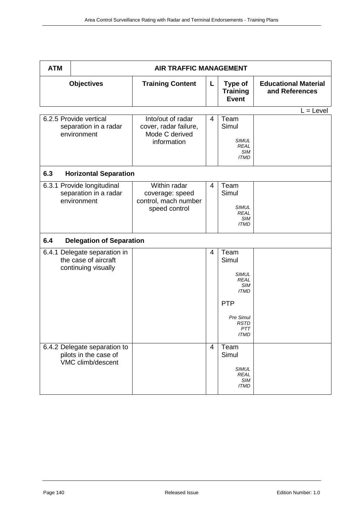| <b>ATM</b>        |                                                                             | <b>AIR TRAFFIC MANAGEMENT</b>                                               |                |                                                                                                                                           |                                               |
|-------------------|-----------------------------------------------------------------------------|-----------------------------------------------------------------------------|----------------|-------------------------------------------------------------------------------------------------------------------------------------------|-----------------------------------------------|
| <b>Objectives</b> |                                                                             | <b>Training Content</b>                                                     | L              | Type of<br><b>Training</b><br><b>Event</b>                                                                                                | <b>Educational Material</b><br>and References |
|                   |                                                                             |                                                                             |                |                                                                                                                                           | $L = Level$                                   |
|                   | 6.2.5 Provide vertical<br>separation in a radar<br>environment              | Into/out of radar<br>cover, radar failure,<br>Mode C derived<br>information | $\overline{4}$ | Team<br>Simul<br><b>SIMUL</b><br><b>REAL</b><br><b>SIM</b><br><b>ITMD</b>                                                                 |                                               |
| 6.3               | <b>Horizontal Separation</b>                                                |                                                                             |                |                                                                                                                                           |                                               |
|                   | 6.3.1 Provide longitudinal<br>separation in a radar<br>environment          | Within radar<br>coverage: speed<br>control, mach number<br>speed control    | 4              | Team<br>Simul<br><b>SIMUL</b><br><b>REAL</b><br><b>SIM</b><br><b>ITMD</b>                                                                 |                                               |
| 6.4               | <b>Delegation of Separation</b>                                             |                                                                             |                |                                                                                                                                           |                                               |
|                   | 6.4.1 Delegate separation in<br>the case of aircraft<br>continuing visually |                                                                             | 4              | Team<br>Simul<br><b>SIMUL</b><br><b>REAL</b><br><b>SIM</b><br><b>ITMD</b><br><b>PTP</b><br>Pre Simul<br>RSTD<br><b>PTT</b><br><b>ITMD</b> |                                               |
|                   | 6.4.2 Delegate separation to<br>pilots in the case of<br>VMC climb/descent  |                                                                             | $\overline{4}$ | Team<br>Simul<br><b>SIMUL</b><br><b>REAL</b><br>SIM<br><b>ITMD</b>                                                                        |                                               |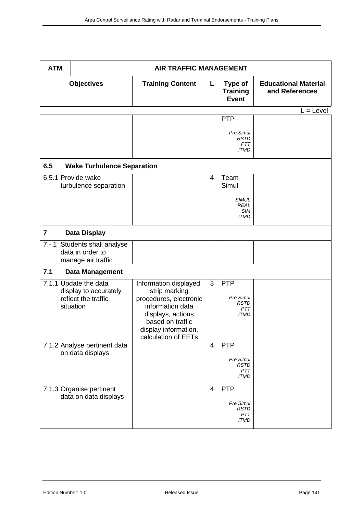| <b>ATM</b>              |                                                                                    | <b>AIR TRAFFIC MANAGEMENT</b>                                                                                                                                                 |   |                                                                     |                                               |
|-------------------------|------------------------------------------------------------------------------------|-------------------------------------------------------------------------------------------------------------------------------------------------------------------------------|---|---------------------------------------------------------------------|-----------------------------------------------|
| <b>Objectives</b>       |                                                                                    | <b>Training Content</b>                                                                                                                                                       | L | <b>Type of</b><br><b>Training</b><br><b>Event</b>                   | <b>Educational Material</b><br>and References |
|                         |                                                                                    |                                                                                                                                                                               |   |                                                                     | $L = Level$                                   |
|                         |                                                                                    |                                                                                                                                                                               |   | <b>PTP</b>                                                          |                                               |
|                         |                                                                                    |                                                                                                                                                                               |   | Pre Simul<br><b>RSTD</b><br><b>PTT</b><br><b>ITMD</b>               |                                               |
| 6.5                     | <b>Wake Turbulence Separation</b>                                                  |                                                                                                                                                                               |   |                                                                     |                                               |
|                         | 6.5.1 Provide wake                                                                 |                                                                                                                                                                               | 4 | Team                                                                |                                               |
|                         | turbulence separation                                                              |                                                                                                                                                                               |   | Simul                                                               |                                               |
|                         |                                                                                    |                                                                                                                                                                               |   | <b>SIMUL</b><br><b>REAL</b><br><b>SIM</b><br><b>ITMD</b>            |                                               |
| $\overline{\mathbf{7}}$ | <b>Data Display</b>                                                                |                                                                                                                                                                               |   |                                                                     |                                               |
|                         | 7.-.1 Students shall analyse<br>data in order to<br>manage air traffic             |                                                                                                                                                                               |   |                                                                     |                                               |
| 7.1                     | <b>Data Management</b>                                                             |                                                                                                                                                                               |   |                                                                     |                                               |
|                         | 7.1.1 Update the data<br>display to accurately<br>reflect the traffic<br>situation | Information displayed,<br>strip marking<br>procedures, electronic<br>information data<br>displays, actions<br>based on traffic<br>display information,<br>calculation of EETs | 3 | <b>PTP</b><br>Pre Simul<br><b>RSTD</b><br><b>PTT</b><br><b>ITMD</b> |                                               |
|                         | 7.1.2 Analyse pertinent data                                                       |                                                                                                                                                                               | 4 | <b>PTP</b>                                                          |                                               |
|                         | on data displays                                                                   |                                                                                                                                                                               |   | Pre Simul<br>RSTD<br><b>PTT</b><br><b>ITMD</b>                      |                                               |
|                         | 7.1.3 Organise pertinent                                                           |                                                                                                                                                                               | 4 | <b>PTP</b>                                                          |                                               |
|                         | data on data displays                                                              |                                                                                                                                                                               |   | Pre Simul<br>RSTD<br><b>PTT</b><br><b>ITMD</b>                      |                                               |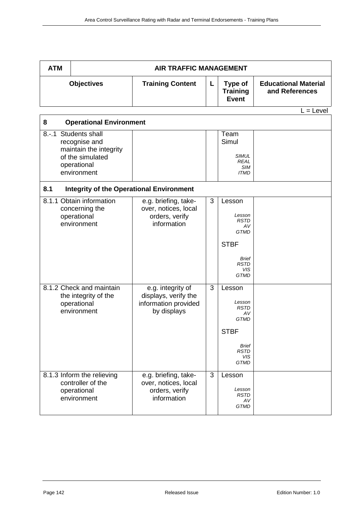| <b>ATM</b> |                                                                                | <b>AIR TRAFFIC MANAGEMENT</b>                                                    |   |                                                                     |                                               |
|------------|--------------------------------------------------------------------------------|----------------------------------------------------------------------------------|---|---------------------------------------------------------------------|-----------------------------------------------|
|            | <b>Objectives</b>                                                              | <b>Training Content</b>                                                          | L | Type of<br><b>Training</b><br><b>Event</b>                          | <b>Educational Material</b><br>and References |
|            |                                                                                |                                                                                  |   |                                                                     | $L = Level$                                   |
| 8          | <b>Operational Environment</b>                                                 |                                                                                  |   |                                                                     |                                               |
| $8 - 1$    | Students shall<br>recognise and<br>maintain the integrity                      |                                                                                  |   | Team<br>Simul                                                       |                                               |
|            | of the simulated<br>operational<br>environment                                 |                                                                                  |   | <b>SIMUL</b><br><b>REAL</b><br>SIM<br><b>ITMD</b>                   |                                               |
| 8.1        | <b>Integrity of the Operational Environment</b>                                |                                                                                  |   |                                                                     |                                               |
|            | 8.1.1 Obtain information<br>concerning the<br>operational<br>environment       | e.g. briefing, take-<br>over, notices, local<br>orders, verify<br>information    | 3 | Lesson<br>Lesson<br><b>RSTD</b><br>AV                               |                                               |
|            |                                                                                |                                                                                  |   | <b>GTMD</b><br><b>STBF</b>                                          |                                               |
|            |                                                                                |                                                                                  |   | <b>Brief</b><br><b>RSTD</b><br><b>VIS</b><br><b>GTMD</b>            |                                               |
|            | 8.1.2 Check and maintain<br>the integrity of the<br>operational<br>environment | e.g. integrity of<br>displays, verify the<br>information provided<br>by displays | 3 | Lesson<br>Lesson<br><b>RSTD</b><br>AV<br><b>GTMD</b><br><b>STBF</b> |                                               |
|            |                                                                                |                                                                                  |   | Brief<br><b>RSTD</b><br><b>VIS</b><br>GTMD                          |                                               |
|            | 8.1.3 Inform the relieving<br>controller of the<br>operational<br>environment  | e.g. briefing, take-<br>over, notices, local<br>orders, verify<br>information    | 3 | Lesson<br>Lesson<br><b>RSTD</b><br>AV<br>GTMD                       |                                               |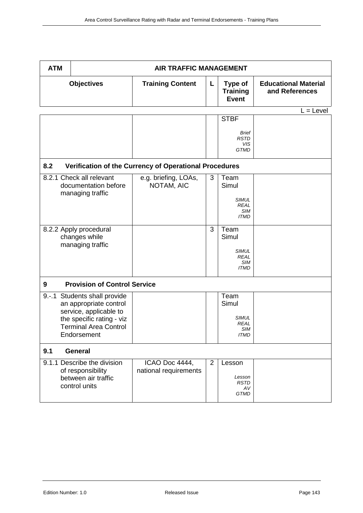| <b>ATM</b>                                                    |                                                                                  | <b>AIR TRAFFIC MANAGEMENT</b>           |                |                                                          |                                               |  |  |  |
|---------------------------------------------------------------|----------------------------------------------------------------------------------|-----------------------------------------|----------------|----------------------------------------------------------|-----------------------------------------------|--|--|--|
|                                                               | <b>Objectives</b>                                                                | <b>Training Content</b>                 | L              | <b>Type of</b><br><b>Training</b><br><b>Event</b>        | <b>Educational Material</b><br>and References |  |  |  |
|                                                               |                                                                                  |                                         |                |                                                          | $L = Level$                                   |  |  |  |
|                                                               |                                                                                  |                                         |                | <b>STBF</b>                                              |                                               |  |  |  |
|                                                               |                                                                                  |                                         |                | <b>Brief</b><br><b>RSTD</b><br>VIS<br>GTMD               |                                               |  |  |  |
| 8.2<br>Verification of the Currency of Operational Procedures |                                                                                  |                                         |                |                                                          |                                               |  |  |  |
|                                                               | 8.2.1 Check all relevant<br>documentation before<br>managing traffic             | e.g. briefing, LOAs,<br>NOTAM, AIC      | 3              | Team<br>Simul                                            |                                               |  |  |  |
|                                                               |                                                                                  |                                         |                | <b>SIMUL</b><br><b>REAL</b><br><b>SIM</b><br><b>ITMD</b> |                                               |  |  |  |
|                                                               | 8.2.2 Apply procedural<br>changes while<br>managing traffic                      |                                         | 3              | Team<br>Simul                                            |                                               |  |  |  |
|                                                               |                                                                                  |                                         |                | <b>SIMUL</b><br><b>REAL</b><br><b>SIM</b><br><b>ITMD</b> |                                               |  |  |  |
| 9                                                             | <b>Provision of Control Service</b>                                              |                                         |                |                                                          |                                               |  |  |  |
|                                                               | 9.-.1 Students shall provide<br>an appropriate control<br>service, applicable to |                                         |                | Team<br>Simul                                            |                                               |  |  |  |
|                                                               | the specific rating - viz<br><b>Terminal Area Control</b><br>Endorsement         |                                         |                | <b>SIMUL</b><br><b>REAL</b><br>SIM<br>ITMD               |                                               |  |  |  |
| 9.1                                                           | <b>General</b>                                                                   |                                         |                |                                                          |                                               |  |  |  |
|                                                               | 9.1.1 Describe the division<br>of responsibility                                 | ICAO Doc 4444,<br>national requirements | $\overline{2}$ | Lesson                                                   |                                               |  |  |  |
|                                                               | between air traffic<br>control units                                             |                                         |                | Lesson<br><b>RSTD</b><br>ΑV<br>GTMD                      |                                               |  |  |  |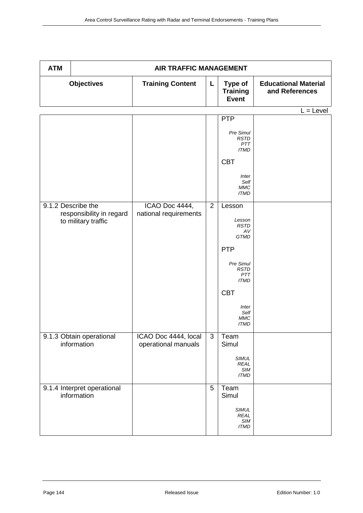| <b>ATM</b>        |                                                 | <b>AIR TRAFFIC MANAGEMENT</b>               |                |                                                          |                                               |  |  |  |
|-------------------|-------------------------------------------------|---------------------------------------------|----------------|----------------------------------------------------------|-----------------------------------------------|--|--|--|
| <b>Objectives</b> |                                                 | <b>Training Content</b>                     | L              | Type of<br><b>Training</b><br><b>Event</b>               | <b>Educational Material</b><br>and References |  |  |  |
|                   |                                                 |                                             |                |                                                          | $L = Level$                                   |  |  |  |
|                   |                                                 |                                             |                | <b>PTP</b>                                               |                                               |  |  |  |
|                   |                                                 |                                             |                | Pre Simul<br><b>RSTD</b><br>PTT<br><b>ITMD</b>           |                                               |  |  |  |
|                   |                                                 |                                             |                | <b>CBT</b>                                               |                                               |  |  |  |
|                   |                                                 |                                             |                | <b>Inter</b><br>Self<br><b>MMC</b><br><b>ITMD</b>        |                                               |  |  |  |
|                   | 9.1.2 Describe the                              | ICAO Doc 4444,                              | $\overline{2}$ | Lesson                                                   |                                               |  |  |  |
|                   | responsibility in regard<br>to military traffic | national requirements                       |                | Lesson<br><b>RSTD</b><br>AV<br>GTMD                      |                                               |  |  |  |
|                   |                                                 |                                             |                | <b>PTP</b>                                               |                                               |  |  |  |
|                   |                                                 |                                             |                | Pre Simul<br><b>RSTD</b><br>PTT<br><b>ITMD</b>           |                                               |  |  |  |
|                   |                                                 |                                             |                | <b>CBT</b>                                               |                                               |  |  |  |
|                   |                                                 |                                             |                | <b>Inter</b><br>Self<br><b>MMC</b><br><b>ITMD</b>        |                                               |  |  |  |
|                   | 9.1.3 Obtain operational<br>information         | ICAO Doc 4444, local<br>operational manuals | $\mathfrak{S}$ | Team<br>Simul                                            |                                               |  |  |  |
|                   |                                                 |                                             |                | <b>SIMUL</b><br><b>REAL</b><br><b>SIM</b><br><b>ITMD</b> |                                               |  |  |  |
|                   | 9.1.4 Interpret operational<br>information      |                                             | 5              | Team<br>Simul                                            |                                               |  |  |  |
|                   |                                                 |                                             |                | <b>SIMUL</b><br><b>REAL</b><br><b>SIM</b><br><b>ITMD</b> |                                               |  |  |  |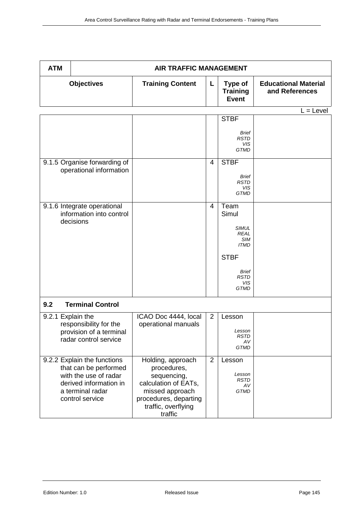| <b>ATM</b>        |                                                                                                                                                | <b>AIR TRAFFIC MANAGEMENT</b>                                                                                                                         |                |                                                          |                                               |
|-------------------|------------------------------------------------------------------------------------------------------------------------------------------------|-------------------------------------------------------------------------------------------------------------------------------------------------------|----------------|----------------------------------------------------------|-----------------------------------------------|
| <b>Objectives</b> |                                                                                                                                                | <b>Training Content</b>                                                                                                                               | L              | <b>Type of</b><br><b>Training</b><br><b>Event</b>        | <b>Educational Material</b><br>and References |
|                   |                                                                                                                                                |                                                                                                                                                       |                |                                                          | $L = Level$                                   |
|                   |                                                                                                                                                |                                                                                                                                                       |                | <b>STBF</b>                                              |                                               |
|                   |                                                                                                                                                |                                                                                                                                                       |                | <b>Brief</b><br><b>RSTD</b><br>VIS<br><b>GTMD</b>        |                                               |
|                   | 9.1.5 Organise forwarding of                                                                                                                   |                                                                                                                                                       | 4              | <b>STBF</b>                                              |                                               |
|                   | operational information                                                                                                                        |                                                                                                                                                       |                | <b>Brief</b><br><b>RSTD</b><br><b>VIS</b><br>GTMD        |                                               |
|                   | 9.1.6 Integrate operational<br>information into control<br>decisions                                                                           |                                                                                                                                                       | 4              | Team<br>Simul                                            |                                               |
|                   |                                                                                                                                                |                                                                                                                                                       |                | <b>SIMUL</b><br><b>REAL</b><br><b>SIM</b><br><b>ITMD</b> |                                               |
|                   |                                                                                                                                                |                                                                                                                                                       |                | <b>STBF</b>                                              |                                               |
|                   |                                                                                                                                                |                                                                                                                                                       |                | <b>Brief</b><br><b>RSTD</b><br><b>VIS</b><br><b>GTMD</b> |                                               |
| 9.2               | <b>Terminal Control</b>                                                                                                                        |                                                                                                                                                       |                |                                                          |                                               |
| 9.2.1 Explain the | responsibility for the                                                                                                                         | ICAO Doc 4444, local<br>operational manuals                                                                                                           | $\overline{2}$ | Lesson                                                   |                                               |
|                   | provision of a terminal<br>radar control service                                                                                               |                                                                                                                                                       |                | Lesson<br>RSTD<br>ΑV<br>GTMD                             |                                               |
|                   | 9.2.2 Explain the functions<br>that can be performed<br>with the use of radar<br>derived information in<br>a terminal radar<br>control service | Holding, approach<br>procedures,<br>sequencing,<br>calculation of EATs,<br>missed approach<br>procedures, departing<br>traffic, overflying<br>traffic | $\overline{2}$ | Lesson<br>Lesson<br><b>RSTD</b><br>AV<br>GTMD            |                                               |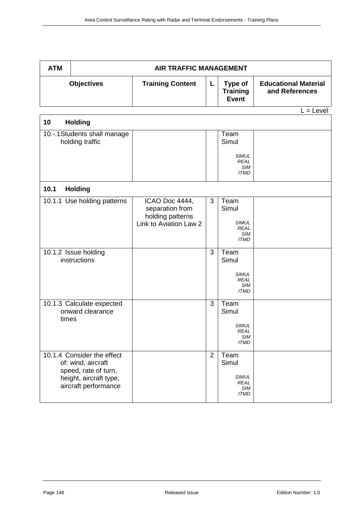| <b>ATM</b>             |                                                  | <b>AIR TRAFFIC MANAGEMENT</b>                                                   |                |                                                                           |                                               |  |  |  |
|------------------------|--------------------------------------------------|---------------------------------------------------------------------------------|----------------|---------------------------------------------------------------------------|-----------------------------------------------|--|--|--|
| <b>Objectives</b>      |                                                  | <b>Training Content</b>                                                         | L              | Type of<br><b>Training</b><br><b>Event</b>                                | <b>Educational Material</b><br>and References |  |  |  |
|                        |                                                  |                                                                                 |                |                                                                           | $L = Level$                                   |  |  |  |
| 10                     | <b>Holding</b>                                   |                                                                                 |                |                                                                           |                                               |  |  |  |
|                        | 10.-.1 Students shall manage<br>holding traffic  |                                                                                 |                | Team<br>Simul                                                             |                                               |  |  |  |
|                        |                                                  |                                                                                 |                | <b>SIMUL</b><br><b>REAL</b><br><b>SIM</b><br>ITMD                         |                                               |  |  |  |
| 10.1<br><b>Holding</b> |                                                  |                                                                                 |                |                                                                           |                                               |  |  |  |
|                        | 10.1.1 Use holding patterns                      | ICAO Doc 4444,<br>separation from<br>holding patterns<br>Link to Aviation Law 2 | 3              | Team<br>Simul<br><b>SIMUL</b><br><b>REAL</b><br><b>SIM</b><br><b>ITMD</b> |                                               |  |  |  |
|                        | 10.1.2 Issue holding<br>instructions             |                                                                                 | 3              | Team<br>Simul<br><b>SIMUL</b><br><b>REAL</b><br><b>SIM</b><br><b>ITMD</b> |                                               |  |  |  |
| times                  | 10.1.3 Calculate expected<br>onward clearance    |                                                                                 | $\overline{3}$ | Team<br>Simul<br><b>SIMUL</b><br><b>REAL</b><br><b>SIM</b><br><b>ITMD</b> |                                               |  |  |  |
|                        | 10.1.4 Consider the effect<br>of: wind, aircraft |                                                                                 | $\overline{2}$ | Team<br>Simul                                                             |                                               |  |  |  |

speed, rate of turn, height, aircraft type, aircraft performance

*SIMUL REAL SIM ITMD*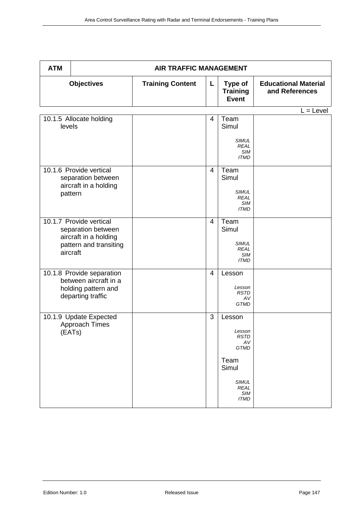| <b>ATM</b> | <b>AIR TRAFFIC MANAGEMENT</b>                                          |                         |    |                                                          |                                               |  |
|------------|------------------------------------------------------------------------|-------------------------|----|----------------------------------------------------------|-----------------------------------------------|--|
|            | <b>Objectives</b>                                                      | <b>Training Content</b> | L. | <b>Type of</b><br><b>Training</b><br><b>Event</b>        | <b>Educational Material</b><br>and References |  |
|            |                                                                        |                         |    |                                                          | $L = Level$                                   |  |
| levels     | 10.1.5 Allocate holding                                                |                         | 4  | Team<br>Simul                                            |                                               |  |
|            |                                                                        |                         |    | <b>SIMUL</b><br><b>REAL</b><br><b>SIM</b><br><b>ITMD</b> |                                               |  |
|            | 10.1.6 Provide vertical<br>separation between<br>aircraft in a holding |                         | 4  | Team<br>Simul                                            |                                               |  |
|            | pattern                                                                |                         |    | <b>SIMUL</b><br><b>REAL</b><br><b>SIM</b><br><b>ITMD</b> |                                               |  |
|            | 10.1.7 Provide vertical<br>separation between<br>aircraft in a holding |                         | 4  | Team<br>Simul                                            |                                               |  |
|            | pattern and transiting<br>aircraft                                     |                         |    | <b>SIMUL</b><br><b>REAL</b><br><b>SIM</b><br><b>ITMD</b> |                                               |  |
|            | 10.1.8 Provide separation<br>between aircraft in a                     |                         | 4  | Lesson                                                   |                                               |  |
|            | holding pattern and<br>departing traffic                               |                         |    | Lesson<br><b>RSTD</b><br>AV<br>GTMD                      |                                               |  |
|            | 10.1.9 Update Expected<br>Approach Times                               |                         | 3  | Lesson                                                   |                                               |  |
|            | (EATs)                                                                 |                         |    | Lesson<br><b>RSTD</b><br>AV<br>GTMD                      |                                               |  |
|            |                                                                        |                         |    | Team<br>Simul                                            |                                               |  |
|            |                                                                        |                         |    | <b>SIMUL</b><br><b>REAL</b><br><b>SIM</b><br><b>ITMD</b> |                                               |  |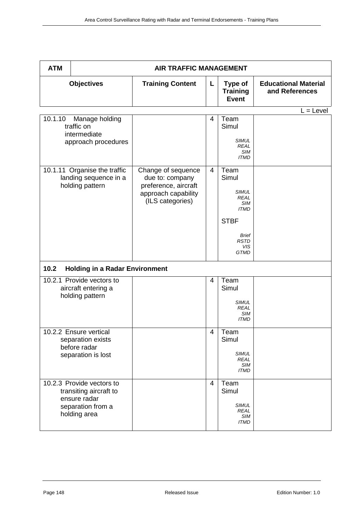| <b>ATM</b> |                                                                                                          | <b>AIR TRAFFIC MANAGEMENT</b>                                                                            |                |                                                                                                                                               |                                               |
|------------|----------------------------------------------------------------------------------------------------------|----------------------------------------------------------------------------------------------------------|----------------|-----------------------------------------------------------------------------------------------------------------------------------------------|-----------------------------------------------|
|            | <b>Objectives</b>                                                                                        | <b>Training Content</b>                                                                                  | L              | <b>Type of</b><br><b>Training</b><br><b>Event</b>                                                                                             | <b>Educational Material</b><br>and References |
|            |                                                                                                          |                                                                                                          |                |                                                                                                                                               | $L = L$ evel                                  |
| 10.1.10    | Manage holding<br>traffic on<br>intermediate<br>approach procedures                                      |                                                                                                          | 4              | Team<br>Simul<br><b>SIMUL</b><br><b>REAL</b><br><b>SIM</b><br><b>ITMD</b>                                                                     |                                               |
|            | 10.1.11 Organise the traffic<br>landing sequence in a<br>holding pattern                                 | Change of sequence<br>due to: company<br>preference, aircraft<br>approach capability<br>(ILS categories) | $\overline{4}$ | Team<br>Simul<br><b>SIMUL</b><br><b>REAL</b><br><b>SIM</b><br><b>ITMD</b><br><b>STBF</b><br><b>Brief</b><br><b>RSTD</b><br><b>VIS</b><br>GTMD |                                               |
| 10.2       | <b>Holding in a Radar Environment</b>                                                                    |                                                                                                          |                |                                                                                                                                               |                                               |
|            | 10.2.1 Provide vectors to<br>aircraft entering a<br>holding pattern                                      |                                                                                                          | 4              | Team<br>Simul<br><b>SIMUL</b><br><b>REAL</b><br><b>SIM</b><br><b>ITMD</b>                                                                     |                                               |
|            | 10.2.2 Ensure vertical<br>separation exists<br>before radar<br>separation is lost                        |                                                                                                          | 4              | Team<br>Simul<br><b>SIMUL</b><br><b>REAL</b><br><b>SIM</b><br><b>ITMD</b>                                                                     |                                               |
|            | 10.2.3 Provide vectors to<br>transiting aircraft to<br>ensure radar<br>separation from a<br>holding area |                                                                                                          | $\overline{4}$ | Team<br>Simul<br><b>SIMUL</b><br><b>REAL</b><br><b>SIM</b><br><b>ITMD</b>                                                                     |                                               |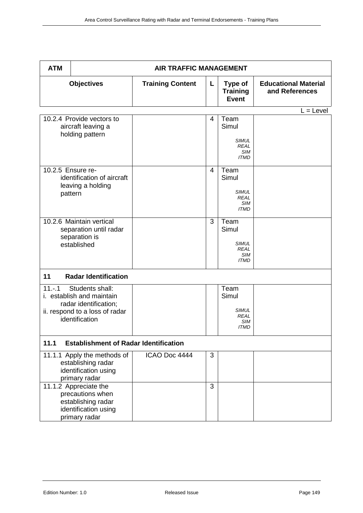| <b>ATM</b> |                                                                                                          | <b>AIR TRAFFIC MANAGEMENT</b> |   |                                                          |                                               |
|------------|----------------------------------------------------------------------------------------------------------|-------------------------------|---|----------------------------------------------------------|-----------------------------------------------|
|            | <b>Objectives</b>                                                                                        | <b>Training Content</b>       | L | Type of<br><b>Training</b><br><b>Event</b>               | <b>Educational Material</b><br>and References |
|            |                                                                                                          |                               |   |                                                          | $L = Level$                                   |
|            | 10.2.4 Provide vectors to<br>aircraft leaving a<br>holding pattern                                       |                               | 4 | Team<br>Simul<br><b>SIMUL</b>                            |                                               |
|            |                                                                                                          |                               |   | <b>REAL</b><br><b>SIM</b><br><b>ITMD</b>                 |                                               |
|            | 10.2.5 Ensure re-<br>identification of aircraft<br>leaving a holding                                     |                               | 4 | Team<br>Simul                                            |                                               |
|            | pattern                                                                                                  |                               |   | <b>SIMUL</b><br><b>REAL</b><br><b>SIM</b><br><b>ITMD</b> |                                               |
|            | 10.2.6 Maintain vertical<br>separation until radar<br>separation is                                      |                               | 3 | Team<br>Simul                                            |                                               |
|            | established                                                                                              |                               |   | <b>SIMUL</b><br><b>REAL</b><br><b>SIM</b><br><b>ITMD</b> |                                               |
| 11         | <b>Radar Identification</b>                                                                              |                               |   |                                                          |                                               |
| $11.-1$    | Students shall:<br>i. establish and maintain<br>radar identification;                                    |                               |   | Team<br>Simul                                            |                                               |
|            | ii. respond to a loss of radar<br>identification                                                         |                               |   | <b>SIMUL</b><br><b>REAL</b><br><b>SIM</b><br><b>ITMD</b> |                                               |
| 11.1       | <b>Establishment of Radar Identification</b>                                                             |                               |   |                                                          |                                               |
|            | 11.1.1 Apply the methods of<br>establishing radar<br>identification using<br>primary radar               | ICAO Doc 4444                 | 3 |                                                          |                                               |
|            | 11.1.2 Appreciate the<br>precautions when<br>establishing radar<br>identification using<br>primary radar |                               | 3 |                                                          |                                               |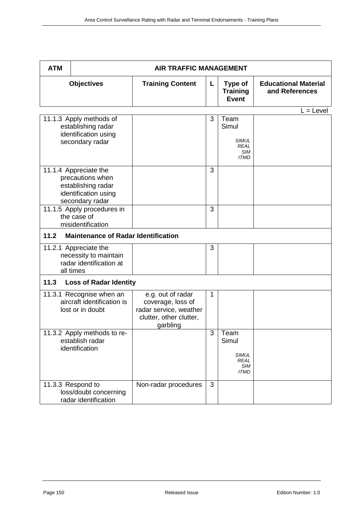| <b>ATM</b> | <b>AIR TRAFFIC MANAGEMENT</b>                                                                              |                                                                                                         |   |                                                                           |                                               |  |
|------------|------------------------------------------------------------------------------------------------------------|---------------------------------------------------------------------------------------------------------|---|---------------------------------------------------------------------------|-----------------------------------------------|--|
|            | <b>Objectives</b>                                                                                          | <b>Training Content</b>                                                                                 | L | <b>Type of</b><br><b>Training</b><br><b>Event</b>                         | <b>Educational Material</b><br>and References |  |
|            |                                                                                                            |                                                                                                         |   |                                                                           | $L = Level$                                   |  |
|            | 11.1.3 Apply methods of<br>establishing radar<br>identification using<br>secondary radar                   |                                                                                                         | 3 | Team<br>Simul<br><b>SIMUL</b><br><i>REAL</i><br><b>SIM</b><br><b>ITMD</b> |                                               |  |
|            | 11.1.4 Appreciate the<br>precautions when<br>establishing radar<br>identification using<br>secondary radar |                                                                                                         | 3 |                                                                           |                                               |  |
|            | 11.1.5 Apply procedures in<br>the case of<br>misidentification                                             |                                                                                                         | 3 |                                                                           |                                               |  |
| 11.2       | <b>Maintenance of Radar Identification</b>                                                                 |                                                                                                         |   |                                                                           |                                               |  |
|            | 11.2.1 Appreciate the<br>necessity to maintain<br>radar identification at<br>all times                     |                                                                                                         | 3 |                                                                           |                                               |  |
| 11.3       | <b>Loss of Radar Identity</b>                                                                              |                                                                                                         |   |                                                                           |                                               |  |
|            | 11.3.1 Recognise when an<br>aircraft identification is<br>lost or in doubt                                 | e.g. out of radar<br>coverage, loss of<br>radar service, weather<br>clutter, other clutter,<br>garbling | 1 |                                                                           |                                               |  |
|            | 11.3.2 Apply methods to re-<br>establish radar<br>identification                                           |                                                                                                         | 3 | Team<br>Simul<br><b>SIMUL</b><br><b>REAL</b><br><b>SIM</b><br><b>ITMD</b> |                                               |  |
|            | 11.3.3 Respond to<br>loss/doubt concerning<br>radar identification                                         | Non-radar procedures                                                                                    | 3 |                                                                           |                                               |  |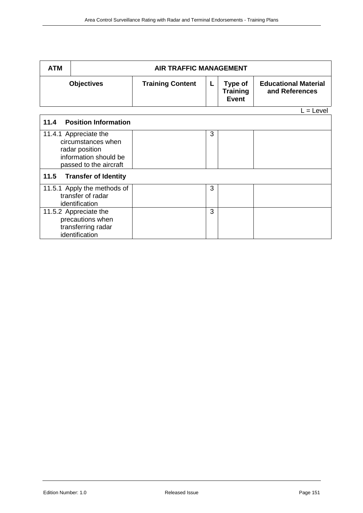| <b>ATM</b>                                                                                                       |                                                                                   | <b>AIR TRAFFIC MANAGEMENT</b> |    |                                            |                                               |  |  |
|------------------------------------------------------------------------------------------------------------------|-----------------------------------------------------------------------------------|-------------------------------|----|--------------------------------------------|-----------------------------------------------|--|--|
| <b>Objectives</b>                                                                                                |                                                                                   | <b>Training Content</b>       | L. | Type of<br><b>Training</b><br><b>Event</b> | <b>Educational Material</b><br>and References |  |  |
|                                                                                                                  |                                                                                   |                               |    |                                            | $L = Level$                                   |  |  |
| 11.4                                                                                                             | <b>Position Information</b>                                                       |                               |    |                                            |                                               |  |  |
| 11.4.1 Appreciate the<br>circumstances when<br>radar position<br>information should be<br>passed to the aircraft |                                                                                   |                               | 3  |                                            |                                               |  |  |
| 11.5                                                                                                             | <b>Transfer of Identity</b>                                                       |                               |    |                                            |                                               |  |  |
|                                                                                                                  | 11.5.1 Apply the methods of<br>transfer of radar<br>identification                |                               | 3  |                                            |                                               |  |  |
|                                                                                                                  | 11.5.2 Appreciate the<br>precautions when<br>transferring radar<br>identification |                               | 3  |                                            |                                               |  |  |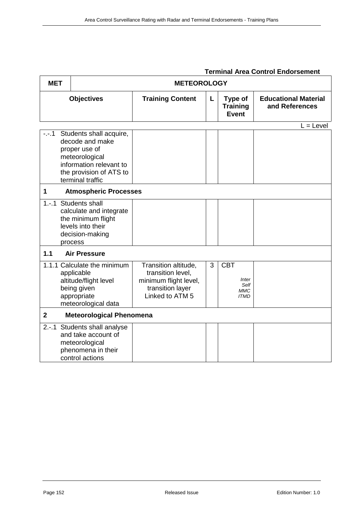| <b>MET</b>        |  |                                                                                                                                                         | <b>METEOROLOGY</b>                                                                                        |   |                                                                 |                                               |
|-------------------|--|---------------------------------------------------------------------------------------------------------------------------------------------------------|-----------------------------------------------------------------------------------------------------------|---|-----------------------------------------------------------------|-----------------------------------------------|
| <b>Objectives</b> |  |                                                                                                                                                         | <b>Training Content</b>                                                                                   | L | Type of<br><b>Training</b><br><b>Event</b>                      | <b>Educational Material</b><br>and References |
|                   |  |                                                                                                                                                         |                                                                                                           |   |                                                                 | $L = Level$                                   |
| $-,-.1$           |  | Students shall acquire,<br>decode and make<br>proper use of<br>meteorological<br>information relevant to<br>the provision of ATS to<br>terminal traffic |                                                                                                           |   |                                                                 |                                               |
| 1                 |  | <b>Atmospheric Processes</b>                                                                                                                            |                                                                                                           |   |                                                                 |                                               |
|                   |  | 1.-.1 Students shall<br>calculate and integrate<br>the minimum flight<br>levels into their<br>decision-making<br>process                                |                                                                                                           |   |                                                                 |                                               |
| 1.1               |  | <b>Air Pressure</b>                                                                                                                                     |                                                                                                           |   |                                                                 |                                               |
|                   |  | 1.1.1 Calculate the minimum<br>applicable<br>altitude/flight level<br>being given<br>appropriate<br>meteorological data                                 | Transition altitude,<br>transition level,<br>minimum flight level,<br>transition layer<br>Linked to ATM 5 | 3 | <b>CBT</b><br><b>Inter</b><br>Self<br><b>MMC</b><br><b>ITMD</b> |                                               |
| $\mathbf{2}$      |  | <b>Meteorological Phenomena</b>                                                                                                                         |                                                                                                           |   |                                                                 |                                               |
|                   |  | 2.-.1 Students shall analyse<br>and take account of<br>meteorological<br>phenomena in their<br>control actions                                          |                                                                                                           |   |                                                                 |                                               |

## **Terminal Area Control Endorsement**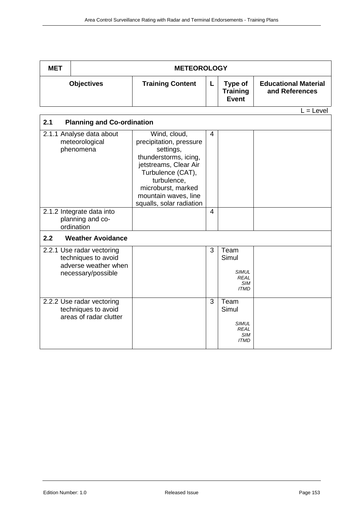| <b>MET</b> |                                                                                                | <b>METEOROLOGY</b>                                                                                                                                                                                                   |                |                                                                           |                                               |
|------------|------------------------------------------------------------------------------------------------|----------------------------------------------------------------------------------------------------------------------------------------------------------------------------------------------------------------------|----------------|---------------------------------------------------------------------------|-----------------------------------------------|
|            | <b>Objectives</b>                                                                              | <b>Training Content</b>                                                                                                                                                                                              | L              | Type of<br><b>Training</b><br><b>Event</b>                                | <b>Educational Material</b><br>and References |
|            |                                                                                                |                                                                                                                                                                                                                      |                |                                                                           | L = Level                                     |
| 2.1        | <b>Planning and Co-ordination</b>                                                              |                                                                                                                                                                                                                      |                |                                                                           |                                               |
|            | 2.1.1 Analyse data about<br>meteorological<br>phenomena                                        | Wind, cloud,<br>precipitation, pressure<br>settings,<br>thunderstorms, icing,<br>jetstreams, Clear Air<br>Turbulence (CAT),<br>turbulence,<br>microburst, marked<br>mountain waves, line<br>squalls, solar radiation | $\overline{4}$ |                                                                           |                                               |
|            | 2.1.2 Integrate data into<br>planning and co-<br>ordination                                    |                                                                                                                                                                                                                      | $\overline{4}$ |                                                                           |                                               |
| 2.2        | <b>Weather Avoidance</b>                                                                       |                                                                                                                                                                                                                      |                |                                                                           |                                               |
|            | 2.2.1 Use radar vectoring<br>techniques to avoid<br>adverse weather when<br>necessary/possible |                                                                                                                                                                                                                      | 3              | Team<br>Simul<br><b>SIMUL</b><br><b>REAL</b><br><b>SIM</b><br><b>ITMD</b> |                                               |
|            | 2.2.2 Use radar vectoring<br>techniques to avoid<br>areas of radar clutter                     |                                                                                                                                                                                                                      | 3              | Team<br>Simul<br><b>SIMUL</b><br><b>REAL</b>                              |                                               |

*SIM ITMD*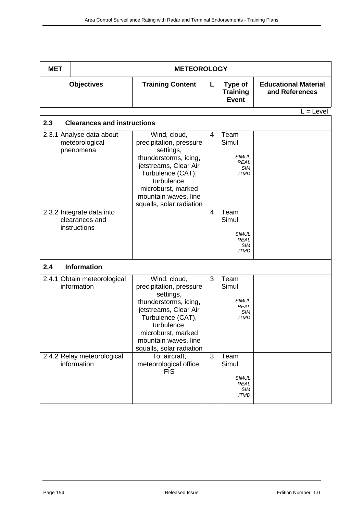| <b>MET</b> |                                                             | <b>METEOROLOGY</b>                                                                                                                                                                                                   |                |                                                                           |                                               |
|------------|-------------------------------------------------------------|----------------------------------------------------------------------------------------------------------------------------------------------------------------------------------------------------------------------|----------------|---------------------------------------------------------------------------|-----------------------------------------------|
|            | <b>Objectives</b>                                           | <b>Training Content</b>                                                                                                                                                                                              | L              | Type of<br><b>Training</b><br><b>Event</b>                                | <b>Educational Material</b><br>and References |
|            |                                                             |                                                                                                                                                                                                                      |                |                                                                           | $L = L$ evel                                  |
| 2.3        | <b>Clearances and instructions</b>                          |                                                                                                                                                                                                                      |                |                                                                           |                                               |
|            | 2.3.1 Analyse data about<br>meteorological<br>phenomena     | Wind, cloud,<br>precipitation, pressure<br>settings,<br>thunderstorms, icing,<br>jetstreams, Clear Air<br>Turbulence (CAT),<br>turbulence,<br>microburst, marked<br>mountain waves, line<br>squalls, solar radiation | 4              | Team<br>Simul<br><b>SIMUL</b><br><b>REAL</b><br><b>SIM</b><br><b>ITMD</b> |                                               |
|            | 2.3.2 Integrate data into<br>clearances and<br>instructions |                                                                                                                                                                                                                      | $\overline{4}$ | Team<br>Simul<br><b>SIMUL</b><br><b>REAL</b><br><b>SIM</b><br><b>ITMD</b> |                                               |
| 2.4        | <b>Information</b>                                          |                                                                                                                                                                                                                      |                |                                                                           |                                               |
|            | 2.4.1 Obtain meteorological<br>information                  | Wind, cloud,<br>precipitation, pressure<br>settings,<br>thunderstorms, icing,<br>jetstreams, Clear Air<br>Turbulence (CAT),<br>turbulence,<br>microburst, marked<br>mountain waves, line<br>squalls, solar radiation | 3              | Team<br>Simul<br><b>SIMUL</b><br><b>REAL</b><br><b>SIM</b><br><b>ITMD</b> |                                               |
|            | 2.4.2 Relay meteorological<br>information                   | To: aircraft,<br>meteorological office,<br><b>FIS</b>                                                                                                                                                                | 3              | Team<br>Simul<br><b>SIMUL</b><br><b>REAL</b><br>SIM<br><b>ITMD</b>        |                                               |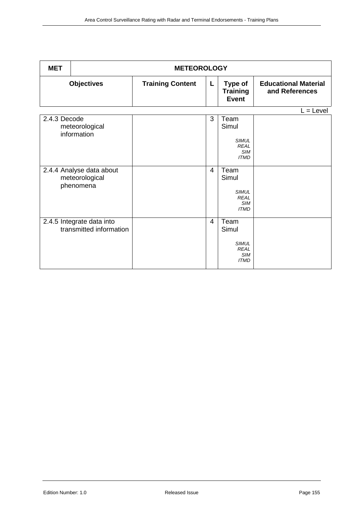| <b>MET</b>        |                                                         | <b>METEOROLOGY</b>      |                |                                                                           |                                               |
|-------------------|---------------------------------------------------------|-------------------------|----------------|---------------------------------------------------------------------------|-----------------------------------------------|
| <b>Objectives</b> |                                                         | <b>Training Content</b> | L              | Type of<br><b>Training</b><br><b>Event</b>                                | <b>Educational Material</b><br>and References |
|                   |                                                         |                         |                |                                                                           | $L = Level$                                   |
| 2.4.3 Decode      | meteorological<br>information                           |                         | 3              | Team<br>Simul<br><b>SIMUL</b><br><b>REAL</b><br><b>SIM</b><br><b>ITMD</b> |                                               |
|                   | 2.4.4 Analyse data about<br>meteorological<br>phenomena |                         | $\overline{4}$ | Team<br>Simul<br><b>SIMUL</b><br><b>REAL</b><br><b>SIM</b><br><b>ITMD</b> |                                               |
|                   | 2.4.5 Integrate data into<br>transmitted information    |                         | $\overline{4}$ | Team<br>Simul<br><b>SIMUL</b><br><b>REAL</b><br><b>SIM</b><br><b>ITMD</b> |                                               |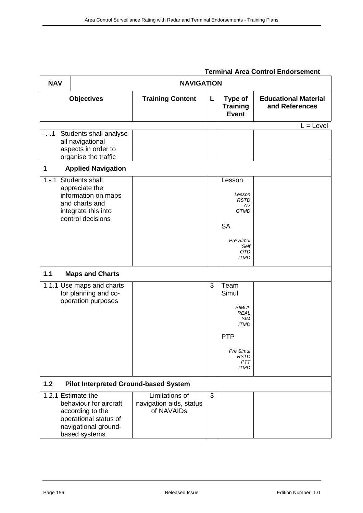|            |                                                                                                                                    | Terminal Area Control Endorsement                       |   |                                                                                                                                           |                                               |  |
|------------|------------------------------------------------------------------------------------------------------------------------------------|---------------------------------------------------------|---|-------------------------------------------------------------------------------------------------------------------------------------------|-----------------------------------------------|--|
| <b>NAV</b> |                                                                                                                                    | <b>NAVIGATION</b>                                       |   |                                                                                                                                           |                                               |  |
|            | <b>Objectives</b>                                                                                                                  | <b>Training Content</b>                                 | L | Type of<br><b>Training</b><br><b>Event</b>                                                                                                | <b>Educational Material</b><br>and References |  |
|            |                                                                                                                                    |                                                         |   |                                                                                                                                           | $L = Level$                                   |  |
| $-,-.1$    | Students shall analyse<br>all navigational<br>aspects in order to<br>organise the traffic                                          |                                                         |   |                                                                                                                                           |                                               |  |
| 1          | <b>Applied Navigation</b>                                                                                                          |                                                         |   |                                                                                                                                           |                                               |  |
|            | 1.-.1 Students shall<br>appreciate the<br>information on maps<br>and charts and<br>integrate this into<br>control decisions        |                                                         |   | Lesson<br>Lesson<br><b>RSTD</b><br>AV<br>GTMD<br><b>SA</b><br>Pre Simul<br>Self<br><b>OTD</b><br><b>ITMD</b>                              |                                               |  |
| 1.1        | <b>Maps and Charts</b>                                                                                                             |                                                         |   |                                                                                                                                           |                                               |  |
|            | 1.1.1 Use maps and charts<br>for planning and co-<br>operation purposes                                                            |                                                         | 3 | Team<br>Simul<br><b>SIMUL</b><br><b>REAL</b><br><b>SIM</b><br><b>ITMD</b><br><b>PTP</b><br>Pre Simul<br>RSTD<br><b>PTT</b><br><b>ITMD</b> |                                               |  |
| $1.2$      | <b>Pilot Interpreted Ground-based System</b>                                                                                       |                                                         |   |                                                                                                                                           |                                               |  |
|            | 1.2.1 Estimate the<br>behaviour for aircraft<br>according to the<br>operational status of<br>navigational ground-<br>based systems | Limitations of<br>navigation aids, status<br>of NAVAIDs | 3 |                                                                                                                                           |                                               |  |

## **Terminal Area Control Endorsement**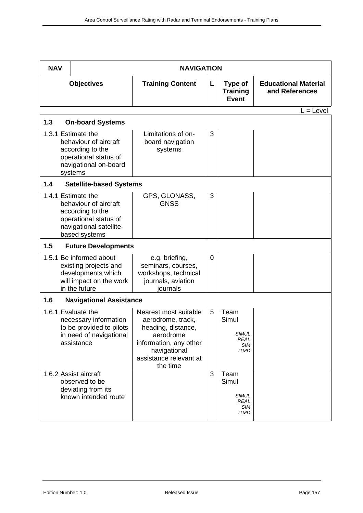| <b>NAV</b> |                                                                                                                                      | <b>NAVIGATION</b>                                                                                                                                             |             |                                                                           |                                               |  |  |  |  |
|------------|--------------------------------------------------------------------------------------------------------------------------------------|---------------------------------------------------------------------------------------------------------------------------------------------------------------|-------------|---------------------------------------------------------------------------|-----------------------------------------------|--|--|--|--|
|            | <b>Objectives</b>                                                                                                                    | <b>Training Content</b>                                                                                                                                       | L           | <b>Type of</b><br><b>Training</b><br><b>Event</b>                         | <b>Educational Material</b><br>and References |  |  |  |  |
|            | L = Level                                                                                                                            |                                                                                                                                                               |             |                                                                           |                                               |  |  |  |  |
| 1.3        | <b>On-board Systems</b>                                                                                                              |                                                                                                                                                               |             |                                                                           |                                               |  |  |  |  |
|            | 1.3.1 Estimate the<br>behaviour of aircraft<br>according to the<br>operational status of<br>navigational on-board<br>systems         | Limitations of on-<br>board navigation<br>systems                                                                                                             | 3           |                                                                           |                                               |  |  |  |  |
| 1.4        | <b>Satellite-based Systems</b>                                                                                                       |                                                                                                                                                               |             |                                                                           |                                               |  |  |  |  |
|            | 1.4.1 Estimate the<br>behaviour of aircraft<br>according to the<br>operational status of<br>navigational satellite-<br>based systems | GPS, GLONASS,<br><b>GNSS</b>                                                                                                                                  | 3           |                                                                           |                                               |  |  |  |  |
| 1.5        | <b>Future Developments</b>                                                                                                           |                                                                                                                                                               |             |                                                                           |                                               |  |  |  |  |
|            | 1.5.1 Be informed about<br>existing projects and<br>developments which<br>will impact on the work<br>in the future                   | e.g. briefing,<br>seminars, courses,<br>workshops, technical<br>journals, aviation<br>iournals                                                                | $\mathbf 0$ |                                                                           |                                               |  |  |  |  |
| 1.6        | <b>Navigational Assistance</b>                                                                                                       |                                                                                                                                                               |             |                                                                           |                                               |  |  |  |  |
|            | 1.6.1 Evaluate the<br>necessary information<br>to be provided to pilots<br>in need of navigational<br>assistance                     | Nearest most suitable<br>aerodrome, track,<br>heading, distance,<br>aerodrome<br>information, any other<br>navigational<br>assistance relevant at<br>the time | 5           | Team<br>Simul<br><b>SIMUL</b><br><b>REAL</b><br><b>SIM</b><br><b>ITMD</b> |                                               |  |  |  |  |
|            | 1.6.2 Assist aircraft<br>observed to be<br>deviating from its<br>known intended route                                                |                                                                                                                                                               | 3           | Team<br>Simul<br><b>SIMUL</b><br><b>REAL</b><br><b>SIM</b><br><b>ITMD</b> |                                               |  |  |  |  |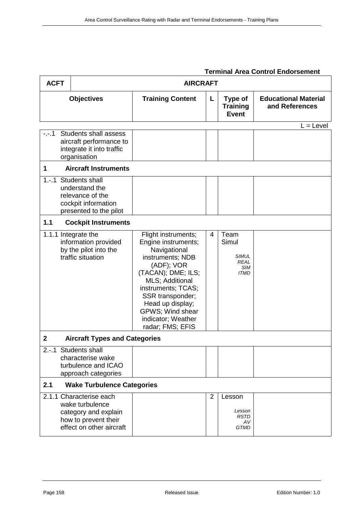| <b>ACFT</b>  |                                                                                                                        | <b>AIRCRAFT</b>                                                                                                                                                                                                                                                   |   |                                                                           | Terminal Area Control Endorsement             |
|--------------|------------------------------------------------------------------------------------------------------------------------|-------------------------------------------------------------------------------------------------------------------------------------------------------------------------------------------------------------------------------------------------------------------|---|---------------------------------------------------------------------------|-----------------------------------------------|
|              | <b>Objectives</b>                                                                                                      | <b>Training Content</b>                                                                                                                                                                                                                                           | L | Type of<br><b>Training</b><br><b>Event</b>                                | <b>Educational Material</b><br>and References |
|              |                                                                                                                        |                                                                                                                                                                                                                                                                   |   |                                                                           | $L = Level$                                   |
| $- - 1$      | Students shall assess<br>aircraft performance to<br>integrate it into traffic<br>organisation                          |                                                                                                                                                                                                                                                                   |   |                                                                           |                                               |
| 1            | <b>Aircraft Instruments</b>                                                                                            |                                                                                                                                                                                                                                                                   |   |                                                                           |                                               |
|              | 1.-.1 Students shall<br>understand the<br>relevance of the<br>cockpit information<br>presented to the pilot            |                                                                                                                                                                                                                                                                   |   |                                                                           |                                               |
| 1.1          | <b>Cockpit Instruments</b>                                                                                             |                                                                                                                                                                                                                                                                   |   |                                                                           |                                               |
|              | 1.1.1 Integrate the<br>information provided<br>by the pilot into the<br>traffic situation                              | Flight instruments;<br>Engine instruments;<br>Navigational<br>instruments; NDB<br>(ADF); VOR<br>(TACAN); DME; ILS;<br>MLS; Additional<br>instruments; TCAS;<br>SSR transponder;<br>Head up display;<br>GPWS; Wind shear<br>indicator; Weather<br>radar; FMS; EFIS | 4 | Team<br>Simul<br><b>SIMUL</b><br><b>REAL</b><br><b>SIM</b><br><b>ITMD</b> |                                               |
| $\mathbf{2}$ | <b>Aircraft Types and Categories</b>                                                                                   |                                                                                                                                                                                                                                                                   |   |                                                                           |                                               |
|              | 2.-.1 Students shall<br>characterise wake<br>turbulence and ICAO<br>approach categories                                |                                                                                                                                                                                                                                                                   |   |                                                                           |                                               |
| 2.1          | <b>Wake Turbulence Categories</b>                                                                                      |                                                                                                                                                                                                                                                                   |   |                                                                           |                                               |
|              | 2.1.1 Characterise each<br>wake turbulence<br>category and explain<br>how to prevent their<br>effect on other aircraft |                                                                                                                                                                                                                                                                   | 2 | Lesson<br>Lesson<br><b>RSTD</b><br>AV<br>GTMD                             |                                               |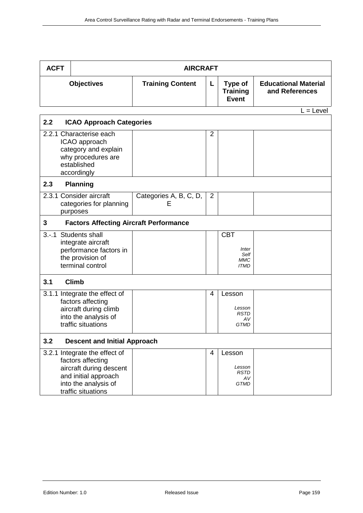| <b>ACFT</b> |                                                                                                                                                     | <b>AIRCRAFT</b>             |                |                                                          |                                               |
|-------------|-----------------------------------------------------------------------------------------------------------------------------------------------------|-----------------------------|----------------|----------------------------------------------------------|-----------------------------------------------|
|             | <b>Objectives</b>                                                                                                                                   | <b>Training Content</b>     | L              | <b>Type of</b><br><b>Training</b><br><b>Event</b>        | <b>Educational Material</b><br>and References |
|             |                                                                                                                                                     |                             |                |                                                          | $L = Level$                                   |
| 2.2         | <b>ICAO Approach Categories</b>                                                                                                                     |                             |                |                                                          |                                               |
|             | 2.2.1 Characterise each<br>ICAO approach<br>category and explain<br>why procedures are<br>established<br>accordingly                                |                             | $\overline{2}$ |                                                          |                                               |
| 2.3         | <b>Planning</b>                                                                                                                                     |                             |                |                                                          |                                               |
|             | 2.3.1 Consider aircraft<br>categories for planning<br>purposes                                                                                      | Categories A, B, C, D,<br>Ε | $\overline{2}$ |                                                          |                                               |
| 3           | <b>Factors Affecting Aircraft Performance</b>                                                                                                       |                             |                |                                                          |                                               |
|             | 3.-.1 Students shall<br>integrate aircraft<br>performance factors in<br>the provision of<br>terminal control                                        |                             |                | <b>CBT</b><br><b>Inter</b><br>Self<br>MMC<br><b>ITMD</b> |                                               |
| 3.1         | <b>Climb</b>                                                                                                                                        |                             |                |                                                          |                                               |
|             | 3.1.1 Integrate the effect of<br>factors affecting<br>aircraft during climb<br>into the analysis of<br>traffic situations                           |                             | 4              | Lesson<br>Lesson<br><b>RSTD</b><br>ΑV<br>GTMD            |                                               |
| 3.2         | <b>Descent and Initial Approach</b>                                                                                                                 |                             |                |                                                          |                                               |
|             | 3.2.1 Integrate the effect of<br>factors affecting<br>aircraft during descent<br>and initial approach<br>into the analysis of<br>traffic situations |                             | 4              | Lesson<br>Lesson<br><b>RSTD</b><br>ΑV<br>GTMD            |                                               |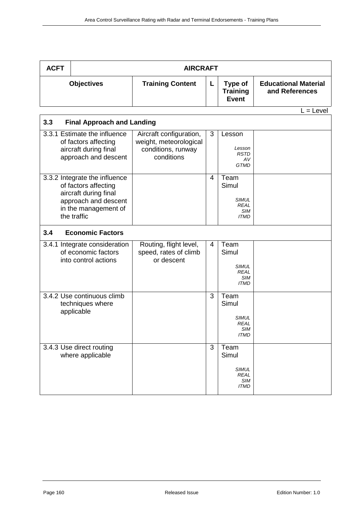| <b>ACFT</b> |                                                                                                                                               | <b>AIRCRAFT</b>                                                                       |   |                                                                           |                                               |
|-------------|-----------------------------------------------------------------------------------------------------------------------------------------------|---------------------------------------------------------------------------------------|---|---------------------------------------------------------------------------|-----------------------------------------------|
|             | <b>Objectives</b>                                                                                                                             | <b>Training Content</b>                                                               | L | <b>Type of</b><br><b>Training</b><br><b>Event</b>                         | <b>Educational Material</b><br>and References |
|             |                                                                                                                                               |                                                                                       |   |                                                                           | $L = L$ evel                                  |
| 3.3         | <b>Final Approach and Landing</b>                                                                                                             |                                                                                       |   |                                                                           |                                               |
|             | 3.3.1 Estimate the influence<br>of factors affecting<br>aircraft during final<br>approach and descent                                         | Aircraft configuration,<br>weight, meteorological<br>conditions, runway<br>conditions | 3 | Lesson<br>Lesson<br><b>RSTD</b><br>AV<br><b>GTMD</b>                      |                                               |
|             | 3.3.2 Integrate the influence<br>of factors affecting<br>aircraft during final<br>approach and descent<br>in the management of<br>the traffic |                                                                                       | 4 | Team<br>Simul<br><b>SIMUL</b><br><b>REAL</b><br><b>SIM</b><br><b>ITMD</b> |                                               |
| 3.4         | <b>Economic Factors</b>                                                                                                                       |                                                                                       |   |                                                                           |                                               |
|             | 3.4.1 Integrate consideration<br>of economic factors<br>into control actions                                                                  | Routing, flight level,<br>speed, rates of climb<br>or descent                         | 4 | Team<br>Simul<br><b>SIMUL</b><br><b>REAL</b><br><b>SIM</b><br><b>ITMD</b> |                                               |
|             | 3.4.2 Use continuous climb<br>techniques where<br>applicable                                                                                  |                                                                                       | 3 | Team<br>Simul<br><b>SIMUL</b><br><b>REAL</b><br>SIM<br><b>ITMD</b>        |                                               |
|             | 3.4.3 Use direct routing<br>where applicable                                                                                                  |                                                                                       | 3 | Team<br>Simul<br><b>SIMUL</b><br><i>REAL</i><br>SIM<br><b>ITMD</b>        |                                               |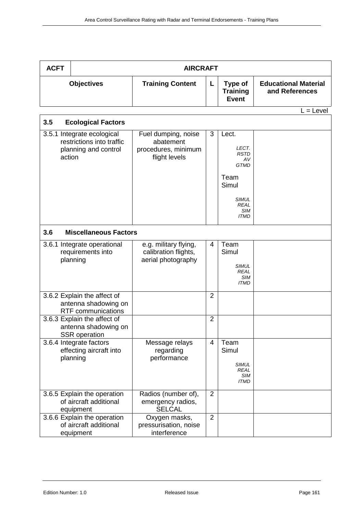| <b>ACFT</b> |                                                                                  | <b>AIRCRAFT</b>                                                          |                |                                                                                                                          |                                               |
|-------------|----------------------------------------------------------------------------------|--------------------------------------------------------------------------|----------------|--------------------------------------------------------------------------------------------------------------------------|-----------------------------------------------|
|             | <b>Objectives</b>                                                                | <b>Training Content</b>                                                  | L              | Type of<br><b>Training</b><br><b>Event</b>                                                                               | <b>Educational Material</b><br>and References |
|             |                                                                                  |                                                                          |                |                                                                                                                          | $L = Level$                                   |
| 3.5         | <b>Ecological Factors</b>                                                        |                                                                          |                |                                                                                                                          |                                               |
| action      | 3.5.1 Integrate ecological<br>restrictions into traffic<br>planning and control  | Fuel dumping, noise<br>abatement<br>procedures, minimum<br>flight levels | 3              | Lect.<br>LECT.<br><b>RSTD</b><br>AV<br><b>GTMD</b><br>Team<br>Simul<br><b>SIMUL</b><br><b>REAL</b><br>SIM<br><b>ITMD</b> |                                               |
| 3.6         | <b>Miscellaneous Factors</b>                                                     |                                                                          |                |                                                                                                                          |                                               |
|             | 3.6.1 Integrate operational<br>requirements into<br>planning                     | e.g. military flying,<br>calibration flights,<br>aerial photography      | 4              | Team<br>Simul<br><b>SIMUL</b><br><b>REAL</b><br><b>SIM</b><br><b>ITMD</b>                                                |                                               |
|             | 3.6.2 Explain the affect of<br>antenna shadowing on<br><b>RTF</b> communications |                                                                          | $\overline{2}$ |                                                                                                                          |                                               |
|             | 3.6.3 Explain the affect of<br>antenna shadowing on<br><b>SSR</b> operation      |                                                                          | $\overline{2}$ |                                                                                                                          |                                               |
|             | 3.6.4 Integrate factors<br>effecting aircraft into<br>planning                   | Message relays<br>regarding<br>performance                               | $\overline{4}$ | Team<br>Simul<br><b>SIMUL</b><br><b>REAL</b><br><b>SIM</b><br><b>ITMD</b>                                                |                                               |
|             | 3.6.5 Explain the operation<br>of aircraft additional<br>equipment               | Radios (number of),<br>emergency radios,<br><b>SELCAL</b>                | $\overline{2}$ |                                                                                                                          |                                               |
|             | 3.6.6 Explain the operation<br>of aircraft additional<br>equipment               | Oxygen masks,<br>pressurisation, noise<br>interference                   | $\overline{2}$ |                                                                                                                          |                                               |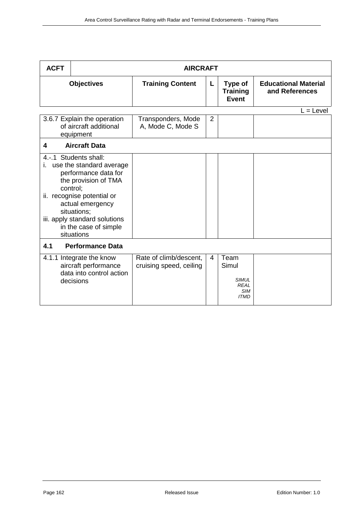| <b>ACFT</b>       |                                                                                                                                                                                                                                                        | <b>AIRCRAFT</b>                                   |                |                                                                           |                                               |
|-------------------|--------------------------------------------------------------------------------------------------------------------------------------------------------------------------------------------------------------------------------------------------------|---------------------------------------------------|----------------|---------------------------------------------------------------------------|-----------------------------------------------|
| <b>Objectives</b> |                                                                                                                                                                                                                                                        | <b>Training Content</b>                           | L              | Type of<br><b>Training</b><br><b>Event</b>                                | <b>Educational Material</b><br>and References |
|                   |                                                                                                                                                                                                                                                        |                                                   |                |                                                                           | $L = Level$                                   |
|                   | 3.6.7 Explain the operation<br>of aircraft additional<br>equipment                                                                                                                                                                                     | Transponders, Mode<br>A, Mode C, Mode S           | $\overline{2}$ |                                                                           |                                               |
| 4                 | <b>Aircraft Data</b>                                                                                                                                                                                                                                   |                                                   |                |                                                                           |                                               |
|                   | 4.-.1 Students shall:<br>use the standard average<br>performance data for<br>the provision of TMA<br>control;<br>ii. recognise potential or<br>actual emergency<br>situations;<br>iii. apply standard solutions<br>in the case of simple<br>situations |                                                   |                |                                                                           |                                               |
| 4.1               | <b>Performance Data</b>                                                                                                                                                                                                                                |                                                   |                |                                                                           |                                               |
|                   | 4.1.1 Integrate the know<br>aircraft performance<br>data into control action<br>decisions                                                                                                                                                              | Rate of climb/descent,<br>cruising speed, ceiling | $\overline{4}$ | Team<br>Simul<br><b>SIMUL</b><br><b>REAL</b><br><b>SIM</b><br><b>ITMD</b> |                                               |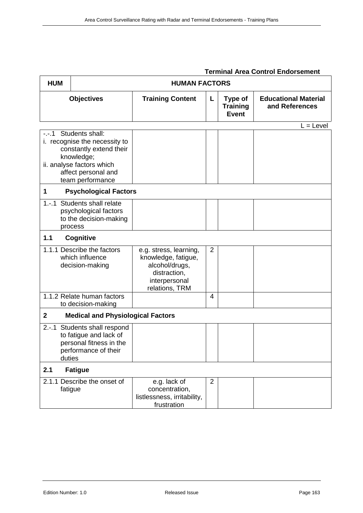|                   | Terminal Area Control Endorsement                                                                                                                                       |                                                                                                                    |                |                                            |                                               |  |
|-------------------|-------------------------------------------------------------------------------------------------------------------------------------------------------------------------|--------------------------------------------------------------------------------------------------------------------|----------------|--------------------------------------------|-----------------------------------------------|--|
| <b>HUM</b>        |                                                                                                                                                                         | <b>HUMAN FACTORS</b>                                                                                               |                |                                            |                                               |  |
| <b>Objectives</b> |                                                                                                                                                                         | <b>Training Content</b>                                                                                            | L              | Type of<br><b>Training</b><br><b>Event</b> | <b>Educational Material</b><br>and References |  |
|                   |                                                                                                                                                                         |                                                                                                                    |                |                                            | $L = Level$                                   |  |
|                   | -.-.1 Students shall:<br>i. recognise the necessity to<br>constantly extend their<br>knowledge;<br>ii. analyse factors which<br>affect personal and<br>team performance |                                                                                                                    |                |                                            |                                               |  |
| 1                 | <b>Psychological Factors</b>                                                                                                                                            |                                                                                                                    |                |                                            |                                               |  |
|                   | 1.-.1 Students shall relate<br>psychological factors<br>to the decision-making<br>process                                                                               |                                                                                                                    |                |                                            |                                               |  |
| 1.1               | <b>Cognitive</b>                                                                                                                                                        |                                                                                                                    |                |                                            |                                               |  |
|                   | 1.1.1 Describe the factors<br>which influence<br>decision-making                                                                                                        | e.g. stress, learning,<br>knowledge, fatigue,<br>alcohol/drugs,<br>distraction,<br>interpersonal<br>relations, TRM | $\overline{2}$ |                                            |                                               |  |
|                   | 1.1.2 Relate human factors<br>to decision-making                                                                                                                        |                                                                                                                    | 4              |                                            |                                               |  |
| $\mathbf{2}$      | <b>Medical and Physiological Factors</b>                                                                                                                                |                                                                                                                    |                |                                            |                                               |  |
|                   | 2.-.1 Students shall respond<br>to fatigue and lack of<br>personal fitness in the<br>performance of their<br>duties                                                     |                                                                                                                    |                |                                            |                                               |  |
| 2.1               | <b>Fatigue</b>                                                                                                                                                          |                                                                                                                    |                |                                            |                                               |  |
|                   | 2.1.1 Describe the onset of<br>fatigue                                                                                                                                  | e.g. lack of<br>concentration,<br>listlessness, irritability,<br>frustration                                       | $\overline{2}$ |                                            |                                               |  |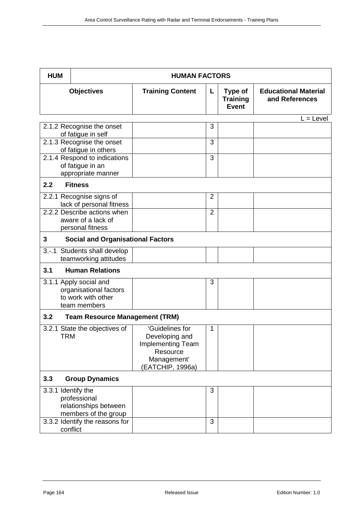| <b>HUM</b>         |                                                                                        | <b>HUMAN FACTORS</b>                                                                                  |                |                                            |                                               |
|--------------------|----------------------------------------------------------------------------------------|-------------------------------------------------------------------------------------------------------|----------------|--------------------------------------------|-----------------------------------------------|
|                    | <b>Objectives</b>                                                                      | <b>Training Content</b>                                                                               | L.             | Type of<br><b>Training</b><br><b>Event</b> | <b>Educational Material</b><br>and References |
|                    |                                                                                        |                                                                                                       |                |                                            | $L = Level$                                   |
|                    | 2.1.2 Recognise the onset<br>of fatigue in self                                        |                                                                                                       | 3              |                                            |                                               |
|                    | 2.1.3 Recognise the onset<br>of fatigue in others                                      |                                                                                                       | 3              |                                            |                                               |
|                    | 2.1.4 Respond to indications<br>of fatigue in an<br>appropriate manner                 |                                                                                                       | 3              |                                            |                                               |
| 2.2                | <b>Fitness</b>                                                                         |                                                                                                       |                |                                            |                                               |
|                    | 2.2.1 Recognise signs of<br>lack of personal fitness                                   |                                                                                                       | $\overline{2}$ |                                            |                                               |
|                    | 2.2.2 Describe actions when<br>aware of a lack of<br>personal fitness                  |                                                                                                       | $\overline{2}$ |                                            |                                               |
| 3                  | <b>Social and Organisational Factors</b>                                               |                                                                                                       |                |                                            |                                               |
|                    | 3.-.1 Students shall develop<br>teamworking attitudes                                  |                                                                                                       |                |                                            |                                               |
| 3.1                | <b>Human Relations</b>                                                                 |                                                                                                       |                |                                            |                                               |
|                    | 3.1.1 Apply social and<br>organisational factors<br>to work with other<br>team members |                                                                                                       | 3              |                                            |                                               |
| 3.2                | <b>Team Resource Management (TRM)</b>                                                  |                                                                                                       |                |                                            |                                               |
| TRM                | 3.2.1 State the objectives of                                                          | 'Guidelines for<br>Developing and<br>Implementing Team<br>Resource<br>Management'<br>(EATCHIP, 1996a) | 1              |                                            |                                               |
| 3.3                | <b>Group Dynamics</b>                                                                  |                                                                                                       |                |                                            |                                               |
| 3.3.1 Identify the | professional<br>relationships between<br>members of the group                          |                                                                                                       | 3              |                                            |                                               |
|                    | 3.3.2 Identify the reasons for<br>conflict                                             |                                                                                                       | 3              |                                            |                                               |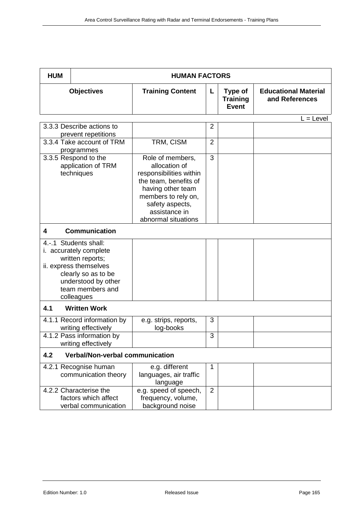| <b>HUM</b> | <b>HUMAN FACTORS</b>                                                                                                                                                          |                                                                                                                                                                                              |                |                                            |                                               |  |
|------------|-------------------------------------------------------------------------------------------------------------------------------------------------------------------------------|----------------------------------------------------------------------------------------------------------------------------------------------------------------------------------------------|----------------|--------------------------------------------|-----------------------------------------------|--|
|            | <b>Objectives</b>                                                                                                                                                             | <b>Training Content</b>                                                                                                                                                                      | L              | Type of<br><b>Training</b><br><b>Event</b> | <b>Educational Material</b><br>and References |  |
|            |                                                                                                                                                                               |                                                                                                                                                                                              |                |                                            | $L = Level$                                   |  |
|            | 3.3.3 Describe actions to<br>prevent repetitions                                                                                                                              |                                                                                                                                                                                              | 2              |                                            |                                               |  |
|            | 3.3.4 Take account of TRM<br>programmes                                                                                                                                       | TRM, CISM                                                                                                                                                                                    | $\overline{2}$ |                                            |                                               |  |
|            | 3.3.5 Respond to the<br>application of TRM<br>techniques                                                                                                                      | Role of members,<br>allocation of<br>responsibilities within<br>the team, benefits of<br>having other team<br>members to rely on,<br>safety aspects,<br>assistance in<br>abnormal situations | 3              |                                            |                                               |  |
| 4          | <b>Communication</b>                                                                                                                                                          |                                                                                                                                                                                              |                |                                            |                                               |  |
|            | 4.-.1 Students shall:<br>i. accurately complete<br>written reports;<br>ii. express themselves<br>clearly so as to be<br>understood by other<br>team members and<br>colleagues |                                                                                                                                                                                              |                |                                            |                                               |  |
| 4.1        | <b>Written Work</b>                                                                                                                                                           |                                                                                                                                                                                              |                |                                            |                                               |  |
|            | 4.1.1 Record information by<br>writing effectively                                                                                                                            | e.g. strips, reports,<br>log-books                                                                                                                                                           | 3              |                                            |                                               |  |
|            | 4.1.2 Pass information by<br>writing effectively                                                                                                                              |                                                                                                                                                                                              | 3              |                                            |                                               |  |
| 4.2        | <b>Verbal/Non-verbal communication</b>                                                                                                                                        |                                                                                                                                                                                              |                |                                            |                                               |  |
|            | 4.2.1 Recognise human<br>communication theory                                                                                                                                 | e.g. different<br>languages, air traffic<br>language                                                                                                                                         | 1              |                                            |                                               |  |
|            | 4.2.2 Characterise the<br>factors which affect<br>verbal communication                                                                                                        | e.g. speed of speech,<br>frequency, volume,<br>background noise                                                                                                                              | $\overline{2}$ |                                            |                                               |  |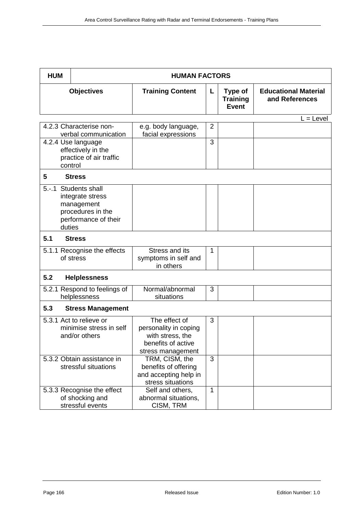| <b>HUM</b>                                                                     | <b>HUMAN FACTORS</b>                                                                                          |                                                                                                       |                |                                            |                                               |  |
|--------------------------------------------------------------------------------|---------------------------------------------------------------------------------------------------------------|-------------------------------------------------------------------------------------------------------|----------------|--------------------------------------------|-----------------------------------------------|--|
|                                                                                | <b>Objectives</b>                                                                                             | <b>Training Content</b>                                                                               | L              | Type of<br><b>Training</b><br><b>Event</b> | <b>Educational Material</b><br>and References |  |
|                                                                                |                                                                                                               |                                                                                                       |                |                                            | $L = Level$                                   |  |
|                                                                                | 4.2.3 Characterise non-<br>verbal communication                                                               | e.g. body language,<br>facial expressions                                                             | $\overline{2}$ |                                            |                                               |  |
| 4.2.4 Use language<br>effectively in the<br>practice of air traffic<br>control |                                                                                                               |                                                                                                       | 3              |                                            |                                               |  |
| 5                                                                              | <b>Stress</b>                                                                                                 |                                                                                                       |                |                                            |                                               |  |
|                                                                                | 5.-.1 Students shall<br>integrate stress<br>management<br>procedures in the<br>performance of their<br>duties |                                                                                                       |                |                                            |                                               |  |
| 5.1                                                                            | <b>Stress</b>                                                                                                 |                                                                                                       |                |                                            |                                               |  |
|                                                                                | 5.1.1 Recognise the effects<br>of stress                                                                      | Stress and its<br>symptoms in self and<br>in others                                                   | 1              |                                            |                                               |  |
| 5.2                                                                            | <b>Helplessness</b>                                                                                           |                                                                                                       |                |                                            |                                               |  |
|                                                                                | 5.2.1 Respond to feelings of<br>helplessness                                                                  | Normal/abnormal<br>situations                                                                         | 3              |                                            |                                               |  |
| 5.3                                                                            | <b>Stress Management</b>                                                                                      |                                                                                                       |                |                                            |                                               |  |
|                                                                                | 5.3.1 Act to relieve or<br>minimise stress in self<br>and/or others                                           | The effect of<br>personality in coping<br>with stress, the<br>benefits of active<br>stress management | 3              |                                            |                                               |  |
|                                                                                | 5.3.2 Obtain assistance in<br>stressful situations                                                            | TRM, CISM, the<br>benefits of offering<br>and accepting help in<br>stress situations                  | 3              |                                            |                                               |  |
|                                                                                | 5.3.3 Recognise the effect<br>of shocking and<br>stressful events                                             | Self and others,<br>abnormal situations,<br>CISM, TRM                                                 | 1              |                                            |                                               |  |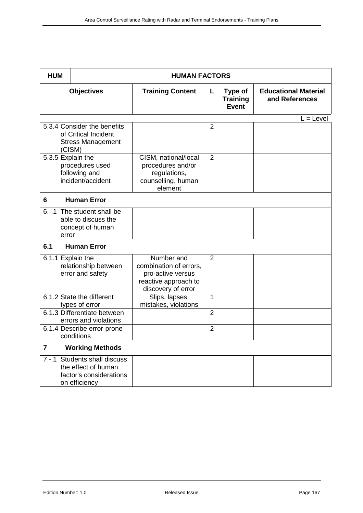| <b>HUM</b>        |                                                                                                 | <b>HUMAN FACTORS</b>                                                                                    |                |                                            |                                               |
|-------------------|-------------------------------------------------------------------------------------------------|---------------------------------------------------------------------------------------------------------|----------------|--------------------------------------------|-----------------------------------------------|
|                   | <b>Objectives</b>                                                                               | <b>Training Content</b>                                                                                 | L              | Type of<br><b>Training</b><br><b>Event</b> | <b>Educational Material</b><br>and References |
|                   |                                                                                                 |                                                                                                         |                |                                            | $L = Level$                                   |
|                   | 5.3.4 Consider the benefits<br>of Critical Incident<br><b>Stress Management</b><br>(CISM)       |                                                                                                         | $\overline{2}$ |                                            |                                               |
| 5.3.5 Explain the | procedures used<br>following and<br>incident/accident                                           | CISM, national/local<br>procedures and/or<br>regulations,<br>counselling, human<br>element              | $\overline{2}$ |                                            |                                               |
| 6                 | <b>Human Error</b>                                                                              |                                                                                                         |                |                                            |                                               |
| error             | 6.-.1 The student shall be<br>able to discuss the<br>concept of human                           |                                                                                                         |                |                                            |                                               |
| 6.1               | <b>Human Error</b>                                                                              |                                                                                                         |                |                                            |                                               |
| 6.1.1 Explain the | relationship between<br>error and safety                                                        | Number and<br>combination of errors,<br>pro-active versus<br>reactive approach to<br>discovery of error | $\overline{2}$ |                                            |                                               |
|                   | 6.1.2 State the different<br>types of error                                                     | Slips, lapses,<br>mistakes, violations                                                                  | 1              |                                            |                                               |
|                   | 6.1.3 Differentiate between<br>errors and violations                                            |                                                                                                         | $\overline{2}$ |                                            |                                               |
|                   | 6.1.4 Describe error-prone<br>conditions                                                        |                                                                                                         | $\overline{2}$ |                                            |                                               |
| $\overline{7}$    | <b>Working Methods</b>                                                                          |                                                                                                         |                |                                            |                                               |
|                   | 7.-.1 Students shall discuss<br>the effect of human<br>factor's considerations<br>on efficiency |                                                                                                         |                |                                            |                                               |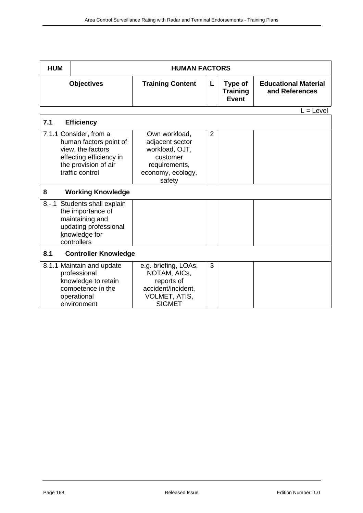| <b>HUM</b>        |                                                                                                                                             | <b>HUMAN FACTORS</b>                                                                                              |                |                                                   |                                               |
|-------------------|---------------------------------------------------------------------------------------------------------------------------------------------|-------------------------------------------------------------------------------------------------------------------|----------------|---------------------------------------------------|-----------------------------------------------|
| <b>Objectives</b> |                                                                                                                                             | <b>Training Content</b>                                                                                           | L.             | <b>Type of</b><br><b>Training</b><br><b>Event</b> | <b>Educational Material</b><br>and References |
|                   |                                                                                                                                             |                                                                                                                   |                |                                                   | $L = Level$                                   |
| 7.1               | <b>Efficiency</b>                                                                                                                           |                                                                                                                   |                |                                                   |                                               |
|                   | 7.1.1 Consider, from a<br>human factors point of<br>view, the factors<br>effecting efficiency in<br>the provision of air<br>traffic control | Own workload,<br>adjacent sector<br>workload, OJT,<br>customer<br>requirements,<br>economy, ecology,<br>safety    | $\overline{2}$ |                                                   |                                               |
| 8                 | <b>Working Knowledge</b>                                                                                                                    |                                                                                                                   |                |                                                   |                                               |
|                   | 8.-.1 Students shall explain<br>the importance of<br>maintaining and<br>updating professional<br>knowledge for<br>controllers               |                                                                                                                   |                |                                                   |                                               |
| 8.1               | <b>Controller Knowledge</b>                                                                                                                 |                                                                                                                   |                |                                                   |                                               |
|                   | 8.1.1 Maintain and update<br>professional<br>knowledge to retain<br>competence in the<br>operational<br>environment                         | e.g. briefing, LOAs,<br>NOTAM, AICs,<br>reports of<br>accident/incident,<br><b>VOLMET, ATIS,</b><br><b>SIGMET</b> | 3              |                                                   |                                               |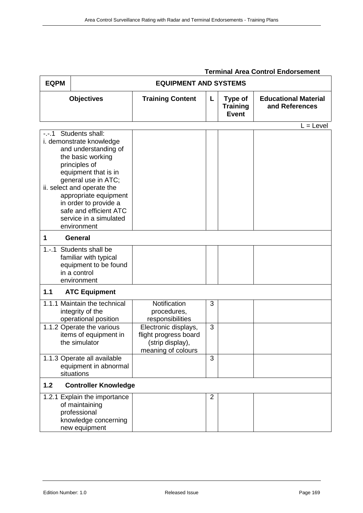|                                                                                                                                                                                                                                                                                                                        |                                                                                                          | <b>Terminal Area Control Endorsement</b>                                                |                |                                            |                                               |  |  |
|------------------------------------------------------------------------------------------------------------------------------------------------------------------------------------------------------------------------------------------------------------------------------------------------------------------------|----------------------------------------------------------------------------------------------------------|-----------------------------------------------------------------------------------------|----------------|--------------------------------------------|-----------------------------------------------|--|--|
| <b>EQPM</b>                                                                                                                                                                                                                                                                                                            |                                                                                                          | <b>EQUIPMENT AND SYSTEMS</b>                                                            |                |                                            |                                               |  |  |
| <b>Objectives</b>                                                                                                                                                                                                                                                                                                      |                                                                                                          | <b>Training Content</b>                                                                 | L              | Type of<br><b>Training</b><br><b>Event</b> | <b>Educational Material</b><br>and References |  |  |
|                                                                                                                                                                                                                                                                                                                        |                                                                                                          |                                                                                         |                |                                            | $L = Level$                                   |  |  |
| Students shall:<br>$- - 1$<br>i. demonstrate knowledge<br>and understanding of<br>the basic working<br>principles of<br>equipment that is in<br>general use in ATC;<br>ii. select and operate the<br>appropriate equipment<br>in order to provide a<br>safe and efficient ATC<br>service in a simulated<br>environment |                                                                                                          |                                                                                         |                |                                            |                                               |  |  |
| 1                                                                                                                                                                                                                                                                                                                      | <b>General</b>                                                                                           |                                                                                         |                |                                            |                                               |  |  |
|                                                                                                                                                                                                                                                                                                                        | 1.-.1 Students shall be<br>familiar with typical<br>equipment to be found<br>in a control<br>environment |                                                                                         |                |                                            |                                               |  |  |
| 1.1                                                                                                                                                                                                                                                                                                                    | <b>ATC Equipment</b>                                                                                     |                                                                                         |                |                                            |                                               |  |  |
|                                                                                                                                                                                                                                                                                                                        | 1.1.1 Maintain the technical<br>integrity of the<br>operational position                                 | Notification<br>procedures,<br>responsibilities                                         | 3              |                                            |                                               |  |  |
|                                                                                                                                                                                                                                                                                                                        | 1.1.2 Operate the various<br>items of equipment in<br>the simulator                                      | Electronic displays,<br>flight progress board<br>(strip display),<br>meaning of colours | 3              |                                            |                                               |  |  |
|                                                                                                                                                                                                                                                                                                                        | 1.1.3 Operate all available<br>equipment in abnormal<br>situations                                       |                                                                                         | 3              |                                            |                                               |  |  |
| 1.2                                                                                                                                                                                                                                                                                                                    | <b>Controller Knowledge</b>                                                                              |                                                                                         |                |                                            |                                               |  |  |
|                                                                                                                                                                                                                                                                                                                        | 1.2.1 Explain the importance<br>of maintaining<br>professional<br>knowledge concerning<br>new equipment  |                                                                                         | $\overline{2}$ |                                            |                                               |  |  |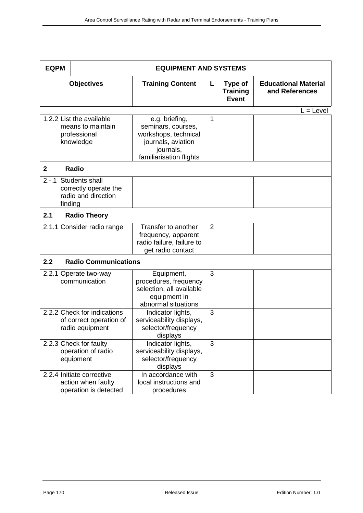| <b>EQPM</b>                                                                |                                                                                 | <b>EQUIPMENT AND SYSTEMS</b>                                                                                               |                |                                                   |                                               |
|----------------------------------------------------------------------------|---------------------------------------------------------------------------------|----------------------------------------------------------------------------------------------------------------------------|----------------|---------------------------------------------------|-----------------------------------------------|
| <b>Objectives</b>                                                          |                                                                                 | <b>Training Content</b>                                                                                                    | L              | <b>Type of</b><br><b>Training</b><br><b>Event</b> | <b>Educational Material</b><br>and References |
|                                                                            |                                                                                 |                                                                                                                            |                |                                                   | $L = Level$                                   |
| 1.2.2 List the available<br>means to maintain<br>professional<br>knowledge |                                                                                 | e.g. briefing,<br>seminars, courses,<br>workshops, technical<br>journals, aviation<br>journals,<br>familiarisation flights | 1              |                                                   |                                               |
| $\mathbf{2}$                                                               | <b>Radio</b>                                                                    |                                                                                                                            |                |                                                   |                                               |
|                                                                            | 2.-.1 Students shall<br>correctly operate the<br>radio and direction<br>finding |                                                                                                                            |                |                                                   |                                               |
| 2.1                                                                        | <b>Radio Theory</b>                                                             |                                                                                                                            |                |                                                   |                                               |
|                                                                            | 2.1.1 Consider radio range                                                      | Transfer to another<br>frequency, apparent<br>radio failure, failure to<br>get radio contact                               | $\overline{2}$ |                                                   |                                               |
| 2.2                                                                        | <b>Radio Communications</b>                                                     |                                                                                                                            |                |                                                   |                                               |
|                                                                            | 2.2.1 Operate two-way<br>communication                                          | Equipment,<br>procedures, frequency<br>selection, all available<br>equipment in<br>abnormal situations                     | 3              |                                                   |                                               |
|                                                                            | 2.2.2 Check for indications<br>of correct operation of<br>radio equipment       | Indicator lights,<br>serviceability displays,<br>selector/frequency<br>displays                                            | 3              |                                                   |                                               |
|                                                                            | 2.2.3 Check for faulty<br>operation of radio<br>equipment                       | Indicator lights,<br>serviceability displays,<br>selector/frequency<br>displays                                            | 3              |                                                   |                                               |
|                                                                            | 2.2.4 Initiate corrective<br>action when faulty<br>operation is detected        | In accordance with<br>local instructions and<br>procedures                                                                 | 3              |                                                   |                                               |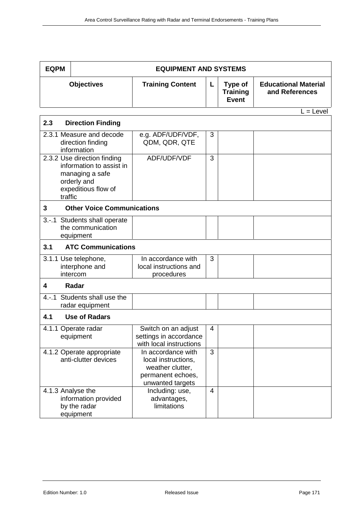| <b>EQPM</b> |                                                                                                                             | <b>EQUIPMENT AND SYSTEMS</b>                                                                           |   |                                            |                                               |  |  |
|-------------|-----------------------------------------------------------------------------------------------------------------------------|--------------------------------------------------------------------------------------------------------|---|--------------------------------------------|-----------------------------------------------|--|--|
|             | <b>Objectives</b>                                                                                                           | <b>Training Content</b>                                                                                | L | Type of<br><b>Training</b><br><b>Event</b> | <b>Educational Material</b><br>and References |  |  |
|             |                                                                                                                             |                                                                                                        |   |                                            | $L = Level$                                   |  |  |
| 2.3         | <b>Direction Finding</b>                                                                                                    |                                                                                                        |   |                                            |                                               |  |  |
|             | 2.3.1 Measure and decode<br>direction finding<br>information                                                                | e.g. ADF/UDF/VDF,<br>QDM, QDR, QTE                                                                     | 3 |                                            |                                               |  |  |
|             | 2.3.2 Use direction finding<br>information to assist in<br>managing a safe<br>orderly and<br>expeditious flow of<br>traffic | ADF/UDF/VDF                                                                                            | 3 |                                            |                                               |  |  |
| 3           | <b>Other Voice Communications</b>                                                                                           |                                                                                                        |   |                                            |                                               |  |  |
|             | 3.-.1 Students shall operate<br>the communication<br>equipment                                                              |                                                                                                        |   |                                            |                                               |  |  |
| 3.1         | <b>ATC Communications</b>                                                                                                   |                                                                                                        |   |                                            |                                               |  |  |
|             | 3.1.1 Use telephone,<br>interphone and<br>intercom                                                                          | In accordance with<br>local instructions and<br>procedures                                             | 3 |                                            |                                               |  |  |
| 4           | Radar                                                                                                                       |                                                                                                        |   |                                            |                                               |  |  |
|             | 4.-.1 Students shall use the<br>radar equipment                                                                             |                                                                                                        |   |                                            |                                               |  |  |
| 4.1         | <b>Use of Radars</b>                                                                                                        |                                                                                                        |   |                                            |                                               |  |  |
|             | 4.1.1 Operate radar<br>equipment                                                                                            | Switch on an adjust<br>settings in accordance<br>with local instructions                               | 4 |                                            |                                               |  |  |
|             | 4.1.2 Operate appropriate<br>anti-clutter devices                                                                           | In accordance with<br>local instructions,<br>weather clutter,<br>permanent echoes,<br>unwanted targets | 3 |                                            |                                               |  |  |
|             | 4.1.3 Analyse the<br>information provided<br>by the radar<br>equipment                                                      | Including: use,<br>advantages,<br>limitations                                                          | 4 |                                            |                                               |  |  |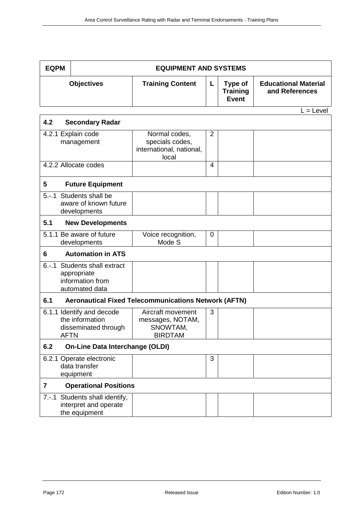| <b>EQPM</b>             |                                                                                     | <b>EQUIPMENT AND SYSTEMS</b>                                          |                |                                            |                                               |
|-------------------------|-------------------------------------------------------------------------------------|-----------------------------------------------------------------------|----------------|--------------------------------------------|-----------------------------------------------|
|                         | <b>Objectives</b>                                                                   | <b>Training Content</b>                                               | L              | Type of<br><b>Training</b><br><b>Event</b> | <b>Educational Material</b><br>and References |
|                         |                                                                                     |                                                                       |                |                                            | $L = Level$                                   |
| 4.2                     | <b>Secondary Radar</b>                                                              |                                                                       |                |                                            |                                               |
|                         | 4.2.1 Explain code<br>management                                                    | Normal codes,<br>specials codes,<br>international, national,<br>local | $\overline{2}$ |                                            |                                               |
|                         | 4.2.2 Allocate codes                                                                |                                                                       | $\overline{4}$ |                                            |                                               |
| 5                       | <b>Future Equipment</b>                                                             |                                                                       |                |                                            |                                               |
|                         | 5.-.1 Students shall be<br>aware of known future<br>developments                    |                                                                       |                |                                            |                                               |
| 5.1                     | <b>New Developments</b>                                                             |                                                                       |                |                                            |                                               |
|                         | 5.1.1 Be aware of future<br>developments                                            | Voice recognition,<br>Mode S                                          | 0              |                                            |                                               |
| 6                       | <b>Automation in ATS</b>                                                            |                                                                       |                |                                            |                                               |
|                         | 6.-.1 Students shall extract<br>appropriate<br>information from<br>automated data   |                                                                       |                |                                            |                                               |
| 6.1                     |                                                                                     | <b>Aeronautical Fixed Telecommunications Network (AFTN)</b>           |                |                                            |                                               |
|                         | 6.1.1 Identify and decode<br>the information<br>disseminated through<br><b>AFTN</b> | Aircraft movement<br>messages, NOTAM,<br>SNOWTAM,<br><b>BIRDTAM</b>   | 3              |                                            |                                               |
| 6.2                     | <b>On-Line Data Interchange (OLDI)</b>                                              |                                                                       |                |                                            |                                               |
|                         | 6.2.1 Operate electronic<br>data transfer<br>equipment                              |                                                                       | 3              |                                            |                                               |
| $\overline{\mathbf{7}}$ | <b>Operational Positions</b>                                                        |                                                                       |                |                                            |                                               |
|                         | 7.-.1 Students shall identify,<br>interpret and operate<br>the equipment            |                                                                       |                |                                            |                                               |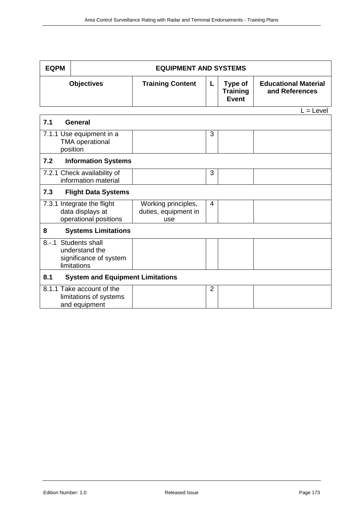| <b>EQPM</b>       |                            |                                                                                 |                                                    | <b>EQUIPMENT AND SYSTEMS</b> |                                            |                                               |  |  |
|-------------------|----------------------------|---------------------------------------------------------------------------------|----------------------------------------------------|------------------------------|--------------------------------------------|-----------------------------------------------|--|--|
| <b>Objectives</b> |                            |                                                                                 | <b>Training Content</b>                            | L                            | Type of<br><b>Training</b><br><b>Event</b> | <b>Educational Material</b><br>and References |  |  |
|                   |                            |                                                                                 |                                                    |                              |                                            | $L = Level$                                   |  |  |
| 7.1               |                            | General                                                                         |                                                    |                              |                                            |                                               |  |  |
|                   |                            | 7.1.1 Use equipment in a<br><b>TMA</b> operational<br>position                  |                                                    | 3                            |                                            |                                               |  |  |
| 7.2               | <b>Information Systems</b> |                                                                                 |                                                    |                              |                                            |                                               |  |  |
|                   |                            | 7.2.1 Check availability of<br>information material                             |                                                    | 3                            |                                            |                                               |  |  |
| 7.3               |                            | <b>Flight Data Systems</b>                                                      |                                                    |                              |                                            |                                               |  |  |
|                   |                            | 7.3.1 Integrate the flight<br>data displays at<br>operational positions         | Working principles,<br>duties, equipment in<br>use | 4                            |                                            |                                               |  |  |
| 8                 |                            | <b>Systems Limitations</b>                                                      |                                                    |                              |                                            |                                               |  |  |
|                   |                            | 8.-.1 Students shall<br>understand the<br>significance of system<br>limitations |                                                    |                              |                                            |                                               |  |  |
| 8.1               |                            | <b>System and Equipment Limitations</b>                                         |                                                    |                              |                                            |                                               |  |  |
|                   |                            | 8.1.1 Take account of the<br>limitations of systems<br>and equipment            |                                                    | $\overline{2}$               |                                            |                                               |  |  |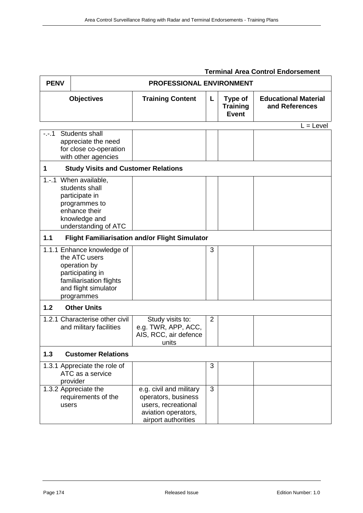|             | <b>Terminal Area Control Endorsement</b>                                                                                                         |                                                                                                                     |                |                                            |                                               |
|-------------|--------------------------------------------------------------------------------------------------------------------------------------------------|---------------------------------------------------------------------------------------------------------------------|----------------|--------------------------------------------|-----------------------------------------------|
| <b>PENV</b> |                                                                                                                                                  | <b>PROFESSIONAL ENVIRONMENT</b>                                                                                     |                |                                            |                                               |
|             | <b>Objectives</b>                                                                                                                                | <b>Training Content</b>                                                                                             | L              | Type of<br><b>Training</b><br><b>Event</b> | <b>Educational Material</b><br>and References |
|             |                                                                                                                                                  |                                                                                                                     |                |                                            | $L = Level$                                   |
| $-,-.1$     | Students shall<br>appreciate the need<br>for close co-operation<br>with other agencies                                                           |                                                                                                                     |                |                                            |                                               |
| 1           | <b>Study Visits and Customer Relations</b>                                                                                                       |                                                                                                                     |                |                                            |                                               |
|             | 1.-.1 When available,<br>students shall<br>participate in<br>programmes to<br>enhance their<br>knowledge and<br>understanding of ATC             |                                                                                                                     |                |                                            |                                               |
| 1.1         |                                                                                                                                                  | <b>Flight Familiarisation and/or Flight Simulator</b>                                                               |                |                                            |                                               |
|             | 1.1.1 Enhance knowledge of<br>the ATC users<br>operation by<br>participating in<br>familiarisation flights<br>and flight simulator<br>programmes |                                                                                                                     | 3              |                                            |                                               |
| 1.2         | <b>Other Units</b>                                                                                                                               |                                                                                                                     |                |                                            |                                               |
|             | 1.2.1 Characterise other civil<br>and military facilities                                                                                        | Study visits to:<br>e.g. TWR, APP, ACC,<br>AIS, RCC, air defence<br>units                                           | $\overline{2}$ |                                            |                                               |
| 1.3         | <b>Customer Relations</b>                                                                                                                        |                                                                                                                     |                |                                            |                                               |
|             | 1.3.1 Appreciate the role of<br>ATC as a service<br>provider                                                                                     |                                                                                                                     | 3              |                                            |                                               |
|             | 1.3.2 Appreciate the<br>requirements of the<br>users                                                                                             | e.g. civil and military<br>operators, business<br>users, recreational<br>aviation operators,<br>airport authorities | 3              |                                            |                                               |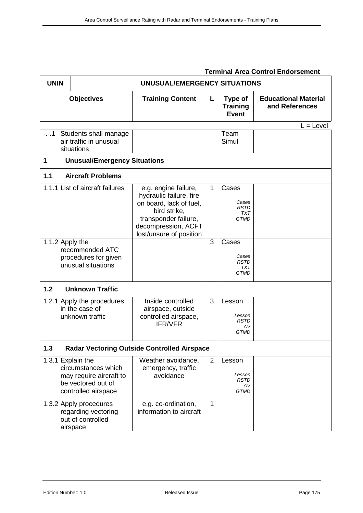|                   | <b>Terminal Area Control Endorsement</b>                                                    |                                                                                                                                                                      |                |                                                     |                                               |  |
|-------------------|---------------------------------------------------------------------------------------------|----------------------------------------------------------------------------------------------------------------------------------------------------------------------|----------------|-----------------------------------------------------|-----------------------------------------------|--|
| <b>UNIN</b>       |                                                                                             | UNUSUAL/EMERGENCY SITUATIONS                                                                                                                                         |                |                                                     |                                               |  |
|                   | <b>Objectives</b>                                                                           | <b>Training Content</b>                                                                                                                                              | L              | <b>Type of</b><br><b>Training</b><br><b>Event</b>   | <b>Educational Material</b><br>and References |  |
|                   |                                                                                             |                                                                                                                                                                      |                |                                                     | $L = Level$                                   |  |
| -.-.1             | Students shall manage<br>air traffic in unusual<br>situations                               |                                                                                                                                                                      |                | Team<br>Simul                                       |                                               |  |
| 1                 | <b>Unusual/Emergency Situations</b>                                                         |                                                                                                                                                                      |                |                                                     |                                               |  |
| 1.1               | <b>Aircraft Problems</b>                                                                    |                                                                                                                                                                      |                |                                                     |                                               |  |
|                   | 1.1.1 List of aircraft failures                                                             | e.g. engine failure,<br>hydraulic failure, fire<br>on board, lack of fuel,<br>bird strike,<br>transponder failure,<br>decompression, ACFT<br>lost/unsure of position | 1              | Cases<br>Cases<br><b>RSTD</b><br>TXT<br><b>GTMD</b> |                                               |  |
| 1.1.2 Apply the   | recommended ATC<br>procedures for given<br>unusual situations                               |                                                                                                                                                                      | 3              | Cases<br>Cases<br>RSTD<br>TXT<br>GTMD               |                                               |  |
| 1.2               | <b>Unknown Traffic</b>                                                                      |                                                                                                                                                                      |                |                                                     |                                               |  |
|                   | 1.2.1 Apply the procedures<br>in the case of<br>unknown traffic                             | Inside controlled<br>airspace, outside<br>controlled airspace,<br><b>IFR/VFR</b>                                                                                     | 3              | Lesson<br>Lesson<br>RSTD<br>AV<br>GTMD              |                                               |  |
| 1.3               |                                                                                             | <b>Radar Vectoring Outside Controlled Airspace</b>                                                                                                                   |                |                                                     |                                               |  |
| 1.3.1 Explain the | circumstances which<br>may require aircraft to<br>be vectored out of<br>controlled airspace | Weather avoidance,<br>emergency, traffic<br>avoidance                                                                                                                | $\overline{2}$ | Lesson<br>Lesson<br><b>RSTD</b><br>ΑV<br>GTMD       |                                               |  |
|                   | 1.3.2 Apply procedures<br>regarding vectoring<br>out of controlled<br>airspace              | e.g. co-ordination,<br>information to aircraft                                                                                                                       | 1              |                                                     |                                               |  |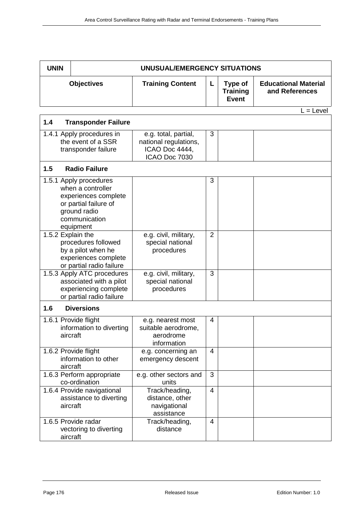| <b>UNIN</b> | UNUSUAL/EMERGENCY SITUATIONS                                                                                                               |                                                                                  |                |                                                   |                                               |
|-------------|--------------------------------------------------------------------------------------------------------------------------------------------|----------------------------------------------------------------------------------|----------------|---------------------------------------------------|-----------------------------------------------|
|             | <b>Objectives</b>                                                                                                                          | <b>Training Content</b>                                                          | L              | <b>Type of</b><br><b>Training</b><br><b>Event</b> | <b>Educational Material</b><br>and References |
|             |                                                                                                                                            |                                                                                  |                |                                                   | $L = Level$                                   |
| 1.4         | <b>Transponder Failure</b>                                                                                                                 |                                                                                  |                |                                                   |                                               |
|             | 1.4.1 Apply procedures in<br>the event of a SSR<br>transponder failure                                                                     | e.g. total, partial,<br>national regulations,<br>ICAO Doc 4444,<br>ICAO Doc 7030 | 3              |                                                   |                                               |
| 1.5         | <b>Radio Failure</b>                                                                                                                       |                                                                                  |                |                                                   |                                               |
|             | 1.5.1 Apply procedures<br>when a controller<br>experiences complete<br>or partial failure of<br>ground radio<br>communication<br>equipment |                                                                                  | 3              |                                                   |                                               |
|             | 1.5.2 Explain the<br>procedures followed<br>by a pilot when he<br>experiences complete<br>or partial radio failure                         | e.g. civil, military,<br>special national<br>procedures                          | $\overline{2}$ |                                                   |                                               |
|             | 1.5.3 Apply ATC procedures<br>associated with a pilot<br>experiencing complete<br>or partial radio failure                                 | e.g. civil, military,<br>special national<br>procedures                          | 3              |                                                   |                                               |
| 1.6         | <b>Diversions</b>                                                                                                                          |                                                                                  |                |                                                   |                                               |
|             | 1.6.1 Provide flight<br>information to diverting<br>aircraft                                                                               | e.g. nearest most<br>suitable aerodrome,<br>aerodrome<br>information             | 4              |                                                   |                                               |
|             | 1.6.2 Provide flight<br>information to other<br>aircraft                                                                                   | e.g. concerning an<br>emergency descent                                          | $\overline{4}$ |                                                   |                                               |
|             | 1.6.3 Perform appropriate<br>co-ordination                                                                                                 | e.g. other sectors and<br>units                                                  | 3              |                                                   |                                               |
|             | 1.6.4 Provide navigational<br>assistance to diverting<br>aircraft                                                                          | Track/heading,<br>distance, other<br>navigational<br>assistance                  | $\overline{4}$ |                                                   |                                               |
|             | 1.6.5 Provide radar<br>vectoring to diverting<br>aircraft                                                                                  | Track/heading,<br>distance                                                       | $\overline{4}$ |                                                   |                                               |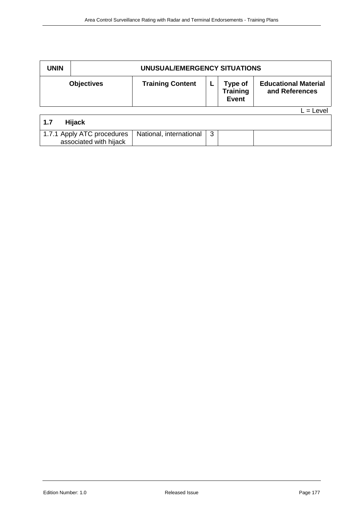| UNIN              | UNUSUAL/EMERGENCY SITUATIONS |                         |  |                                            |                                               |
|-------------------|------------------------------|-------------------------|--|--------------------------------------------|-----------------------------------------------|
| <b>Objectives</b> |                              | <b>Training Content</b> |  | <b>Type of</b><br>Training<br><b>Event</b> | <b>Educational Material</b><br>and References |
|                   |                              |                         |  |                                            | ∟ = Level                                     |

| 1.7<br><b>Hijack</b>       |                             |  |  |
|----------------------------|-----------------------------|--|--|
| 1.7.1 Apply ATC procedures | National, international   3 |  |  |
| associated with hijack     |                             |  |  |

L,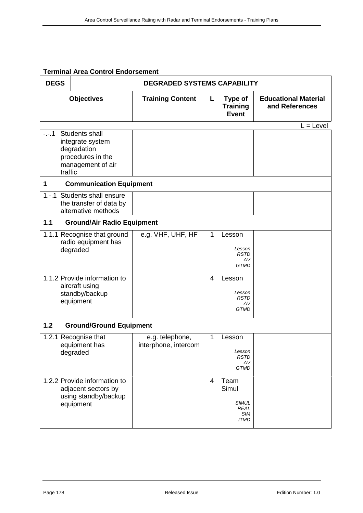|  | <b>Terminal Area Control Endorsement</b> |
|--|------------------------------------------|
|  |                                          |

| <b>DEGS</b>         |                                                                                             | <b>DEGRADED SYSTEMS CAPABILITY</b>      |                |                                                                           |                                               |  |
|---------------------|---------------------------------------------------------------------------------------------|-----------------------------------------|----------------|---------------------------------------------------------------------------|-----------------------------------------------|--|
|                     | <b>Objectives</b>                                                                           | <b>Training Content</b>                 | L              | <b>Type of</b><br><b>Training</b><br><b>Event</b>                         | <b>Educational Material</b><br>and References |  |
|                     |                                                                                             |                                         |                |                                                                           | $L = Level$                                   |  |
| $-1 - 1$<br>traffic | Students shall<br>integrate system<br>degradation<br>procedures in the<br>management of air |                                         |                |                                                                           |                                               |  |
| 1                   | <b>Communication Equipment</b>                                                              |                                         |                |                                                                           |                                               |  |
|                     | 1.-.1 Students shall ensure<br>the transfer of data by<br>alternative methods               |                                         |                |                                                                           |                                               |  |
| 1.1                 | <b>Ground/Air Radio Equipment</b>                                                           |                                         |                |                                                                           |                                               |  |
|                     | 1.1.1 Recognise that ground<br>radio equipment has<br>degraded                              | e.g. VHF, UHF, HF                       | $\mathbf{1}$   | Lesson<br>Lesson<br><b>RSTD</b><br>ΑV<br><b>GTMD</b>                      |                                               |  |
|                     | 1.1.2 Provide information to<br>aircraft using<br>standby/backup<br>equipment               |                                         | $\overline{4}$ | Lesson<br>Lesson<br><b>RSTD</b><br>ΑV<br>GTMD                             |                                               |  |
| 1.2                 | <b>Ground/Ground Equipment</b>                                                              |                                         |                |                                                                           |                                               |  |
|                     | 1.2.1 Recognise that<br>equipment has<br>degraded                                           | e.g. telephone,<br>interphone, intercom | 1              | Lesson<br>Lesson<br><b>RSTD</b><br>ΑV<br><b>GTMD</b>                      |                                               |  |
|                     | 1.2.2 Provide information to<br>adjacent sectors by<br>using standby/backup<br>equipment    |                                         | 4              | Team<br>Simul<br><b>SIMUL</b><br><b>REAL</b><br><b>SIM</b><br><b>ITMD</b> |                                               |  |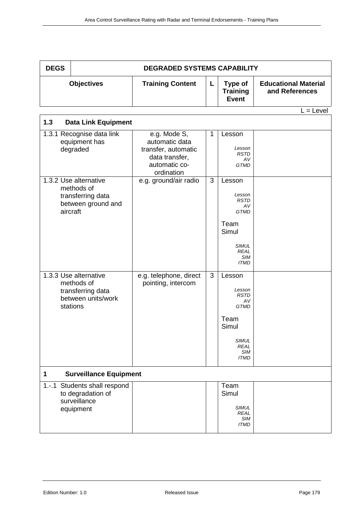| <b>DEGS</b> | <b>DEGRADED SYSTEMS CAPABILITY</b>                                                                                  |                                                                                                        |        |                                                                                                                                             |                                               |
|-------------|---------------------------------------------------------------------------------------------------------------------|--------------------------------------------------------------------------------------------------------|--------|---------------------------------------------------------------------------------------------------------------------------------------------|-----------------------------------------------|
|             | <b>Objectives</b>                                                                                                   | <b>Training Content</b>                                                                                | L.     | Type of<br><b>Training</b><br><b>Event</b>                                                                                                  | <b>Educational Material</b><br>and References |
|             |                                                                                                                     |                                                                                                        |        |                                                                                                                                             | $L = Level$                                   |
| $1.3$       | <b>Data Link Equipment</b>                                                                                          |                                                                                                        |        |                                                                                                                                             |                                               |
|             | 1.3.1 Recognise data link<br>equipment has<br>degraded                                                              | e.g. Mode S,<br>automatic data<br>transfer, automatic<br>data transfer,<br>automatic co-<br>ordination | 1      | Lesson<br>Lesson<br><b>RSTD</b><br>AV<br><b>GTMD</b>                                                                                        |                                               |
|             | 1.3.2 Use alternative<br>methods of<br>transferring data<br>between ground and<br>aircraft<br>1.3.3 Use alternative | e.g. ground/air radio<br>e.g. telephone, direct                                                        | 3<br>3 | Lesson<br>Lesson<br><b>RSTD</b><br>AV<br><b>GTMD</b><br>Team<br>Simul<br><b>SIMUL</b><br><b>REAL</b><br><b>SIM</b><br><b>ITMD</b><br>Lesson |                                               |
|             | methods of<br>transferring data<br>between units/work<br>stations                                                   | pointing, intercom                                                                                     |        | Lesson<br><b>RSTD</b><br>AV<br>GTMD<br>Team<br>Simul<br><b>SIMUL</b><br><b>REAL</b><br><b>SIM</b><br><b>ITMD</b>                            |                                               |
| 1           | <b>Surveillance Equipment</b>                                                                                       |                                                                                                        |        |                                                                                                                                             |                                               |
|             | 1.-.1 Students shall respond<br>to degradation of<br>surveillance<br>equipment                                      |                                                                                                        |        | Team<br>Simul<br><b>SIMUL</b><br><b>REAL</b><br><b>SIM</b><br>ITMD                                                                          |                                               |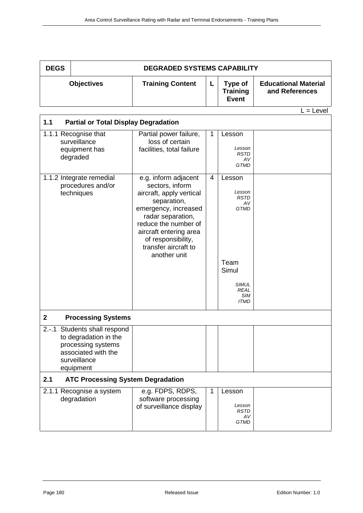| <b>DEGS</b>       | <b>DEGRADED SYSTEMS CAPABILITY</b> |                                                                                                                        |  |  |              |
|-------------------|------------------------------------|------------------------------------------------------------------------------------------------------------------------|--|--|--------------|
| <b>Objectives</b> |                                    | <b>Training Content</b><br><b>Educational Material</b><br>Type of<br><b>Training</b><br>and References<br><b>Event</b> |  |  |              |
|                   |                                    |                                                                                                                        |  |  | $L = L$ evel |

| 1.1          | <b>Partial or Total Display Degradation</b>                                                                                     |                                                                                                                                                                                                                                                 |              |                                                                                                                                   |  |  |  |
|--------------|---------------------------------------------------------------------------------------------------------------------------------|-------------------------------------------------------------------------------------------------------------------------------------------------------------------------------------------------------------------------------------------------|--------------|-----------------------------------------------------------------------------------------------------------------------------------|--|--|--|
|              | 1.1.1 Recognise that<br>surveillance<br>equipment has<br>degraded                                                               | Partial power failure,<br>loss of certain<br>facilities, total failure                                                                                                                                                                          | 1            | Lesson<br>Lesson<br><b>RSTD</b><br>AV<br><b>GTMD</b>                                                                              |  |  |  |
|              | 1.1.2 Integrate remedial<br>procedures and/or<br>techniques                                                                     | e.g. inform adjacent<br>sectors, inform<br>aircraft, apply vertical<br>separation,<br>emergency, increased<br>radar separation,<br>reduce the number of<br>aircraft entering area<br>of responsibility,<br>transfer aircraft to<br>another unit | 4            | Lesson<br>Lesson<br><b>RSTD</b><br>AV<br><b>GTMD</b><br>Team<br>Simul<br><b>SIMUL</b><br><b>REAL</b><br><b>SIM</b><br><b>ITMD</b> |  |  |  |
| $\mathbf{2}$ | <b>Processing Systems</b>                                                                                                       |                                                                                                                                                                                                                                                 |              |                                                                                                                                   |  |  |  |
|              | 2.-.1 Students shall respond<br>to degradation in the<br>processing systems<br>associated with the<br>surveillance<br>equipment |                                                                                                                                                                                                                                                 |              |                                                                                                                                   |  |  |  |
| 2.1          | <b>ATC Processing System Degradation</b>                                                                                        |                                                                                                                                                                                                                                                 |              |                                                                                                                                   |  |  |  |
|              | 2.1.1 Recognise a system<br>degradation                                                                                         | e.g. FDPS, RDPS,<br>software processing<br>of surveillance display                                                                                                                                                                              | $\mathbf{1}$ | Lesson<br>Lesson<br><b>RSTD</b><br>ΑV<br><b>GTMD</b>                                                                              |  |  |  |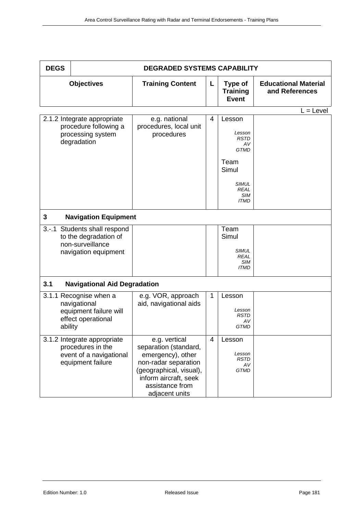| <b>DEGS</b> |                                                                                                   | <b>DEGRADED SYSTEMS CAPABILITY</b>                                                                                                                                           |   |                                                                           |                                               |  |  |
|-------------|---------------------------------------------------------------------------------------------------|------------------------------------------------------------------------------------------------------------------------------------------------------------------------------|---|---------------------------------------------------------------------------|-----------------------------------------------|--|--|
|             | <b>Objectives</b>                                                                                 | <b>Training Content</b>                                                                                                                                                      | L | Type of<br><b>Training</b><br><b>Event</b>                                | <b>Educational Material</b><br>and References |  |  |
|             |                                                                                                   |                                                                                                                                                                              |   |                                                                           | $L = Level$                                   |  |  |
|             | 2.1.2 Integrate appropriate<br>procedure following a<br>processing system<br>degradation          | e.g. national<br>procedures, local unit<br>procedures                                                                                                                        | 4 | Lesson<br>Lesson<br><b>RSTD</b><br>AV<br><b>GTMD</b><br>Team<br>Simul     |                                               |  |  |
|             |                                                                                                   |                                                                                                                                                                              |   | <b>SIMUL</b><br><b>REAL</b><br><b>SIM</b><br><b>ITMD</b>                  |                                               |  |  |
| 3           | <b>Navigation Equipment</b>                                                                       |                                                                                                                                                                              |   |                                                                           |                                               |  |  |
|             | 3.-.1 Students shall respond<br>to the degradation of<br>non-surveillance<br>navigation equipment |                                                                                                                                                                              |   | Team<br>Simul<br><b>SIMUL</b><br><b>REAL</b><br><b>SIM</b><br><b>ITMD</b> |                                               |  |  |
| 3.1         | <b>Navigational Aid Degradation</b>                                                               |                                                                                                                                                                              |   |                                                                           |                                               |  |  |
|             | 3.1.1 Recognise when a<br>navigational<br>equipment failure will<br>effect operational<br>ability | e.g. VOR, approach<br>aid, navigational aids                                                                                                                                 | 1 | Lesson<br>Lesson<br>RSTD<br>ΑV<br>GTMD                                    |                                               |  |  |
|             | 3.1.2 Integrate appropriate<br>procedures in the<br>event of a navigational<br>equipment failure  | e.g. vertical<br>separation (standard,<br>emergency), other<br>non-radar separation<br>(geographical, visual),<br>inform aircraft, seek<br>assistance from<br>adjacent units | 4 | Lesson<br>Lesson<br><b>RSTD</b><br>ΑV<br>GTMD                             |                                               |  |  |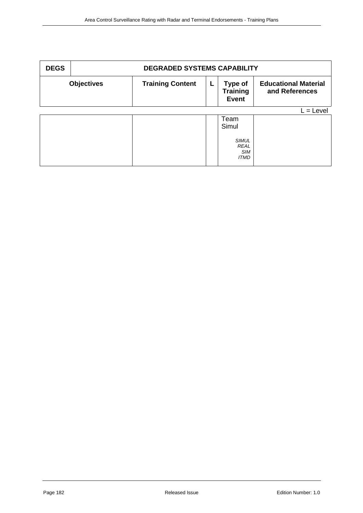| <b>DEGS</b> | <b>DEGRADED SYSTEMS CAPABILITY</b> |                         |   |                                                          |                                               |  |
|-------------|------------------------------------|-------------------------|---|----------------------------------------------------------|-----------------------------------------------|--|
|             | <b>Objectives</b>                  | <b>Training Content</b> | L | <b>Type of</b><br><b>Training</b><br><b>Event</b>        | <b>Educational Material</b><br>and References |  |
|             |                                    |                         |   |                                                          | $L = Level$                                   |  |
|             |                                    |                         |   | Team<br>Simul                                            |                                               |  |
|             |                                    |                         |   | <b>SIMUL</b><br><b>REAL</b><br><b>SIM</b><br><b>ITMD</b> |                                               |  |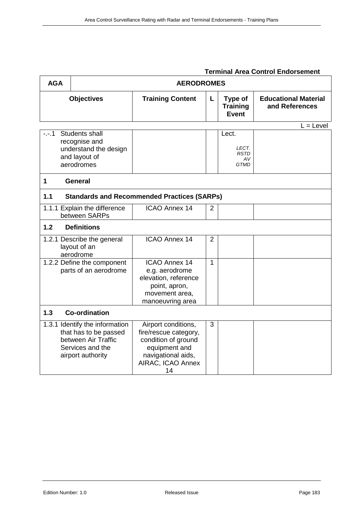|             | Terminal Area Control Endorsement                                                                                       |                                                                                                                                       |                |                                             |                                               |  |
|-------------|-------------------------------------------------------------------------------------------------------------------------|---------------------------------------------------------------------------------------------------------------------------------------|----------------|---------------------------------------------|-----------------------------------------------|--|
| <b>AGA</b>  |                                                                                                                         | <b>AERODROMES</b>                                                                                                                     |                |                                             |                                               |  |
|             | <b>Objectives</b>                                                                                                       | <b>Training Content</b>                                                                                                               | L              | Type of<br><b>Training</b><br><b>Event</b>  | <b>Educational Material</b><br>and References |  |
|             |                                                                                                                         |                                                                                                                                       |                |                                             | $L = Level$                                   |  |
|             | -.-.1 Students shall<br>recognise and<br>understand the design<br>and layout of<br>aerodromes                           |                                                                                                                                       |                | Lect.<br>LECT.<br><b>RSTD</b><br>AV<br>GTMD |                                               |  |
| $\mathbf 1$ | <b>General</b>                                                                                                          |                                                                                                                                       |                |                                             |                                               |  |
| 1.1         |                                                                                                                         | <b>Standards and Recommended Practices (SARPs)</b>                                                                                    |                |                                             |                                               |  |
|             | 1.1.1 Explain the difference<br>between SARPs                                                                           | <b>ICAO Annex 14</b>                                                                                                                  | $\overline{2}$ |                                             |                                               |  |
| 1.2         | <b>Definitions</b>                                                                                                      |                                                                                                                                       |                |                                             |                                               |  |
|             | 1.2.1 Describe the general<br>layout of an<br>aerodrome                                                                 | <b>ICAO Annex 14</b>                                                                                                                  | $\overline{2}$ |                                             |                                               |  |
|             | 1.2.2 Define the component<br>parts of an aerodrome                                                                     | ICAO Annex 14<br>e.g. aerodrome<br>elevation, reference<br>point, apron,<br>movement area,<br>manoeuvring area                        | 1              |                                             |                                               |  |
| 1.3         | <b>Co-ordination</b>                                                                                                    |                                                                                                                                       |                |                                             |                                               |  |
|             | 1.3.1 Identify the information<br>that has to be passed<br>between Air Traffic<br>Services and the<br>airport authority | Airport conditions,<br>fire/rescue category,<br>condition of ground<br>equipment and<br>navigational aids,<br>AIRAC, ICAO Annex<br>14 | 3              |                                             |                                               |  |

# **Terminal Area Control Endorsement**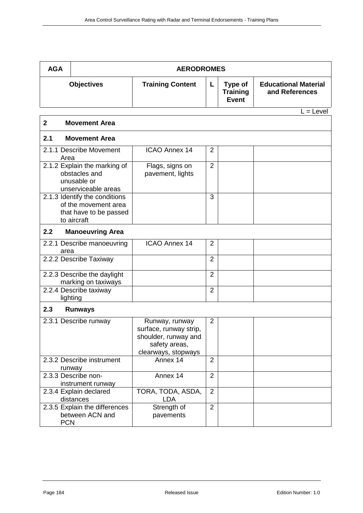| <b>AGA</b>        | <b>AERODROMES</b>                                                                              |                                                                                                          |                |                                            |                                               |
|-------------------|------------------------------------------------------------------------------------------------|----------------------------------------------------------------------------------------------------------|----------------|--------------------------------------------|-----------------------------------------------|
| <b>Objectives</b> |                                                                                                | <b>Training Content</b>                                                                                  | L              | Type of<br><b>Training</b><br><b>Event</b> | <b>Educational Material</b><br>and References |
|                   |                                                                                                |                                                                                                          |                |                                            | $L = Level$                                   |
| $\mathbf{2}$      | <b>Movement Area</b>                                                                           |                                                                                                          |                |                                            |                                               |
| 2.1               | <b>Movement Area</b>                                                                           |                                                                                                          |                |                                            |                                               |
| Area              | 2.1.1 Describe Movement                                                                        | <b>ICAO Annex 14</b>                                                                                     | $\overline{2}$ |                                            |                                               |
|                   | 2.1.2 Explain the marking of<br>obstacles and<br>unusable or<br>unserviceable areas            | Flags, signs on<br>pavement, lights                                                                      | $\overline{2}$ |                                            |                                               |
|                   | 2.1.3 Identify the conditions<br>of the movement area<br>that have to be passed<br>to aircraft |                                                                                                          | 3              |                                            |                                               |
| 2.2               | <b>Manoeuvring Area</b>                                                                        |                                                                                                          |                |                                            |                                               |
| area              | 2.2.1 Describe manoeuvring                                                                     | <b>ICAO Annex 14</b>                                                                                     | 2              |                                            |                                               |
|                   | 2.2.2 Describe Taxiway                                                                         |                                                                                                          | $\overline{2}$ |                                            |                                               |
|                   | 2.2.3 Describe the daylight<br>marking on taxiways                                             |                                                                                                          | $\overline{2}$ |                                            |                                               |
|                   | 2.2.4 Describe taxiway<br>lighting                                                             |                                                                                                          | $\overline{2}$ |                                            |                                               |
| 2.3               | <b>Runways</b>                                                                                 |                                                                                                          |                |                                            |                                               |
|                   | 2.3.1 Describe runway                                                                          | Runway, runway<br>surface, runway strip,<br>shoulder, runway and<br>safety areas,<br>clearways, stopways | $\overline{2}$ |                                            |                                               |
|                   | 2.3.2 Describe instrument<br>runway                                                            | Annex 14                                                                                                 | $\overline{2}$ |                                            |                                               |
|                   | 2.3.3 Describe non-<br>instrument runway                                                       | Annex $14$                                                                                               | $\overline{2}$ |                                            |                                               |
|                   | 2.3.4 Explain declared<br>distances                                                            | TORA, TODA, ASDA,<br><b>LDA</b>                                                                          | $\overline{2}$ |                                            |                                               |
| <b>PCN</b>        | 2.3.5 Explain the differences<br>between ACN and                                               | Strength of<br>pavements                                                                                 | $\overline{2}$ |                                            |                                               |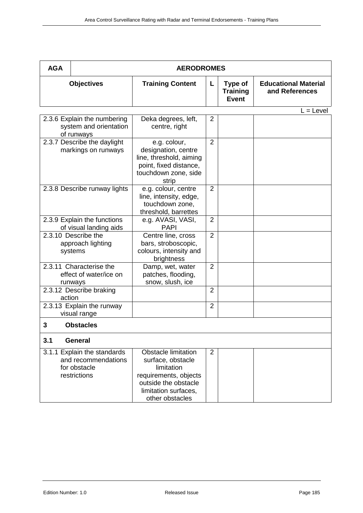| <b>AGA</b>                                         | <b>AERODROMES</b>                                                                  |                                                                                                                                                           |                |                                            |                                               |  |
|----------------------------------------------------|------------------------------------------------------------------------------------|-----------------------------------------------------------------------------------------------------------------------------------------------------------|----------------|--------------------------------------------|-----------------------------------------------|--|
|                                                    | <b>Objectives</b>                                                                  | <b>Training Content</b>                                                                                                                                   | L              | Type of<br><b>Training</b><br><b>Event</b> | <b>Educational Material</b><br>and References |  |
|                                                    |                                                                                    |                                                                                                                                                           |                |                                            | $L = Level$                                   |  |
|                                                    | 2.3.6 Explain the numbering<br>system and orientation<br>of runways                | Deka degrees, left,<br>centre, right                                                                                                                      | 2              |                                            |                                               |  |
| 2.3.7 Describe the daylight<br>markings on runways |                                                                                    | e.g. colour,<br>designation, centre<br>line, threshold, aiming<br>point, fixed distance,<br>touchdown zone, side<br>strip                                 | $\overline{2}$ |                                            |                                               |  |
|                                                    | 2.3.8 Describe runway lights                                                       | e.g. colour, centre<br>line, intensity, edge,<br>touchdown zone,<br>threshold, barrettes                                                                  | $\overline{2}$ |                                            |                                               |  |
|                                                    | 2.3.9 Explain the functions<br>of visual landing aids                              | e.g. AVASI, VASI,<br><b>PAPI</b>                                                                                                                          | $\overline{2}$ |                                            |                                               |  |
|                                                    | 2.3.10 Describe the<br>approach lighting<br>systems                                | Centre line, cross<br>bars, stroboscopic,<br>colours, intensity and<br>brightness                                                                         | $\overline{2}$ |                                            |                                               |  |
|                                                    | 2.3.11 Characterise the<br>effect of water/ice on<br>runways                       | Damp, wet, water<br>patches, flooding,<br>snow, slush, ice                                                                                                | $\overline{2}$ |                                            |                                               |  |
| action                                             | 2.3.12 Describe braking                                                            |                                                                                                                                                           | $\overline{2}$ |                                            |                                               |  |
|                                                    | 2.3.13 Explain the runway<br>visual range                                          |                                                                                                                                                           | $\overline{2}$ |                                            |                                               |  |
| 3                                                  | <b>Obstacles</b>                                                                   |                                                                                                                                                           |                |                                            |                                               |  |
| 3.1<br><b>General</b>                              |                                                                                    |                                                                                                                                                           |                |                                            |                                               |  |
|                                                    | 3.1.1 Explain the standards<br>and recommendations<br>for obstacle<br>restrictions | <b>Obstacle limitation</b><br>surface, obstacle<br>limitation<br>requirements, objects<br>outside the obstacle<br>limitation surfaces,<br>other obstacles | $\overline{2}$ |                                            |                                               |  |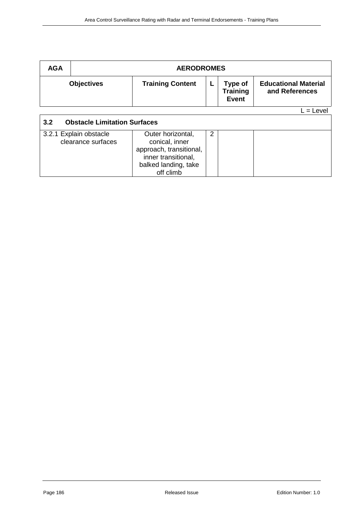| <b>AGA</b>        | <b>AERODROMES</b> |                         |  |                                                   |                                               |
|-------------------|-------------------|-------------------------|--|---------------------------------------------------|-----------------------------------------------|
| <b>Objectives</b> |                   | <b>Training Content</b> |  | <b>Type of</b><br><b>Training</b><br><b>Event</b> | <b>Educational Material</b><br>and References |
|                   |                   |                         |  |                                                   | $L = L$ evel                                  |

| 3.2                                          | <b>Obstacle Limitation Surfaces</b>                                                                                        |   |  |  |  |  |  |
|----------------------------------------------|----------------------------------------------------------------------------------------------------------------------------|---|--|--|--|--|--|
| 3.2.1 Explain obstacle<br>clearance surfaces | Outer horizontal,<br>conical, inner<br>approach, transitional,<br>inner transitional,<br>balked landing, take<br>off climb | 2 |  |  |  |  |  |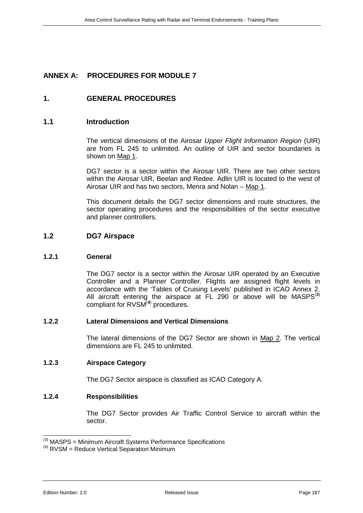# **ANNEX A: PROCEDURES FOR MODULE 7**

# **1. GENERAL PROCEDURES**

### **1.1 Introduction**

The vertical dimensions of the Airosar *Upper Flight Information Region* (UIR) are from FL 245 to unlimited. An outline of UIR and sector boundaries is shown on Map 1.

DG7 sector is a sector within the Airosar UIR. There are two other sectors within the Airosar UIR, Beelan and Redee. Adlin UIR is located to the west of Airosar UIR and has two sectors, Menra and Nolan – Map 1.

This document details the DG7 sector dimensions and route structures, the sector operating procedures and the responsibilities of the sector executive and planner controllers*.*

### **1.2 DG7 Airspace**

#### **1.2.1 General**

The DG7 sector is a sector within the Airosar UIR operated by an Executive Controller and a Planner Controller. Flights are assigned flight levels in accordance with the 'Tables of Cruising Levels' published in ICAO Annex 2. All aircraft entering the airspace at FL 290 or above will be MASPS(**3**) compliant for RVSM(**4**) procedures.

#### **1.2.2 Lateral Dimensions and Vertical Dimensions**

The lateral dimensions of the DG7 Sector are shown in Map 2. The vertical dimensions are FL 245 to unlimited.

#### **1.2.3 Airspace Category**

The DG7 Sector airspace is classified as ICAO Category A.

#### **1.2.4 Responsibilities**

The DG7 Sector provides Air Traffic Control Service to aircraft within the sector.

<sup>&</sup>lt;sup>(3)</sup> MASPS = Minimum Aircraft Systems Performance Specifications<br><sup>(4)</sup> RVSM = Reduce Vertical Separation Minimum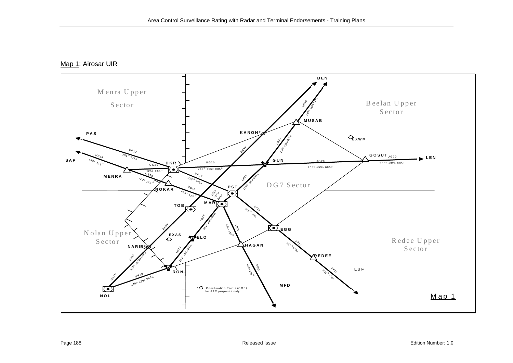Map 1: Airosar UIR

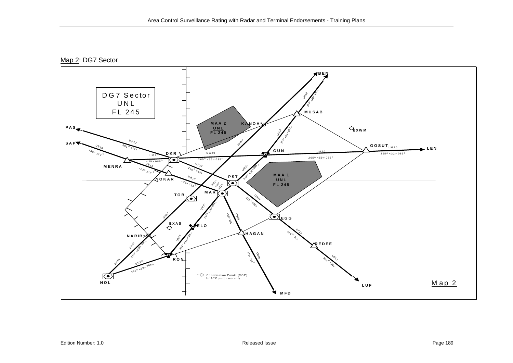Map 2: DG7 Sector

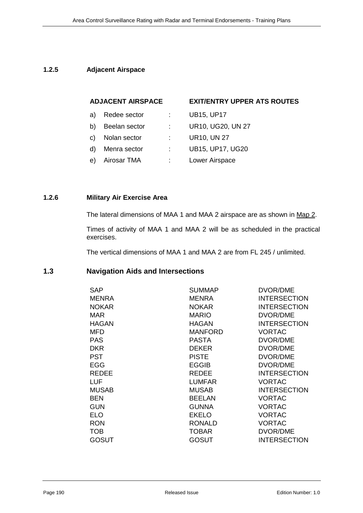## **1.2.5 Adjacent Airspace**

|    | <b>ADJACENT AIRSPACE</b> | <b>EXIT/ENTRY UPPER ATS ROUTES</b> |
|----|--------------------------|------------------------------------|
| a) | Redee sector             | <b>UB15, UP17</b>                  |
| b) | Beelan sector            | UR10, UG20, UN 27                  |
| C) | Nolan sector             | <b>UR10, UN 27</b>                 |
| d) | Menra sector             | <b>UB15, UP17, UG20</b>            |
| e) | Airosar TMA              | Lower Airspace                     |

## **1.2.6 Military Air Exercise Area**

The lateral dimensions of MAA 1 and MAA 2 airspace are as shown in Map 2.

Times of activity of MAA 1 and MAA 2 will be as scheduled in the practical exercises.

The vertical dimensions of MAA 1 and MAA 2 are from FL 245 / unlimited.

# **1.3 Navigation Aids and In**t**ersections**

| SAP          | <b>SUMMAP</b>  | DVOR/DME            |
|--------------|----------------|---------------------|
| <b>MENRA</b> | <b>MENRA</b>   | <b>INTERSECTION</b> |
| <b>NOKAR</b> | <b>NOKAR</b>   | <b>INTERSECTION</b> |
| <b>MAR</b>   | <b>MARIO</b>   | DVOR/DME            |
| <b>HAGAN</b> | <b>HAGAN</b>   | <b>INTERSECTION</b> |
| MFD          | <b>MANFORD</b> | VORTAC              |
| <b>PAS</b>   | <b>PASTA</b>   | DVOR/DME            |
| <b>DKR</b>   | <b>DEKER</b>   | DVOR/DME            |
| <b>PST</b>   | <b>PISTE</b>   | DVOR/DME            |
| <b>EGG</b>   | <b>EGGIB</b>   | DVOR/DME            |
| <b>REDEE</b> | <b>REDEE</b>   | <b>INTERSECTION</b> |
| <b>LUF</b>   | <b>LUMFAR</b>  | <b>VORTAC</b>       |
| <b>MUSAB</b> | <b>MUSAB</b>   | <b>INTERSECTION</b> |
| <b>BEN</b>   | <b>BEELAN</b>  | VORTAC              |
| <b>GUN</b>   | <b>GUNNA</b>   | <b>VORTAC</b>       |
| ELO          | <b>EKELO</b>   | <b>VORTAC</b>       |
| <b>RON</b>   | <b>RONALD</b>  | <b>VORTAC</b>       |
| TOB          | <b>TOBAR</b>   | DVOR/DME            |
| GOSUT        | <b>GOSUT</b>   | <b>INTERSECTION</b> |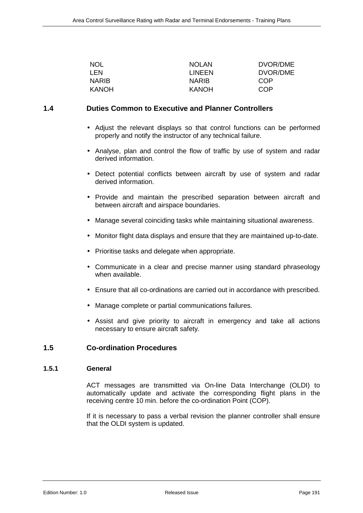| <b>NOL</b>   | <b>NOLAN</b> | DVOR/DME |
|--------------|--------------|----------|
| I FN         | I INFFN      | DVOR/DME |
| <b>NARIB</b> | <b>NARIB</b> | COP      |
| <b>KANOH</b> | <b>KANOH</b> | COP      |

#### **1.4 Duties Common to Executive and Planner Controllers**

- Adjust the relevant displays so that control functions can be performed properly and notify the instructor of any technical failure.
- Analyse, plan and control the flow of traffic by use of system and radar derived information.
- Detect potential conflicts between aircraft by use of system and radar derived information.
- Provide and maintain the prescribed separation between aircraft and between aircraft and airspace boundaries.
- Manage several coinciding tasks while maintaining situational awareness.
- Monitor flight data displays and ensure that they are maintained up-to-date.
- Prioritise tasks and delegate when appropriate.
- Communicate in a clear and precise manner using standard phraseology when available.
- Ensure that all co-ordinations are carried out in accordance with prescribed.
- Manage complete or partial communications failures.
- Assist and give priority to aircraft in emergency and take all actions necessary to ensure aircraft safety.

### **1.5 Co-ordination Procedures**

#### **1.5.1 General**

ACT messages are transmitted via On-line Data Interchange (OLDI) to automatically update and activate the corresponding flight plans in the receiving centre 10 min. before the co-ordination Point (COP).

If it is necessary to pass a verbal revision the planner controller shall ensure that the OLDI system is updated.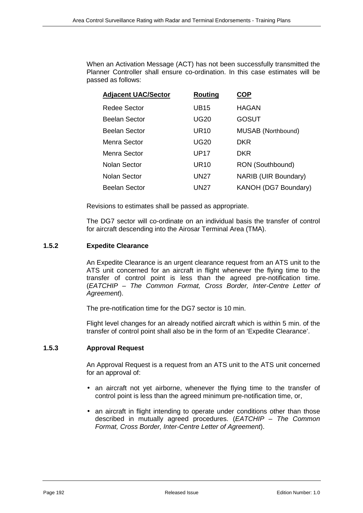When an Activation Message (ACT) has not been successfully transmitted the Planner Controller shall ensure co-ordination. In this case estimates will be passed as follows:

| <b>Adjacent UAC/Sector</b> | Routing     | <b>COP</b>                  |
|----------------------------|-------------|-----------------------------|
| Redee Sector               | <b>UB15</b> | HAGAN                       |
| Beelan Sector              | <b>UG20</b> | <b>GOSUT</b>                |
| Beelan Sector              | <b>UR10</b> | MUSAB (Northbound)          |
| Menra Sector               | <b>UG20</b> | DKR                         |
| Menra Sector               | <b>UP17</b> | DKR                         |
| Nolan Sector               | <b>UR10</b> | RON (Southbound)            |
| Nolan Sector               | <b>UN27</b> | <b>NARIB (UIR Boundary)</b> |
| <b>Beelan Sector</b>       | <b>UN27</b> | <b>KANOH (DG7 Boundary)</b> |

Revisions to estimates shall be passed as appropriate.

The DG7 sector will co-ordinate on an individual basis the transfer of control for aircraft descending into the Airosar Terminal Area (TMA).

### **1.5.2 Expedite Clearance**

An Expedite Clearance is an urgent clearance request from an ATS unit to the ATS unit concerned for an aircraft in flight whenever the flying time to the transfer of control point is less than the agreed pre-notification time. (*EATCHIP – The Common Format, Cross Border, Inter-Centre Letter of Agreement*).

The pre-notification time for the DG7 sector is 10 min.

Flight level changes for an already notified aircraft which is within 5 min. of the transfer of control point shall also be in the form of an 'Expedite Clearance'.

### **1.5.3 Approval Request**

An Approval Request is a request from an ATS unit to the ATS unit concerned for an approval of:

- an aircraft not yet airborne, whenever the flying time to the transfer of control point is less than the agreed minimum pre-notification time, or,
- an aircraft in flight intending to operate under conditions other than those described in mutually agreed procedures. (*EATCHIP – The Common Format, Cross Border, Inter-Centre Letter of Agreement*).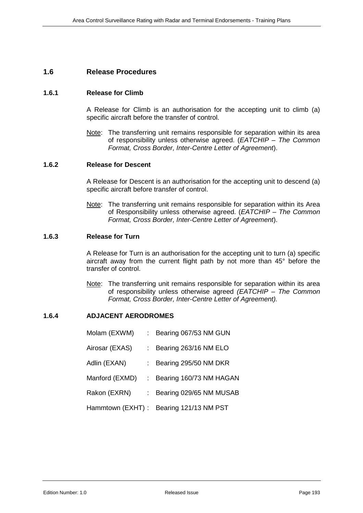### **1.6 Release Procedures**

#### **1.6.1 Release for Climb**

A Release for Climb is an authorisation for the accepting unit to climb (a) specific aircraft before the transfer of control.

Note: The transferring unit remains responsible for separation within its area of responsibility unless otherwise agreed. (*EATCHIP – The Common Format, Cross Border, Inter-Centre Letter of Agreement*).

#### **1.6.2 Release for Descent**

A Release for Descent is an authorisation for the accepting unit to descend (a) specific aircraft before transfer of control.

Note: The transferring unit remains responsible for separation within its Area of Responsibility unless otherwise agreed. (*EATCHIP – The Common Format, Cross Border, Inter-Centre Letter of Agreement*).

### **1.6.3 Release for Turn**

A Release for Turn is an authorisation for the accepting unit to turn (a) specific aircraft away from the current flight path by not more than 45° before the transfer of control.

Note: The transferring unit remains responsible for separation within its area of responsibility unless otherwise agreed *(EATCHIP – The Common Format, Cross Border, Inter-Centre Letter of Agreement).*

#### **1.6.4 ADJACENT AERODROMES**

| Molam (EXWM)      | : Bearing 067/53 NM GUN |
|-------------------|-------------------------|
| Airosar (EXAS)    | Bearing 263/16 NM ELO   |
| Adlin (EXAN)      | : Bearing 295/50 NM DKR |
| Manford (EXMD)    | Bearing 160/73 NM HAGAN |
| Rakon (EXRN)      | Bearing 029/65 NM MUSAB |
| Hammtown (EXHT) : | Bearing 121/13 NM PST   |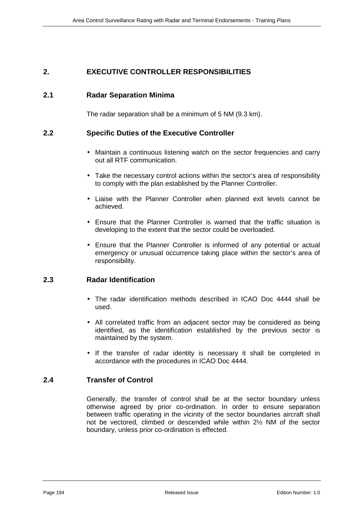# **2. EXECUTIVE CONTROLLER RESPONSIBILITIES**

## **2.1 Radar Separation Minima**

The radar separation shall be a minimum of 5 NM (9.3 km).

### **2.2 Specific Duties of the Executive Controller**

- Maintain a continuous listening watch on the sector frequencies and carry out all RTF communication.
- Take the necessary control actions within the sector's area of responsibility to comply with the plan established by the Planner Controller.
- Liaise with the Planner Controller when planned exit levels cannot be achieved.
- Ensure that the Planner Controller is warned that the traffic situation is developing to the extent that the sector could be overloaded.
- Ensure that the Planner Controller is informed of any potential or actual emergency or unusual occurrence taking place within the sector's area of responsibility.

### **2.3 Radar Identification**

- The radar identification methods described in ICAO Doc 4444 shall be used.
- All correlated traffic from an adjacent sector may be considered as being identified, as the identification established by the previous sector is maintained by the system.
- If the transfer of radar identity is necessary it shall be completed in accordance with the procedures in ICAO Doc 4444.

### **2.4 Transfer of Control**

Generally, the transfer of control shall be at the sector boundary unless otherwise agreed by prior co-ordination. In order to ensure separation between traffic operating in the vicinity of the sector boundaries aircraft shall not be vectored, climbed or descended while within 2½ NM of the sector boundary, unless prior co-ordination is effected.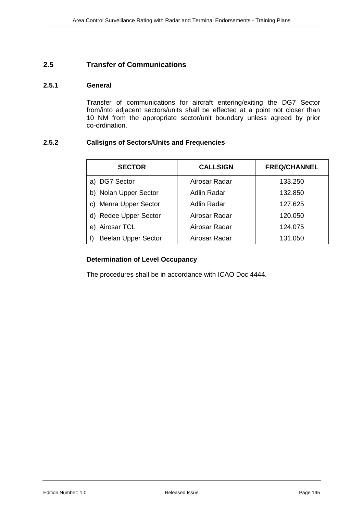# **2.5 Transfer of Communications**

## **2.5.1 General**

Transfer of communications for aircraft entering/exiting the DG7 Sector from/into adjacent sectors/units shall be effected at a point not closer than 10 NM from the appropriate sector/unit boundary unless agreed by prior co-ordination.

### **2.5.2 Callsigns of Sectors/Units and Frequencies**

| <b>SECTOR</b>              | <b>CALLSIGN</b> | <b>FREQ/CHANNEL</b> |
|----------------------------|-----------------|---------------------|
| a) DG7 Sector              | Airosar Radar   | 133.250             |
| b) Nolan Upper Sector      | Adlin Radar     | 132.850             |
| c) Menra Upper Sector      | Adlin Radar     | 127.625             |
| d) Redee Upper Sector      | Airosar Radar   | 120.050             |
| e) Airosar TCL             | Airosar Radar   | 124.075             |
| <b>Beelan Upper Sector</b> | Airosar Radar   | 131.050             |

#### **Determination of Level Occupancy**

The procedures shall be in accordance with ICAO Doc 4444.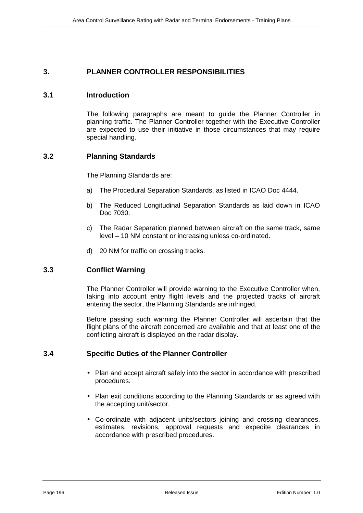# **3. PLANNER CONTROLLER RESPONSIBILITIES**

### **3.1 Introduction**

The following paragraphs are meant to guide the Planner Controller in planning traffic. The Planner Controller together with the Executive Controller are expected to use their initiative in those circumstances that may require special handling.

### **3.2 Planning Standards**

The Planning Standards are:

- a) The Procedural Separation Standards, as listed in ICAO Doc 4444.
- b) The Reduced Longitudinal Separation Standards as laid down in ICAO Doc 7030.
- c) The Radar Separation planned between aircraft on the same track, same level – 10 NM constant or increasing unless co-ordinated.
- d) 20 NM for traffic on crossing tracks.

### **3.3 Conflict Warning**

The Planner Controller will provide warning to the Executive Controller when, taking into account entry flight levels and the projected tracks of aircraft entering the sector, the Planning Standards are infringed.

Before passing such warning the Planner Controller will ascertain that the flight plans of the aircraft concerned are available and that at least one of the conflicting aircraft is displayed on the radar display.

### **3.4 Specific Duties of the Planner Controller**

- Plan and accept aircraft safely into the sector in accordance with prescribed procedures.
- Plan exit conditions according to the Planning Standards or as agreed with the accepting unit/sector.
- Co-ordinate with adjacent units/sectors joining and crossing clearances, estimates, revisions, approval requests and expedite clearances in accordance with prescribed procedures.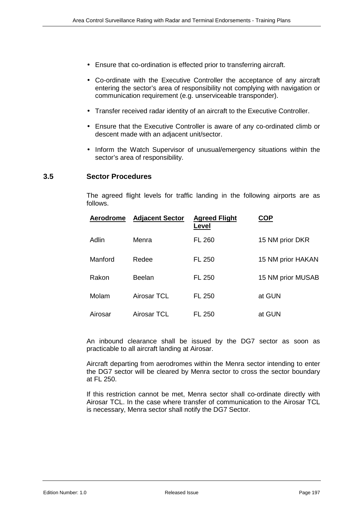- Ensure that co-ordination is effected prior to transferring aircraft.
- Co-ordinate with the Executive Controller the acceptance of any aircraft entering the sector's area of responsibility not complying with navigation or communication requirement (e.g. unserviceable transponder).
- Transfer received radar identity of an aircraft to the Executive Controller.
- Ensure that the Executive Controller is aware of any co-ordinated climb or descent made with an adjacent unit/sector.
- Inform the Watch Supervisor of unusual/emergency situations within the sector's area of responsibility.

#### **3.5 Sector Procedures**

The agreed flight levels for traffic landing in the following airports are as follows.

| Aerodrome | <b>Adjacent Sector</b> | <b>Agreed Flight</b><br>Level | COP               |
|-----------|------------------------|-------------------------------|-------------------|
| Adlin     | Menra                  | FL 260                        | 15 NM prior DKR   |
| Manford   | Redee                  | <b>FL 250</b>                 | 15 NM prior HAKAN |
| Rakon     | <b>Beelan</b>          | FL 250                        | 15 NM prior MUSAB |
| Molam     | <b>Airosar TCL</b>     | FL 250                        | at GUN            |
| Airosar   | Airosar TCL            | <b>FL 250</b>                 | at GUN            |

An inbound clearance shall be issued by the DG7 sector as soon as practicable to all aircraft landing at Airosar.

Aircraft departing from aerodromes within the Menra sector intending to enter the DG7 sector will be cleared by Menra sector to cross the sector boundary at FL 250.

If this restriction cannot be met, Menra sector shall co-ordinate directly with Airosar TCL. In the case where transfer of communication to the Airosar TCL is necessary, Menra sector shall notify the DG7 Sector.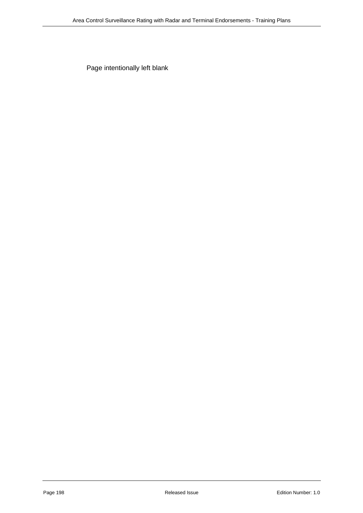Page intentionally left blank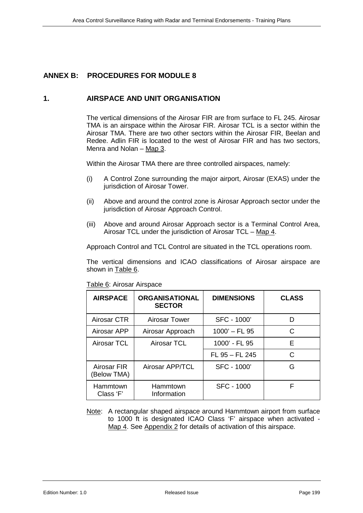# **ANNEX B: PROCEDURES FOR MODULE 8**

# **1. AIRSPACE AND UNIT ORGANISATION**

The vertical dimensions of the Airosar FIR are from surface to FL 245. Airosar TMA is an airspace within the Airosar FIR. Airosar TCL is a sector within the Airosar TMA. There are two other sectors within the Airosar FIR, Beelan and Redee. Adlin FIR is located to the west of Airosar FIR and has two sectors, Menra and Nolan – Map 3.

Within the Airosar TMA there are three controlled airspaces, namely:

- (i) A Control Zone surrounding the major airport, Airosar (EXAS) under the jurisdiction of Airosar Tower.
- (ii) Above and around the control zone is Airosar Approach sector under the jurisdiction of Airosar Approach Control.
- (iii) Above and around Airosar Approach sector is a Terminal Control Area, Airosar TCL under the jurisdiction of Airosar TCL – Map 4.

Approach Control and TCL Control are situated in the TCL operations room.

The vertical dimensions and ICAO classifications of Airosar airspace are shown in Table 6.

| <b>AIRSPACE</b>            | <b>ORGANISATIONAL</b><br><b>SECTOR</b> | <b>DIMENSIONS</b> | <b>CLASS</b> |
|----------------------------|----------------------------------------|-------------------|--------------|
| Airosar CTR                | <b>Airosar Tower</b>                   | SFC - 1000'       |              |
| Airosar APP                | Airosar Approach                       | $1000' - FL$ 95   | С            |
| Airosar TCL                | Airosar TCL                            | 1000' - FL 95     | E            |
|                            |                                        | $FL 95 - FL 245$  | C            |
| Airosar FIR<br>(Below TMA) | Airosar APP/TCL                        | SFC - 1000'       | G            |
| Hammtown<br>Class 'F'      | Hammtown<br>Information                | <b>SFC - 1000</b> | F            |

Table 6: Airosar Airspace

Note: A rectangular shaped airspace around Hammtown airport from surface to 1000 ft is designated ICAO Class 'F' airspace when activated - Map 4. See Appendix 2 for details of activation of this airspace.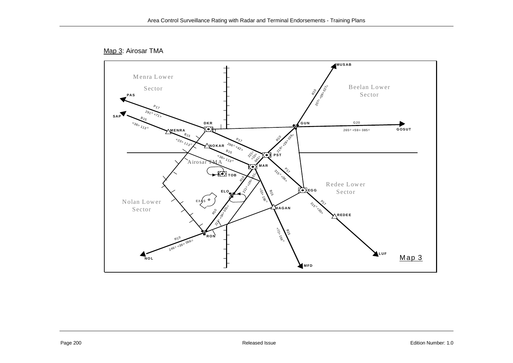Map 3: Airosar TMA

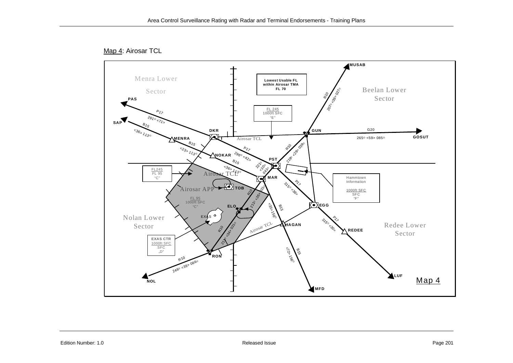

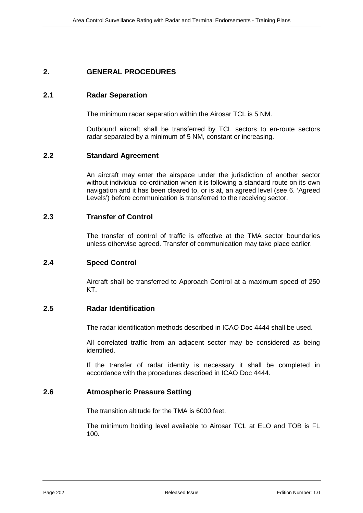# **2. GENERAL PROCEDURES**

### **2.1 Radar Separation**

The minimum radar separation within the Airosar TCL is 5 NM.

Outbound aircraft shall be transferred by TCL sectors to en-route sectors radar separated by a minimum of 5 NM, constant or increasing.

### **2.2 Standard Agreement**

An aircraft may enter the airspace under the jurisdiction of another sector without individual co-ordination when it is following a standard route on its own navigation and it has been cleared to, or is at, an agreed level (see 6. 'Agreed Levels') before communication is transferred to the receiving sector.

## **2.3 Transfer of Control**

The transfer of control of traffic is effective at the TMA sector boundaries unless otherwise agreed. Transfer of communication may take place earlier.

### **2.4 Speed Control**

Aircraft shall be transferred to Approach Control at a maximum speed of 250 KT.

### **2.5 Radar Identification**

The radar identification methods described in ICAO Doc 4444 shall be used.

All correlated traffic from an adjacent sector may be considered as being identified.

If the transfer of radar identity is necessary it shall be completed in accordance with the procedures described in ICAO Doc 4444.

### **2.6 Atmospheric Pressure Setting**

The transition altitude for the TMA is 6000 feet.

The minimum holding level available to Airosar TCL at ELO and TOB is FL 100.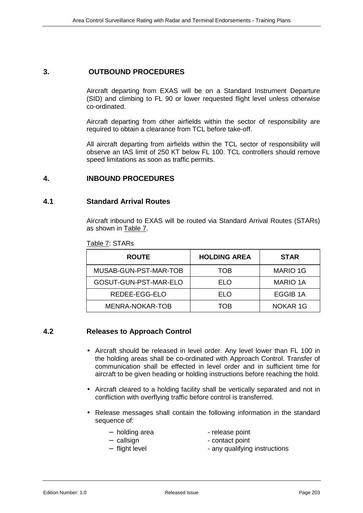# **3. OUTBOUND PROCEDURES**

Aircraft departing from EXAS will be on a Standard Instrument Departure (SID) and climbing to FL 90 or lower requested flight level unless otherwise co-ordinated.

Aircraft departing from other airfields within the sector of responsibility are required to obtain a clearance from TCL before take-off.

All aircraft departing from airfields within the TCL sector of responsibility will observe an IAS limit of 250 KT below FL 100. TCL controllers should remove speed limitations as soon as traffic permits.

## **4. INBOUND PROCEDURES**

### **4.1 Standard Arrival Routes**

Aircraft inbound to EXAS will be routed via Standard Arrival Routes (STARs) as shown in Table 7.

Table 7: STARs

| <b>ROUTE</b>          | <b>HOLDING AREA</b> | <b>STAR</b>     |
|-----------------------|---------------------|-----------------|
| MUSAB-GUN-PST-MAR-TOB | TOB                 | <b>MARIO 1G</b> |
| GOSUT-GUN-PST-MAR-ELO | ELO                 | <b>MARIO 1A</b> |
| REDEE-EGG-ELO         | ELO                 | EGGIB 1A        |
| MENRA-NOKAR-TOB       | TOR                 | NOKAR 1G        |

### **4.2 Releases to Approach Control**

- Aircraft should be released in level order. Any level lower than FL 100 in the holding areas shall be co-ordinated with Approach Control. Transfer of communication shall be effected in level order and in sufficient time for aircraft to be given heading or holding instructions before reaching the hold.
- Aircraft cleared to a holding facility shall be vertically separated and not in confliction with overflying traffic before control is transferred.
- Release messages shall contain the following information in the standard sequence of:
	- − holding area release point
		-
- 
- − callsign contact point
- − flight level any qualifying instructions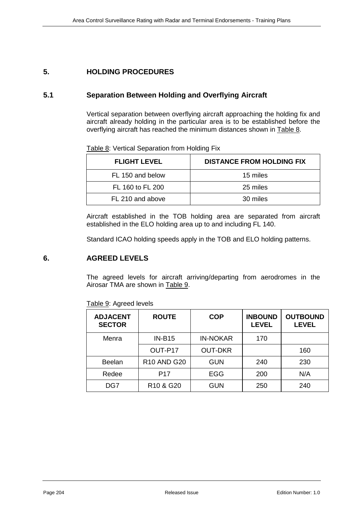# **5. HOLDING PROCEDURES**

## **5.1 Separation Between Holding and Overflying Aircraft**

Vertical separation between overflying aircraft approaching the holding fix and aircraft already holding in the particular area is to be established before the overflying aircraft has reached the minimum distances shown in Table 8.

Table 8: Vertical Separation from Holding Fix

| <b>FLIGHT LEVEL</b> | <b>DISTANCE FROM HOLDING FIX</b> |  |
|---------------------|----------------------------------|--|
| FL 150 and below    | 15 miles                         |  |
| FL 160 to FL 200    | 25 miles                         |  |
| FL 210 and above    | 30 miles                         |  |

Aircraft established in the TOB holding area are separated from aircraft established in the ELO holding area up to and including FL 140.

Standard ICAO holding speeds apply in the TOB and ELO holding patterns.

# **6. AGREED LEVELS**

The agreed levels for aircraft arriving/departing from aerodromes in the Airosar TMA are shown in Table 9.

| <b>ADJACENT</b><br><b>SECTOR</b> | <b>ROUTE</b>                      | <b>COP</b>      | <b>INBOUND</b><br><b>LEVEL</b> | <b>OUTBOUND</b><br><b>LEVEL</b> |
|----------------------------------|-----------------------------------|-----------------|--------------------------------|---------------------------------|
| Menra                            | $IN-B15$                          | <b>IN-NOKAR</b> | 170                            |                                 |
|                                  | OUT-P17                           | <b>OUT-DKR</b>  |                                | 160                             |
| <b>Beelan</b>                    | <b>R10 AND G20</b>                | <b>GUN</b>      | 240                            | 230                             |
| Redee                            | P <sub>17</sub>                   | <b>EGG</b>      | 200                            | N/A                             |
| DG7                              | R <sub>10</sub> & G <sub>20</sub> | <b>GUN</b>      | 250                            | 240                             |

Table 9: Agreed levels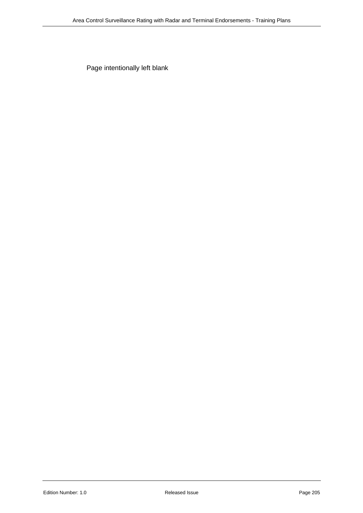Page intentionally left blank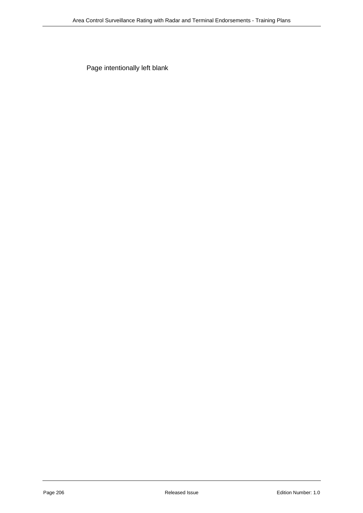Page intentionally left blank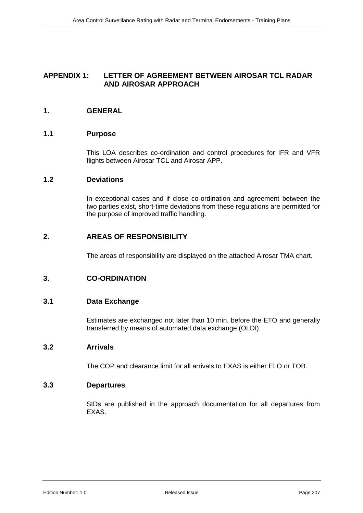# **APPENDIX 1: LETTER OF AGREEMENT BETWEEN AIROSAR TCL RADAR AND AIROSAR APPROACH**

# **1. GENERAL**

### **1.1 Purpose**

This LOA describes co-ordination and control procedures for IFR and VFR flights between Airosar TCL and Airosar APP.

### **1.2 Deviations**

In exceptional cases and if close co-ordination and agreement between the two parties exist, short-time deviations from these regulations are permitted for the purpose of improved traffic handling.

## **2. AREAS OF RESPONSIBILITY**

The areas of responsibility are displayed on the attached Airosar TMA chart.

# **3. CO-ORDINATION**

### **3.1 Data Exchange**

Estimates are exchanged not later than 10 min. before the ETO and generally transferred by means of automated data exchange (OLDI).

#### **3.2 Arrivals**

The COP and clearance limit for all arrivals to EXAS is either ELO or TOB.

#### **3.3 Departures**

SIDs are published in the approach documentation for all departures from EXAS.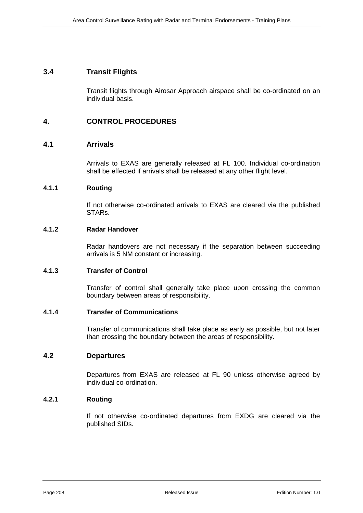## **3.4 Transit Flights**

Transit flights through Airosar Approach airspace shall be co-ordinated on an individual basis.

# **4. CONTROL PROCEDURES**

### **4.1 Arrivals**

Arrivals to EXAS are generally released at FL 100. Individual co-ordination shall be effected if arrivals shall be released at any other flight level.

#### **4.1.1 Routing**

If not otherwise co-ordinated arrivals to EXAS are cleared via the published STARs.

#### **4.1.2 Radar Handover**

Radar handovers are not necessary if the separation between succeeding arrivals is 5 NM constant or increasing.

#### **4.1.3 Transfer of Control**

Transfer of control shall generally take place upon crossing the common boundary between areas of responsibility.

#### **4.1.4 Transfer of Communications**

Transfer of communications shall take place as early as possible, but not later than crossing the boundary between the areas of responsibility.

#### **4.2 Departures**

Departures from EXAS are released at FL 90 unless otherwise agreed by individual co-ordination.

### **4.2.1 Routing**

If not otherwise co-ordinated departures from EXDG are cleared via the published SIDs.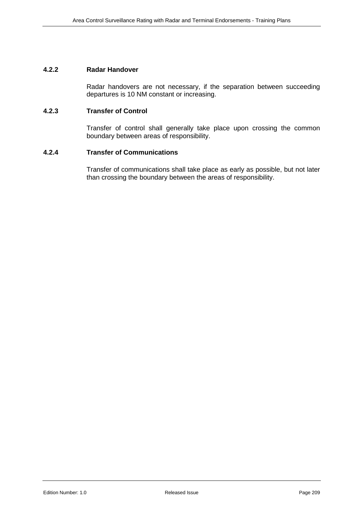#### **4.2.2 Radar Handover**

Radar handovers are not necessary, if the separation between succeeding departures is 10 NM constant or increasing.

#### **4.2.3 Transfer of Control**

Transfer of control shall generally take place upon crossing the common boundary between areas of responsibility.

#### **4.2.4 Transfer of Communications**

Transfer of communications shall take place as early as possible, but not later than crossing the boundary between the areas of responsibility.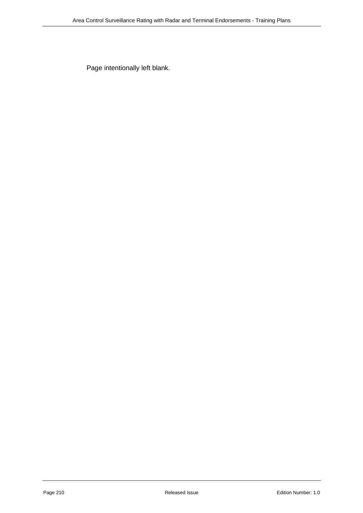Page intentionally left blank.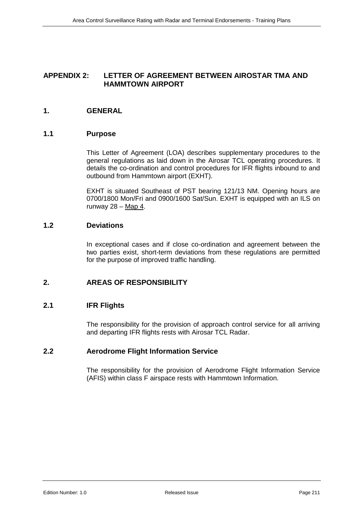# **APPENDIX 2: LETTER OF AGREEMENT BETWEEN AIROSTAR TMA AND HAMMTOWN AIRPORT**

# **1. GENERAL**

## **1.1 Purpose**

This Letter of Agreement (LOA) describes supplementary procedures to the general regulations as laid down in the Airosar TCL operating procedures. It details the co-ordination and control procedures for IFR flights inbound to and outbound from Hammtown airport (EXHT).

EXHT is situated Southeast of PST bearing 121/13 NM. Opening hours are 0700/1800 Mon/Fri and 0900/1600 Sat/Sun. EXHT is equipped with an ILS on runway 28 – Map 4.

# **1.2 Deviations**

In exceptional cases and if close co-ordination and agreement between the two parties exist, short-term deviations from these regulations are permitted for the purpose of improved traffic handling.

# **2. AREAS OF RESPONSIBILITY**

## **2.1 IFR Flights**

The responsibility for the provision of approach control service for all arriving and departing IFR flights rests with Airosar TCL Radar.

## **2.2 Aerodrome Flight Information Service**

The responsibility for the provision of Aerodrome Flight Information Service (AFIS) within class F airspace rests with Hammtown Information.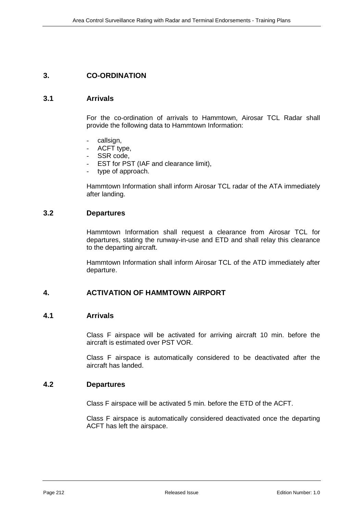# **3. CO-ORDINATION**

## **3.1 Arrivals**

For the co-ordination of arrivals to Hammtown, Airosar TCL Radar shall provide the following data to Hammtown Information:

- callsign,
- ACFT type,
- SSR code.
- EST for PST (IAF and clearance limit).
- type of approach.

Hammtown Information shall inform Airosar TCL radar of the ATA immediately after landing.

## **3.2 Departures**

Hammtown Information shall request a clearance from Airosar TCL for departures, stating the runway-in-use and ETD and shall relay this clearance to the departing aircraft.

Hammtown Information shall inform Airosar TCL of the ATD immediately after departure.

# **4. ACTIVATION OF HAMMTOWN AIRPORT**

## **4.1 Arrivals**

Class F airspace will be activated for arriving aircraft 10 min. before the aircraft is estimated over PST VOR.

Class F airspace is automatically considered to be deactivated after the aircraft has landed.

# **4.2 Departures**

Class F airspace will be activated 5 min. before the ETD of the ACFT.

Class F airspace is automatically considered deactivated once the departing ACFT has left the airspace.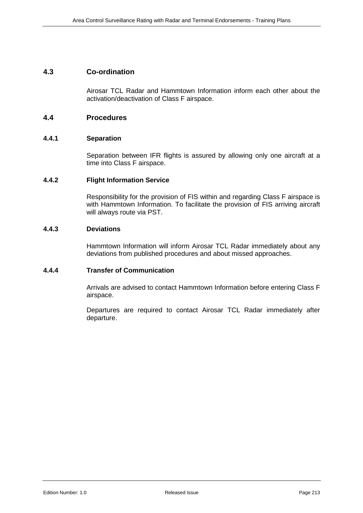# **4.3 Co-ordination**

Airosar TCL Radar and Hammtown Information inform each other about the activation/deactivation of Class F airspace.

## **4.4 Procedures**

## **4.4.1 Separation**

Separation between IFR flights is assured by allowing only one aircraft at a time into Class F airspace.

#### **4.4.2 Flight Information Service**

Responsibility for the provision of FIS within and regarding Class F airspace is with Hammtown Information. To facilitate the provision of FIS arriving aircraft will always route via PST.

#### **4.4.3 Deviations**

Hammtown Information will inform Airosar TCL Radar immediately about any deviations from published procedures and about missed approaches.

#### **4.4.4 Transfer of Communication**

Arrivals are advised to contact Hammtown Information before entering Class F airspace.

Departures are required to contact Airosar TCL Radar immediately after departure.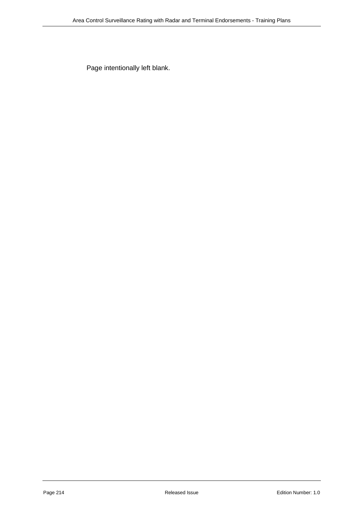Page intentionally left blank.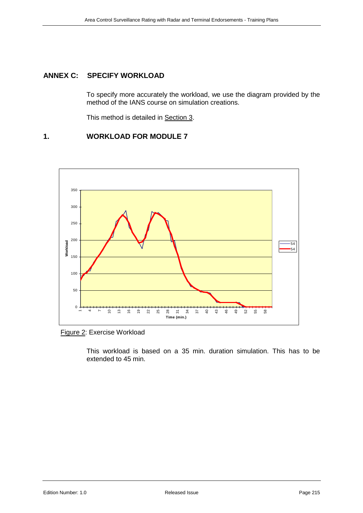# **ANNEX C: SPECIFY WORKLOAD**

To specify more accurately the workload, we use the diagram provided by the method of the IANS course on simulation creations.

This method is detailed in Section 3.

# **1. WORKLOAD FOR MODULE 7**



Figure 2: Exercise Workload

This workload is based on a 35 min. duration simulation. This has to be extended to 45 min.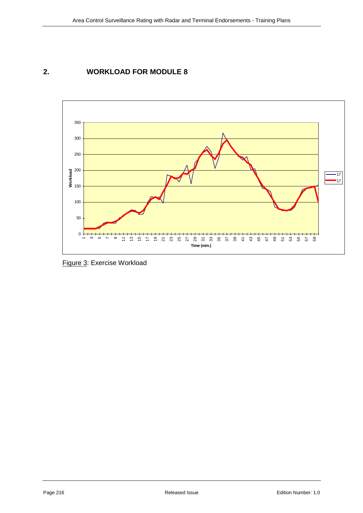# **2. WORKLOAD FOR MODULE 8**



Figure 3: Exercise Workload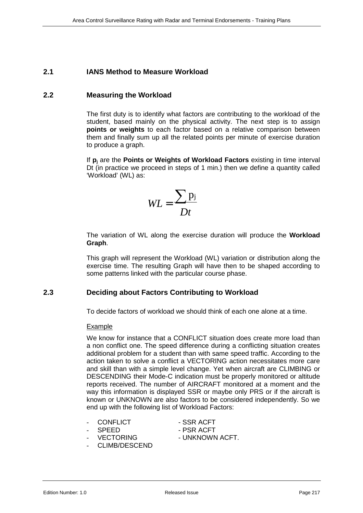# **2.1 IANS Method to Measure Workload**

## **2.2 Measuring the Workload**

The first duty is to identify what factors are contributing to the workload of the student, based mainly on the physical activity. The next step is to assign **points or weights** to each factor based on a relative comparison between them and finally sum up all the related points per minute of exercise duration to produce a graph.

If **pj** are the **Points or Weights of Workload Factors** existing in time interval Dt (in practice we proceed in steps of 1 min.) then we define a quantity called 'Workload' (WL) as:

$$
WL = \frac{\sum p_j}{Dt}
$$

The variation of WL along the exercise duration will produce the **Workload Graph**.

This graph will represent the Workload (WL) variation or distribution along the exercise time. The resulting Graph will have then to be shaped according to some patterns linked with the particular course phase.

# **2.3 Deciding about Factors Contributing to Workload**

To decide factors of workload we should think of each one alone at a time.

## Example

We know for instance that a CONFLICT situation does create more load than a non conflict one. The speed difference during a conflicting situation creates additional problem for a student than with same speed traffic. According to the action taken to solve a conflict a VECTORING action necessitates more care and skill than with a simple level change. Yet when aircraft are CLIMBING or DESCENDING their Mode-C indication must be properly monitored or altitude reports received. The number of AIRCRAFT monitored at a moment and the way this information is displayed SSR or maybe only PRS or if the aircraft is known or UNKNOWN are also factors to be considered independently. So we end up with the following list of Workload Factors:

- CONFLICT SSR ACFT
	- SPEED PSR ACFT
- 
- -
- CLIMB/DESCEND
- VECTORING UNKNOWN ACFT.
	-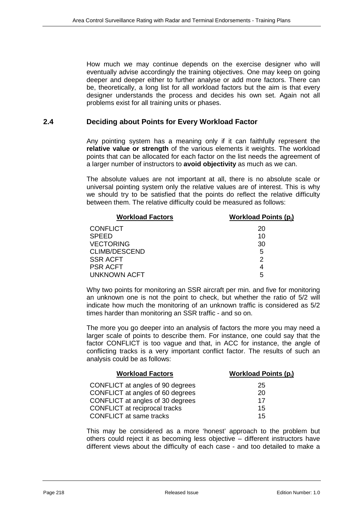How much we may continue depends on the exercise designer who will eventually advise accordingly the training objectives. One may keep on going deeper and deeper either to further analyse or add more factors. There can be, theoretically, a long list for all workload factors but the aim is that every designer understands the process and decides his own set. Again not all problems exist for all training units or phases.

# **2.4 Deciding about Points for Every Workload Factor**

Any pointing system has a meaning only if it can faithfully represent the **relative value or strength** of the various elements it weights. The workload points that can be allocated for each factor on the list needs the agreement of a larger number of instructors to **avoid objectivity** as much as we can.

The absolute values are not important at all, there is no absolute scale or universal pointing system only the relative values are of interest. This is why we should try to be satisfied that the points do reflect the relative difficulty between them. The relative difficulty could be measured as follows:

| <b>Workload Factors</b> | <b>Workload Points (p)</b> |
|-------------------------|----------------------------|
| CONFLICT                | 20                         |
| SPEED                   | 10                         |
| <b>VECTORING</b>        | 30                         |
| <b>CLIMB/DESCEND</b>    | 5                          |
| SSR ACFT                | 2                          |
| PSR ACFT                | 4                          |
| UNKNOWN ACFT            | 5                          |
|                         |                            |

Why two points for monitoring an SSR aircraft per min. and five for monitoring an unknown one is not the point to check, but whether the ratio of 5/2 will indicate how much the monitoring of an unknown traffic is considered as 5/2 times harder than monitoring an SSR traffic - and so on.

The more you go deeper into an analysis of factors the more you may need a larger scale of points to describe them. For instance, one could say that the factor CONFLICT is too vague and that, in ACC for instance, the angle of conflicting tracks is a very important conflict factor. The results of such an analysis could be as follows:

| <b>Workload Factors</b>              | <b>Workload Points (p)</b> |
|--------------------------------------|----------------------------|
| CONFLICT at angles of 90 degrees     | 25                         |
| CONFLICT at angles of 60 degrees     | 20                         |
| CONFLICT at angles of 30 degrees     | 17                         |
| <b>CONFLICT</b> at reciprocal tracks | 15                         |
| <b>CONFLICT at same tracks</b>       | 15                         |

This may be considered as a more 'honest' approach to the problem but others could reject it as becoming less objective – different instructors have different views about the difficulty of each case - and too detailed to make a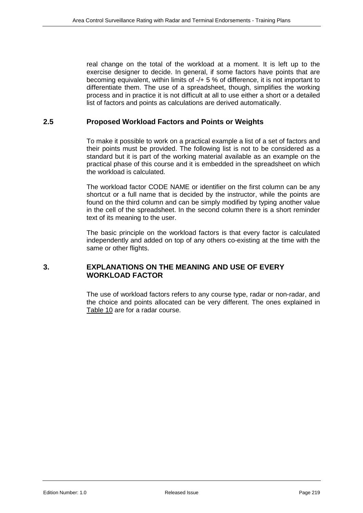real change on the total of the workload at a moment. It is left up to the exercise designer to decide. In general, if some factors have points that are becoming equivalent, within limits of -/+ 5 % of difference, it is not important to differentiate them. The use of a spreadsheet, though, simplifies the working process and in practice it is not difficult at all to use either a short or a detailed list of factors and points as calculations are derived automatically.

## **2.5 Proposed Workload Factors and Points or Weights**

To make it possible to work on a practical example a list of a set of factors and their points must be provided. The following list is not to be considered as a standard but it is part of the working material available as an example on the practical phase of this course and it is embedded in the spreadsheet on which the workload is calculated.

The workload factor CODE NAME or identifier on the first column can be any shortcut or a full name that is decided by the instructor, while the points are found on the third column and can be simply modified by typing another value in the cell of the spreadsheet. In the second column there is a short reminder text of its meaning to the user.

The basic principle on the workload factors is that every factor is calculated independently and added on top of any others co-existing at the time with the same or other flights.

# **3. EXPLANATIONS ON THE MEANING AND USE OF EVERY WORKLOAD FACTOR**

The use of workload factors refers to any course type, radar or non-radar, and the choice and points allocated can be very different. The ones explained in Table 10 are for a radar course.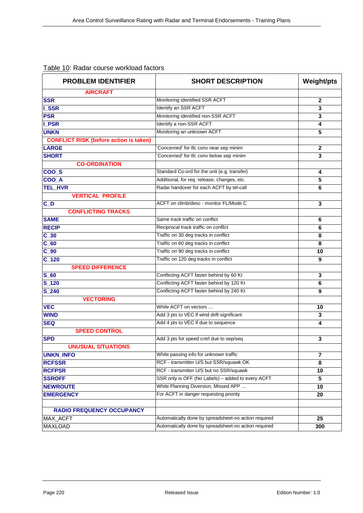| <b>PROBLEM IDENTIFIER</b>                     | <b>SHORT DESCRIPTION</b>                             | <b>Weight/pts</b> |
|-----------------------------------------------|------------------------------------------------------|-------------------|
| <b>AIRCRAFT</b>                               |                                                      |                   |
| <b>SSR</b>                                    | Monitoring identified SSR ACFT                       | $\mathbf{2}$      |
| <b>I SSR</b>                                  | Identify an SSR ACFT                                 | 3                 |
| <b>PSR</b>                                    | Monitoring identified non-SSR ACFT                   | 3                 |
| <b>I_PSR</b>                                  | Identify a non-SSR ACFT                              | 4                 |
| <b>UNKN</b>                                   | Monitoring an unknown ACFT                           | 5                 |
| <b>CONFLICT RISK (before action is taken)</b> |                                                      |                   |
| <b>LARGE</b>                                  | 'Concerned' for tfc conv near sep minim              | $\mathbf{2}$      |
| <b>SHORT</b>                                  | 'Concerned' for tfc conv below sep minim             | 3                 |
| <b>CO-ORDINATION</b>                          |                                                      |                   |
| COO_S                                         | Standard Co-ord for the unit (e.g. transfer)         | 4                 |
| COO_A                                         | Additional, for req. release, changes, etc.          | 5                 |
| <b>TEL_HVR</b>                                | Radar handover for each ACFT by tel-call             | 6                 |
| <b>VERTICAL PROFILE</b>                       |                                                      |                   |
| $C_{D}$                                       | ACFT on climb/desc - monitor FL/Mode C               | 3                 |
| <b>CONFLICTING TRACKS</b>                     |                                                      |                   |
| <b>SAME</b>                                   | Same track traffic on conflict                       | 6                 |
| <b>RECIP</b>                                  | Reciprocal track traffic on conflict                 | 6                 |
| $C_30$                                        | Traffic on 30 deg tracks in conflict                 | 8                 |
| $C_60$                                        | Traffic on 60 deg tracks in conflict                 | 8                 |
| $C_90$                                        | Traffic on 90 deg tracks in conflict                 | 10                |
| $C_120$                                       | Traffic on 120 deg tracks in conflict                | 9                 |
| <b>SPEED DIFFERENCE</b>                       |                                                      |                   |
| $S_60$                                        | Conflicting ACFT faster behind by 60 Kt              | 3                 |
| $S_120$                                       | Conflicting ACFT faster behind by 120 Kt             | 6                 |
| $S_240$                                       | Conflicting ACFT faster behind by 240 Kt             | 9                 |
| <b>VECTORING</b>                              |                                                      |                   |
| <b>VEC</b>                                    | While ACFT on vectors                                | 10                |
| <b>WIND</b>                                   | Add 3 pts to VEC if wind drift significant           | 3                 |
| <b>SEQ</b>                                    | Add 4 pts to VEC if due to sequence                  | 4                 |
| <b>SPEED CONTROL</b>                          |                                                      |                   |
| <b>SPD</b>                                    | Add 3 pts for speed cntrl due to sep/seq             | 3                 |
| <b>UNUSUAL SITUATIONS</b>                     |                                                      |                   |
| <b>UNKN_INFO</b>                              | While passing info for unknown traffic               | $\overline{7}$    |
| <b>RCFSSR</b>                                 | RCF - transmitter U/S but SSR/squawk OK              | 8                 |
| <b>RCFPSR</b>                                 | RCF - transmitter U/S but no SSR/squawk              | 10                |
| <b>SSROFF</b>                                 | SSR only is OFF (No Labels) - added to every ACFT    | 5                 |
| <b>NEWROUTE</b>                               | While Planning Diversion, Missed APP                 | 10                |
| <b>EMERGENCY</b>                              | For ACFT in danger requesting priority               | 20                |
|                                               |                                                      |                   |
| <b>RADIO FREQUENCY OCCUPANCY</b>              |                                                      |                   |
| MAX_ACFT                                      | Automatically done by spreadsheet-no action required | 25                |
| <b>MAXLOAD</b>                                | Automatically done by spreadsheet-no action required | 300               |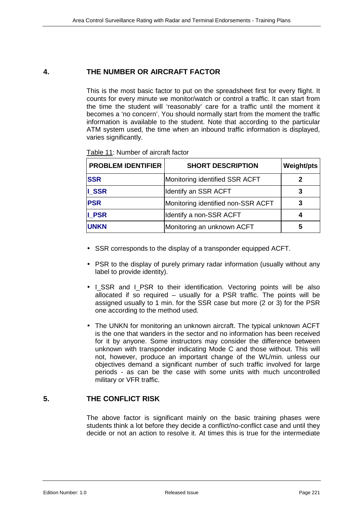# **4. THE NUMBER OR AIRCRAFT FACTOR**

This is the most basic factor to put on the spreadsheet first for every flight. It counts for every minute we monitor/watch or control a traffic. It can start from the time the student will 'reasonably' care for a traffic until the moment it becomes a 'no concern'. You should normally start from the moment the traffic information is available to the student. Note that according to the particular ATM system used, the time when an inbound traffic information is displayed, varies significantly.

|  |  | Table 11: Number of aircraft factor |  |
|--|--|-------------------------------------|--|
|--|--|-------------------------------------|--|

| <b>PROBLEM IDENTIFIER</b> | <b>SHORT DESCRIPTION</b>           | <b>Weight/pts</b> |
|---------------------------|------------------------------------|-------------------|
| <b>SSR</b>                | Monitoring identified SSR ACFT     | 2                 |
| <b>I SSR</b>              | Identify an SSR ACFT               | 3                 |
| <b>PSR</b>                | Monitoring identified non-SSR ACFT | З                 |
| I PSR                     | Identify a non-SSR ACFT            | 4                 |
| <b>UNKN</b>               | Monitoring an unknown ACFT         | 5                 |

- SSR corresponds to the display of a transponder equipped ACFT.
- PSR to the display of purely primary radar information (usually without any label to provide identity).
- I SSR and I PSR to their identification. Vectoring points will be also allocated if so required – usually for a PSR traffic. The points will be assigned usually to 1 min. for the SSR case but more (2 or 3) for the PSR one according to the method used.
- The UNKN for monitoring an unknown aircraft. The typical unknown ACFT is the one that wanders in the sector and no information has been received for it by anyone. Some instructors may consider the difference between unknown with transponder indicating Mode C and those without. This will not, however, produce an important change of the WL/min. unless our objectives demand a significant number of such traffic involved for large periods - as can be the case with some units with much uncontrolled military or VFR traffic.

## **5. THE CONFLICT RISK**

The above factor is significant mainly on the basic training phases were students think a lot before they decide a conflict/no-conflict case and until they decide or not an action to resolve it. At times this is true for the intermediate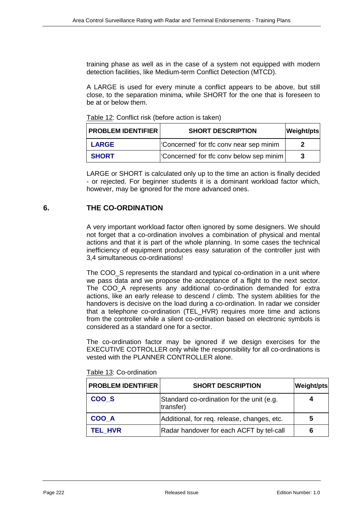training phase as well as in the case of a system not equipped with modern detection facilities, like Medium-term Conflict Detection (MTCD).

A LARGE is used for every minute a conflict appears to be above, but still close, to the separation minima, while SHORT for the one that is foreseen to be at or below them.

| PROBLEM IDENTIFIER | <b>SHORT DESCRIPTION</b>                | <b>Weight/pts</b> |
|--------------------|-----------------------------------------|-------------------|
| <b>LARGE</b>       | Concerned' for tfc conv near sep minim  |                   |
| <b>SHORT</b>       | Concerned' for tfc conv below sep minim | -3                |

LARGE or SHORT is calculated only up to the time an action is finally decided - or rejected. For beginner students it is a dominant workload factor which, however, may be ignored for the more advanced ones.

## **6. THE CO-ORDINATION**

A very important workload factor often ignored by some designers. We should not forget that a co-ordination involves a combination of physical and mental actions and that it is part of the whole planning. In some cases the technical inefficiency of equipment produces easy saturation of the controller just with 3,4 simultaneous co-ordinations!

The COO S represents the standard and typical co-ordination in a unit where we pass data and we propose the acceptance of a flight to the next sector. The COO\_A represents any additional co-ordination demanded for extra actions, like an early release to descend / climb. The system abilities for the handovers is decisive on the load during a co-ordination. In radar we consider that a telephone co-ordination (TEL\_HVR) requires more time and actions from the controller while a silent co-ordination based on electronic symbols is considered as a standard one for a sector.

The co-ordination factor may be ignored if we design exercises for the EXECUTIVE COTROLLER only while the responsibility for all co-ordinations is vested with the PLANNER CONTROLLER alone.

| <b>PROBLEM IDENTIFIER</b> | <b>SHORT DESCRIPTION</b>                               | Weight/pts |
|---------------------------|--------------------------------------------------------|------------|
| COO <sub>S</sub>          | Standard co-ordination for the unit (e.g.<br>transfer) |            |
| COO A                     | Additional, for req. release, changes, etc.            |            |
| <b>TEL HVR</b>            | Radar handover for each ACFT by tel-call               |            |

Table 13: Co-ordination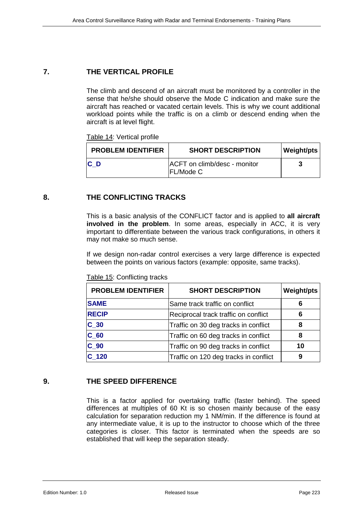# **7. THE VERTICAL PROFILE**

The climb and descend of an aircraft must be monitored by a controller in the sense that he/she should observe the Mode C indication and make sure the aircraft has reached or vacated certain levels. This is why we count additional workload points while the traffic is on a climb or descend ending when the aircraft is at level flight.

Table 14: Vertical profile

| <b>PROBLEM IDENTIFIER</b> | <b>SHORT DESCRIPTION</b>                          | Weight/pts |
|---------------------------|---------------------------------------------------|------------|
| $C$ D                     | ACFT on climb/desc - monitor<br><b>IFL/Mode C</b> |            |

# **8. THE CONFLICTING TRACKS**

This is a basic analysis of the CONFLICT factor and is applied to **all aircraft involved in the problem.** In some areas, especially in ACC, it is very important to differentiate between the various track configurations, in others it may not make so much sense.

If we design non-radar control exercises a very large difference is expected between the points on various factors (example: opposite, same tracks).

| <b>PROBLEM IDENTIFIER</b> | <b>SHORT DESCRIPTION</b>              | <b>Weight/pts</b> |
|---------------------------|---------------------------------------|-------------------|
| <b>SAME</b>               | Same track traffic on conflict        | 6                 |
| <b>RECIP</b>              | Reciprocal track traffic on conflict  | 6                 |
| C 30                      | Traffic on 30 deg tracks in conflict  | 8                 |
| $C$ 60                    | Traffic on 60 deg tracks in conflict  | 8                 |
| C 90                      | Traffic on 90 deg tracks in conflict  | 10                |
| C 120                     | Traffic on 120 deg tracks in conflict | 9                 |

#### Table 15: Conflicting tracks

# **9. THE SPEED DIFFERENCE**

This is a factor applied for overtaking traffic (faster behind). The speed differences at multiples of 60 Kt is so chosen mainly because of the easy calculation for separation reduction my 1 NM/min. If the difference is found at any intermediate value, it is up to the instructor to choose which of the three categories is closer. This factor is terminated when the speeds are so established that will keep the separation steady.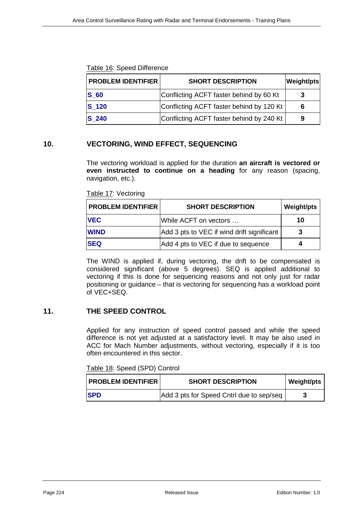Table 16: Speed Difference

| <b>PROBLEM IDENTIFIER</b> | <b>SHORT DESCRIPTION</b>                 | <b>Weight/pts</b> |
|---------------------------|------------------------------------------|-------------------|
| <b>S</b> 60               | Conflicting ACFT faster behind by 60 Kt  |                   |
| <b>S</b> 120              | Conflicting ACFT faster behind by 120 Kt | 6                 |
| <b>S</b> 240              | Conflicting ACFT faster behind by 240 Kt | 9                 |

# **10. VECTORING, WIND EFFECT, SEQUENCING**

The vectoring workload is applied for the duration **an aircraft is vectored or even instructed to continue on a heading** for any reason (spacing, navigation, etc.).

Table 17: Vectoring

| <b>PROBLEM IDENTIFIER</b> | <b>SHORT DESCRIPTION</b>                   | Weight/pts |
|---------------------------|--------------------------------------------|------------|
| <b>VEC</b>                | While ACFT on vectors                      | 10         |
| <b>WIND</b>               | Add 3 pts to VEC if wind drift significant | 3          |
| <b>SEQ</b>                | Add 4 pts to VEC if due to sequence        | Δ          |

The WIND is applied if, during vectoring, the drift to be compensated is considered significant (above 5 degrees). SEQ is applied additional to vectoring if this is done for sequencing reasons and not only just for radar positioning or guidance – that is vectoring for sequencing has a workload point of VEC+SEQ.

# **11. THE SPEED CONTROL**

Applied for any instruction of speed control passed and while the speed difference is not yet adjusted at a satisfactory level. It may be also used in ACC for Mach Number adjustments, without vectoring, especially if it is too often encountered in this sector.

Table 18: Speed (SPD) Control

| <b>PROBLEM IDENTIFIER</b> | <b>SHORT DESCRIPTION</b>                 | <b>Weight/pts</b> |
|---------------------------|------------------------------------------|-------------------|
| <b>SPD</b>                | Add 3 pts for Speed Cntrl due to sep/seq |                   |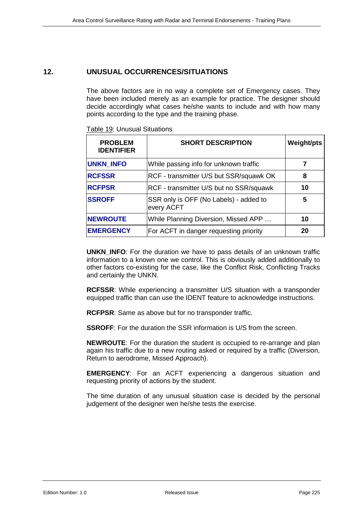# **12. UNUSUAL OCCURRENCES/SITUATIONS**

The above factors are in no way a complete set of Emergency cases. They have been included merely as an example for practice. The designer should decide accordingly what cases he/she wants to include and with how many points according to the type and the training phase.

#### Table 19: Unusual Situations

| <b>PROBLEM</b><br><b>IDENTIFIER</b> | <b>SHORT DESCRIPTION</b>                             | Weight/pts |
|-------------------------------------|------------------------------------------------------|------------|
| UNKN_INFO                           | While passing info for unknown traffic               |            |
| <b>RCFSSR</b>                       | RCF - transmitter U/S but SSR/squawk OK              | 8          |
| <b>RCFPSR</b>                       | RCF - transmitter U/S but no SSR/squawk              | 10         |
| <b>SSROFF</b>                       | SSR only is OFF (No Labels) - added to<br>every ACFT | 5          |
| <b>NEWROUTE</b>                     | While Planning Diversion, Missed APP                 | 10         |
| <b>EMERGENCY</b>                    | For ACFT in danger requesting priority               | 20         |

**UNKN\_INFO:** For the duration we have to pass details of an unknown traffic information to a known one we control. This is obviously added additionally to other factors co-existing for the case, like the Conflict Risk, Conflicting Tracks and certainly the UNKN.

**RCFSSR**: While experiencing a transmitter U/S situation with a transponder equipped traffic than can use the IDENT feature to acknowledge instructions.

**RCFPSR**: Same as above but for no transponder traffic.

**SSROFF:** For the duration the SSR information is U/S from the screen.

**NEWROUTE**: For the duration the student is occupied to re-arrange and plan again his traffic due to a new routing asked or required by a traffic (Diversion, Return to aerodrome, Missed Approach).

**EMERGENCY**: For an ACFT experiencing a dangerous situation and requesting priority of actions by the student.

The time duration of any unusual situation case is decided by the personal judgement of the designer wen he/she tests the exercise.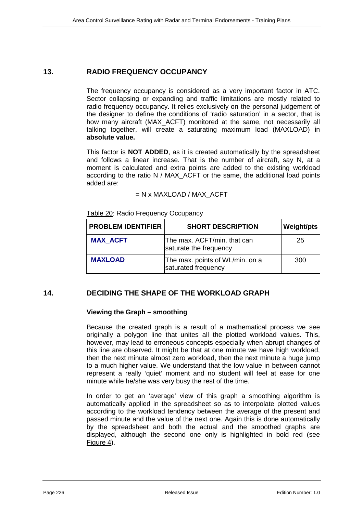# **13. RADIO FREQUENCY OCCUPANCY**

The frequency occupancy is considered as a very important factor in ATC. Sector collapsing or expanding and traffic limitations are mostly related to radio frequency occupancy. It relies exclusively on the personal judgement of the designer to define the conditions of 'radio saturation' in a sector, that is how many aircraft (MAX\_ACFT) monitored at the same, not necessarily all talking together, will create a saturating maximum load (MAXLOAD) in **absolute value.**

This factor is **NOT ADDED**, as it is created automatically by the spreadsheet and follows a linear increase. That is the number of aircraft, say N, at a moment is calculated and extra points are added to the existing workload according to the ratio N / MAX\_ACFT or the same, the additional load points added are:

#### = N x MAXLOAD / MAX\_ACFT

Table 20: Radio Frequency Occupancy

| <b>PROBLEM IDENTIFIER I</b> | <b>SHORT DESCRIPTION</b>                               | Weight/pts |
|-----------------------------|--------------------------------------------------------|------------|
| <b>MAX ACFT</b>             | The max. ACFT/min. that can<br>saturate the frequency  | 25         |
| <b>MAXLOAD</b>              | The max. points of WL/min. on a<br>saturated frequency | 300        |

# **14. DECIDING THE SHAPE OF THE WORKLOAD GRAPH**

## **Viewing the Graph – smoothing**

Because the created graph is a result of a mathematical process we see originally a polygon line that unites all the plotted workload values. This, however, may lead to erroneous concepts especially when abrupt changes of this line are observed. It might be that at one minute we have high workload, then the next minute almost zero workload, then the next minute a huge jump to a much higher value. We understand that the low value in between cannot represent a really 'quiet' moment and no student will feel at ease for one minute while he/she was very busy the rest of the time.

In order to get an 'average' view of this graph a smoothing algorithm is automatically applied in the spreadsheet so as to interpolate plotted values according to the workload tendency between the average of the present and passed minute and the value of the next one. Again this is done automatically by the spreadsheet and both the actual and the smoothed graphs are displayed, although the second one only is highlighted in bold red (see Figure 4).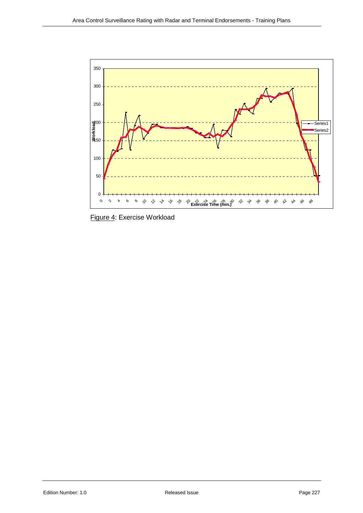

Figure 4: Exercise Workload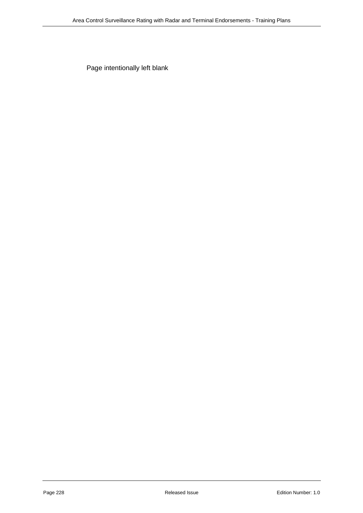Page intentionally left blank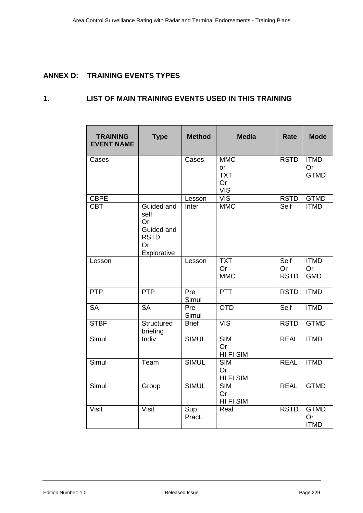# **ANNEX D: TRAINING EVENTS TYPES**

# **1. LIST OF MAIN TRAINING EVENTS USED IN THIS TRAINING**

| <b>TRAINING</b><br><b>EVENT NAME</b> | <b>Type</b>                                                                | <b>Method</b>  | <b>Media</b>                                              | <b>Rate</b>                      | <b>Mode</b>                      |
|--------------------------------------|----------------------------------------------------------------------------|----------------|-----------------------------------------------------------|----------------------------------|----------------------------------|
| Cases                                |                                                                            | Cases          | <b>MMC</b><br><b>or</b><br><b>TXT</b><br>Or<br><b>VIS</b> | <b>RSTD</b>                      | <b>ITMD</b><br>Or<br><b>GTMD</b> |
| <b>CBPE</b>                          |                                                                            | Lesson         | <b>VIS</b>                                                | <b>RSTD</b>                      | <b>GTMD</b>                      |
| <b>CBT</b>                           | Guided and<br>self<br>Or<br>Guided and<br><b>RSTD</b><br>Or<br>Explorative | Inter          | <b>MMC</b>                                                | Self                             | <b>ITMD</b>                      |
| Lesson                               |                                                                            | Lesson         | <b>TXT</b><br>Or<br><b>MMC</b>                            | Self<br><b>Or</b><br><b>RSTD</b> | <b>ITMD</b><br>Or<br><b>GMD</b>  |
| <b>PTP</b>                           | <b>PTP</b>                                                                 | Pre<br>Simul   | <b>PTT</b>                                                | <b>RSTD</b>                      | <b>ITMD</b>                      |
| <b>SA</b>                            | <b>SA</b>                                                                  | Pre<br>Simul   | <b>OTD</b>                                                | Self                             | <b>ITMD</b>                      |
| <b>STBF</b>                          | Structured<br>briefing                                                     | <b>Brief</b>   | <b>VIS</b>                                                | <b>RSTD</b>                      | <b>GTMD</b>                      |
| Simul                                | Indiv                                                                      | <b>SIMUL</b>   | <b>SIM</b><br>Or<br>HI FI SIM                             | <b>REAL</b>                      | <b>ITMD</b>                      |
| Simul                                | Team                                                                       | <b>SIMUL</b>   | <b>SIM</b><br>Or<br>HI FI SIM                             | <b>REAL</b>                      | <b>ITMD</b>                      |
| Simul                                | Group                                                                      | <b>SIMUL</b>   | <b>SIM</b><br>Or<br>HI FI SIM                             | <b>REAL</b>                      | <b>GTMD</b>                      |
| Visit                                | Visit                                                                      | Sup.<br>Pract. | Real                                                      | <b>RSTD</b>                      | <b>GTMD</b><br>Or<br><b>ITMD</b> |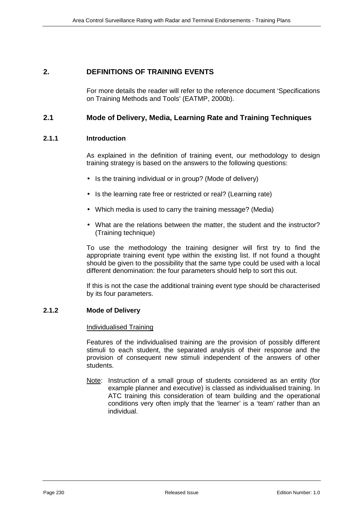# **2. DEFINITIONS OF TRAINING EVENTS**

For more details the reader will refer to the reference document 'Specifications on Training Methods and Tools' (EATMP, 2000b).

# **2.1 Mode of Delivery, Media, Learning Rate and Training Techniques**

#### **2.1.1 Introduction**

As explained in the definition of training event, our methodology to design training strategy is based on the answers to the following questions:

- Is the training individual or in group? (Mode of delivery)
- Is the learning rate free or restricted or real? (Learning rate)
- Which media is used to carry the training message? (Media)
- What are the relations between the matter, the student and the instructor? (Training technique)

To use the methodology the training designer will first try to find the appropriate training event type within the existing list. If not found a thought should be given to the possibility that the same type could be used with a local different denomination: the four parameters should help to sort this out.

If this is not the case the additional training event type should be characterised by its four parameters.

## **2.1.2 Mode of Delivery**

#### Individualised Training

Features of the individualised training are the provision of possibly different stimuli to each student, the separated analysis of their response and the provision of consequent new stimuli independent of the answers of other students.

Note: Instruction of a small group of students considered as an entity (for example planner and executive) is classed as individualised training. In ATC training this consideration of team building and the operational conditions very often imply that the 'learner' is a 'team' rather than an individual.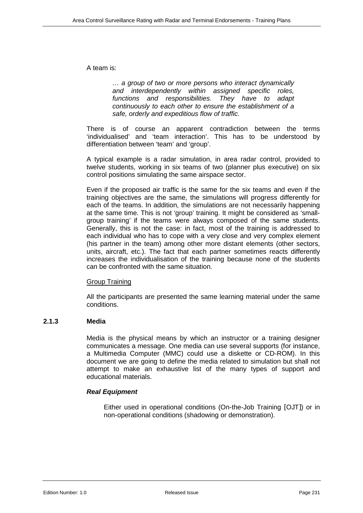A team is:

*… a group of two or more persons who interact dynamically and interdependently within assigned specific roles, functions and responsibilities. They have to adapt continuously to each other to ensure the establishment of a safe, orderly and expeditious flow of traffic.*

There is of course an apparent contradiction between the terms 'individualised' and 'team interaction'. This has to be understood by differentiation between 'team' and 'group'.

A typical example is a radar simulation, in area radar control, provided to twelve students, working in six teams of two (planner plus executive) on six control positions simulating the same airspace sector.

Even if the proposed air traffic is the same for the six teams and even if the training objectives are the same, the simulations will progress differently for each of the teams. In addition, the simulations are not necessarily happening at the same time. This is not 'group' training. It might be considered as 'smallgroup training' if the teams were always composed of the same students. Generally, this is not the case: in fact, most of the training is addressed to each individual who has to cope with a very close and very complex element (his partner in the team) among other more distant elements (other sectors, units, aircraft, etc.). The fact that each partner sometimes reacts differently increases the individualisation of the training because none of the students can be confronted with the same situation.

#### Group Training

All the participants are presented the same learning material under the same conditions.

## **2.1.3 Media**

Media is the physical means by which an instructor or a training designer communicates a message. One media can use several supports (for instance, a Multimedia Computer (MMC) could use a diskette or CD-ROM). In this document we are going to define the media related to simulation but shall not attempt to make an exhaustive list of the many types of support and educational materials.

## *Real Equipment*

Either used in operational conditions (On-the-Job Training [OJT]) or in non-operational conditions (shadowing or demonstration).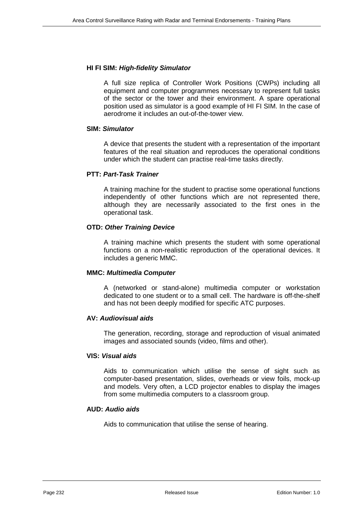#### **HI FI SIM:** *High-fidelity Simulator*

A full size replica of Controller Work Positions (CWPs) including all equipment and computer programmes necessary to represent full tasks of the sector or the tower and their environment. A spare operational position used as simulator is a good example of HI FI SIM. In the case of aerodrome it includes an out-of-the-tower view.

#### **SIM:** *Simulator*

A device that presents the student with a representation of the important features of the real situation and reproduces the operational conditions under which the student can practise real-time tasks directly.

#### **PTT:** *Part-Task Trainer*

A training machine for the student to practise some operational functions independently of other functions which are not represented there, although they are necessarily associated to the first ones in the operational task.

#### **OTD:** *Other Training Device*

A training machine which presents the student with some operational functions on a non-realistic reproduction of the operational devices. It includes a generic MMC.

#### **MMC:** *Multimedia Computer*

A (networked or stand-alone) multimedia computer or workstation dedicated to one student or to a small cell. The hardware is off-the-shelf and has not been deeply modified for specific ATC purposes.

#### **AV:** *Audiovisual aids*

The generation, recording, storage and reproduction of visual animated images and associated sounds (video, films and other).

## **VIS:** *Visual aids*

Aids to communication which utilise the sense of sight such as computer-based presentation, slides, overheads or view foils, mock-up and models. Very often, a LCD projector enables to display the images from some multimedia computers to a classroom group.

#### **AUD:** *Audio aids*

Aids to communication that utilise the sense of hearing.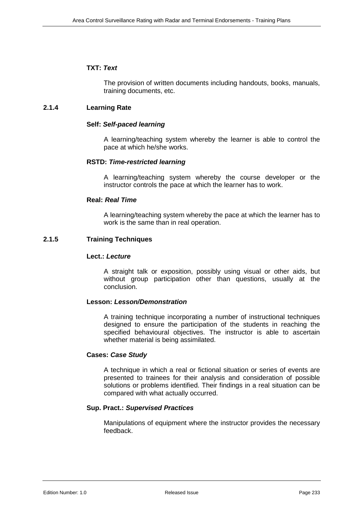#### **TXT:** *Text*

The provision of written documents including handouts, books, manuals, training documents, etc.

#### **2.1.4 Learning Rate**

#### **Self:** *Self-paced learning*

A learning/teaching system whereby the learner is able to control the pace at which he/she works.

#### **RSTD:** *Time-restricted learning*

A learning/teaching system whereby the course developer or the instructor controls the pace at which the learner has to work.

#### **Real:** *Real Time*

A learning/teaching system whereby the pace at which the learner has to work is the same than in real operation.

## **2.1.5 Training Techniques**

#### **Lect.:** *Lecture*

A straight talk or exposition, possibly using visual or other aids, but without group participation other than questions, usually at the conclusion.

#### **Lesson:** *Lesson/Demonstration*

A training technique incorporating a number of instructional techniques designed to ensure the participation of the students in reaching the specified behavioural objectives. The instructor is able to ascertain whether material is being assimilated.

#### **Cases:** *Case Study*

A technique in which a real or fictional situation or series of events are presented to trainees for their analysis and consideration of possible solutions or problems identified. Their findings in a real situation can be compared with what actually occurred.

#### **Sup. Pract.:** *Supervised Practices*

Manipulations of equipment where the instructor provides the necessary feedback.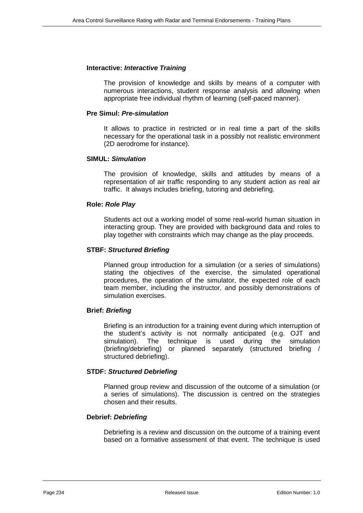#### **Interactive:** *Interactive Training*

The provision of knowledge and skills by means of a computer with numerous interactions, student response analysis and allowing when appropriate free individual rhythm of learning (self-paced manner).

#### **Pre Simul:** *Pre-simulation*

It allows to practice in restricted or in real time a part of the skills necessary for the operational task in a possibly not realistic environment (2D aerodrome for instance).

## **SIMUL:** *Simulation*

The provision of knowledge, skills and attitudes by means of a representation of air traffic responding to any student action as real air traffic. It always includes briefing, tutoring and debriefing.

#### **Role:** *Role Play*

Students act out a working model of some real-world human situation in interacting group. They are provided with background data and roles to play together with constraints which may change as the play proceeds.

#### **STBF:** *Structured Briefing*

Planned group introduction for a simulation (or a series of simulations) stating the objectives of the exercise, the simulated operational procedures, the operation of the simulator, the expected role of each team member, including the instructor, and possibly demonstrations of simulation exercises.

## **Brief:** *Briefing*

Briefing is an introduction for a training event during which interruption of the student's activity is not normally anticipated (e.g. OJT and simulation). The technique is used during the simulation (briefing/debriefing) or planned separately (structured briefing / structured debriefing).

#### **STDF:** *Structured Debriefing*

Planned group review and discussion of the outcome of a simulation (or a series of simulations). The discussion is centred on the strategies chosen and their results.

## **Debrief:** *Debriefing*

Debriefing is a review and discussion on the outcome of a training event based on a formative assessment of that event. The technique is used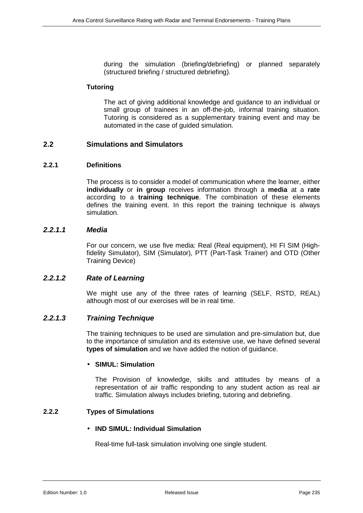during the simulation (briefing/debriefing) or planned separately (structured briefing / structured debriefing).

#### **Tutoring**

The act of giving additional knowledge and guidance to an individual or small group of trainees in an off-the-job, informal training situation. Tutoring is considered as a supplementary training event and may be automated in the case of guided simulation.

## **2.2 Simulations and Simulators**

#### **2.2.1 Definitions**

The process is to consider a model of communication where the learner, either **individually** or **in group** receives information through a **media** at a **rate** according to a **training technique**. The combination of these elements defines the training event. In this report the training technique is always simulation.

## *2.2.1.1 Media*

For our concern, we use five media: Real (Real equipment), HI FI SIM (Highfidelity Simulator), SIM (Simulator), PTT (Part-Task Trainer) and OTD (Other Training Device)

## *2.2.1.2 Rate of Learning*

We might use any of the three rates of learning (SELF, RSTD, REAL) although most of our exercises will be in real time.

## *2.2.1.3 Training Technique*

The training techniques to be used are simulation and pre-simulation but, due to the importance of simulation and its extensive use, we have defined several **types of simulation** and we have added the notion of guidance.

#### • **SIMUL: Simulation**

The Provision of knowledge, skills and attitudes by means of a representation of air traffic responding to any student action as real air traffic. Simulation always includes briefing, tutoring and debriefing.

# **2.2.2 Types of Simulations**

#### • **IND SIMUL: Individual Simulation**

Real-time full-task simulation involving one single student.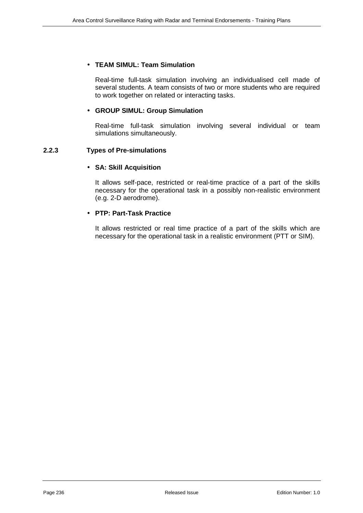## • **TEAM SIMUL: Team Simulation**

Real-time full-task simulation involving an individualised cell made of several students. A team consists of two or more students who are required to work together on related or interacting tasks.

#### • **GROUP SIMUL: Group Simulation**

Real-time full-task simulation involving several individual or team simulations simultaneously.

#### **2.2.3 Types of Pre-simulations**

#### • **SA: Skill Acquisition**

It allows self-pace, restricted or real-time practice of a part of the skills necessary for the operational task in a possibly non-realistic environment (e.g. 2-D aerodrome).

## • **PTP: Part-Task Practice**

It allows restricted or real time practice of a part of the skills which are necessary for the operational task in a realistic environment (PTT or SIM).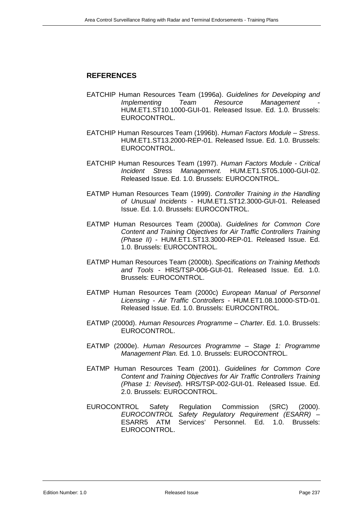# **REFERENCES**

- EATCHIP Human Resources Team (1996a). *Guidelines for Developing and Implementing Team Resource Management* HUM.ET1.ST10.1000-GUI-01. Released Issue. Ed. 1.0. Brussels: EUROCONTROL.
- EATCHIP Human Resources Team (1996b). *Human Factors Module Stress*. HUM.ET1.ST13.2000-REP-01. Released Issue. Ed. 1.0. Brussels: EUROCONTROL.
- EATCHIP Human Resources Team (1997). *Human Factors Module Critical Incident Stress Management.* HUM.ET1.ST05.1000-GUI-02. Released Issue. Ed. 1.0. Brussels: EUROCONTROL.
- EATMP Human Resources Team (1999). *Controller Training in the Handling of Unusual Incidents* - HUM.ET1.ST12.3000-GUI-01. Released Issue. Ed. 1.0. Brussels: EUROCONTROL.
- EATMP Human Resources Team (2000a). *Guidelines for Common Core Content and Training Objectives for Air Traffic Controllers Training (Phase II)* - HUM.ET1.ST13.3000-REP-01. Released Issue. Ed. 1.0. Brussels: EUROCONTROL.
- EATMP Human Resources Team (2000b). *Specifications on Training Methods and Tools* - HRS/TSP-006-GUI-01. Released Issue. Ed. 1.0. Brussels: EUROCONTROL.
- EATMP Human Resources Team (2000c) *European Manual of Personnel Licensing - Air Traffic Controllers* - HUM.ET1.08.10000-STD-01. Released Issue. Ed. 1.0. Brussels: EUROCONTROL.
- EATMP (2000d). *Human Resources Programme Charter*. Ed. 1.0. Brussels: EUROCONTROL.
- EATMP (2000e). *Human Resources Programme Stage 1: Programme Management Plan.* Ed. 1.0. Brussels: EUROCONTROL.
- EATMP Human Resources Team (2001). *Guidelines for Common Core Content and Training Objectives for Air Traffic Controllers Training (Phase 1: Revised*). HRS/TSP-002-GUI-01. Released Issue. Ed. 2.0. Brussels: EUROCONTROL.
- EUROCONTROL Safety Regulation Commission (SRC) (2000). *EUROCONTROL Safety Regulatory Requirement (ESARR)* – ESARR5 ATM Services' Personnel. Ed. 1.0. Brussels: EUROCONTROL.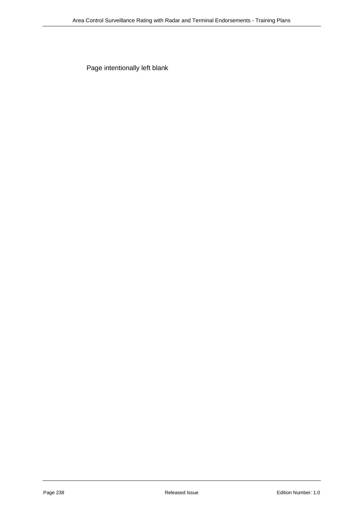Page intentionally left blank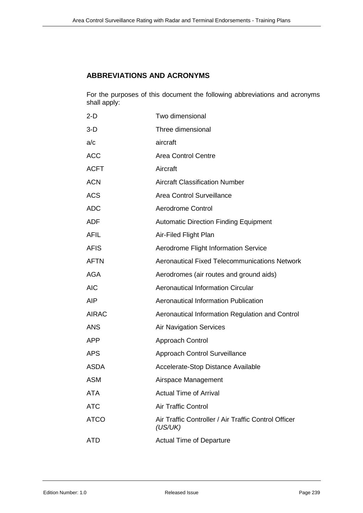# **ABBREVIATIONS AND ACRONYMS**

For the purposes of this document the following abbreviations and acronyms shall apply:

| $2-D$        | Two dimensional                                                 |
|--------------|-----------------------------------------------------------------|
| $3-D$        | Three dimensional                                               |
| a/c          | aircraft                                                        |
| <b>ACC</b>   | <b>Area Control Centre</b>                                      |
| <b>ACFT</b>  | Aircraft                                                        |
| <b>ACN</b>   | <b>Aircraft Classification Number</b>                           |
| <b>ACS</b>   | <b>Area Control Surveillance</b>                                |
| <b>ADC</b>   | <b>Aerodrome Control</b>                                        |
| <b>ADF</b>   | <b>Automatic Direction Finding Equipment</b>                    |
| <b>AFIL</b>  | Air-Filed Flight Plan                                           |
| <b>AFIS</b>  | Aerodrome Flight Information Service                            |
| <b>AFTN</b>  | Aeronautical Fixed Telecommunications Network                   |
| AGA          | Aerodromes (air routes and ground aids)                         |
| <b>AIC</b>   | <b>Aeronautical Information Circular</b>                        |
| AIP          | Aeronautical Information Publication                            |
| <b>AIRAC</b> | Aeronautical Information Regulation and Control                 |
| <b>ANS</b>   | <b>Air Navigation Services</b>                                  |
| <b>APP</b>   | <b>Approach Control</b>                                         |
| <b>APS</b>   | <b>Approach Control Surveillance</b>                            |
| <b>ASDA</b>  | Accelerate-Stop Distance Available                              |
| <b>ASM</b>   | Airspace Management                                             |
| <b>ATA</b>   | <b>Actual Time of Arrival</b>                                   |
| <b>ATC</b>   | <b>Air Traffic Control</b>                                      |
| <b>ATCO</b>  | Air Traffic Controller / Air Traffic Control Officer<br>(US/UK) |
| ATD          | <b>Actual Time of Departure</b>                                 |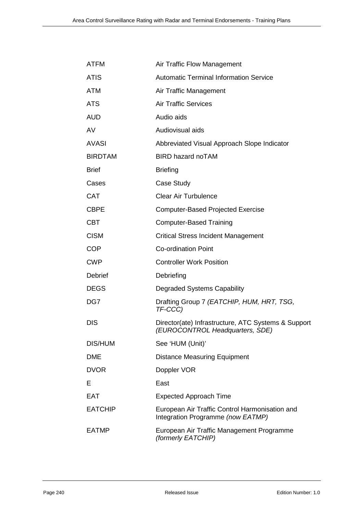| <b>ATFM</b>    | Air Traffic Flow Management                                                            |
|----------------|----------------------------------------------------------------------------------------|
| <b>ATIS</b>    | <b>Automatic Terminal Information Service</b>                                          |
| <b>ATM</b>     | Air Traffic Management                                                                 |
| ATS            | <b>Air Traffic Services</b>                                                            |
| AUD            | Audio aids                                                                             |
| AV             | Audiovisual aids                                                                       |
| <b>AVASI</b>   | Abbreviated Visual Approach Slope Indicator                                            |
| <b>BIRDTAM</b> | <b>BIRD hazard noTAM</b>                                                               |
| <b>Brief</b>   | <b>Briefing</b>                                                                        |
| Cases          | Case Study                                                                             |
| <b>CAT</b>     | <b>Clear Air Turbulence</b>                                                            |
| <b>CBPE</b>    | <b>Computer-Based Projected Exercise</b>                                               |
| CBT            | <b>Computer-Based Training</b>                                                         |
| <b>CISM</b>    | <b>Critical Stress Incident Management</b>                                             |
| <b>COP</b>     | <b>Co-ordination Point</b>                                                             |
| <b>CWP</b>     | <b>Controller Work Position</b>                                                        |
| Debrief        | Debriefing                                                                             |
| <b>DEGS</b>    | <b>Degraded Systems Capability</b>                                                     |
| DG7            | Drafting Group 7 (EATCHIP, HUM, HRT, TSG,<br>TF-CCC)                                   |
| DIS            | Director(ate) Infrastructure, ATC Systems & Support<br>(EUROCONTROL Headquarters, SDE) |
| DIS/HUM        | See 'HUM (Unit)'                                                                       |
| <b>DME</b>     | <b>Distance Measuring Equipment</b>                                                    |
| <b>DVOR</b>    | Doppler VOR                                                                            |
| Ε              | East                                                                                   |
| EAT            | <b>Expected Approach Time</b>                                                          |
| <b>EATCHIP</b> | European Air Traffic Control Harmonisation and<br>Integration Programme (now EATMP)    |
| <b>EATMP</b>   | European Air Traffic Management Programme<br>(formerly EATCHIP)                        |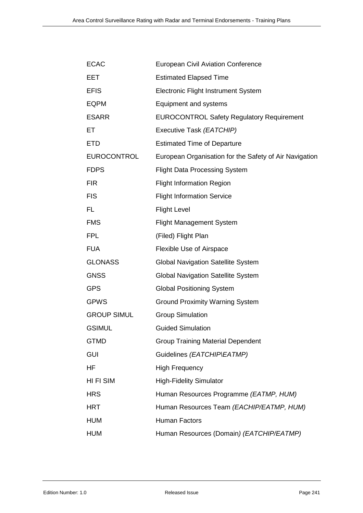| <b>ECAC</b>        | <b>European Civil Aviation Conference</b>              |
|--------------------|--------------------------------------------------------|
| EET                | <b>Estimated Elapsed Time</b>                          |
| <b>EFIS</b>        | <b>Electronic Flight Instrument System</b>             |
| <b>EQPM</b>        | Equipment and systems                                  |
| <b>ESARR</b>       | <b>EUROCONTROL Safety Regulatory Requirement</b>       |
| ET                 | Executive Task (EATCHIP)                               |
| <b>ETD</b>         | <b>Estimated Time of Departure</b>                     |
| <b>EUROCONTROL</b> | European Organisation for the Safety of Air Navigation |
| <b>FDPS</b>        | <b>Flight Data Processing System</b>                   |
| <b>FIR</b>         | <b>Flight Information Region</b>                       |
| <b>FIS</b>         | <b>Flight Information Service</b>                      |
| FL                 | <b>Flight Level</b>                                    |
| <b>FMS</b>         | Flight Management System                               |
| <b>FPL</b>         | (Filed) Flight Plan                                    |
| <b>FUA</b>         | Flexible Use of Airspace                               |
| <b>GLONASS</b>     | <b>Global Navigation Satellite System</b>              |
| <b>GNSS</b>        | <b>Global Navigation Satellite System</b>              |
| <b>GPS</b>         | <b>Global Positioning System</b>                       |
| <b>GPWS</b>        | <b>Ground Proximity Warning System</b>                 |
| <b>GROUP SIMUL</b> | <b>Group Simulation</b>                                |
| <b>GSIMUL</b>      | <b>Guided Simulation</b>                               |
| <b>GTMD</b>        | <b>Group Training Material Dependent</b>               |
| <b>GUI</b>         | Guidelines (EATCHIP\EATMP)                             |
| HF                 | <b>High Frequency</b>                                  |
| HI FI SIM          | <b>High-Fidelity Simulator</b>                         |
| <b>HRS</b>         | Human Resources Programme (EATMP, HUM)                 |
| <b>HRT</b>         | Human Resources Team (EACHIP/EATMP, HUM)               |
| <b>HUM</b>         | Human Factors                                          |
| <b>HUM</b>         | Human Resources (Domain) (EATCHIP/EATMP)               |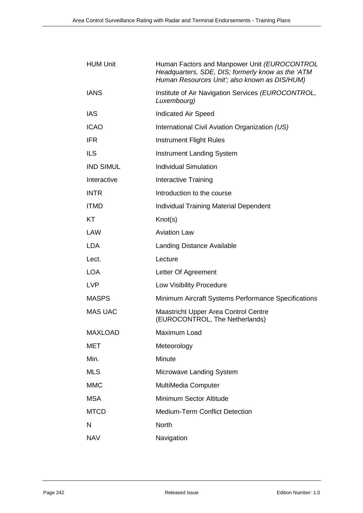| <b>HUM Unit</b>  | Human Factors and Manpower Unit (EUROCONTROL<br>Headquarters, SDE, DIS; formerly know as the 'ATM<br>Human Resources Unit'; also known as DIS/HUM) |
|------------------|----------------------------------------------------------------------------------------------------------------------------------------------------|
| <b>IANS</b>      | Institute of Air Navigation Services (EUROCONTROL,<br>Luxembourg)                                                                                  |
| <b>IAS</b>       | <b>Indicated Air Speed</b>                                                                                                                         |
| <b>ICAO</b>      | International Civil Aviation Organization (US)                                                                                                     |
| <b>IFR</b>       | <b>Instrument Flight Rules</b>                                                                                                                     |
| <b>ILS</b>       | <b>Instrument Landing System</b>                                                                                                                   |
| <b>IND SIMUL</b> | <b>Individual Simulation</b>                                                                                                                       |
| Interactive      | <b>Interactive Training</b>                                                                                                                        |
| <b>INTR</b>      | Introduction to the course                                                                                                                         |
| <b>ITMD</b>      | <b>Individual Training Material Dependent</b>                                                                                                      |
| KT               | Knot(s)                                                                                                                                            |
| LAW              | <b>Aviation Law</b>                                                                                                                                |
| <b>LDA</b>       | Landing Distance Available                                                                                                                         |
| Lect.            | Lecture                                                                                                                                            |
| <b>LOA</b>       | Letter Of Agreement                                                                                                                                |
| <b>LVP</b>       | Low Visibility Procedure                                                                                                                           |
| <b>MASPS</b>     | Minimum Aircraft Systems Performance Specifications                                                                                                |
| <b>MAS UAC</b>   | <b>Maastricht Upper Area Control Centre</b><br>(EUROCONTROL, The Netherlands)                                                                      |
| <b>MAXLOAD</b>   | Maximum Load                                                                                                                                       |
| <b>MET</b>       | Meteorology                                                                                                                                        |
| Min.             | Minute                                                                                                                                             |
| <b>MLS</b>       | Microwave Landing System                                                                                                                           |
| <b>MMC</b>       | MultiMedia Computer                                                                                                                                |
| <b>MSA</b>       | Minimum Sector Altitude                                                                                                                            |
| <b>MTCD</b>      | <b>Medium-Term Conflict Detection</b>                                                                                                              |
| N                | <b>North</b>                                                                                                                                       |
| <b>NAV</b>       | Navigation                                                                                                                                         |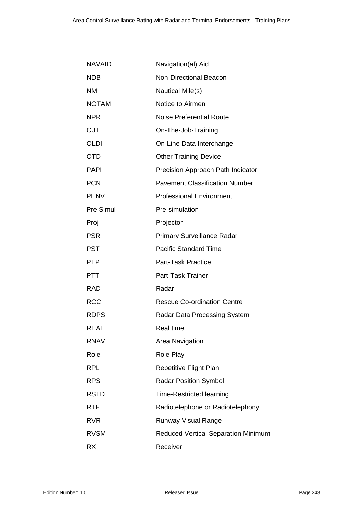| <b>NAVAID</b> | Navigation(al) Aid                         |
|---------------|--------------------------------------------|
| <b>NDB</b>    | <b>Non-Directional Beacon</b>              |
| <b>NM</b>     | Nautical Mile(s)                           |
| <b>NOTAM</b>  | Notice to Airmen                           |
| <b>NPR</b>    | <b>Noise Preferential Route</b>            |
| <b>OJT</b>    | On-The-Job-Training                        |
| OLDI          | On-Line Data Interchange                   |
| <b>OTD</b>    | <b>Other Training Device</b>               |
| <b>PAPI</b>   | Precision Approach Path Indicator          |
| <b>PCN</b>    | <b>Pavement Classification Number</b>      |
| <b>PENV</b>   | <b>Professional Environment</b>            |
| Pre Simul     | Pre-simulation                             |
| Proj          | Projector                                  |
| <b>PSR</b>    | <b>Primary Surveillance Radar</b>          |
| <b>PST</b>    | <b>Pacific Standard Time</b>               |
| <b>PTP</b>    | <b>Part-Task Practice</b>                  |
| <b>PTT</b>    | <b>Part-Task Trainer</b>                   |
| <b>RAD</b>    | Radar                                      |
| <b>RCC</b>    | <b>Rescue Co-ordination Centre</b>         |
| <b>RDPS</b>   | Radar Data Processing System               |
| <b>REAL</b>   | Real time                                  |
| <b>RNAV</b>   | Area Navigation                            |
| Role          | <b>Role Play</b>                           |
| <b>RPL</b>    | Repetitive Flight Plan                     |
| <b>RPS</b>    | <b>Radar Position Symbol</b>               |
| <b>RSTD</b>   | <b>Time-Restricted learning</b>            |
| <b>RTF</b>    | Radiotelephone or Radiotelephony           |
| <b>RVR</b>    | <b>Runway Visual Range</b>                 |
| <b>RVSM</b>   | <b>Reduced Vertical Separation Minimum</b> |
| <b>RX</b>     | Receiver                                   |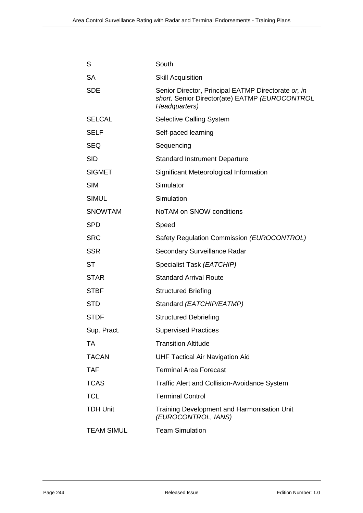| S                 | South                                                                                                                  |
|-------------------|------------------------------------------------------------------------------------------------------------------------|
| <b>SA</b>         | <b>Skill Acquisition</b>                                                                                               |
| <b>SDE</b>        | Senior Director, Principal EATMP Directorate or, in<br>short, Senior Director(ate) EATMP (EUROCONTROL<br>Headquarters) |
| <b>SELCAL</b>     | <b>Selective Calling System</b>                                                                                        |
| <b>SELF</b>       | Self-paced learning                                                                                                    |
| <b>SEQ</b>        | Sequencing                                                                                                             |
| <b>SID</b>        | <b>Standard Instrument Departure</b>                                                                                   |
| <b>SIGMET</b>     | Significant Meteorological Information                                                                                 |
| <b>SIM</b>        | Simulator                                                                                                              |
| <b>SIMUL</b>      | Simulation                                                                                                             |
| <b>SNOWTAM</b>    | NoTAM on SNOW conditions                                                                                               |
| <b>SPD</b>        | Speed                                                                                                                  |
| <b>SRC</b>        | Safety Regulation Commission (EUROCONTROL)                                                                             |
| <b>SSR</b>        | Secondary Surveillance Radar                                                                                           |
| <b>ST</b>         | Specialist Task (EATCHIP)                                                                                              |
| <b>STAR</b>       | <b>Standard Arrival Route</b>                                                                                          |
| <b>STBF</b>       | <b>Structured Briefing</b>                                                                                             |
| <b>STD</b>        | Standard (EATCHIP/EATMP)                                                                                               |
| <b>STDF</b>       | <b>Structured Debriefing</b>                                                                                           |
| Sup. Pract.       | <b>Supervised Practices</b>                                                                                            |
| TA                | <b>Transition Altitude</b>                                                                                             |
| <b>TACAN</b>      | <b>UHF Tactical Air Navigation Aid</b>                                                                                 |
| <b>TAF</b>        | <b>Terminal Area Forecast</b>                                                                                          |
| <b>TCAS</b>       | <b>Traffic Alert and Collision-Avoidance System</b>                                                                    |
| <b>TCL</b>        | <b>Terminal Control</b>                                                                                                |
| <b>TDH Unit</b>   | Training Development and Harmonisation Unit<br>(EUROCONTROL, IANS)                                                     |
| <b>TEAM SIMUL</b> | <b>Team Simulation</b>                                                                                                 |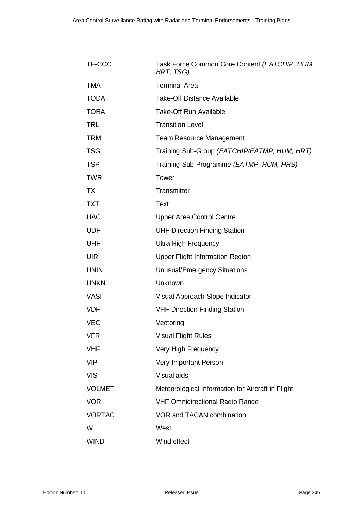| TF-CCC        | Task Force Common Core Content (EATCHIP, HUM,<br>HRT, TSG) |
|---------------|------------------------------------------------------------|
| <b>TMA</b>    | <b>Terminal Area</b>                                       |
| <b>TODA</b>   | <b>Take-Off Distance Available</b>                         |
| <b>TORA</b>   | <b>Take-Off Run Available</b>                              |
| <b>TRL</b>    | <b>Transition Level</b>                                    |
| <b>TRM</b>    | <b>Team Resource Management</b>                            |
| <b>TSG</b>    | Training Sub-Group (EATCHIP/EATMP, HUM, HRT)               |
| <b>TSP</b>    | Training Sub-Programme (EATMP, HUM, HRS)                   |
| <b>TWR</b>    | Tower                                                      |
| <b>TX</b>     | Transmitter                                                |
| <b>TXT</b>    | Text                                                       |
| <b>UAC</b>    | <b>Upper Area Control Centre</b>                           |
| <b>UDF</b>    | <b>UHF Direction Finding Station</b>                       |
| <b>UHF</b>    | <b>Ultra High Frequency</b>                                |
| <b>UIR</b>    | <b>Upper Flight Information Region</b>                     |
| <b>UNIN</b>   | <b>Unusual/Emergency Situations</b>                        |
| <b>UNKN</b>   | Unknown                                                    |
| <b>VASI</b>   | Visual Approach Slope Indicator                            |
| <b>VDF</b>    | <b>VHF Direction Finding Station</b>                       |
| <b>VEC</b>    | Vectoring                                                  |
| <b>VFR</b>    | <b>Visual Flight Rules</b>                                 |
| <b>VHF</b>    | <b>Very High Frequency</b>                                 |
| <b>VIP</b>    | Very Important Person                                      |
| <b>VIS</b>    | Visual aids                                                |
| <b>VOLMET</b> | Meteorological Information for Aircraft in Flight          |
| <b>VOR</b>    | <b>VHF Omnidirectional Radio Range</b>                     |
| <b>VORTAC</b> | VOR and TACAN combination                                  |
| W             | West                                                       |
| <b>WIND</b>   | Wind effect                                                |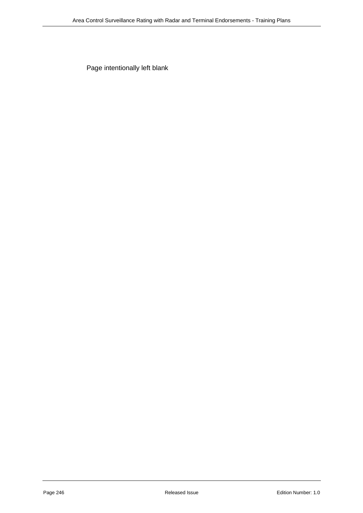Page intentionally left blank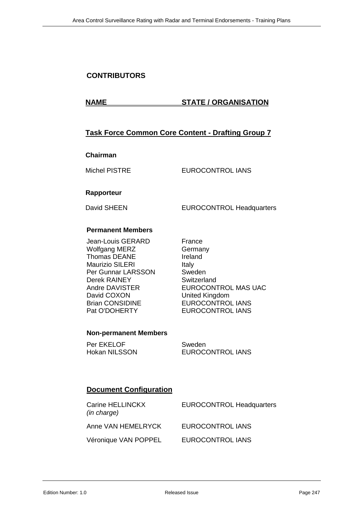# **CONTRIBUTORS**

# **NAME STATE / ORGANISATION**

## **Task Force Common Core Content - Drafting Group 7**

#### **Chairman**

Michel PISTRE **EUROCONTROL IANS** 

### **Rapporteur**

David SHEEN EUROCONTROL Headquarters

### **Permanent Members**

Jean-Louis GERARD France Wolfgang MERZ Germany Thomas DEANE Ireland Maurizio SILERI **Italy** Per Gunnar LARSSON Sweden Derek RAINEY Switzerland David COXON United Kingdom Brian CONSIDINE EUROCONTROL IANS<br>Pat O'DOHERTY EUROCONTROL IANS

Andre DAVISTER EUROCONTROL MAS UAC **EUROCONTROL IANS** 

#### **Non-permanent Members**

Per EKELOF Sweden Hokan NILSSON EUROCONTROL IANS

### **Document Configuration**

| Carine HELLINCKX<br>(in charge) | <b>EUROCONTROL Headquarters</b> |
|---------------------------------|---------------------------------|
| Anne VAN HEMELRYCK              | EUROCONTROL IANS                |
| Véronique VAN POPPEL            | EUROCONTROL IANS                |